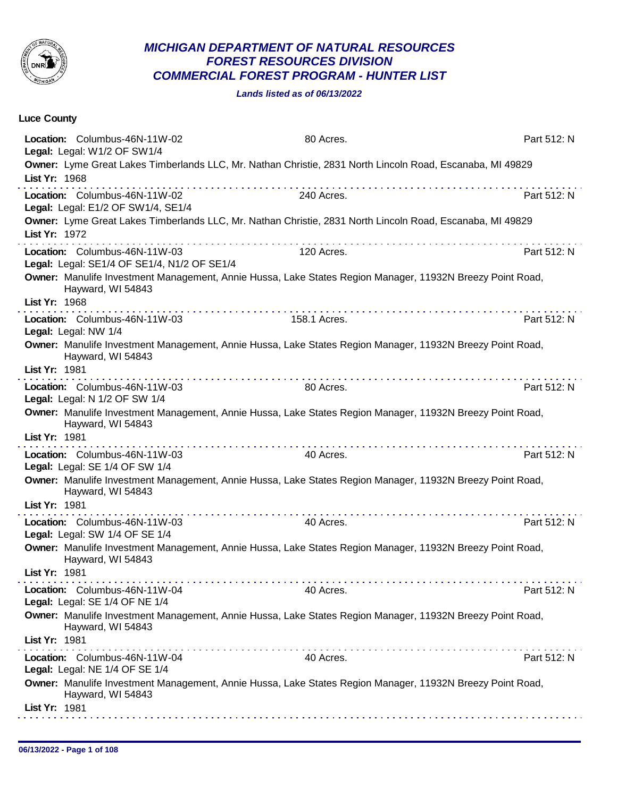

## *MICHIGAN DEPARTMENT OF NATURAL RESOURCES FOREST RESOURCES DIVISION COMMERCIAL FOREST PROGRAM - HUNTER LIST*

*Lands listed as of 06/13/2022*

| Luce County   |                                                                                                                                                                                                                                                                                                                                                                                                                                     |              |             |
|---------------|-------------------------------------------------------------------------------------------------------------------------------------------------------------------------------------------------------------------------------------------------------------------------------------------------------------------------------------------------------------------------------------------------------------------------------------|--------------|-------------|
|               | Location: Columbus-46N-11W-02<br>Legal: Legal: W1/2 OF SW1/4                                                                                                                                                                                                                                                                                                                                                                        | 80 Acres.    | Part 512: N |
| List Yr: 1968 | Owner: Lyme Great Lakes Timberlands LLC, Mr. Nathan Christie, 2831 North Lincoln Road, Escanaba, MI 49829<br>$\label{eq:reduced} \begin{split} \mathbf{u}^{\prime} & = \mathbf{u}^{\prime} + \mathbf{u}^{\prime} + \mathbf{u}^{\prime} + \mathbf{u}^{\prime} + \mathbf{u}^{\prime} + \mathbf{u}^{\prime} + \mathbf{u}^{\prime} + \mathbf{u}^{\prime} + \mathbf{u}^{\prime} + \mathbf{u}^{\prime} + \mathbf{u}^{\prime} \end{split}$ |              |             |
|               | Location: Columbus-46N-11W-02<br>Legal: Legal: E1/2 OF SW1/4, SE1/4                                                                                                                                                                                                                                                                                                                                                                 | 240 Acres.   | Part 512: N |
| List Yr: 1972 | Owner: Lyme Great Lakes Timberlands LLC, Mr. Nathan Christie, 2831 North Lincoln Road, Escanaba, MI 49829                                                                                                                                                                                                                                                                                                                           |              |             |
|               | Location: Columbus-46N-11W-03<br>Legal: Legal: SE1/4 OF SE1/4, N1/2 OF SE1/4                                                                                                                                                                                                                                                                                                                                                        | 120 Acres.   | Part 512: N |
| List Yr: 1968 | Owner: Manulife Investment Management, Annie Hussa, Lake States Region Manager, 11932N Breezy Point Road,<br>Hayward, WI 54843                                                                                                                                                                                                                                                                                                      |              |             |
|               | Location: Columbus-46N-11W-03<br>Legal: Legal: NW 1/4                                                                                                                                                                                                                                                                                                                                                                               | 158.1 Acres. | Part 512: N |
| List Yr: 1981 | Owner: Manulife Investment Management, Annie Hussa, Lake States Region Manager, 11932N Breezy Point Road,<br>Hayward, WI 54843                                                                                                                                                                                                                                                                                                      |              |             |
|               | Location: Columbus-46N-11W-03<br>Legal: Legal: N 1/2 OF SW 1/4                                                                                                                                                                                                                                                                                                                                                                      | 80 Acres.    | Part 512: N |
|               | Owner: Manulife Investment Management, Annie Hussa, Lake States Region Manager, 11932N Breezy Point Road,<br>Hayward, WI 54843                                                                                                                                                                                                                                                                                                      |              |             |
| List Yr: 1981 | a provincia de la caractería de la caractería.                                                                                                                                                                                                                                                                                                                                                                                      |              |             |
|               | Location: Columbus-46N-11W-03<br>Legal: Legal: SE 1/4 OF SW 1/4                                                                                                                                                                                                                                                                                                                                                                     | 40 Acres.    | Part 512: N |
| List Yr: 1981 | Owner: Manulife Investment Management, Annie Hussa, Lake States Region Manager, 11932N Breezy Point Road,<br>Hayward, WI 54843                                                                                                                                                                                                                                                                                                      |              |             |
|               | Location: Columbus-46N-11W-03<br>Legal: Legal: SW 1/4 OF SE 1/4                                                                                                                                                                                                                                                                                                                                                                     | 40 Acres.    | Part 512: N |
| List Yr: 1981 | Owner: Manulife Investment Management, Annie Hussa, Lake States Region Manager, 11932N Breezy Point Road,<br>Hayward, WI 54843                                                                                                                                                                                                                                                                                                      |              |             |
|               | Location: Columbus-46N-11W-04<br>Legal: Legal: SE 1/4 OF NE 1/4                                                                                                                                                                                                                                                                                                                                                                     | 40 Acres.    | Part 512: N |
|               | Owner: Manulife Investment Management, Annie Hussa, Lake States Region Manager, 11932N Breezy Point Road,<br>Hayward, WI 54843                                                                                                                                                                                                                                                                                                      |              |             |
| List Yr: 1981 | i di sebagai kecamatan di sebagai kecamatan                                                                                                                                                                                                                                                                                                                                                                                         |              |             |
|               | Location: Columbus-46N-11W-04<br>Legal: Legal: NE 1/4 OF SE 1/4                                                                                                                                                                                                                                                                                                                                                                     | 40 Acres.    | Part 512: N |
|               | Owner: Manulife Investment Management, Annie Hussa, Lake States Region Manager, 11932N Breezy Point Road,<br>Hayward, WI 54843                                                                                                                                                                                                                                                                                                      |              |             |
| List Yr: 1981 |                                                                                                                                                                                                                                                                                                                                                                                                                                     |              |             |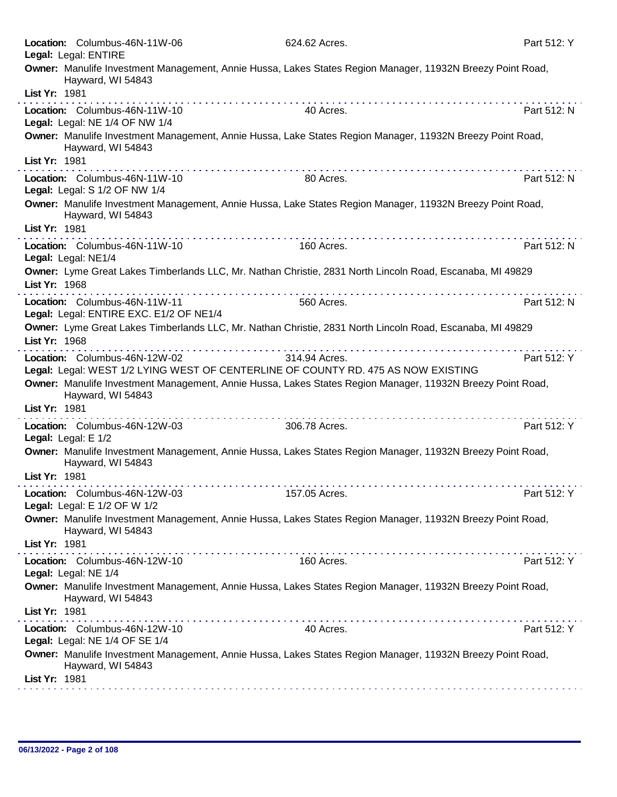| Location: Columbus-46N-11W-06<br>Legal: Legal: ENTIRE                                                                                  | 624.62 Acres. | Part 512: Y |
|----------------------------------------------------------------------------------------------------------------------------------------|---------------|-------------|
| Owner: Manulife Investment Management, Annie Hussa, Lakes States Region Manager, 11932N Breezy Point Road,<br>Hayward, WI 54843        |               |             |
| List Yr: 1981                                                                                                                          |               |             |
| Location: Columbus-46N-11W-10<br>Legal: Legal: NE 1/4 OF NW 1/4                                                                        | 40 Acres.     | Part 512: N |
| Owner: Manulife Investment Management, Annie Hussa, Lake States Region Manager, 11932N Breezy Point Road,<br>Hayward, WI 54843         |               |             |
| List Yr: 1981                                                                                                                          |               |             |
| Location: Columbus-46N-11W-10<br>Legal: Legal: S 1/2 OF NW 1/4                                                                         | 80 Acres.     | Part 512: N |
| Owner: Manulife Investment Management, Annie Hussa, Lake States Region Manager, 11932N Breezy Point Road,<br>Hayward, WI 54843         |               |             |
| List Yr: 1981                                                                                                                          |               |             |
| Location: Columbus-46N-11W-10<br>Legal: Legal: NE1/4                                                                                   | 160 Acres.    | Part 512: N |
| Owner: Lyme Great Lakes Timberlands LLC, Mr. Nathan Christie, 2831 North Lincoln Road, Escanaba, MI 49829<br>List Yr: 1968<br><u>.</u> |               |             |
| Location: Columbus-46N-11W-11<br>Legal: Legal: ENTIRE EXC. E1/2 OF NE1/4                                                               | 560 Acres.    | Part 512: N |
| Owner: Lyme Great Lakes Timberlands LLC, Mr. Nathan Christie, 2831 North Lincoln Road, Escanaba, MI 49829<br>List Yr: 1968             |               |             |
| Location: Columbus-46N-12W-02<br>Legal: Legal: WEST 1/2 LYING WEST OF CENTERLINE OF COUNTY RD. 475 AS NOW EXISTING                     | 314.94 Acres. | Part 512: Y |
| Owner: Manulife Investment Management, Annie Hussa, Lakes States Region Manager, 11932N Breezy Point Road,<br>Hayward, WI 54843        |               |             |
| List Yr: 1981                                                                                                                          |               |             |
| . <b>.</b><br>Location: Columbus-46N-12W-03<br>Legal: Legal: E 1/2                                                                     | 306.78 Acres. | Part 512: Y |
| Owner: Manulife Investment Management, Annie Hussa, Lakes States Region Manager, 11932N Breezy Point Road,<br>Hayward, WI 54843        |               |             |
| List Yr: 1981                                                                                                                          |               |             |
| Location: Columbus-46N-12W-03<br>Legal: Legal: E 1/2 OF W 1/2                                                                          | 157.05 Acres. | Part 512: Y |
| Owner: Manulife Investment Management, Annie Hussa, Lakes States Region Manager, 11932N Breezy Point Road,<br>Hayward, WI 54843        |               |             |
| List Yr: 1981                                                                                                                          |               |             |
| Location: Columbus-46N-12W-10<br>Legal: Legal: NE 1/4                                                                                  | 160 Acres.    | Part 512: Y |
| Owner: Manulife Investment Management, Annie Hussa, Lakes States Region Manager, 11932N Breezy Point Road,<br>Hayward, WI 54843        |               |             |
| List Yr: 1981                                                                                                                          |               |             |
| Location: Columbus-46N-12W-10<br>Legal: Legal: NE 1/4 OF SE 1/4                                                                        | 40 Acres.     | Part 512: Y |
| Owner: Manulife Investment Management, Annie Hussa, Lakes States Region Manager, 11932N Breezy Point Road,<br>Hayward, WI 54843        |               |             |
| List Yr: 1981                                                                                                                          |               |             |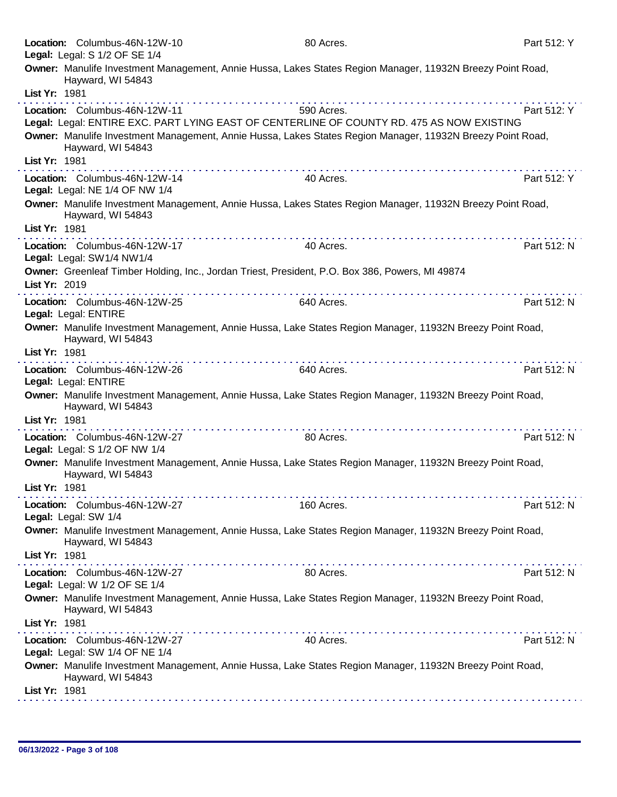|               | Location: Columbus-46N-12W-10<br>Legal: Legal: S 1/2 OF SE 1/4  | 80 Acres.                                                                                                  | Part 512: Y |
|---------------|-----------------------------------------------------------------|------------------------------------------------------------------------------------------------------------|-------------|
|               | Hayward, WI 54843                                               | Owner: Manulife Investment Management, Annie Hussa, Lakes States Region Manager, 11932N Breezy Point Road, |             |
| List Yr: 1981 |                                                                 |                                                                                                            |             |
|               | Location: Columbus-46N-12W-11                                   | 590 Acres.<br>Legal: Legal: ENTIRE EXC. PART LYING EAST OF CENTERLINE OF COUNTY RD. 475 AS NOW EXISTING    | Part 512: Y |
|               | Hayward, WI 54843                                               | Owner: Manulife Investment Management, Annie Hussa, Lakes States Region Manager, 11932N Breezy Point Road, |             |
| List Yr: 1981 |                                                                 |                                                                                                            |             |
|               | Location: Columbus-46N-12W-14<br>Legal: Legal: NE 1/4 OF NW 1/4 | 40 Acres.                                                                                                  | Part 512: Y |
|               | Hayward, WI 54843                                               | Owner: Manulife Investment Management, Annie Hussa, Lakes States Region Manager, 11932N Breezy Point Road, |             |
| List Yr: 1981 |                                                                 |                                                                                                            |             |
|               | Location: Columbus-46N-12W-17<br>Legal: Legal: SW1/4 NW1/4      | 40 Acres.                                                                                                  | Part 512: N |
| List Yr: 2019 |                                                                 | Owner: Greenleaf Timber Holding, Inc., Jordan Triest, President, P.O. Box 386, Powers, MI 49874            |             |
|               | Location: Columbus-46N-12W-25<br>Legal: Legal: ENTIRE           | 640 Acres.                                                                                                 | Part 512: N |
|               | Hayward, WI 54843                                               | Owner: Manulife Investment Management, Annie Hussa, Lake States Region Manager, 11932N Breezy Point Road,  |             |
| List Yr: 1981 |                                                                 |                                                                                                            |             |
|               | Location: Columbus-46N-12W-26<br>Legal: Legal: ENTIRE           | 640 Acres.                                                                                                 | Part 512: N |
|               | Hayward, WI 54843                                               | Owner: Manulife Investment Management, Annie Hussa, Lake States Region Manager, 11932N Breezy Point Road,  |             |
| List Yr: 1981 |                                                                 |                                                                                                            |             |
|               | Location: Columbus-46N-12W-27<br>Legal: Legal: S 1/2 OF NW 1/4  | 80 Acres.                                                                                                  | Part 512: N |
|               | Hayward, WI 54843                                               | Owner: Manulife Investment Management, Annie Hussa, Lake States Region Manager, 11932N Breezy Point Road,  |             |
| List Yr: 1981 |                                                                 |                                                                                                            |             |
|               | Location: Columbus-46N-12W-27<br>Legal: Legal: SW 1/4           | 160 Acres.                                                                                                 | Part 512: N |
|               | Hayward, WI 54843                                               | Owner: Manulife Investment Management, Annie Hussa, Lake States Region Manager, 11932N Breezy Point Road,  |             |
| List Yr: 1981 |                                                                 |                                                                                                            |             |
|               | Location: Columbus-46N-12W-27<br>Legal: Legal: W 1/2 OF SE 1/4  | 80 Acres.                                                                                                  | Part 512: N |
| List Yr: 1981 | Hayward, WI 54843                                               | Owner: Manulife Investment Management, Annie Hussa, Lake States Region Manager, 11932N Breezy Point Road,  |             |
|               | Location: Columbus-46N-12W-27                                   | 40 Acres.                                                                                                  | Part 512: N |
|               | Legal: Legal: SW 1/4 OF NE 1/4                                  |                                                                                                            |             |
| List Yr: 1981 | Hayward, WI 54843                                               | Owner: Manulife Investment Management, Annie Hussa, Lake States Region Manager, 11932N Breezy Point Road,  |             |
|               |                                                                 |                                                                                                            |             |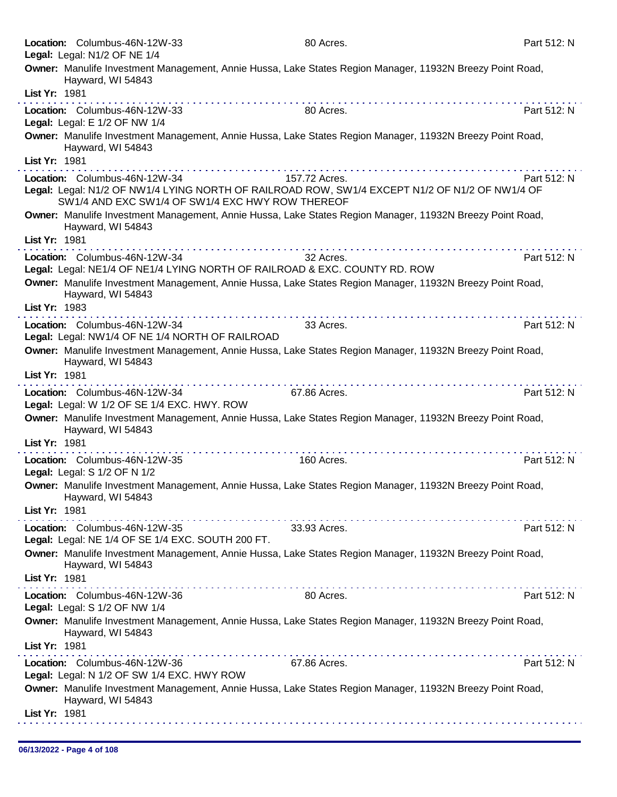|               | Location: Columbus-46N-12W-33<br>Legal: Legal: N1/2 OF NE 1/4                                                                                                | 80 Acres.     | Part 512: N |
|---------------|--------------------------------------------------------------------------------------------------------------------------------------------------------------|---------------|-------------|
|               | Owner: Manulife Investment Management, Annie Hussa, Lake States Region Manager, 11932N Breezy Point Road,                                                    |               |             |
|               | Hayward, WI 54843                                                                                                                                            |               |             |
| List Yr: 1981 |                                                                                                                                                              |               |             |
|               | Location: Columbus-46N-12W-33<br>Legal: Legal: E 1/2 OF NW 1/4                                                                                               | 80 Acres.     | Part 512: N |
|               | Owner: Manulife Investment Management, Annie Hussa, Lake States Region Manager, 11932N Breezy Point Road,<br>Hayward, WI 54843                               |               |             |
| List Yr: 1981 |                                                                                                                                                              |               |             |
|               | Location: Columbus-46N-12W-34                                                                                                                                | 157.72 Acres. | Part 512: N |
|               | Legal: Legal: N1/2 OF NW1/4 LYING NORTH OF RAILROAD ROW, SW1/4 EXCEPT N1/2 OF N1/2 OF NW1/4 OF<br>SW1/4 AND EXC SW1/4 OF SW1/4 EXC HWY ROW THEREOF           |               |             |
|               | Owner: Manulife Investment Management, Annie Hussa, Lake States Region Manager, 11932N Breezy Point Road,<br>Hayward, WI 54843                               |               |             |
| List Yr: 1981 |                                                                                                                                                              |               |             |
|               | Location: Columbus-46N-12W-34<br>Legal: Legal: NE1/4 OF NE1/4 LYING NORTH OF RAILROAD & EXC. COUNTY RD. ROW                                                  | 32 Acres.     | Part 512: N |
|               | Owner: Manulife Investment Management, Annie Hussa, Lake States Region Manager, 11932N Breezy Point Road,<br>Hayward, WI 54843                               |               |             |
| List Yr: 1983 |                                                                                                                                                              |               |             |
|               | Location: Columbus-46N-12W-34                                                                                                                                | 33 Acres.     | Part 512: N |
|               | Legal: Legal: NW1/4 OF NE 1/4 NORTH OF RAILROAD<br>Owner: Manulife Investment Management, Annie Hussa, Lake States Region Manager, 11932N Breezy Point Road, |               |             |
|               | Hayward, WI 54843                                                                                                                                            |               |             |
| List Yr: 1981 | .                                                                                                                                                            |               |             |
|               | Location: Columbus-46N-12W-34<br>Legal: Legal: W 1/2 OF SE 1/4 EXC. HWY. ROW                                                                                 | 67.86 Acres.  | Part 512: N |
|               | Owner: Manulife Investment Management, Annie Hussa, Lake States Region Manager, 11932N Breezy Point Road,<br>Hayward, WI 54843                               |               |             |
| List Yr: 1981 |                                                                                                                                                              |               |             |
|               | Location: Columbus-46N-12W-35<br>Legal: Legal: S 1/2 OF N 1/2                                                                                                | 160 Acres.    | Part 512: N |
|               | Owner: Manulife Investment Management, Annie Hussa, Lake States Region Manager, 11932N Breezy Point Road,                                                    |               |             |
|               | Hayward, WI 54843                                                                                                                                            |               |             |
| List Yr: 1981 |                                                                                                                                                              |               |             |
|               | Location: Columbus-46N-12W-35<br>Legal: Legal: NE 1/4 OF SE 1/4 EXC. SOUTH 200 FT.                                                                           | 33.93 Acres.  | Part 512: N |
|               | Owner: Manulife Investment Management, Annie Hussa, Lake States Region Manager, 11932N Breezy Point Road,<br>Hayward, WI 54843                               |               |             |
| List Yr: 1981 |                                                                                                                                                              |               |             |
|               | Location: Columbus-46N-12W-36<br>Legal: Legal: S 1/2 OF NW 1/4                                                                                               | 80 Acres.     | Part 512: N |
|               | Owner: Manulife Investment Management, Annie Hussa, Lake States Region Manager, 11932N Breezy Point Road,<br>Hayward, WI 54843                               |               |             |
| List Yr: 1981 |                                                                                                                                                              |               |             |
|               | .<br>Location: Columbus-46N-12W-36                                                                                                                           | 67.86 Acres.  | Part 512: N |
|               | Legal: Legal: N 1/2 OF SW 1/4 EXC. HWY ROW                                                                                                                   |               |             |
|               | Owner: Manulife Investment Management, Annie Hussa, Lake States Region Manager, 11932N Breezy Point Road,<br>Hayward, WI 54843                               |               |             |
| List Yr: 1981 |                                                                                                                                                              |               |             |
|               |                                                                                                                                                              |               |             |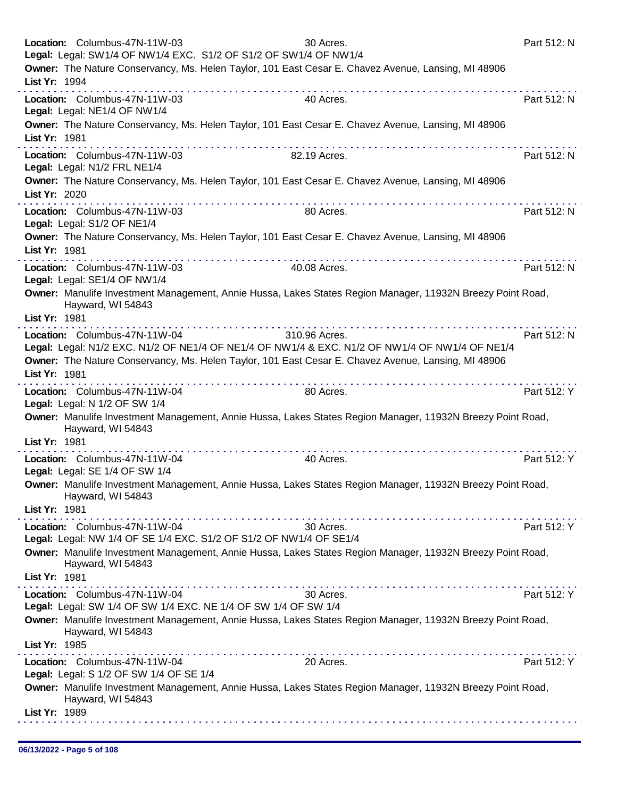|               | Location: Columbus-47N-11W-03                                            | 30 Acres.<br>Legal: Legal: SW1/4 OF NW1/4 EXC. S1/2 OF S1/2 OF SW1/4 OF NW1/4                                                                                                                                                                                                                                                                                                                                                                                    | Part 512: N |
|---------------|--------------------------------------------------------------------------|------------------------------------------------------------------------------------------------------------------------------------------------------------------------------------------------------------------------------------------------------------------------------------------------------------------------------------------------------------------------------------------------------------------------------------------------------------------|-------------|
|               |                                                                          | Owner: The Nature Conservancy, Ms. Helen Taylor, 101 East Cesar E. Chavez Avenue, Lansing, MI 48906                                                                                                                                                                                                                                                                                                                                                              |             |
| List Yr: 1994 |                                                                          |                                                                                                                                                                                                                                                                                                                                                                                                                                                                  |             |
|               | Location: Columbus-47N-11W-03<br>Legal: Legal: NE1/4 OF NW1/4            | 40 Acres.                                                                                                                                                                                                                                                                                                                                                                                                                                                        | Part 512: N |
| List Yr: 1981 |                                                                          | Owner: The Nature Conservancy, Ms. Helen Taylor, 101 East Cesar E. Chavez Avenue, Lansing, MI 48906                                                                                                                                                                                                                                                                                                                                                              |             |
|               | Location: Columbus-47N-11W-03<br>Legal: Legal: N1/2 FRL NE1/4            | .<br>82.19 Acres.                                                                                                                                                                                                                                                                                                                                                                                                                                                | Part 512: N |
| List Yr: 2020 |                                                                          | Owner: The Nature Conservancy, Ms. Helen Taylor, 101 East Cesar E. Chavez Avenue, Lansing, MI 48906                                                                                                                                                                                                                                                                                                                                                              |             |
|               | Location: Columbus-47N-11W-03<br>Legal: Legal: S1/2 OF NE1/4             | 80 Acres.                                                                                                                                                                                                                                                                                                                                                                                                                                                        | Part 512: N |
| List Yr: 1981 |                                                                          | Owner: The Nature Conservancy, Ms. Helen Taylor, 101 East Cesar E. Chavez Avenue, Lansing, MI 48906                                                                                                                                                                                                                                                                                                                                                              |             |
|               | Location: Columbus-47N-11W-03<br>Legal: Legal: SE1/4 OF NW1/4            | 40.08 Acres.                                                                                                                                                                                                                                                                                                                                                                                                                                                     | Part 512: N |
|               | Hayward, WI 54843                                                        | Owner: Manulife Investment Management, Annie Hussa, Lakes States Region Manager, 11932N Breezy Point Road,                                                                                                                                                                                                                                                                                                                                                       |             |
| List Yr: 1981 |                                                                          | $\label{eq:reduced} \begin{split} \mathbf{1}_{\mathbf{1}}\cdot\mathbf{1}_{\mathbf{2}}\cdot\mathbf{1}_{\mathbf{3}}\cdot\mathbf{1}_{\mathbf{3}}\cdot\mathbf{1}_{\mathbf{4}}\cdot\mathbf{1}_{\mathbf{5}}\cdot\mathbf{1}_{\mathbf{4}}\cdot\mathbf{1}_{\mathbf{5}}\cdot\mathbf{1}_{\mathbf{4}}\cdot\mathbf{1}_{\mathbf{5}}\cdot\mathbf{1}_{\mathbf{6}}\cdot\mathbf{1}_{\mathbf{6}}\cdot\mathbf{1}_{\mathbf{7}}\cdot\mathbf{1}_{\mathbf{8}}\cdot\mathbf{1}_{\mathbf{9$ |             |
|               | Location: Columbus-47N-11W-04                                            | 310.96 Acres.<br>Legal: Legal: N1/2 EXC. N1/2 OF NE1/4 OF NE1/4 OF NW1/4 & EXC. N1/2 OF NW1/4 OF NW1/4 OF NE1/4                                                                                                                                                                                                                                                                                                                                                  | Part 512: N |
|               |                                                                          | Owner: The Nature Conservancy, Ms. Helen Taylor, 101 East Cesar E. Chavez Avenue, Lansing, MI 48906                                                                                                                                                                                                                                                                                                                                                              |             |
| List Yr: 1981 |                                                                          |                                                                                                                                                                                                                                                                                                                                                                                                                                                                  |             |
|               | Location: Columbus-47N-11W-04<br>Legal: Legal: N 1/2 OF SW 1/4           | 80 Acres.                                                                                                                                                                                                                                                                                                                                                                                                                                                        | Part 512: Y |
|               | Hayward, WI 54843                                                        | Owner: Manulife Investment Management, Annie Hussa, Lakes States Region Manager, 11932N Breezy Point Road,                                                                                                                                                                                                                                                                                                                                                       |             |
| List Yr: 1981 |                                                                          |                                                                                                                                                                                                                                                                                                                                                                                                                                                                  |             |
|               | Location: Columbus-47N-11W-04<br>Legal: Legal: SE 1/4 OF SW 1/4          | 40 Acres.                                                                                                                                                                                                                                                                                                                                                                                                                                                        | Part 512: Y |
|               | Hayward, WI 54843                                                        | Owner: Manulife Investment Management, Annie Hussa, Lakes States Region Manager, 11932N Breezy Point Road,                                                                                                                                                                                                                                                                                                                                                       |             |
| List Yr: 1981 |                                                                          |                                                                                                                                                                                                                                                                                                                                                                                                                                                                  |             |
|               | Location: Columbus-47N-11W-04                                            | 30 Acres.<br>Legal: Legal: NW 1/4 OF SE 1/4 EXC. S1/2 OF S1/2 OF NW1/4 OF SE1/4                                                                                                                                                                                                                                                                                                                                                                                  | Part 512: Y |
|               | Hayward, WI 54843                                                        | Owner: Manulife Investment Management, Annie Hussa, Lakes States Region Manager, 11932N Breezy Point Road,                                                                                                                                                                                                                                                                                                                                                       |             |
| List Yr: 1981 |                                                                          |                                                                                                                                                                                                                                                                                                                                                                                                                                                                  |             |
|               | Location: Columbus-47N-11W-04                                            | 30 Acres.<br>Legal: Legal: SW 1/4 OF SW 1/4 EXC. NE 1/4 OF SW 1/4 OF SW 1/4                                                                                                                                                                                                                                                                                                                                                                                      | Part 512: Y |
|               | Hayward, WI 54843                                                        | Owner: Manulife Investment Management, Annie Hussa, Lakes States Region Manager, 11932N Breezy Point Road,                                                                                                                                                                                                                                                                                                                                                       |             |
| List Yr: 1985 |                                                                          | .                                                                                                                                                                                                                                                                                                                                                                                                                                                                |             |
|               | Location: Columbus-47N-11W-04<br>Legal: Legal: S 1/2 OF SW 1/4 OF SE 1/4 | 20 Acres.                                                                                                                                                                                                                                                                                                                                                                                                                                                        | Part 512: Y |
|               | Hayward, WI 54843                                                        | Owner: Manulife Investment Management, Annie Hussa, Lakes States Region Manager, 11932N Breezy Point Road,                                                                                                                                                                                                                                                                                                                                                       |             |
| List Yr: 1989 |                                                                          |                                                                                                                                                                                                                                                                                                                                                                                                                                                                  |             |
|               |                                                                          |                                                                                                                                                                                                                                                                                                                                                                                                                                                                  |             |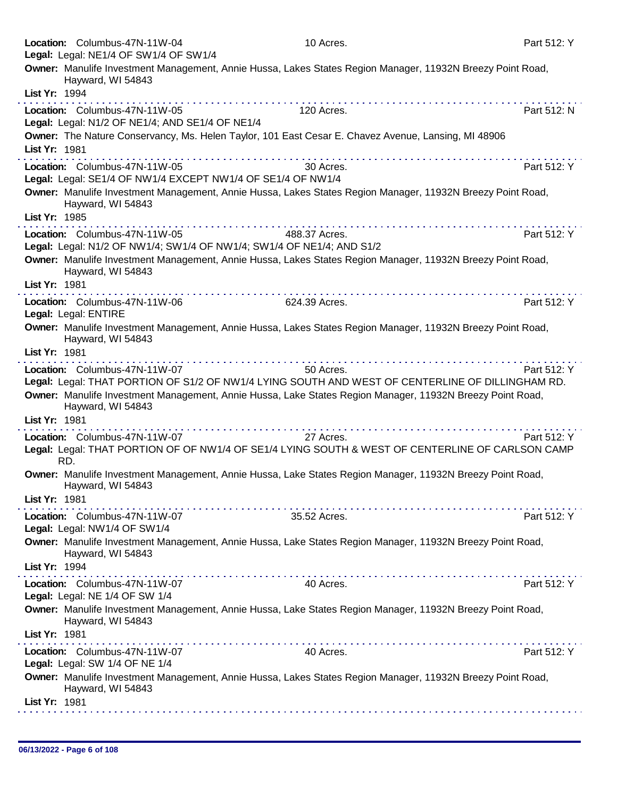|               | Location: Columbus-47N-11W-04<br>Legal: Legal: NE1/4 OF SW1/4 OF SW1/4                                                                                                                                                                                                                                                                                                                                                               | 10 Acres.                                                                                                                                                                                                                     | Part 512: Y |
|---------------|--------------------------------------------------------------------------------------------------------------------------------------------------------------------------------------------------------------------------------------------------------------------------------------------------------------------------------------------------------------------------------------------------------------------------------------|-------------------------------------------------------------------------------------------------------------------------------------------------------------------------------------------------------------------------------|-------------|
|               | Hayward, WI 54843                                                                                                                                                                                                                                                                                                                                                                                                                    | Owner: Manulife Investment Management, Annie Hussa, Lakes States Region Manager, 11932N Breezy Point Road,                                                                                                                    |             |
| List Yr: 1994 |                                                                                                                                                                                                                                                                                                                                                                                                                                      |                                                                                                                                                                                                                               |             |
|               | Location: Columbus-47N-11W-05<br>Legal: Legal: N1/2 OF NE1/4; AND SE1/4 OF NE1/4                                                                                                                                                                                                                                                                                                                                                     | 120 Acres.                                                                                                                                                                                                                    | Part 512: N |
|               |                                                                                                                                                                                                                                                                                                                                                                                                                                      | Owner: The Nature Conservancy, Ms. Helen Taylor, 101 East Cesar E. Chavez Avenue, Lansing, MI 48906                                                                                                                           |             |
| List Yr: 1981 |                                                                                                                                                                                                                                                                                                                                                                                                                                      |                                                                                                                                                                                                                               |             |
|               | Location: Columbus-47N-11W-05<br>Legal: Legal: SE1/4 OF NW1/4 EXCEPT NW1/4 OF SE1/4 OF NW1/4                                                                                                                                                                                                                                                                                                                                         | 30 Acres.                                                                                                                                                                                                                     | Part 512: Y |
|               | Hayward, WI 54843                                                                                                                                                                                                                                                                                                                                                                                                                    | Owner: Manulife Investment Management, Annie Hussa, Lakes States Region Manager, 11932N Breezy Point Road,                                                                                                                    |             |
| List Yr: 1985 |                                                                                                                                                                                                                                                                                                                                                                                                                                      |                                                                                                                                                                                                                               |             |
|               | Location: Columbus-47N-11W-05<br>Legal: Legal: N1/2 OF NW1/4; SW1/4 OF NW1/4; SW1/4 OF NE1/4; AND S1/2                                                                                                                                                                                                                                                                                                                               | 488.37 Acres.                                                                                                                                                                                                                 | Part 512: Y |
|               | Hayward, WI 54843                                                                                                                                                                                                                                                                                                                                                                                                                    | Owner: Manulife Investment Management, Annie Hussa, Lakes States Region Manager, 11932N Breezy Point Road,                                                                                                                    |             |
| List Yr: 1981 | .                                                                                                                                                                                                                                                                                                                                                                                                                                    |                                                                                                                                                                                                                               |             |
|               | Location: Columbus-47N-11W-06<br>Legal: Legal: ENTIRE                                                                                                                                                                                                                                                                                                                                                                                | 624.39 Acres.                                                                                                                                                                                                                 | Part 512: Y |
|               | Hayward, WI 54843                                                                                                                                                                                                                                                                                                                                                                                                                    | Owner: Manulife Investment Management, Annie Hussa, Lakes States Region Manager, 11932N Breezy Point Road,                                                                                                                    |             |
| List Yr: 1981 | . <b>.</b>                                                                                                                                                                                                                                                                                                                                                                                                                           |                                                                                                                                                                                                                               |             |
|               | Location: Columbus-47N-11W-07                                                                                                                                                                                                                                                                                                                                                                                                        | 50 Acres.<br>Legal: Legal: THAT PORTION OF S1/2 OF NW1/4 LYING SOUTH AND WEST OF CENTERLINE OF DILLINGHAM RD.                                                                                                                 | Part 512: Y |
|               | Hayward, WI 54843                                                                                                                                                                                                                                                                                                                                                                                                                    | Owner: Manulife Investment Management, Annie Hussa, Lake States Region Manager, 11932N Breezy Point Road,                                                                                                                     |             |
| List Yr: 1981 |                                                                                                                                                                                                                                                                                                                                                                                                                                      | a construction of the construction of the construction of the construction of the construction of the construction of the construction of the construction of the construction of the construction of the construction of the |             |
|               | Location: Columbus-47N-11W-07                                                                                                                                                                                                                                                                                                                                                                                                        | 27 Acres.                                                                                                                                                                                                                     | Part 512: Y |
| RD.           |                                                                                                                                                                                                                                                                                                                                                                                                                                      | Legal: Legal: THAT PORTION OF OF NW1/4 OF SE1/4 LYING SOUTH & WEST OF CENTERLINE OF CARLSON CAMP                                                                                                                              |             |
|               | Hayward, WI 54843                                                                                                                                                                                                                                                                                                                                                                                                                    | Owner: Manulife Investment Management, Annie Hussa, Lake States Region Manager, 11932N Breezy Point Road,                                                                                                                     |             |
| List Yr: 1981 |                                                                                                                                                                                                                                                                                                                                                                                                                                      |                                                                                                                                                                                                                               |             |
|               | Location: Columbus-47N-11W-07<br>Legal: Legal: NW1/4 OF SW1/4                                                                                                                                                                                                                                                                                                                                                                        | 35.52 Acres.                                                                                                                                                                                                                  | Part 512: Y |
|               |                                                                                                                                                                                                                                                                                                                                                                                                                                      | Owner: Manulife Investment Management, Annie Hussa, Lake States Region Manager, 11932N Breezy Point Road,                                                                                                                     |             |
|               | Hayward, WI 54843                                                                                                                                                                                                                                                                                                                                                                                                                    |                                                                                                                                                                                                                               |             |
| List Yr: 1994 |                                                                                                                                                                                                                                                                                                                                                                                                                                      |                                                                                                                                                                                                                               |             |
|               | $\label{eq:2.1} \begin{split} \mathcal{L}_{\mathcal{A}}(\mathcal{A})=\mathcal{L}_{\mathcal{A}}(\mathcal{A})=\mathcal{L}_{\mathcal{A}}(\mathcal{A})=\mathcal{L}_{\mathcal{A}}(\mathcal{A})=\mathcal{L}_{\mathcal{A}}(\mathcal{A})=\mathcal{L}_{\mathcal{A}}(\mathcal{A})=\mathcal{L}_{\mathcal{A}}(\mathcal{A})=\mathcal{L}_{\mathcal{A}}(\mathcal{A})\end{split}$<br>Location: Columbus-47N-11W-07<br>Legal: Legal: NE 1/4 OF SW 1/4 | 40 Acres.                                                                                                                                                                                                                     | Part 512: Y |
|               | Hayward, WI 54843                                                                                                                                                                                                                                                                                                                                                                                                                    | Owner: Manulife Investment Management, Annie Hussa, Lake States Region Manager, 11932N Breezy Point Road,                                                                                                                     |             |
| List Yr: 1981 |                                                                                                                                                                                                                                                                                                                                                                                                                                      |                                                                                                                                                                                                                               |             |
|               | Location: Columbus-47N-11W-07<br>Legal: Legal: SW 1/4 OF NE 1/4                                                                                                                                                                                                                                                                                                                                                                      | <u> Linda de la caractería de la caractería de l</u><br>40 Acres.                                                                                                                                                             | Part 512: Y |
|               | Hayward, WI 54843                                                                                                                                                                                                                                                                                                                                                                                                                    | Owner: Manulife Investment Management, Annie Hussa, Lakes States Region Manager, 11932N Breezy Point Road,                                                                                                                    |             |
| List Yr: 1981 |                                                                                                                                                                                                                                                                                                                                                                                                                                      |                                                                                                                                                                                                                               |             |
|               |                                                                                                                                                                                                                                                                                                                                                                                                                                      |                                                                                                                                                                                                                               |             |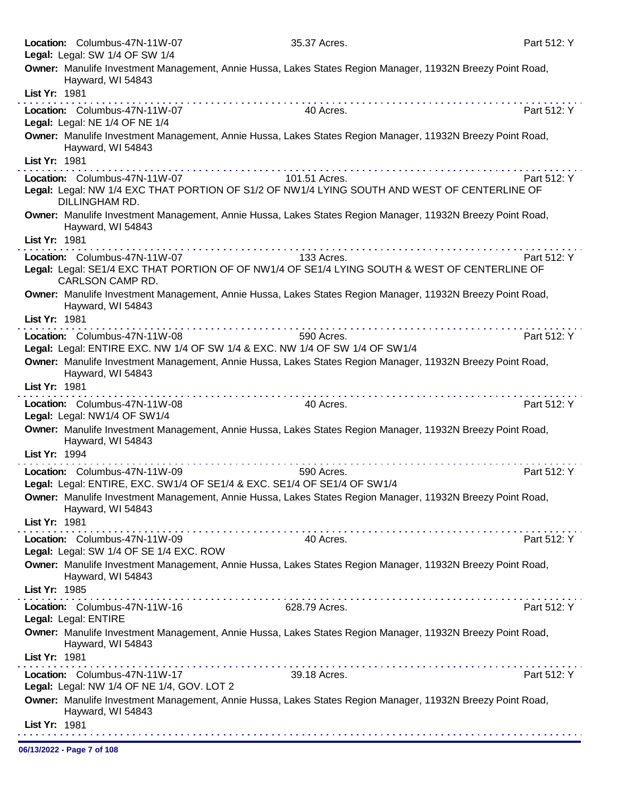| Legal: Legal: SW 1/4 OF SW 1/4<br>Owner: Manulife Investment Management, Annie Hussa, Lakes States Region Manager, 11932N Breezy Point Road,<br>Hayward, WI 54843<br>List Yr: 1981<br>Location: Columbus-47N-11W-07<br>40 Acres.<br>Part 512: Y<br>Legal: Legal: NE 1/4 OF NE 1/4                                                                                                                                                                                                                                                                         |  |
|-----------------------------------------------------------------------------------------------------------------------------------------------------------------------------------------------------------------------------------------------------------------------------------------------------------------------------------------------------------------------------------------------------------------------------------------------------------------------------------------------------------------------------------------------------------|--|
|                                                                                                                                                                                                                                                                                                                                                                                                                                                                                                                                                           |  |
|                                                                                                                                                                                                                                                                                                                                                                                                                                                                                                                                                           |  |
|                                                                                                                                                                                                                                                                                                                                                                                                                                                                                                                                                           |  |
|                                                                                                                                                                                                                                                                                                                                                                                                                                                                                                                                                           |  |
| Owner: Manulife Investment Management, Annie Hussa, Lakes States Region Manager, 11932N Breezy Point Road,<br>Hayward, WI 54843                                                                                                                                                                                                                                                                                                                                                                                                                           |  |
| List Yr: 1981                                                                                                                                                                                                                                                                                                                                                                                                                                                                                                                                             |  |
| Location: Columbus-47N-11W-07<br>Part 512: Y<br>101.51 Acres.<br>Legal: Legal: NW 1/4 EXC THAT PORTION OF S1/2 OF NW1/4 LYING SOUTH AND WEST OF CENTERLINE OF<br>DILLINGHAM RD.                                                                                                                                                                                                                                                                                                                                                                           |  |
| Owner: Manulife Investment Management, Annie Hussa, Lakes States Region Manager, 11932N Breezy Point Road,<br>Hayward, WI 54843                                                                                                                                                                                                                                                                                                                                                                                                                           |  |
| List Yr: 1981                                                                                                                                                                                                                                                                                                                                                                                                                                                                                                                                             |  |
| Location: Columbus-47N-11W-07<br>133 Acres.<br>Part 512: Y                                                                                                                                                                                                                                                                                                                                                                                                                                                                                                |  |
| Legal: Legal: SE1/4 EXC THAT PORTION OF OF NW1/4 OF SE1/4 LYING SOUTH & WEST OF CENTERLINE OF<br>CARLSON CAMP RD.                                                                                                                                                                                                                                                                                                                                                                                                                                         |  |
| Owner: Manulife Investment Management, Annie Hussa, Lakes States Region Manager, 11932N Breezy Point Road,<br>Hayward, WI 54843                                                                                                                                                                                                                                                                                                                                                                                                                           |  |
| List Yr: 1981<br><b>The contract of the contract of the contract of the contract of the contract of the contract of the contract of the contract of the contract of the contract of the contract of the contract of the contract of the contract </b>                                                                                                                                                                                                                                                                                                     |  |
| Part 512: Y<br>Location: Columbus-47N-11W-08<br>590 Acres.<br>Legal: Legal: ENTIRE EXC. NW 1/4 OF SW 1/4 & EXC. NW 1/4 OF SW 1/4 OF SW 1/4                                                                                                                                                                                                                                                                                                                                                                                                                |  |
| Owner: Manulife Investment Management, Annie Hussa, Lakes States Region Manager, 11932N Breezy Point Road,<br>Hayward, WI 54843                                                                                                                                                                                                                                                                                                                                                                                                                           |  |
| List Yr: 1981                                                                                                                                                                                                                                                                                                                                                                                                                                                                                                                                             |  |
| $\mathcal{L}^{\mathcal{A}}(\mathcal{A},\mathcal{A},\mathcal{A},\mathcal{A},\mathcal{A},\mathcal{A},\mathcal{A},\mathcal{A},\mathcal{A},\mathcal{A},\mathcal{A},\mathcal{A},\mathcal{A},\mathcal{A},\mathcal{A},\mathcal{A},\mathcal{A},\mathcal{A},\mathcal{A},\mathcal{A},\mathcal{A},\mathcal{A},\mathcal{A},\mathcal{A},\mathcal{A},\mathcal{A},\mathcal{A},\mathcal{A},\mathcal{A},\mathcal{A},\mathcal{A},\mathcal{A},\mathcal{A},\mathcal{A},\mathcal$<br>Part 512: Y<br>Location: Columbus-47N-11W-08<br>40 Acres.<br>Legal: Legal: NW1/4 OF SW1/4 |  |
| Owner: Manulife Investment Management, Annie Hussa, Lakes States Region Manager, 11932N Breezy Point Road,                                                                                                                                                                                                                                                                                                                                                                                                                                                |  |
| Hayward, WI 54843<br>List Yr: 1994                                                                                                                                                                                                                                                                                                                                                                                                                                                                                                                        |  |
|                                                                                                                                                                                                                                                                                                                                                                                                                                                                                                                                                           |  |
| Location: Columbus-47N-11W-09<br>590 Acres.<br>Part 512: Y<br>Legal: Legal: ENTIRE, EXC. SW1/4 OF SE1/4 & EXC. SE1/4 OF SE1/4 OF SW1/4                                                                                                                                                                                                                                                                                                                                                                                                                    |  |
| Owner: Manulife Investment Management, Annie Hussa, Lakes States Region Manager, 11932N Breezy Point Road,<br>Hayward, WI 54843                                                                                                                                                                                                                                                                                                                                                                                                                           |  |
| List Yr: 1981                                                                                                                                                                                                                                                                                                                                                                                                                                                                                                                                             |  |
| Part 512: Y<br>Location: Columbus-47N-11W-09<br>40 Acres.<br>Legal: Legal: SW 1/4 OF SE 1/4 EXC. ROW                                                                                                                                                                                                                                                                                                                                                                                                                                                      |  |
| Owner: Manulife Investment Management, Annie Hussa, Lakes States Region Manager, 11932N Breezy Point Road,<br>Hayward, WI 54843                                                                                                                                                                                                                                                                                                                                                                                                                           |  |
| List Yr: 1985                                                                                                                                                                                                                                                                                                                                                                                                                                                                                                                                             |  |
| Part 512: Y<br>Location: Columbus-47N-11W-16<br>628.79 Acres.                                                                                                                                                                                                                                                                                                                                                                                                                                                                                             |  |
| Legal: Legal: ENTIRE                                                                                                                                                                                                                                                                                                                                                                                                                                                                                                                                      |  |
| Owner: Manulife Investment Management, Annie Hussa, Lakes States Region Manager, 11932N Breezy Point Road,<br>Hayward, WI 54843                                                                                                                                                                                                                                                                                                                                                                                                                           |  |
| List Yr: 1981<br>.                                                                                                                                                                                                                                                                                                                                                                                                                                                                                                                                        |  |
| Location: Columbus-47N-11W-17<br>39.18 Acres.<br>Part 512: Y<br>Legal: Legal: NW 1/4 OF NE 1/4, GOV. LOT 2                                                                                                                                                                                                                                                                                                                                                                                                                                                |  |
| Owner: Manulife Investment Management, Annie Hussa, Lakes States Region Manager, 11932N Breezy Point Road,<br>Hayward, WI 54843                                                                                                                                                                                                                                                                                                                                                                                                                           |  |
| List Yr: 1981                                                                                                                                                                                                                                                                                                                                                                                                                                                                                                                                             |  |

06/13/2022 - Page 7 of 108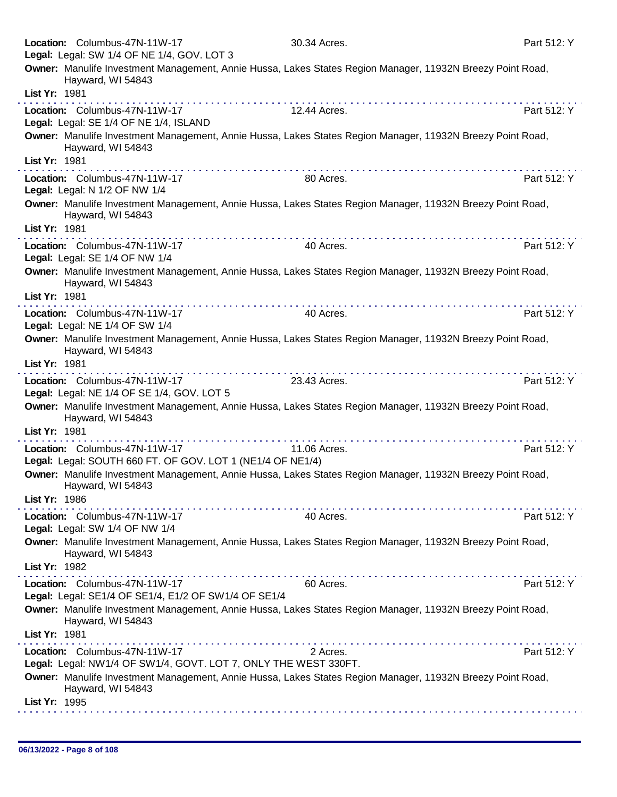|               | Location: Columbus-47N-11W-17<br>Legal: Legal: SW 1/4 OF NE 1/4, GOV. LOT 3                      | 30.34 Acres.                                                                                                                                                                                                                   | Part 512: Y |
|---------------|--------------------------------------------------------------------------------------------------|--------------------------------------------------------------------------------------------------------------------------------------------------------------------------------------------------------------------------------|-------------|
|               | Hayward, WI 54843                                                                                | Owner: Manulife Investment Management, Annie Hussa, Lakes States Region Manager, 11932N Breezy Point Road,                                                                                                                     |             |
| List Yr: 1981 |                                                                                                  |                                                                                                                                                                                                                                |             |
|               | Location: Columbus-47N-11W-17<br>Legal: Legal: SE 1/4 OF NE 1/4, ISLAND                          | 12.44 Acres.                                                                                                                                                                                                                   | Part 512: Y |
|               | Hayward, WI 54843                                                                                | Owner: Manulife Investment Management, Annie Hussa, Lakes States Region Manager, 11932N Breezy Point Road,                                                                                                                     |             |
| List Yr: 1981 |                                                                                                  |                                                                                                                                                                                                                                |             |
|               | Location: Columbus-47N-11W-17<br>Legal: Legal: N 1/2 OF NW 1/4                                   | 80 Acres.                                                                                                                                                                                                                      | Part 512: Y |
|               | Hayward, WI 54843                                                                                | Owner: Manulife Investment Management, Annie Hussa, Lakes States Region Manager, 11932N Breezy Point Road,                                                                                                                     |             |
| List Yr: 1981 |                                                                                                  |                                                                                                                                                                                                                                |             |
|               | Location: Columbus-47N-11W-17<br>Legal: Legal: SE 1/4 OF NW 1/4                                  | 40 Acres.                                                                                                                                                                                                                      | Part 512: Y |
| List Yr: 1981 | Hayward, WI 54843                                                                                | Owner: Manulife Investment Management, Annie Hussa, Lakes States Region Manager, 11932N Breezy Point Road,                                                                                                                     |             |
|               | Location: Columbus-47N-11W-17                                                                    | 40 Acres.                                                                                                                                                                                                                      | Part 512: Y |
|               | Legal: Legal: NE 1/4 OF SW 1/4                                                                   |                                                                                                                                                                                                                                |             |
|               | Hayward, WI 54843                                                                                | Owner: Manulife Investment Management, Annie Hussa, Lakes States Region Manager, 11932N Breezy Point Road,                                                                                                                     |             |
| List Yr: 1981 |                                                                                                  | the second complete state of the second complete state of the second complete state of the second complete state of the second complete state of the second complete state of the second complete state of the second complete |             |
|               | Location: Columbus-47N-11W-17<br>Legal: Legal: NE 1/4 OF SE 1/4, GOV. LOT 5                      | 23.43 Acres.                                                                                                                                                                                                                   | Part 512: Y |
|               | Hayward, WI 54843                                                                                | Owner: Manulife Investment Management, Annie Hussa, Lakes States Region Manager, 11932N Breezy Point Road,                                                                                                                     |             |
| List Yr: 1981 |                                                                                                  | .                                                                                                                                                                                                                              |             |
|               | Location: Columbus-47N-11W-17<br>Legal: Legal: SOUTH 660 FT. OF GOV. LOT 1 (NE1/4 OF NE1/4)      | 11.06 Acres.                                                                                                                                                                                                                   | Part 512: Y |
|               | Hayward, WI 54843                                                                                | Owner: Manulife Investment Management, Annie Hussa, Lakes States Region Manager, 11932N Breezy Point Road,                                                                                                                     |             |
| List Yr: 1986 |                                                                                                  |                                                                                                                                                                                                                                |             |
|               | Location: Columbus-47N-11W-17<br>Legal: Legal: SW 1/4 OF NW 1/4                                  | 40 Acres.                                                                                                                                                                                                                      | Part 512: Y |
|               | Hayward, WI 54843                                                                                | Owner: Manulife Investment Management, Annie Hussa, Lakes States Region Manager, 11932N Breezy Point Road,                                                                                                                     |             |
| List Yr: 1982 |                                                                                                  |                                                                                                                                                                                                                                |             |
|               | Location: Columbus-47N-11W-17<br>Legal: Legal: SE1/4 OF SE1/4, E1/2 OF SW1/4 OF SE1/4            | 60 Acres.                                                                                                                                                                                                                      | Part 512: Y |
|               | Hayward, WI 54843                                                                                | Owner: Manulife Investment Management, Annie Hussa, Lakes States Region Manager, 11932N Breezy Point Road,                                                                                                                     |             |
| List Yr: 1981 |                                                                                                  | .<br>.                                                                                                                                                                                                                         |             |
|               | Location: Columbus-47N-11W-17<br>Legal: Legal: NW1/4 OF SW1/4, GOVT. LOT 7, ONLY THE WEST 330FT. | 2 Acres.                                                                                                                                                                                                                       | Part 512: Y |
|               | Hayward, WI 54843                                                                                | Owner: Manulife Investment Management, Annie Hussa, Lakes States Region Manager, 11932N Breezy Point Road,                                                                                                                     |             |
| List Yr: 1995 |                                                                                                  |                                                                                                                                                                                                                                |             |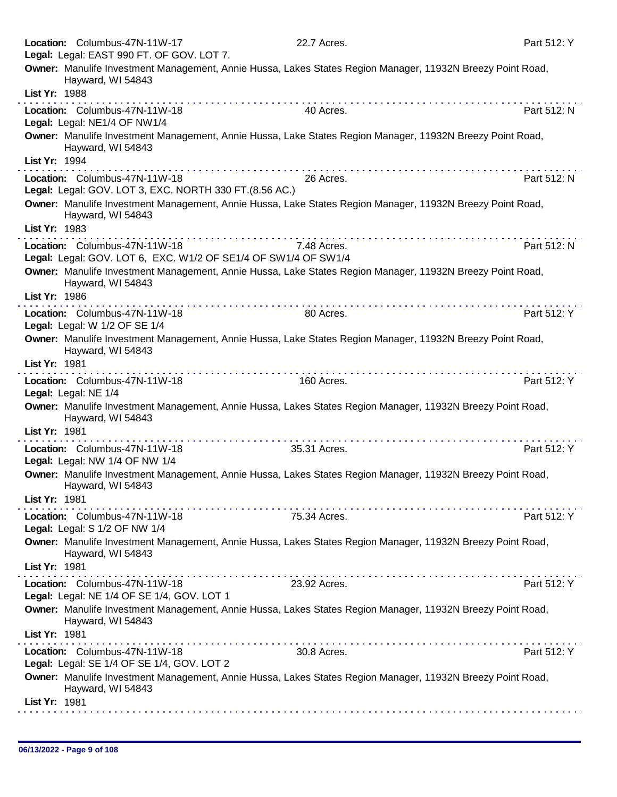| Location: Columbus-47N-11W-17                                  | 22.7 Acres.                                                                                                | Part 512: Y |
|----------------------------------------------------------------|------------------------------------------------------------------------------------------------------------|-------------|
| Legal: Legal: EAST 990 FT. OF GOV. LOT 7.                      |                                                                                                            |             |
| Hayward, WI 54843                                              | Owner: Manulife Investment Management, Annie Hussa, Lakes States Region Manager, 11932N Breezy Point Road, |             |
| List Yr: 1988                                                  |                                                                                                            |             |
| Location: Columbus-47N-11W-18                                  | 40 Acres.                                                                                                  | Part 512: N |
| Legal: Legal: NE1/4 OF NW1/4                                   |                                                                                                            |             |
| Hayward, WI 54843                                              | Owner: Manulife Investment Management, Annie Hussa, Lake States Region Manager, 11932N Breezy Point Road,  |             |
| List Yr: 1994                                                  |                                                                                                            |             |
| Location: Columbus-47N-11W-18                                  | . <b>.</b><br>26 Acres.                                                                                    | Part 512: N |
| Legal: Legal: GOV. LOT 3, EXC. NORTH 330 FT. (8.56 AC.)        |                                                                                                            |             |
| Hayward, WI 54843                                              | Owner: Manulife Investment Management, Annie Hussa, Lake States Region Manager, 11932N Breezy Point Road,  |             |
| List Yr: 1983                                                  |                                                                                                            |             |
| Location: Columbus-47N-11W-18                                  | 7.48 Acres.                                                                                                | Part 512: N |
| Legal: Legal: GOV. LOT 6, EXC. W1/2 OF SE1/4 OF SW1/4 OF SW1/4 |                                                                                                            |             |
| Hayward, WI 54843                                              | Owner: Manulife Investment Management, Annie Hussa, Lake States Region Manager, 11932N Breezy Point Road,  |             |
| List Yr: 1986                                                  |                                                                                                            |             |
| Location: Columbus-47N-11W-18                                  | 80 Acres.                                                                                                  | Part 512: Y |
| Legal: Legal: W 1/2 OF SE 1/4                                  |                                                                                                            |             |
| Hayward, WI 54843                                              | Owner: Manulife Investment Management, Annie Hussa, Lake States Region Manager, 11932N Breezy Point Road,  |             |
| List Yr: 1981                                                  |                                                                                                            |             |
| Location: Columbus-47N-11W-18                                  | .<br>160 Acres.                                                                                            | Part 512: Y |
| Legal: Legal: NE 1/4                                           |                                                                                                            |             |
| Hayward, WI 54843                                              | Owner: Manulife Investment Management, Annie Hussa, Lakes States Region Manager, 11932N Breezy Point Road, |             |
| List Yr: 1981                                                  |                                                                                                            |             |
| Location: Columbus-47N-11W-18                                  | 35.31 Acres.                                                                                               | Part 512: Y |
| Legal: Legal: NW 1/4 OF NW 1/4                                 |                                                                                                            |             |
| Hayward, WI 54843                                              | Owner: Manulife Investment Management, Annie Hussa, Lakes States Region Manager, 11932N Breezy Point Road, |             |
| List Yr: 1981                                                  |                                                                                                            |             |
|                                                                | . <i>.</i> .                                                                                               |             |
| Location: Columbus-47N-11W-18                                  | 75.34 Acres.                                                                                               | Part 512: Y |
| Legal: Legal: S 1/2 OF NW 1/4                                  |                                                                                                            |             |
| Hayward, WI 54843                                              | Owner: Manulife Investment Management, Annie Hussa, Lakes States Region Manager, 11932N Breezy Point Road, |             |
| List Yr: 1981                                                  |                                                                                                            |             |
| Location: Columbus-47N-11W-18                                  | 23.92 Acres.                                                                                               | Part 512: Y |
| Legal: Legal: NE 1/4 OF SE 1/4, GOV. LOT 1                     |                                                                                                            |             |
| Hayward, WI 54843                                              | Owner: Manulife Investment Management, Annie Hussa, Lakes States Region Manager, 11932N Breezy Point Road, |             |
| List Yr: 1981                                                  |                                                                                                            |             |
| Location: Columbus-47N-11W-18                                  | a dia 400 metatra. Any kaominina dia 41 metatra.<br>.<br>30.8 Acres.                                       | Part 512: Y |
| Legal: Legal: SE 1/4 OF SE 1/4, GOV. LOT 2                     |                                                                                                            |             |
| Hayward, WI 54843                                              | Owner: Manulife Investment Management, Annie Hussa, Lakes States Region Manager, 11932N Breezy Point Road, |             |
|                                                                |                                                                                                            |             |
| List Yr: 1981                                                  |                                                                                                            |             |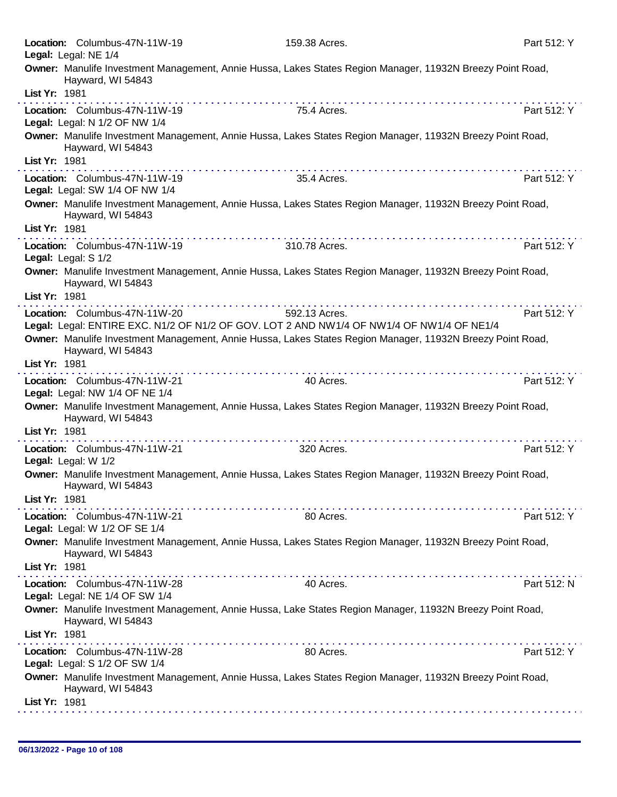|               | Location: Columbus-47N-11W-19<br>Legal: Legal: NE 1/4           | 159.38 Acres.                                                                                              | Part 512: Y |
|---------------|-----------------------------------------------------------------|------------------------------------------------------------------------------------------------------------|-------------|
|               | Hayward, WI 54843                                               | Owner: Manulife Investment Management, Annie Hussa, Lakes States Region Manager, 11932N Breezy Point Road, |             |
| List Yr: 1981 |                                                                 |                                                                                                            |             |
|               | Location: Columbus-47N-11W-19<br>Legal: Legal: N 1/2 OF NW 1/4  | 75.4 Acres.                                                                                                | Part 512: Y |
|               | Hayward, WI 54843                                               | Owner: Manulife Investment Management, Annie Hussa, Lakes States Region Manager, 11932N Breezy Point Road, |             |
| List Yr: 1981 |                                                                 | .                                                                                                          |             |
|               | Location: Columbus-47N-11W-19<br>Legal: Legal: SW 1/4 OF NW 1/4 | 35.4 Acres.                                                                                                | Part 512: Y |
|               | Hayward, WI 54843                                               | Owner: Manulife Investment Management, Annie Hussa, Lakes States Region Manager, 11932N Breezy Point Road, |             |
| List Yr: 1981 |                                                                 | .                                                                                                          |             |
|               | Location: Columbus-47N-11W-19<br>Legal: Legal: S 1/2            | 310.78 Acres.                                                                                              | Part 512: Y |
|               | Hayward, WI 54843                                               | Owner: Manulife Investment Management, Annie Hussa, Lakes States Region Manager, 11932N Breezy Point Road, |             |
| List Yr: 1981 |                                                                 |                                                                                                            |             |
|               | Location: Columbus-47N-11W-20                                   | 592.13 Acres.                                                                                              | Part 512: Y |
|               |                                                                 | Legal: Legal: ENTIRE EXC. N1/2 OF N1/2 OF GOV. LOT 2 AND NW1/4 OF NW1/4 OF NW1/4 OF NE1/4                  |             |
|               | Hayward, WI 54843                                               | Owner: Manulife Investment Management, Annie Hussa, Lakes States Region Manager, 11932N Breezy Point Road, |             |
| List Yr: 1981 |                                                                 |                                                                                                            |             |
|               | Location: Columbus-47N-11W-21<br>Legal: Legal: NW 1/4 OF NE 1/4 | 40 Acres.                                                                                                  | Part 512: Y |
|               | Hayward, WI 54843                                               | Owner: Manulife Investment Management, Annie Hussa, Lakes States Region Manager, 11932N Breezy Point Road, |             |
| List Yr: 1981 |                                                                 |                                                                                                            |             |
|               | Location: Columbus-47N-11W-21<br>Legal: Legal: W 1/2            | 320 Acres.                                                                                                 | Part 512: Y |
|               | Hayward, WI 54843                                               | Owner: Manulife Investment Management, Annie Hussa, Lakes States Region Manager, 11932N Breezy Point Road, |             |
| List Yr: 1981 |                                                                 |                                                                                                            |             |
|               | Location: Columbus-47N-11W-21<br>Legal: Legal: W 1/2 OF SE 1/4  | 80 Acres.                                                                                                  | Part 512: Y |
|               | Hayward, WI 54843                                               | Owner: Manulife Investment Management, Annie Hussa, Lakes States Region Manager, 11932N Breezy Point Road, |             |
| List Yr: 1981 |                                                                 |                                                                                                            |             |
|               | Location: Columbus-47N-11W-28<br>Legal: Legal: NE 1/4 OF SW 1/4 | 40 Acres.                                                                                                  | Part 512: N |
|               | Hayward, WI 54843                                               | Owner: Manulife Investment Management, Annie Hussa, Lake States Region Manager, 11932N Breezy Point Road,  |             |
| List Yr: 1981 |                                                                 |                                                                                                            |             |
|               | Location: Columbus-47N-11W-28<br>Legal: Legal: S 1/2 OF SW 1/4  | 80 Acres.                                                                                                  | Part 512: Y |
|               | Hayward, WI 54843                                               | Owner: Manulife Investment Management, Annie Hussa, Lakes States Region Manager, 11932N Breezy Point Road, |             |
| List Yr: 1981 |                                                                 |                                                                                                            |             |
|               |                                                                 |                                                                                                            |             |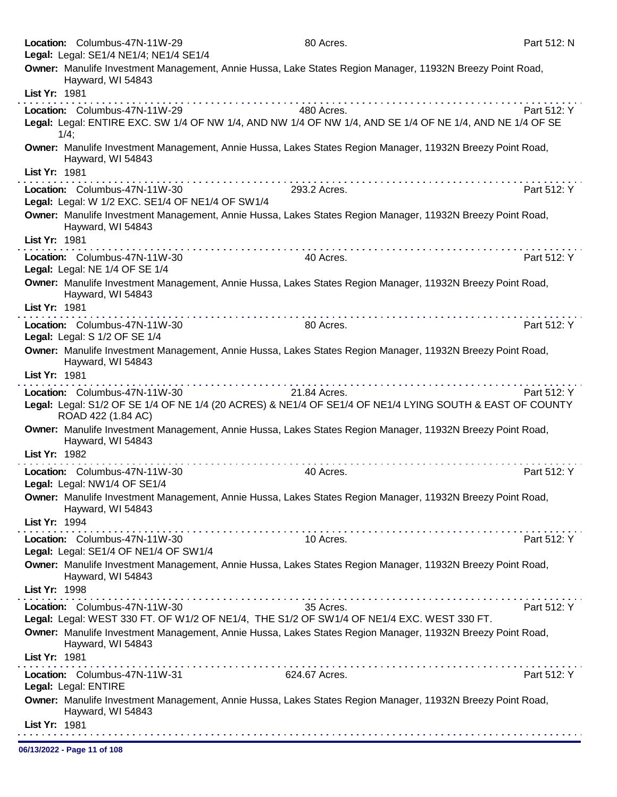|               | Location: Columbus-47N-11W-29                                                     | 80 Acres.                                                                                                                                                                                                                                                                                                                                                                                                                                                 | Part 512: N |
|---------------|-----------------------------------------------------------------------------------|-----------------------------------------------------------------------------------------------------------------------------------------------------------------------------------------------------------------------------------------------------------------------------------------------------------------------------------------------------------------------------------------------------------------------------------------------------------|-------------|
|               | Legal: Legal: SE1/4 NE1/4; NE1/4 SE1/4                                            |                                                                                                                                                                                                                                                                                                                                                                                                                                                           |             |
|               | Hayward, WI 54843                                                                 | Owner: Manulife Investment Management, Annie Hussa, Lake States Region Manager, 11932N Breezy Point Road,                                                                                                                                                                                                                                                                                                                                                 |             |
| List Yr: 1981 |                                                                                   |                                                                                                                                                                                                                                                                                                                                                                                                                                                           |             |
|               | Location: Columbus-47N-11W-29                                                     | 480 Acres.                                                                                                                                                                                                                                                                                                                                                                                                                                                | Part 512: Y |
|               | $1/4$ ;                                                                           | Legal: Legal: ENTIRE EXC. SW 1/4 OF NW 1/4, AND NW 1/4 OF NW 1/4, AND SE 1/4 OF NE 1/4, AND NE 1/4 OF SE                                                                                                                                                                                                                                                                                                                                                  |             |
|               | Hayward, WI 54843                                                                 | Owner: Manulife Investment Management, Annie Hussa, Lakes States Region Manager, 11932N Breezy Point Road,                                                                                                                                                                                                                                                                                                                                                |             |
| List Yr: 1981 |                                                                                   | .                                                                                                                                                                                                                                                                                                                                                                                                                                                         |             |
|               | Location: Columbus-47N-11W-30<br>Legal: Legal: W 1/2 EXC. SE1/4 OF NE1/4 OF SW1/4 | 293.2 Acres.                                                                                                                                                                                                                                                                                                                                                                                                                                              | Part 512: Y |
|               | Hayward, WI 54843                                                                 | Owner: Manulife Investment Management, Annie Hussa, Lakes States Region Manager, 11932N Breezy Point Road,                                                                                                                                                                                                                                                                                                                                                |             |
| List Yr: 1981 |                                                                                   |                                                                                                                                                                                                                                                                                                                                                                                                                                                           |             |
|               | Location: Columbus-47N-11W-30<br>Legal: Legal: NE 1/4 OF SE 1/4                   | 40 Acres.                                                                                                                                                                                                                                                                                                                                                                                                                                                 | Part 512: Y |
|               | Hayward, WI 54843                                                                 | Owner: Manulife Investment Management, Annie Hussa, Lakes States Region Manager, 11932N Breezy Point Road,                                                                                                                                                                                                                                                                                                                                                |             |
| List Yr: 1981 |                                                                                   | $\label{eq:2.1} \mathcal{L}^{\mathcal{A}}(\mathcal{A}^{\mathcal{A}}(\mathcal{A}^{\mathcal{A}}(\mathcal{A}^{\mathcal{A}}(\mathcal{A}^{\mathcal{A}}(\mathcal{A}^{\mathcal{A}}(\mathcal{A}^{\mathcal{A}}(\mathcal{A}^{\mathcal{A}}(\mathcal{A}^{\mathcal{A}}(\mathcal{A}^{\mathcal{A}}(\mathcal{A}^{\mathcal{A}}(\mathcal{A}^{\mathcal{A}}(\mathcal{A}^{\mathcal{A}}(\mathcal{A}^{\mathcal{A}}(\mathcal{A}^{\mathcal{A}}(\mathcal{A}^{\mathcal{A}}(\mathcal$ |             |
|               | Location: Columbus-47N-11W-30<br>Legal: Legal: S 1/2 OF SE 1/4                    | 80 Acres.                                                                                                                                                                                                                                                                                                                                                                                                                                                 | Part 512: Y |
|               | Hayward, WI 54843                                                                 | Owner: Manulife Investment Management, Annie Hussa, Lakes States Region Manager, 11932N Breezy Point Road,                                                                                                                                                                                                                                                                                                                                                |             |
| List Yr: 1981 |                                                                                   |                                                                                                                                                                                                                                                                                                                                                                                                                                                           |             |
|               | Location: Columbus-47N-11W-30                                                     | 21.84 Acres.                                                                                                                                                                                                                                                                                                                                                                                                                                              | Part 512: Y |
|               | ROAD 422 (1.84 AC)                                                                | Legal: Legal: S1/2 OF SE 1/4 OF NE 1/4 (20 ACRES) & NE1/4 OF SE1/4 OF NE1/4 LYING SOUTH & EAST OF COUNTY                                                                                                                                                                                                                                                                                                                                                  |             |
|               | Hayward, WI 54843                                                                 | Owner: Manulife Investment Management, Annie Hussa, Lakes States Region Manager, 11932N Breezy Point Road,                                                                                                                                                                                                                                                                                                                                                |             |
| List Yr: 1982 |                                                                                   | . <b>.</b><br>.                                                                                                                                                                                                                                                                                                                                                                                                                                           |             |
|               | Location: Columbus-47N-11W-30<br>Legal: Legal: NW1/4 OF SE1/4                     | 40 Acres.                                                                                                                                                                                                                                                                                                                                                                                                                                                 | Part 512: Y |
|               | Hayward, WI 54843                                                                 | Owner: Manulife Investment Management, Annie Hussa, Lakes States Region Manager, 11932N Breezy Point Road,                                                                                                                                                                                                                                                                                                                                                |             |
| List Yr: 1994 |                                                                                   |                                                                                                                                                                                                                                                                                                                                                                                                                                                           |             |
|               | Location: Columbus-47N-11W-30<br>Legal: Legal: SE1/4 OF NE1/4 OF SW1/4            | 10 Acres.                                                                                                                                                                                                                                                                                                                                                                                                                                                 | Part 512: Y |
|               | Hayward, WI 54843                                                                 | Owner: Manulife Investment Management, Annie Hussa, Lakes States Region Manager, 11932N Breezy Point Road,                                                                                                                                                                                                                                                                                                                                                |             |
| List Yr: 1998 |                                                                                   |                                                                                                                                                                                                                                                                                                                                                                                                                                                           |             |
|               | Location: Columbus-47N-11W-30                                                     | 35 Acres.                                                                                                                                                                                                                                                                                                                                                                                                                                                 | Part 512: Y |
|               |                                                                                   | Legal: Legal: WEST 330 FT. OF W1/2 OF NE1/4, THE S1/2 OF SW1/4 OF NE1/4 EXC. WEST 330 FT.                                                                                                                                                                                                                                                                                                                                                                 |             |
|               | Hayward, WI 54843                                                                 | Owner: Manulife Investment Management, Annie Hussa, Lakes States Region Manager, 11932N Breezy Point Road,                                                                                                                                                                                                                                                                                                                                                |             |
| List Yr: 1981 |                                                                                   |                                                                                                                                                                                                                                                                                                                                                                                                                                                           |             |
|               | Location: Columbus-47N-11W-31<br>Legal: Legal: ENTIRE                             | 624.67 Acres.                                                                                                                                                                                                                                                                                                                                                                                                                                             | Part 512: Y |
|               | Hayward, WI 54843                                                                 | Owner: Manulife Investment Management, Annie Hussa, Lakes States Region Manager, 11932N Breezy Point Road,                                                                                                                                                                                                                                                                                                                                                |             |
| List Yr: 1981 |                                                                                   |                                                                                                                                                                                                                                                                                                                                                                                                                                                           |             |

06/13/2022 - Page 11 of 108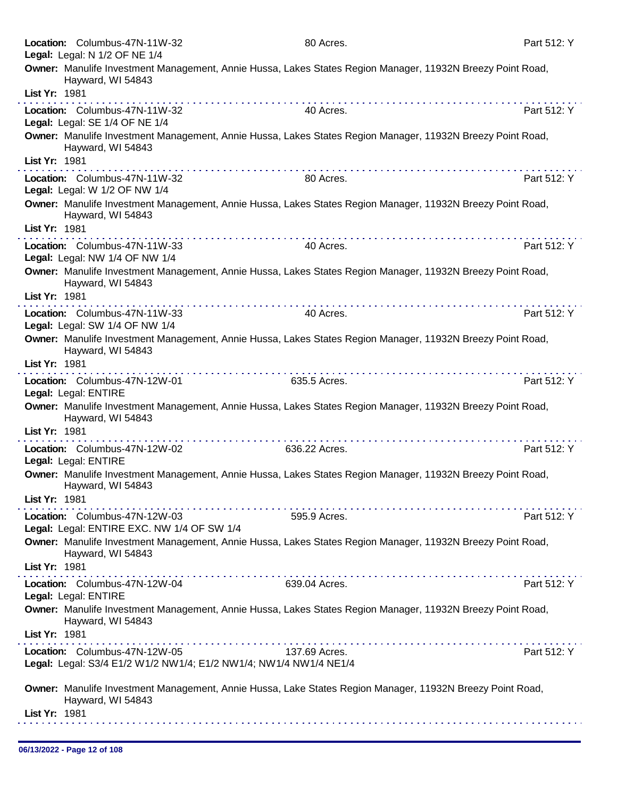|               | Location: Columbus-47N-11W-32                                                                      | 80 Acres.                                                                                                                                                                                                                      | Part 512: Y |
|---------------|----------------------------------------------------------------------------------------------------|--------------------------------------------------------------------------------------------------------------------------------------------------------------------------------------------------------------------------------|-------------|
|               | Legal: Legal: N 1/2 OF NE 1/4                                                                      |                                                                                                                                                                                                                                |             |
|               | Hayward, WI 54843                                                                                  | Owner: Manulife Investment Management, Annie Hussa, Lakes States Region Manager, 11932N Breezy Point Road,                                                                                                                     |             |
| List Yr: 1981 |                                                                                                    | <u>. Kanadana ana ana ana ana ana ana ana an</u>                                                                                                                                                                               |             |
|               | Location: Columbus-47N-11W-32<br>Legal: Legal: SE 1/4 OF NE 1/4                                    | 40 Acres.                                                                                                                                                                                                                      | Part 512: Y |
|               | Hayward, WI 54843                                                                                  | Owner: Manulife Investment Management, Annie Hussa, Lakes States Region Manager, 11932N Breezy Point Road,                                                                                                                     |             |
| List Yr: 1981 |                                                                                                    | the contract of the contract of the contract of the contract of the contract of the contract of the contract of the contract of the contract of the contract of the contract of the contract of the contract of the contract o |             |
|               | Location: Columbus-47N-11W-32<br>Legal: Legal: W 1/2 OF NW 1/4                                     | 80 Acres.                                                                                                                                                                                                                      | Part 512: Y |
| List Yr: 1981 | Hayward, WI 54843                                                                                  | Owner: Manulife Investment Management, Annie Hussa, Lakes States Region Manager, 11932N Breezy Point Road,                                                                                                                     |             |
|               | Location: Columbus-47N-11W-33<br>Legal: Legal: NW 1/4 OF NW 1/4                                    | 40 Acres.                                                                                                                                                                                                                      | Part 512: Y |
| List Yr: 1981 | Hayward, WI 54843                                                                                  | Owner: Manulife Investment Management, Annie Hussa, Lakes States Region Manager, 11932N Breezy Point Road,                                                                                                                     |             |
|               | Location: Columbus-47N-11W-33                                                                      | 40 Acres.                                                                                                                                                                                                                      | Part 512: Y |
|               | Legal: Legal: SW 1/4 OF NW 1/4                                                                     |                                                                                                                                                                                                                                |             |
|               | Hayward, WI 54843                                                                                  | Owner: Manulife Investment Management, Annie Hussa, Lakes States Region Manager, 11932N Breezy Point Road,                                                                                                                     |             |
| List Yr: 1981 |                                                                                                    |                                                                                                                                                                                                                                |             |
|               | Location: Columbus-47N-12W-01                                                                      | 635.5 Acres.                                                                                                                                                                                                                   | Part 512: Y |
|               | Legal: Legal: ENTIRE<br>Hayward, WI 54843                                                          | Owner: Manulife Investment Management, Annie Hussa, Lakes States Region Manager, 11932N Breezy Point Road,                                                                                                                     |             |
| List Yr: 1981 |                                                                                                    |                                                                                                                                                                                                                                |             |
|               | Location: Columbus-47N-12W-02<br>Legal: Legal: ENTIRE                                              | . <b>.</b><br>636.22 Acres.                                                                                                                                                                                                    | Part 512: Y |
|               | Hayward, WI 54843                                                                                  | Owner: Manulife Investment Management, Annie Hussa, Lakes States Region Manager, 11932N Breezy Point Road,                                                                                                                     |             |
| List Yr: 1981 |                                                                                                    | .                                                                                                                                                                                                                              |             |
|               | Location: Columbus-47N-12W-03<br>Legal: Legal: ENTIRE EXC. NW 1/4 OF SW 1/4                        | 595.9 Acres.                                                                                                                                                                                                                   | Part 512: Y |
|               | Hayward, WI 54843                                                                                  | Owner: Manulife Investment Management, Annie Hussa, Lakes States Region Manager, 11932N Breezy Point Road,                                                                                                                     |             |
| List Yr: 1981 |                                                                                                    |                                                                                                                                                                                                                                |             |
|               | Location: Columbus-47N-12W-04<br>Legal: Legal: ENTIRE                                              | 639.04 Acres.                                                                                                                                                                                                                  | Part 512: Y |
|               | Hayward, WI 54843                                                                                  | Owner: Manulife Investment Management, Annie Hussa, Lakes States Region Manager, 11932N Breezy Point Road,                                                                                                                     |             |
| List Yr: 1981 |                                                                                                    | .                                                                                                                                                                                                                              |             |
|               | Location: Columbus-47N-12W-05<br>Legal: Legal: S3/4 E1/2 W1/2 NW1/4; E1/2 NW1/4; NW1/4 NW1/4 NE1/4 | 137.69 Acres.                                                                                                                                                                                                                  | Part 512: Y |
|               | Hayward, WI 54843                                                                                  | Owner: Manulife Investment Management, Annie Hussa, Lake States Region Manager, 11932N Breezy Point Road,                                                                                                                      |             |
| List Yr: 1981 |                                                                                                    |                                                                                                                                                                                                                                |             |
|               |                                                                                                    |                                                                                                                                                                                                                                |             |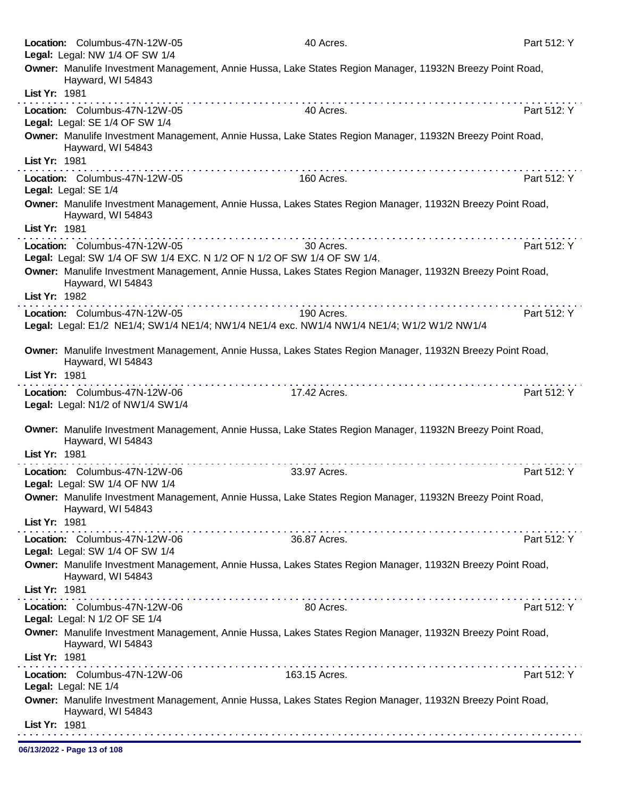|               | Location: Columbus-47N-12W-05<br>Legal: Legal: NW 1/4 OF SW 1/4    | 40 Acres.                                                                                                  | Part 512: Y |
|---------------|--------------------------------------------------------------------|------------------------------------------------------------------------------------------------------------|-------------|
|               | Hayward, WI 54843                                                  | Owner: Manulife Investment Management, Annie Hussa, Lake States Region Manager, 11932N Breezy Point Road,  |             |
| List Yr: 1981 |                                                                    |                                                                                                            |             |
|               | Location: Columbus-47N-12W-05<br>Legal: Legal: SE 1/4 OF SW 1/4    | 40 Acres.                                                                                                  | Part 512: Y |
|               | Hayward, WI 54843                                                  | Owner: Manulife Investment Management, Annie Hussa, Lake States Region Manager, 11932N Breezy Point Road,  |             |
| List Yr: 1981 |                                                                    |                                                                                                            |             |
|               | Location: Columbus-47N-12W-05<br>Legal: Legal: SE 1/4              | 160 Acres.                                                                                                 | Part 512: Y |
|               | Hayward, WI 54843                                                  | Owner: Manulife Investment Management, Annie Hussa, Lakes States Region Manager, 11932N Breezy Point Road, |             |
| List Yr: 1981 |                                                                    |                                                                                                            |             |
|               | Location: Columbus-47N-12W-05                                      | 30 Acres.<br>Legal: Legal: SW 1/4 OF SW 1/4 EXC. N 1/2 OF N 1/2 OF SW 1/4 OF SW 1/4.                       | Part 512: Y |
| List Yr: 1982 | Hayward, WI 54843                                                  | Owner: Manulife Investment Management, Annie Hussa, Lakes States Region Manager, 11932N Breezy Point Road, |             |
|               | Location: Columbus-47N-12W-05                                      | 190 Acres.                                                                                                 | Part 512: Y |
|               |                                                                    | Legal: Legal: E1/2 NE1/4; SW1/4 NE1/4; NW1/4 NE1/4 exc. NW1/4 NW1/4 NE1/4; W1/2 W1/2 NW1/4                 |             |
|               | Hayward, WI 54843                                                  | Owner: Manulife Investment Management, Annie Hussa, Lakes States Region Manager, 11932N Breezy Point Road, |             |
| List Yr: 1981 |                                                                    | .                                                                                                          |             |
|               | Location: Columbus-47N-12W-06<br>Legal: Legal: N1/2 of NW1/4 SW1/4 | 17.42 Acres.                                                                                               | Part 512: Y |
|               | Hayward, WI 54843                                                  | Owner: Manulife Investment Management, Annie Hussa, Lake States Region Manager, 11932N Breezy Point Road,  |             |
| List Yr: 1981 |                                                                    |                                                                                                            |             |
|               | Location: Columbus-47N-12W-06<br>Legal: Legal: SW 1/4 OF NW 1/4    | 33.97 Acres.                                                                                               | Part 512: Y |
| List Yr: 1981 | Hayward, WI 54843                                                  | Owner: Manulife Investment Management, Annie Hussa, Lake States Region Manager, 11932N Breezy Point Road,  |             |
|               | Location: Columbus-47N-12W-06<br>Legal: Legal: SW 1/4 OF SW 1/4    | 36.87 Acres.                                                                                               | Part 512: Y |
|               | Hayward, WI 54843                                                  | Owner: Manulife Investment Management, Annie Hussa, Lakes States Region Manager, 11932N Breezy Point Road, |             |
| List Yr: 1981 |                                                                    |                                                                                                            |             |
|               | Location: Columbus-47N-12W-06<br>Legal: Legal: N 1/2 OF SE 1/4     | 80 Acres.                                                                                                  | Part 512: Y |
| List Yr: 1981 | Hayward, WI 54843                                                  | Owner: Manulife Investment Management, Annie Hussa, Lakes States Region Manager, 11932N Breezy Point Road, |             |
|               |                                                                    |                                                                                                            |             |
|               | Location: Columbus-47N-12W-06<br>Legal: Legal: NE 1/4              | 163.15 Acres.                                                                                              | Part 512: Y |
|               | Hayward, WI 54843                                                  | Owner: Manulife Investment Management, Annie Hussa, Lakes States Region Manager, 11932N Breezy Point Road, |             |
| List Yr: 1981 |                                                                    |                                                                                                            |             |

06/13/2022 - Page 13 of 108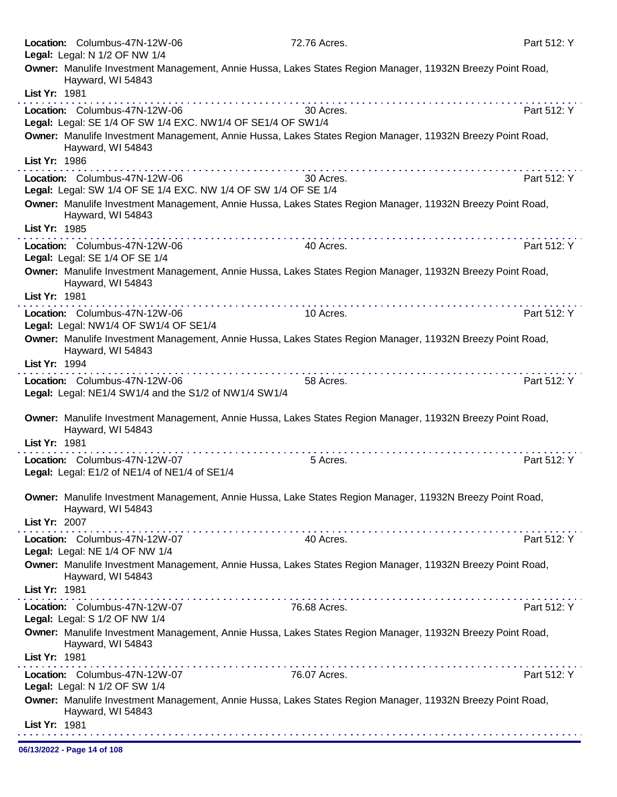|               | Location: Columbus-47N-12W-06<br>Legal: Legal: N 1/2 OF NW 1/4                                  | 72.76 Acres.                                                                                               | Part 512: Y |
|---------------|-------------------------------------------------------------------------------------------------|------------------------------------------------------------------------------------------------------------|-------------|
|               |                                                                                                 | Owner: Manulife Investment Management, Annie Hussa, Lakes States Region Manager, 11932N Breezy Point Road, |             |
|               | Hayward, WI 54843                                                                               |                                                                                                            |             |
| List Yr: 1981 |                                                                                                 | . <b>.</b>                                                                                                 |             |
|               | Location: Columbus-47N-12W-06<br>Legal: Legal: SE 1/4 OF SW 1/4 EXC. NW1/4 OF SE1/4 OF SW1/4    | 30 Acres.                                                                                                  | Part 512: Y |
|               | Hayward, WI 54843                                                                               | Owner: Manulife Investment Management, Annie Hussa, Lakes States Region Manager, 11932N Breezy Point Road, |             |
| List Yr: 1986 |                                                                                                 |                                                                                                            |             |
|               | Location: Columbus-47N-12W-06<br>Legal: Legal: SW 1/4 OF SE 1/4 EXC. NW 1/4 OF SW 1/4 OF SE 1/4 | 30 Acres.                                                                                                  | Part 512: Y |
|               | Hayward, WI 54843                                                                               | Owner: Manulife Investment Management, Annie Hussa, Lakes States Region Manager, 11932N Breezy Point Road, |             |
| List Yr: 1985 |                                                                                                 |                                                                                                            |             |
|               | Location: Columbus-47N-12W-06<br>Legal: Legal: SE 1/4 OF SE 1/4                                 | 40 Acres.                                                                                                  | Part 512: Y |
| List Yr: 1981 | Hayward, WI 54843                                                                               | Owner: Manulife Investment Management, Annie Hussa, Lakes States Region Manager, 11932N Breezy Point Road, |             |
|               | Location: Columbus-47N-12W-06                                                                   | 10 Acres.                                                                                                  | Part 512: Y |
|               | Legal: Legal: NW1/4 OF SW1/4 OF SE1/4                                                           |                                                                                                            |             |
|               | Hayward, WI 54843                                                                               | Owner: Manulife Investment Management, Annie Hussa, Lakes States Region Manager, 11932N Breezy Point Road, |             |
| List Yr: 1994 |                                                                                                 | .                                                                                                          |             |
|               | Location: Columbus-47N-12W-06<br>Legal: Legal: NE1/4 SW1/4 and the S1/2 of NW1/4 SW1/4          | 58 Acres.                                                                                                  | Part 512: Y |
| List Yr: 1981 | Hayward, WI 54843                                                                               | Owner: Manulife Investment Management, Annie Hussa, Lakes States Region Manager, 11932N Breezy Point Road, |             |
|               | Location: Columbus-47N-12W-07                                                                   | 5 Acres.                                                                                                   | Part 512: Y |
|               | Legal: Legal: E1/2 of NE1/4 of NE1/4 of SE1/4                                                   |                                                                                                            |             |
|               | Hayward, WI 54843                                                                               | Owner: Manulife Investment Management, Annie Hussa, Lake States Region Manager, 11932N Breezy Point Road,  |             |
| List Yr: 2007 |                                                                                                 |                                                                                                            |             |
|               | Location: Columbus-47N-12W-07<br>Legal: Legal: NE 1/4 OF NW 1/4                                 | 40 Acres.                                                                                                  | Part 512: Y |
|               | Hayward, WI 54843                                                                               | Owner: Manulife Investment Management, Annie Hussa, Lakes States Region Manager, 11932N Breezy Point Road, |             |
| List Yr: 1981 |                                                                                                 |                                                                                                            |             |
|               | Location: Columbus-47N-12W-07<br>Legal: Legal: S 1/2 OF NW 1/4                                  | 76.68 Acres.                                                                                               | Part 512: Y |
|               | Hayward, WI 54843                                                                               | Owner: Manulife Investment Management, Annie Hussa, Lakes States Region Manager, 11932N Breezy Point Road, |             |
| List Yr: 1981 |                                                                                                 |                                                                                                            |             |
|               | Location: Columbus-47N-12W-07<br>Legal: Legal: N 1/2 OF SW 1/4                                  | 76.07 Acres.                                                                                               | Part 512: Y |
|               | Hayward, WI 54843                                                                               | Owner: Manulife Investment Management, Annie Hussa, Lakes States Region Manager, 11932N Breezy Point Road, |             |
| List Yr: 1981 |                                                                                                 |                                                                                                            |             |

06/13/2022 - Page 14 of 108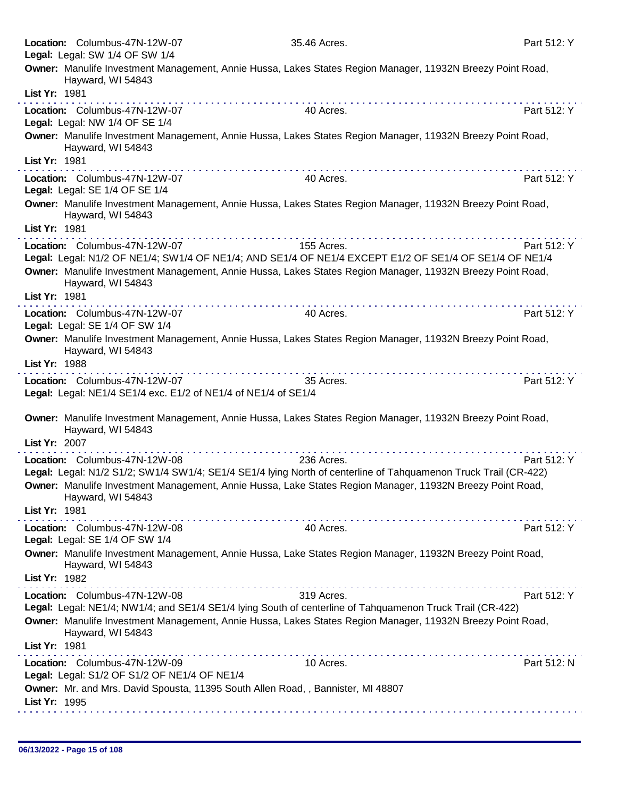| Location: Columbus-47N-12W-07<br>Legal: Legal: SW 1/4 OF SW 1/4                                 | 35.46 Acres.                                                                                                                                                                                                                                                                                                                                                                                                                                                 | Part 512: Y |
|-------------------------------------------------------------------------------------------------|--------------------------------------------------------------------------------------------------------------------------------------------------------------------------------------------------------------------------------------------------------------------------------------------------------------------------------------------------------------------------------------------------------------------------------------------------------------|-------------|
| Hayward, WI 54843<br>List Yr: 1981                                                              | Owner: Manulife Investment Management, Annie Hussa, Lakes States Region Manager, 11932N Breezy Point Road,                                                                                                                                                                                                                                                                                                                                                   |             |
|                                                                                                 |                                                                                                                                                                                                                                                                                                                                                                                                                                                              |             |
| Location: Columbus-47N-12W-07<br>Legal: Legal: NW 1/4 OF SE 1/4                                 | 40 Acres.                                                                                                                                                                                                                                                                                                                                                                                                                                                    | Part 512: Y |
| Hayward, WI 54843                                                                               | Owner: Manulife Investment Management, Annie Hussa, Lakes States Region Manager, 11932N Breezy Point Road,                                                                                                                                                                                                                                                                                                                                                   |             |
| List Yr: 1981                                                                                   |                                                                                                                                                                                                                                                                                                                                                                                                                                                              |             |
| Location: Columbus-47N-12W-07<br>Legal: Legal: SE 1/4 OF SE 1/4                                 | 40 Acres.                                                                                                                                                                                                                                                                                                                                                                                                                                                    | Part 512: Y |
| Hayward, WI 54843<br>List Yr: 1981                                                              | Owner: Manulife Investment Management, Annie Hussa, Lakes States Region Manager, 11932N Breezy Point Road,                                                                                                                                                                                                                                                                                                                                                   |             |
|                                                                                                 |                                                                                                                                                                                                                                                                                                                                                                                                                                                              |             |
| Location: Columbus-47N-12W-07                                                                   | 155 Acres.<br>Legal: Legal: N1/2 OF NE1/4; SW1/4 OF NE1/4; AND SE1/4 OF NE1/4 EXCEPT E1/2 OF SE1/4 OF SE1/4 OF NE1/4                                                                                                                                                                                                                                                                                                                                         | Part 512: Y |
| Hayward, WI 54843                                                                               | Owner: Manulife Investment Management, Annie Hussa, Lakes States Region Manager, 11932N Breezy Point Road,                                                                                                                                                                                                                                                                                                                                                   |             |
| List Yr: 1981                                                                                   |                                                                                                                                                                                                                                                                                                                                                                                                                                                              |             |
| Location: Columbus-47N-12W-07<br>Legal: Legal: SE 1/4 OF SW 1/4                                 | 40 Acres.                                                                                                                                                                                                                                                                                                                                                                                                                                                    | Part 512: Y |
| Hayward, WI 54843<br>List Yr: 1988                                                              | Owner: Manulife Investment Management, Annie Hussa, Lakes States Region Manager, 11932N Breezy Point Road,                                                                                                                                                                                                                                                                                                                                                   |             |
|                                                                                                 |                                                                                                                                                                                                                                                                                                                                                                                                                                                              |             |
| Location: Columbus-47N-12W-07<br>Legal: Legal: NE1/4 SE1/4 exc. E1/2 of NE1/4 of NE1/4 of SE1/4 | 35 Acres.                                                                                                                                                                                                                                                                                                                                                                                                                                                    | Part 512: Y |
| Hayward, WI 54843                                                                               | Owner: Manulife Investment Management, Annie Hussa, Lakes States Region Manager, 11932N Breezy Point Road,                                                                                                                                                                                                                                                                                                                                                   |             |
| List Yr: 2007                                                                                   | .                                                                                                                                                                                                                                                                                                                                                                                                                                                            |             |
| Location: Columbus-47N-12W-08                                                                   | 236 Acres.                                                                                                                                                                                                                                                                                                                                                                                                                                                   | Part 512: Y |
| Hayward, WI 54843                                                                               | Legal: Legal: N1/2 S1/2; SW1/4 SW1/4; SE1/4 SE1/4 lying North of centerline of Tahquamenon Truck Trail (CR-422)<br>Owner: Manulife Investment Management, Annie Hussa, Lake States Region Manager, 11932N Breezy Point Road,                                                                                                                                                                                                                                 |             |
| List Yr: 1981                                                                                   |                                                                                                                                                                                                                                                                                                                                                                                                                                                              |             |
| Location: Columbus-47N-12W-08<br>Legal: Legal: SE 1/4 OF SW 1/4                                 | 40 Acres.                                                                                                                                                                                                                                                                                                                                                                                                                                                    | Part 512: Y |
| Hayward, WI 54843<br>List Yr: 1982                                                              | Owner: Manulife Investment Management, Annie Hussa, Lake States Region Manager, 11932N Breezy Point Road,                                                                                                                                                                                                                                                                                                                                                    |             |
|                                                                                                 | $\mathcal{L}^{\mathcal{A}}(\mathcal{A},\mathcal{A},\mathcal{A},\mathcal{A},\mathcal{A},\mathcal{A},\mathcal{A},\mathcal{A},\mathcal{A},\mathcal{A},\mathcal{A},\mathcal{A},\mathcal{A},\mathcal{A},\mathcal{A},\mathcal{A},\mathcal{A},\mathcal{A},\mathcal{A},\mathcal{A},\mathcal{A},\mathcal{A},\mathcal{A},\mathcal{A},\mathcal{A},\mathcal{A},\mathcal{A},\mathcal{A},\mathcal{A},\mathcal{A},\mathcal{A},\mathcal{A},\mathcal{A},\mathcal{A},\mathcal$ |             |
| Location: Columbus-47N-12W-08                                                                   | 319 Acres.<br>Legal: Legal: NE1/4; NW1/4; and SE1/4 SE1/4 lying South of centerline of Tahquamenon Truck Trail (CR-422)                                                                                                                                                                                                                                                                                                                                      | Part 512: Y |
| Hayward, WI 54843                                                                               | Owner: Manulife Investment Management, Annie Hussa, Lakes States Region Manager, 11932N Breezy Point Road,                                                                                                                                                                                                                                                                                                                                                   |             |
| List Yr: 1981                                                                                   |                                                                                                                                                                                                                                                                                                                                                                                                                                                              |             |
| Location: Columbus-47N-12W-09<br>Legal: Legal: S1/2 OF S1/2 OF NE1/4 OF NE1/4                   | .<br>10 Acres.                                                                                                                                                                                                                                                                                                                                                                                                                                               | Part 512: N |
| List Yr: 1995                                                                                   | Owner: Mr. and Mrs. David Spousta, 11395 South Allen Road, , Bannister, MI 48807                                                                                                                                                                                                                                                                                                                                                                             |             |
|                                                                                                 |                                                                                                                                                                                                                                                                                                                                                                                                                                                              |             |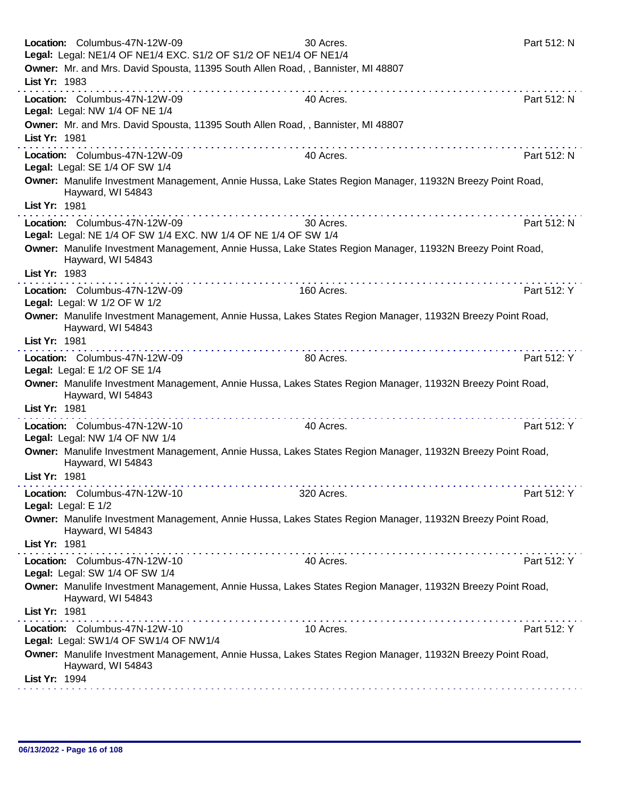| Location: Columbus-47N-12W-09<br>Legal: Legal: NE1/4 OF NE1/4 EXC. S1/2 OF S1/2 OF NE1/4 OF NE1/4                               | 30 Acres.  | Part 512: N |
|---------------------------------------------------------------------------------------------------------------------------------|------------|-------------|
| Owner: Mr. and Mrs. David Spousta, 11395 South Allen Road, , Bannister, MI 48807                                                |            |             |
| List Yr: 1983                                                                                                                   |            |             |
| Location: Columbus-47N-12W-09                                                                                                   | 40 Acres.  | Part 512: N |
| Legal: Legal: NW 1/4 OF NE 1/4                                                                                                  |            |             |
| Owner: Mr. and Mrs. David Spousta, 11395 South Allen Road, , Bannister, MI 48807                                                |            |             |
| List Yr: 1981                                                                                                                   |            |             |
| Location: Columbus-47N-12W-09                                                                                                   | 40 Acres.  | Part 512: N |
| Legal: Legal: SE 1/4 OF SW 1/4                                                                                                  |            |             |
| Owner: Manulife Investment Management, Annie Hussa, Lake States Region Manager, 11932N Breezy Point Road,<br>Hayward, WI 54843  |            |             |
| List Yr: 1981                                                                                                                   |            |             |
| Location: Columbus-47N-12W-09                                                                                                   | 30 Acres.  | Part 512: N |
| Legal: Legal: NE 1/4 OF SW 1/4 EXC. NW 1/4 OF NE 1/4 OF SW 1/4                                                                  |            |             |
| Owner: Manulife Investment Management, Annie Hussa, Lake States Region Manager, 11932N Breezy Point Road,<br>Hayward, WI 54843  |            |             |
| List Yr: 1983<br>.                                                                                                              |            |             |
| Location: Columbus-47N-12W-09                                                                                                   | 160 Acres. | Part 512: Y |
| Legal: Legal: W 1/2 OF W 1/2                                                                                                    |            |             |
| Owner: Manulife Investment Management, Annie Hussa, Lakes States Region Manager, 11932N Breezy Point Road,<br>Hayward, WI 54843 |            |             |
| List Yr: 1981                                                                                                                   |            |             |
| Location: Columbus-47N-12W-09                                                                                                   | 80 Acres.  | Part 512: Y |
| Legal: Legal: E 1/2 OF SE 1/4                                                                                                   |            |             |
| Owner: Manulife Investment Management, Annie Hussa, Lakes States Region Manager, 11932N Breezy Point Road,<br>Hayward, WI 54843 |            |             |
| List Yr: 1981                                                                                                                   |            |             |
| Location: Columbus-47N-12W-10                                                                                                   | 40 Acres.  | Part 512: Y |
| Legal: Legal: NW 1/4 OF NW 1/4                                                                                                  |            |             |
| Owner: Manulife Investment Management, Annie Hussa, Lakes States Region Manager, 11932N Breezy Point Road,                      |            |             |
| Hayward, WI 54843                                                                                                               |            |             |
| List Yr: 1981                                                                                                                   |            |             |
| Location: Columbus-47N-12W-10                                                                                                   | 320 Acres. | Part 512: Y |
| Legal: Legal: E 1/2                                                                                                             |            |             |
| Owner: Manulife Investment Management, Annie Hussa, Lakes States Region Manager, 11932N Breezy Point Road,<br>Hayward, WI 54843 |            |             |
| List Yr: 1981                                                                                                                   |            |             |
| Location: Columbus-47N-12W-10                                                                                                   | 40 Acres.  | Part 512: Y |
| Legal: Legal: SW 1/4 OF SW 1/4                                                                                                  |            |             |
| Owner: Manulife Investment Management, Annie Hussa, Lakes States Region Manager, 11932N Breezy Point Road,<br>Hayward, WI 54843 |            |             |
| List Yr: 1981                                                                                                                   |            |             |
| Location: Columbus-47N-12W-10                                                                                                   | 10 Acres.  | Part 512: Y |
| Legal: Legal: SW1/4 OF SW1/4 OF NW1/4                                                                                           |            |             |
| Owner: Manulife Investment Management, Annie Hussa, Lakes States Region Manager, 11932N Breezy Point Road,<br>Hayward, WI 54843 |            |             |
| List Yr: 1994                                                                                                                   |            |             |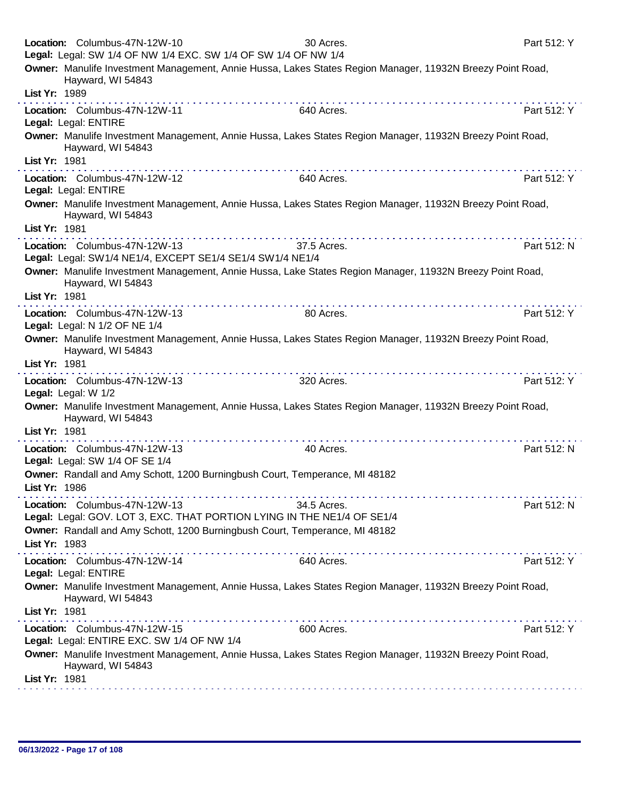|               | Location: Columbus-47N-12W-10<br>Legal: Legal: SW 1/4 OF NW 1/4 EXC. SW 1/4 OF SW 1/4 OF NW 1/4 | 30 Acres.                                                                                                  | Part 512: Y |
|---------------|-------------------------------------------------------------------------------------------------|------------------------------------------------------------------------------------------------------------|-------------|
|               | Hayward, WI 54843                                                                               | Owner: Manulife Investment Management, Annie Hussa, Lakes States Region Manager, 11932N Breezy Point Road, |             |
| List Yr: 1989 |                                                                                                 |                                                                                                            |             |
|               | Location: Columbus-47N-12W-11<br>Legal: Legal: ENTIRE                                           | 640 Acres.                                                                                                 | Part 512: Y |
|               | Hayward, WI 54843                                                                               | Owner: Manulife Investment Management, Annie Hussa, Lakes States Region Manager, 11932N Breezy Point Road, |             |
| List Yr: 1981 |                                                                                                 |                                                                                                            |             |
|               | Location: Columbus-47N-12W-12<br>Legal: Legal: ENTIRE                                           | 640 Acres.                                                                                                 | Part 512: Y |
|               | Hayward, WI 54843                                                                               | Owner: Manulife Investment Management, Annie Hussa, Lakes States Region Manager, 11932N Breezy Point Road, |             |
| List Yr: 1981 |                                                                                                 | .                                                                                                          |             |
|               | Location: Columbus-47N-12W-13<br>Legal: Legal: SW1/4 NE1/4, EXCEPT SE1/4 SE1/4 SW1/4 NE1/4      | 37.5 Acres.                                                                                                | Part 512: N |
|               | Hayward, WI 54843                                                                               | Owner: Manulife Investment Management, Annie Hussa, Lake States Region Manager, 11932N Breezy Point Road,  |             |
| List Yr: 1981 |                                                                                                 |                                                                                                            |             |
|               | Location: Columbus-47N-12W-13<br>Legal: Legal: N 1/2 OF NE 1/4                                  | 80 Acres.                                                                                                  | Part 512: Y |
| List Yr: 1981 | Hayward, WI 54843                                                                               | Owner: Manulife Investment Management, Annie Hussa, Lakes States Region Manager, 11932N Breezy Point Road, |             |
|               | Location: Columbus-47N-12W-13<br>Legal: Legal: W 1/2                                            | the second companies of the second companies of<br>320 Acres.                                              | Part 512: Y |
|               | Hayward, WI 54843                                                                               | Owner: Manulife Investment Management, Annie Hussa, Lakes States Region Manager, 11932N Breezy Point Road, |             |
| List Yr: 1981 |                                                                                                 |                                                                                                            |             |
|               | Location: Columbus-47N-12W-13<br>Legal: Legal: SW 1/4 OF SE 1/4                                 | 40 Acres.                                                                                                  | Part 512: N |
| List Yr: 1986 |                                                                                                 | Owner: Randall and Amy Schott, 1200 Burningbush Court, Temperance, MI 48182                                |             |
|               | Location: Columbus-47N-12W-13                                                                   | 34.5 Acres.<br>Legal: Legal: GOV. LOT 3, EXC. THAT PORTION LYING IN THE NE1/4 OF SE1/4                     | Part 512: N |
| List Yr: 1983 |                                                                                                 | Owner: Randall and Amy Schott, 1200 Burningbush Court, Temperance, MI 48182                                |             |
|               | Location: Columbus-47N-12W-14                                                                   | 640 Acres.                                                                                                 | Part 512: Y |
|               | Legal: Legal: ENTIRE                                                                            | Owner: Manulife Investment Management, Annie Hussa, Lakes States Region Manager, 11932N Breezy Point Road, |             |
| List Yr: 1981 | Hayward, WI 54843                                                                               |                                                                                                            |             |
|               | Location: Columbus-47N-12W-15<br>Legal: Legal: ENTIRE EXC. SW 1/4 OF NW 1/4                     | 600 Acres.                                                                                                 | Part 512: Y |
|               | Hayward, WI 54843                                                                               | Owner: Manulife Investment Management, Annie Hussa, Lakes States Region Manager, 11932N Breezy Point Road, |             |
| List Yr: 1981 |                                                                                                 |                                                                                                            |             |
|               |                                                                                                 |                                                                                                            |             |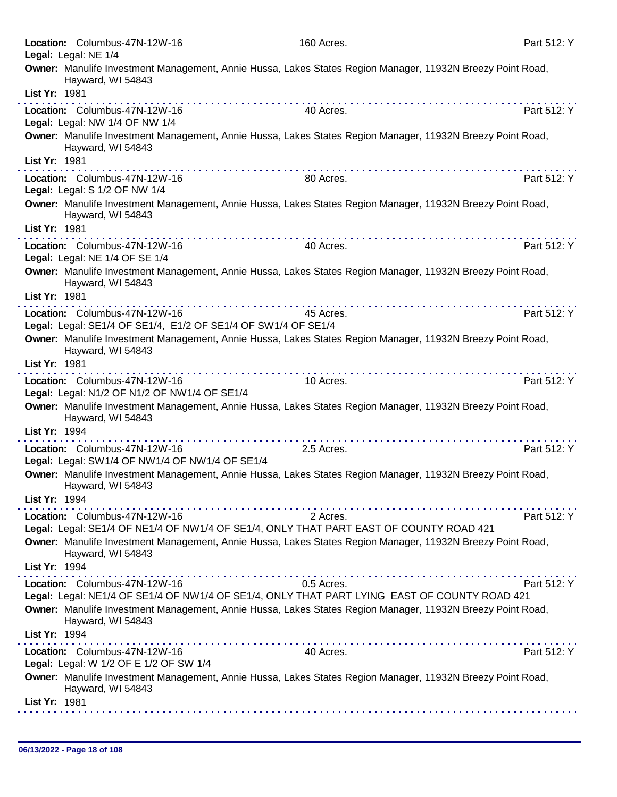| Location: Columbus-47N-12W-16                                                                                                                    | 160 Acres.                                             | Part 512: Y |
|--------------------------------------------------------------------------------------------------------------------------------------------------|--------------------------------------------------------|-------------|
| Legal: Legal: NE 1/4                                                                                                                             |                                                        |             |
| Owner: Manulife Investment Management, Annie Hussa, Lakes States Region Manager, 11932N Breezy Point Road,<br>Hayward, WI 54843                  |                                                        |             |
| List Yr: 1981                                                                                                                                    |                                                        |             |
| Location: Columbus-47N-12W-16<br>Legal: Legal: NW 1/4 OF NW 1/4                                                                                  | 40 Acres.                                              | Part 512: Y |
| Owner: Manulife Investment Management, Annie Hussa, Lakes States Region Manager, 11932N Breezy Point Road,<br>Hayward, WI 54843                  |                                                        |             |
| List Yr: 1981                                                                                                                                    |                                                        |             |
| Location: Columbus-47N-12W-16<br>Legal: Legal: S 1/2 OF NW 1/4                                                                                   | 80 Acres.                                              | Part 512: Y |
| Owner: Manulife Investment Management, Annie Hussa, Lakes States Region Manager, 11932N Breezy Point Road,<br>Hayward, WI 54843                  |                                                        |             |
| List Yr: 1981                                                                                                                                    |                                                        |             |
| Location: Columbus-47N-12W-16<br>Legal: Legal: NE 1/4 OF SE 1/4                                                                                  | 40 Acres.                                              | Part 512: Y |
| Owner: Manulife Investment Management, Annie Hussa, Lakes States Region Manager, 11932N Breezy Point Road,<br>Hayward, WI 54843                  |                                                        |             |
| List Yr: 1981                                                                                                                                    |                                                        |             |
| Location: Columbus-47N-12W-16                                                                                                                    | 45 Acres.                                              | Part 512: Y |
| Legal: Legal: SE1/4 OF SE1/4, E1/2 OF SE1/4 OF SW1/4 OF SE1/4                                                                                    |                                                        |             |
| Owner: Manulife Investment Management, Annie Hussa, Lakes States Region Manager, 11932N Breezy Point Road,<br>Hayward, WI 54843                  |                                                        |             |
| List Yr: 1981<br>.                                                                                                                               |                                                        |             |
| Location: Columbus-47N-12W-16<br>Legal: Legal: N1/2 OF N1/2 OF NW1/4 OF SE1/4                                                                    | 10 Acres.                                              | Part 512: Y |
| Owner: Manulife Investment Management, Annie Hussa, Lakes States Region Manager, 11932N Breezy Point Road,                                       |                                                        |             |
| Hayward, WI 54843                                                                                                                                |                                                        |             |
| List Yr: 1994<br>.                                                                                                                               |                                                        |             |
| Location: Columbus-47N-12W-16<br>Legal: Legal: SW1/4 OF NW1/4 OF NW1/4 OF SE1/4                                                                  | 2.5 Acres.                                             | Part 512: Y |
| Owner: Manulife Investment Management, Annie Hussa, Lakes States Region Manager, 11932N Breezy Point Road,<br>Hayward, WI 54843                  |                                                        |             |
| List Yr: 1994                                                                                                                                    |                                                        |             |
| Location: Columbus-47N-12W-16                                                                                                                    | 2 Acres.                                               | Part 512: Y |
| Legal: Legal: SE1/4 OF NE1/4 OF NW1/4 OF SE1/4, ONLY THAT PART EAST OF COUNTY ROAD 421                                                           |                                                        |             |
| Owner: Manulife Investment Management, Annie Hussa, Lakes States Region Manager, 11932N Breezy Point Road,<br>Hayward, WI 54843                  |                                                        |             |
| List Yr: 1994                                                                                                                                    |                                                        |             |
| Location: Columbus-47N-12W-16<br>Legal: Legal: NE1/4 OF SE1/4 OF NW1/4 OF SE1/4, ONLY THAT PART LYING EAST OF COUNTY ROAD 421                    | 0.5 Acres.                                             | Part 512: Y |
| Owner: Manulife Investment Management, Annie Hussa, Lakes States Region Manager, 11932N Breezy Point Road,<br>Hayward, WI 54843<br>List Yr: 1994 |                                                        |             |
| .<br>Location: Columbus-47N-12W-16                                                                                                               | a construction of the construction of the<br>40 Acres. | Part 512: Y |
| Legal: Legal: W 1/2 OF E 1/2 OF SW 1/4                                                                                                           |                                                        |             |
| Owner: Manulife Investment Management, Annie Hussa, Lakes States Region Manager, 11932N Breezy Point Road,<br>Hayward, WI 54843                  |                                                        |             |
| List Yr: 1981                                                                                                                                    |                                                        |             |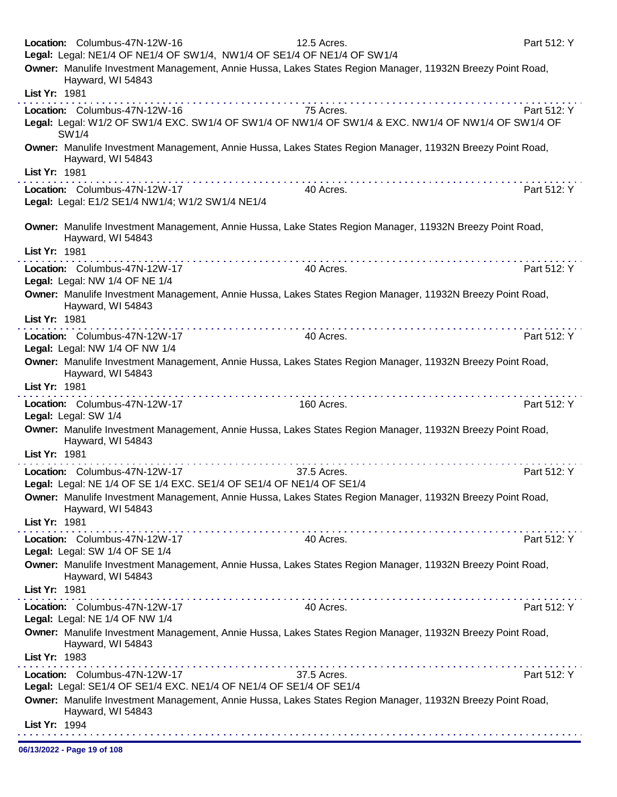| Legal: Legal: NE1/4 OF NE1/4 OF SW1/4, NW1/4 OF SE1/4 OF NE1/4 OF SW1/4<br>Owner: Manulife Investment Management, Annie Hussa, Lakes States Region Manager, 11932N Breezy Point Road,<br>Hayward, WI 54843<br>List Yr: 1981<br>75 Acres.<br>Location: Columbus-47N-12W-16<br>Part 512: Y<br>Legal: Legal: W1/2 OF SW1/4 EXC. SW1/4 OF SW1/4 OF NW1/4 OF SW1/4 & EXC. NW1/4 OF NW1/4 OF SW1/4 OF<br>SW1/4<br>Owner: Manulife Investment Management, Annie Hussa, Lakes States Region Manager, 11932N Breezy Point Road,<br>Hayward, WI 54843<br>List Yr: 1981<br>Location: Columbus-47N-12W-17<br>Part 512: Y<br>40 Acres.<br>Legal: Legal: E1/2 SE1/4 NW1/4; W1/2 SW1/4 NE1/4<br>Owner: Manulife Investment Management, Annie Hussa, Lake States Region Manager, 11932N Breezy Point Road,<br>Hayward, WI 54843<br>List Yr: 1981<br>Part 512: Y<br>Location: Columbus-47N-12W-17<br>40 Acres.<br>Legal: Legal: NW 1/4 OF NE 1/4<br>Owner: Manulife Investment Management, Annie Hussa, Lakes States Region Manager, 11932N Breezy Point Road,<br>Hayward, WI 54843<br>List Yr: 1981<br>Part 512: Y<br>Location: Columbus-47N-12W-17<br>40 Acres.<br>Legal: Legal: NW 1/4 OF NW 1/4<br>Owner: Manulife Investment Management, Annie Hussa, Lakes States Region Manager, 11932N Breezy Point Road,<br>Hayward, WI 54843<br>List Yr: 1981<br>Part 512: Y<br>Location: Columbus-47N-12W-17<br>160 Acres.<br>Legal: Legal: SW 1/4<br>Owner: Manulife Investment Management, Annie Hussa, Lakes States Region Manager, 11932N Breezy Point Road,<br>Hayward, WI 54843<br>List Yr: 1981<br>.<br>Location: Columbus-47N-12W-17<br>37.5 Acres.<br>Part 512: Y<br>Legal: Legal: NE 1/4 OF SE 1/4 EXC. SE1/4 OF SE1/4 OF NE1/4 OF SE1/4<br>Owner: Manulife Investment Management, Annie Hussa, Lakes States Region Manager, 11932N Breezy Point Road,<br>Hayward, WI 54843<br>List Yr: 1981<br>Location: Columbus-47N-12W-17<br>40 Acres.<br>Part 512: Y<br>Legal: Legal: SW 1/4 OF SE 1/4<br>Owner: Manulife Investment Management, Annie Hussa, Lakes States Region Manager, 11932N Breezy Point Road,<br>Hayward, WI 54843<br>List Yr: 1981<br>Part 512: Y<br>Location: Columbus-47N-12W-17<br>40 Acres.<br>Legal: Legal: NE 1/4 OF NW 1/4<br>Owner: Manulife Investment Management, Annie Hussa, Lakes States Region Manager, 11932N Breezy Point Road,<br>Hayward, WI 54843<br>List Yr: 1983<br>Location: Columbus-47N-12W-17<br>Part 512: Y<br>37.5 Acres.<br>Legal: Legal: SE1/4 OF SE1/4 EXC. NE1/4 OF NE1/4 OF SE1/4 OF SE1/4<br>Owner: Manulife Investment Management, Annie Hussa, Lakes States Region Manager, 11932N Breezy Point Road,<br>Hayward, WI 54843 | Location: Columbus-47N-12W-16 | 12.5 Acres. | Part 512: Y |
|----------------------------------------------------------------------------------------------------------------------------------------------------------------------------------------------------------------------------------------------------------------------------------------------------------------------------------------------------------------------------------------------------------------------------------------------------------------------------------------------------------------------------------------------------------------------------------------------------------------------------------------------------------------------------------------------------------------------------------------------------------------------------------------------------------------------------------------------------------------------------------------------------------------------------------------------------------------------------------------------------------------------------------------------------------------------------------------------------------------------------------------------------------------------------------------------------------------------------------------------------------------------------------------------------------------------------------------------------------------------------------------------------------------------------------------------------------------------------------------------------------------------------------------------------------------------------------------------------------------------------------------------------------------------------------------------------------------------------------------------------------------------------------------------------------------------------------------------------------------------------------------------------------------------------------------------------------------------------------------------------------------------------------------------------------------------------------------------------------------------------------------------------------------------------------------------------------------------------------------------------------------------------------------------------------------------------------------------------------------------------------------------------------------------------------------------------------------------------------------------------------------------------------------------------------------------------------------------------------------------------------------------------------------|-------------------------------|-------------|-------------|
|                                                                                                                                                                                                                                                                                                                                                                                                                                                                                                                                                                                                                                                                                                                                                                                                                                                                                                                                                                                                                                                                                                                                                                                                                                                                                                                                                                                                                                                                                                                                                                                                                                                                                                                                                                                                                                                                                                                                                                                                                                                                                                                                                                                                                                                                                                                                                                                                                                                                                                                                                                                                                                                                |                               |             |             |
|                                                                                                                                                                                                                                                                                                                                                                                                                                                                                                                                                                                                                                                                                                                                                                                                                                                                                                                                                                                                                                                                                                                                                                                                                                                                                                                                                                                                                                                                                                                                                                                                                                                                                                                                                                                                                                                                                                                                                                                                                                                                                                                                                                                                                                                                                                                                                                                                                                                                                                                                                                                                                                                                |                               |             |             |
|                                                                                                                                                                                                                                                                                                                                                                                                                                                                                                                                                                                                                                                                                                                                                                                                                                                                                                                                                                                                                                                                                                                                                                                                                                                                                                                                                                                                                                                                                                                                                                                                                                                                                                                                                                                                                                                                                                                                                                                                                                                                                                                                                                                                                                                                                                                                                                                                                                                                                                                                                                                                                                                                |                               |             |             |
|                                                                                                                                                                                                                                                                                                                                                                                                                                                                                                                                                                                                                                                                                                                                                                                                                                                                                                                                                                                                                                                                                                                                                                                                                                                                                                                                                                                                                                                                                                                                                                                                                                                                                                                                                                                                                                                                                                                                                                                                                                                                                                                                                                                                                                                                                                                                                                                                                                                                                                                                                                                                                                                                |                               |             |             |
|                                                                                                                                                                                                                                                                                                                                                                                                                                                                                                                                                                                                                                                                                                                                                                                                                                                                                                                                                                                                                                                                                                                                                                                                                                                                                                                                                                                                                                                                                                                                                                                                                                                                                                                                                                                                                                                                                                                                                                                                                                                                                                                                                                                                                                                                                                                                                                                                                                                                                                                                                                                                                                                                |                               |             |             |
|                                                                                                                                                                                                                                                                                                                                                                                                                                                                                                                                                                                                                                                                                                                                                                                                                                                                                                                                                                                                                                                                                                                                                                                                                                                                                                                                                                                                                                                                                                                                                                                                                                                                                                                                                                                                                                                                                                                                                                                                                                                                                                                                                                                                                                                                                                                                                                                                                                                                                                                                                                                                                                                                |                               |             |             |
|                                                                                                                                                                                                                                                                                                                                                                                                                                                                                                                                                                                                                                                                                                                                                                                                                                                                                                                                                                                                                                                                                                                                                                                                                                                                                                                                                                                                                                                                                                                                                                                                                                                                                                                                                                                                                                                                                                                                                                                                                                                                                                                                                                                                                                                                                                                                                                                                                                                                                                                                                                                                                                                                |                               |             |             |
|                                                                                                                                                                                                                                                                                                                                                                                                                                                                                                                                                                                                                                                                                                                                                                                                                                                                                                                                                                                                                                                                                                                                                                                                                                                                                                                                                                                                                                                                                                                                                                                                                                                                                                                                                                                                                                                                                                                                                                                                                                                                                                                                                                                                                                                                                                                                                                                                                                                                                                                                                                                                                                                                |                               |             |             |
|                                                                                                                                                                                                                                                                                                                                                                                                                                                                                                                                                                                                                                                                                                                                                                                                                                                                                                                                                                                                                                                                                                                                                                                                                                                                                                                                                                                                                                                                                                                                                                                                                                                                                                                                                                                                                                                                                                                                                                                                                                                                                                                                                                                                                                                                                                                                                                                                                                                                                                                                                                                                                                                                |                               |             |             |
|                                                                                                                                                                                                                                                                                                                                                                                                                                                                                                                                                                                                                                                                                                                                                                                                                                                                                                                                                                                                                                                                                                                                                                                                                                                                                                                                                                                                                                                                                                                                                                                                                                                                                                                                                                                                                                                                                                                                                                                                                                                                                                                                                                                                                                                                                                                                                                                                                                                                                                                                                                                                                                                                |                               |             |             |
|                                                                                                                                                                                                                                                                                                                                                                                                                                                                                                                                                                                                                                                                                                                                                                                                                                                                                                                                                                                                                                                                                                                                                                                                                                                                                                                                                                                                                                                                                                                                                                                                                                                                                                                                                                                                                                                                                                                                                                                                                                                                                                                                                                                                                                                                                                                                                                                                                                                                                                                                                                                                                                                                |                               |             |             |
|                                                                                                                                                                                                                                                                                                                                                                                                                                                                                                                                                                                                                                                                                                                                                                                                                                                                                                                                                                                                                                                                                                                                                                                                                                                                                                                                                                                                                                                                                                                                                                                                                                                                                                                                                                                                                                                                                                                                                                                                                                                                                                                                                                                                                                                                                                                                                                                                                                                                                                                                                                                                                                                                |                               |             |             |
|                                                                                                                                                                                                                                                                                                                                                                                                                                                                                                                                                                                                                                                                                                                                                                                                                                                                                                                                                                                                                                                                                                                                                                                                                                                                                                                                                                                                                                                                                                                                                                                                                                                                                                                                                                                                                                                                                                                                                                                                                                                                                                                                                                                                                                                                                                                                                                                                                                                                                                                                                                                                                                                                |                               |             |             |
|                                                                                                                                                                                                                                                                                                                                                                                                                                                                                                                                                                                                                                                                                                                                                                                                                                                                                                                                                                                                                                                                                                                                                                                                                                                                                                                                                                                                                                                                                                                                                                                                                                                                                                                                                                                                                                                                                                                                                                                                                                                                                                                                                                                                                                                                                                                                                                                                                                                                                                                                                                                                                                                                |                               |             |             |
|                                                                                                                                                                                                                                                                                                                                                                                                                                                                                                                                                                                                                                                                                                                                                                                                                                                                                                                                                                                                                                                                                                                                                                                                                                                                                                                                                                                                                                                                                                                                                                                                                                                                                                                                                                                                                                                                                                                                                                                                                                                                                                                                                                                                                                                                                                                                                                                                                                                                                                                                                                                                                                                                |                               |             |             |
|                                                                                                                                                                                                                                                                                                                                                                                                                                                                                                                                                                                                                                                                                                                                                                                                                                                                                                                                                                                                                                                                                                                                                                                                                                                                                                                                                                                                                                                                                                                                                                                                                                                                                                                                                                                                                                                                                                                                                                                                                                                                                                                                                                                                                                                                                                                                                                                                                                                                                                                                                                                                                                                                |                               |             |             |
|                                                                                                                                                                                                                                                                                                                                                                                                                                                                                                                                                                                                                                                                                                                                                                                                                                                                                                                                                                                                                                                                                                                                                                                                                                                                                                                                                                                                                                                                                                                                                                                                                                                                                                                                                                                                                                                                                                                                                                                                                                                                                                                                                                                                                                                                                                                                                                                                                                                                                                                                                                                                                                                                |                               |             |             |
|                                                                                                                                                                                                                                                                                                                                                                                                                                                                                                                                                                                                                                                                                                                                                                                                                                                                                                                                                                                                                                                                                                                                                                                                                                                                                                                                                                                                                                                                                                                                                                                                                                                                                                                                                                                                                                                                                                                                                                                                                                                                                                                                                                                                                                                                                                                                                                                                                                                                                                                                                                                                                                                                |                               |             |             |
|                                                                                                                                                                                                                                                                                                                                                                                                                                                                                                                                                                                                                                                                                                                                                                                                                                                                                                                                                                                                                                                                                                                                                                                                                                                                                                                                                                                                                                                                                                                                                                                                                                                                                                                                                                                                                                                                                                                                                                                                                                                                                                                                                                                                                                                                                                                                                                                                                                                                                                                                                                                                                                                                |                               |             |             |
|                                                                                                                                                                                                                                                                                                                                                                                                                                                                                                                                                                                                                                                                                                                                                                                                                                                                                                                                                                                                                                                                                                                                                                                                                                                                                                                                                                                                                                                                                                                                                                                                                                                                                                                                                                                                                                                                                                                                                                                                                                                                                                                                                                                                                                                                                                                                                                                                                                                                                                                                                                                                                                                                |                               |             |             |
|                                                                                                                                                                                                                                                                                                                                                                                                                                                                                                                                                                                                                                                                                                                                                                                                                                                                                                                                                                                                                                                                                                                                                                                                                                                                                                                                                                                                                                                                                                                                                                                                                                                                                                                                                                                                                                                                                                                                                                                                                                                                                                                                                                                                                                                                                                                                                                                                                                                                                                                                                                                                                                                                |                               |             |             |
|                                                                                                                                                                                                                                                                                                                                                                                                                                                                                                                                                                                                                                                                                                                                                                                                                                                                                                                                                                                                                                                                                                                                                                                                                                                                                                                                                                                                                                                                                                                                                                                                                                                                                                                                                                                                                                                                                                                                                                                                                                                                                                                                                                                                                                                                                                                                                                                                                                                                                                                                                                                                                                                                |                               |             |             |
|                                                                                                                                                                                                                                                                                                                                                                                                                                                                                                                                                                                                                                                                                                                                                                                                                                                                                                                                                                                                                                                                                                                                                                                                                                                                                                                                                                                                                                                                                                                                                                                                                                                                                                                                                                                                                                                                                                                                                                                                                                                                                                                                                                                                                                                                                                                                                                                                                                                                                                                                                                                                                                                                |                               |             |             |
|                                                                                                                                                                                                                                                                                                                                                                                                                                                                                                                                                                                                                                                                                                                                                                                                                                                                                                                                                                                                                                                                                                                                                                                                                                                                                                                                                                                                                                                                                                                                                                                                                                                                                                                                                                                                                                                                                                                                                                                                                                                                                                                                                                                                                                                                                                                                                                                                                                                                                                                                                                                                                                                                |                               |             |             |
|                                                                                                                                                                                                                                                                                                                                                                                                                                                                                                                                                                                                                                                                                                                                                                                                                                                                                                                                                                                                                                                                                                                                                                                                                                                                                                                                                                                                                                                                                                                                                                                                                                                                                                                                                                                                                                                                                                                                                                                                                                                                                                                                                                                                                                                                                                                                                                                                                                                                                                                                                                                                                                                                |                               |             |             |
|                                                                                                                                                                                                                                                                                                                                                                                                                                                                                                                                                                                                                                                                                                                                                                                                                                                                                                                                                                                                                                                                                                                                                                                                                                                                                                                                                                                                                                                                                                                                                                                                                                                                                                                                                                                                                                                                                                                                                                                                                                                                                                                                                                                                                                                                                                                                                                                                                                                                                                                                                                                                                                                                |                               |             |             |
|                                                                                                                                                                                                                                                                                                                                                                                                                                                                                                                                                                                                                                                                                                                                                                                                                                                                                                                                                                                                                                                                                                                                                                                                                                                                                                                                                                                                                                                                                                                                                                                                                                                                                                                                                                                                                                                                                                                                                                                                                                                                                                                                                                                                                                                                                                                                                                                                                                                                                                                                                                                                                                                                |                               |             |             |
|                                                                                                                                                                                                                                                                                                                                                                                                                                                                                                                                                                                                                                                                                                                                                                                                                                                                                                                                                                                                                                                                                                                                                                                                                                                                                                                                                                                                                                                                                                                                                                                                                                                                                                                                                                                                                                                                                                                                                                                                                                                                                                                                                                                                                                                                                                                                                                                                                                                                                                                                                                                                                                                                |                               |             |             |
|                                                                                                                                                                                                                                                                                                                                                                                                                                                                                                                                                                                                                                                                                                                                                                                                                                                                                                                                                                                                                                                                                                                                                                                                                                                                                                                                                                                                                                                                                                                                                                                                                                                                                                                                                                                                                                                                                                                                                                                                                                                                                                                                                                                                                                                                                                                                                                                                                                                                                                                                                                                                                                                                |                               |             |             |
|                                                                                                                                                                                                                                                                                                                                                                                                                                                                                                                                                                                                                                                                                                                                                                                                                                                                                                                                                                                                                                                                                                                                                                                                                                                                                                                                                                                                                                                                                                                                                                                                                                                                                                                                                                                                                                                                                                                                                                                                                                                                                                                                                                                                                                                                                                                                                                                                                                                                                                                                                                                                                                                                |                               |             |             |
|                                                                                                                                                                                                                                                                                                                                                                                                                                                                                                                                                                                                                                                                                                                                                                                                                                                                                                                                                                                                                                                                                                                                                                                                                                                                                                                                                                                                                                                                                                                                                                                                                                                                                                                                                                                                                                                                                                                                                                                                                                                                                                                                                                                                                                                                                                                                                                                                                                                                                                                                                                                                                                                                |                               |             |             |
|                                                                                                                                                                                                                                                                                                                                                                                                                                                                                                                                                                                                                                                                                                                                                                                                                                                                                                                                                                                                                                                                                                                                                                                                                                                                                                                                                                                                                                                                                                                                                                                                                                                                                                                                                                                                                                                                                                                                                                                                                                                                                                                                                                                                                                                                                                                                                                                                                                                                                                                                                                                                                                                                |                               |             |             |
| List Yr: 1994                                                                                                                                                                                                                                                                                                                                                                                                                                                                                                                                                                                                                                                                                                                                                                                                                                                                                                                                                                                                                                                                                                                                                                                                                                                                                                                                                                                                                                                                                                                                                                                                                                                                                                                                                                                                                                                                                                                                                                                                                                                                                                                                                                                                                                                                                                                                                                                                                                                                                                                                                                                                                                                  |                               |             |             |

06/13/2022 - Page 19 of 108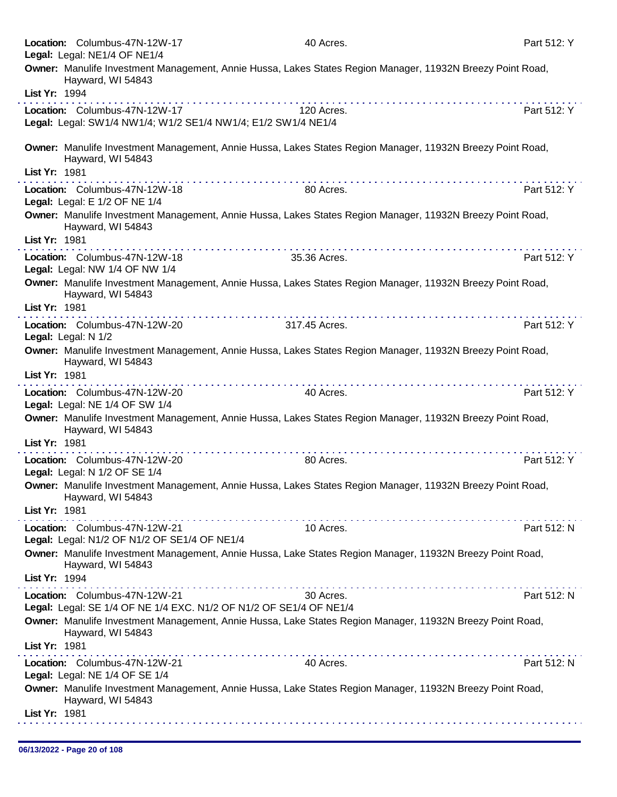|                     | Location: Columbus-47N-12W-17<br>Legal: Legal: NE1/4 OF NE1/4                                                                                                                                                                                                                                                                                                                                                                                | 40 Acres.                                                                                                  | Part 512: Y |
|---------------------|----------------------------------------------------------------------------------------------------------------------------------------------------------------------------------------------------------------------------------------------------------------------------------------------------------------------------------------------------------------------------------------------------------------------------------------------|------------------------------------------------------------------------------------------------------------|-------------|
|                     | Hayward, WI 54843                                                                                                                                                                                                                                                                                                                                                                                                                            | Owner: Manulife Investment Management, Annie Hussa, Lakes States Region Manager, 11932N Breezy Point Road, |             |
| List Yr: 1994       |                                                                                                                                                                                                                                                                                                                                                                                                                                              |                                                                                                            |             |
|                     | Location: Columbus-47N-12W-17                                                                                                                                                                                                                                                                                                                                                                                                                | 120 Acres.                                                                                                 | Part 512: Y |
|                     | Legal: Legal: SW1/4 NW1/4; W1/2 SE1/4 NW1/4; E1/2 SW1/4 NE1/4                                                                                                                                                                                                                                                                                                                                                                                |                                                                                                            |             |
| List Yr: 1981       | Hayward, WI 54843                                                                                                                                                                                                                                                                                                                                                                                                                            | Owner: Manulife Investment Management, Annie Hussa, Lakes States Region Manager, 11932N Breezy Point Road, |             |
|                     |                                                                                                                                                                                                                                                                                                                                                                                                                                              |                                                                                                            |             |
|                     | Location: Columbus-47N-12W-18<br>Legal: Legal: E 1/2 OF NE 1/4                                                                                                                                                                                                                                                                                                                                                                               | 80 Acres.                                                                                                  | Part 512: Y |
|                     | Hayward, WI 54843                                                                                                                                                                                                                                                                                                                                                                                                                            | Owner: Manulife Investment Management, Annie Hussa, Lakes States Region Manager, 11932N Breezy Point Road, |             |
| List Yr: 1981       | .                                                                                                                                                                                                                                                                                                                                                                                                                                            |                                                                                                            |             |
|                     | Location: Columbus-47N-12W-18<br>Legal: Legal: NW 1/4 OF NW 1/4                                                                                                                                                                                                                                                                                                                                                                              | 35.36 Acres.                                                                                               | Part 512: Y |
|                     | Hayward, WI 54843                                                                                                                                                                                                                                                                                                                                                                                                                            | Owner: Manulife Investment Management, Annie Hussa, Lakes States Region Manager, 11932N Breezy Point Road, |             |
| List Yr: 1981       |                                                                                                                                                                                                                                                                                                                                                                                                                                              |                                                                                                            |             |
|                     | Location: Columbus-47N-12W-20                                                                                                                                                                                                                                                                                                                                                                                                                | 317.45 Acres.                                                                                              | Part 512: Y |
| Legal: Legal: N 1/2 |                                                                                                                                                                                                                                                                                                                                                                                                                                              | Owner: Manulife Investment Management, Annie Hussa, Lakes States Region Manager, 11932N Breezy Point Road, |             |
| List Yr: 1981       | Hayward, WI 54843                                                                                                                                                                                                                                                                                                                                                                                                                            |                                                                                                            |             |
|                     | Location: Columbus-47N-12W-20<br>Legal: Legal: NE 1/4 OF SW 1/4                                                                                                                                                                                                                                                                                                                                                                              | 40 Acres.                                                                                                  | Part 512: Y |
|                     |                                                                                                                                                                                                                                                                                                                                                                                                                                              | Owner: Manulife Investment Management, Annie Hussa, Lakes States Region Manager, 11932N Breezy Point Road, |             |
| List Yr: 1981       | Hayward, WI 54843                                                                                                                                                                                                                                                                                                                                                                                                                            |                                                                                                            |             |
|                     | Location: Columbus-47N-12W-20                                                                                                                                                                                                                                                                                                                                                                                                                | 80 Acres.                                                                                                  | Part 512: Y |
|                     | Legal: Legal: N 1/2 OF SE 1/4                                                                                                                                                                                                                                                                                                                                                                                                                |                                                                                                            |             |
|                     | Hayward, WI 54843                                                                                                                                                                                                                                                                                                                                                                                                                            | Owner: Manulife Investment Management, Annie Hussa, Lakes States Region Manager, 11932N Breezy Point Road, |             |
| List Yr: 1981       |                                                                                                                                                                                                                                                                                                                                                                                                                                              |                                                                                                            |             |
|                     | Location: Columbus-47N-12W-21<br>Legal: Legal: N1/2 OF N1/2 OF SE1/4 OF NE1/4                                                                                                                                                                                                                                                                                                                                                                | 10 Acres.                                                                                                  | Part 512: N |
|                     | Hayward, WI 54843                                                                                                                                                                                                                                                                                                                                                                                                                            | Owner: Manulife Investment Management, Annie Hussa, Lake States Region Manager, 11932N Breezy Point Road,  |             |
| List Yr: 1994       | $\label{eq:reduced} \begin{split} \mathcal{L}_{\mathcal{A}}(\mathbf{x},\mathbf{y},\mathbf{y}) = \mathcal{L}_{\mathcal{A}}(\mathbf{x},\mathbf{y},\mathbf{y},\mathbf{y},\mathbf{y},\mathbf{y},\mathbf{y},\mathbf{y},\mathbf{y},\mathbf{y},\mathbf{y},\mathbf{y},\mathbf{y},\mathbf{y},\mathbf{y},\mathbf{y},\mathbf{y},\mathbf{y},\mathbf{y},\mathbf{y},\mathbf{y},\mathbf{y},\mathbf{y},\mathbf{y},\mathbf{y},\mathbf{y},\mathbf{y},\mathbf{$ |                                                                                                            |             |
|                     | Location: Columbus-47N-12W-21<br>Legal: Legal: SE 1/4 OF NE 1/4 EXC. N1/2 OF N1/2 OF SE1/4 OF NE1/4                                                                                                                                                                                                                                                                                                                                          | 30 Acres.                                                                                                  | Part 512: N |
|                     | Hayward, WI 54843                                                                                                                                                                                                                                                                                                                                                                                                                            | Owner: Manulife Investment Management, Annie Hussa, Lake States Region Manager, 11932N Breezy Point Road,  |             |
| List Yr: 1981       |                                                                                                                                                                                                                                                                                                                                                                                                                                              |                                                                                                            |             |
|                     | Location: Columbus-47N-12W-21<br>Legal: Legal: NE 1/4 OF SE 1/4                                                                                                                                                                                                                                                                                                                                                                              | 40 Acres.                                                                                                  | Part 512: N |
|                     | Hayward, WI 54843                                                                                                                                                                                                                                                                                                                                                                                                                            | Owner: Manulife Investment Management, Annie Hussa, Lake States Region Manager, 11932N Breezy Point Road,  |             |
| List Yr: 1981       |                                                                                                                                                                                                                                                                                                                                                                                                                                              |                                                                                                            |             |
|                     |                                                                                                                                                                                                                                                                                                                                                                                                                                              |                                                                                                            |             |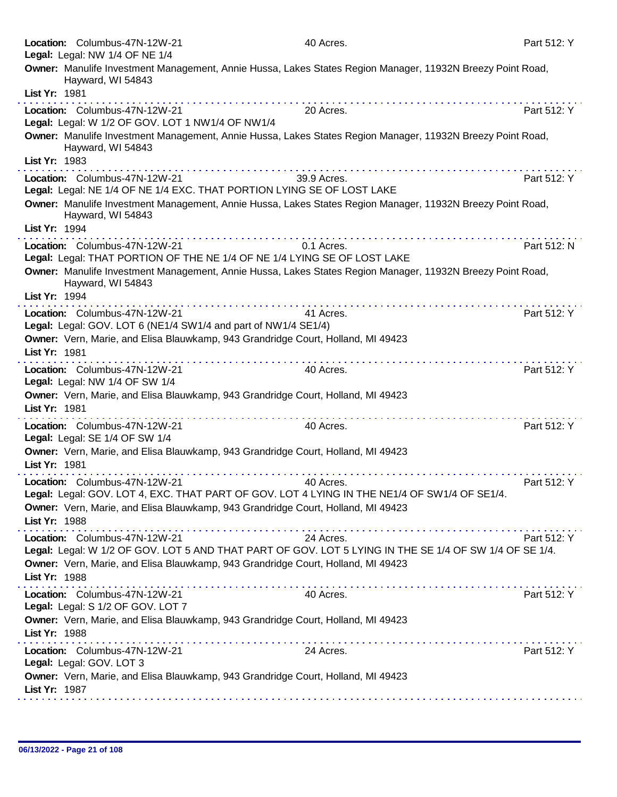|               | Location: Columbus-47N-12W-21<br>Legal: Legal: NW 1/4 OF NE 1/4                                                                         | 40 Acres.   | Part 512: Y |
|---------------|-----------------------------------------------------------------------------------------------------------------------------------------|-------------|-------------|
| List Yr: 1981 | Owner: Manulife Investment Management, Annie Hussa, Lakes States Region Manager, 11932N Breezy Point Road,<br>Hayward, WI 54843         |             |             |
|               | Location: Columbus-47N-12W-21<br>Legal: Legal: W 1/2 OF GOV. LOT 1 NW1/4 OF NW1/4                                                       | 20 Acres.   | Part 512: Y |
|               | Owner: Manulife Investment Management, Annie Hussa, Lakes States Region Manager, 11932N Breezy Point Road,<br>Hayward, WI 54843         |             |             |
| List Yr: 1983 | Location: Columbus-47N-12W-21<br>Legal: Legal: NE 1/4 OF NE 1/4 EXC. THAT PORTION LYING SE OF LOST LAKE                                 | 39.9 Acres. | Part 512: Y |
|               | Owner: Manulife Investment Management, Annie Hussa, Lakes States Region Manager, 11932N Breezy Point Road,<br>Hayward, WI 54843         |             |             |
| List Yr: 1994 |                                                                                                                                         |             |             |
|               | Location: Columbus-47N-12W-21<br>Legal: Legal: THAT PORTION OF THE NE 1/4 OF NE 1/4 LYING SE OF LOST LAKE                               | 0.1 Acres.  | Part 512: N |
|               | Owner: Manulife Investment Management, Annie Hussa, Lakes States Region Manager, 11932N Breezy Point Road,<br>Hayward, WI 54843         |             |             |
| List Yr: 1994 |                                                                                                                                         |             |             |
|               | Location: Columbus-47N-12W-21<br>Legal: Legal: GOV. LOT 6 (NE1/4 SW1/4 and part of NW1/4 SE1/4)                                         | 41 Acres.   | Part 512: Y |
| List Yr: 1981 | Owner: Vern, Marie, and Elisa Blauwkamp, 943 Grandridge Court, Holland, MI 49423                                                        |             |             |
|               | Location: Columbus-47N-12W-21<br>Legal: Legal: NW 1/4 OF SW 1/4                                                                         | 40 Acres.   | Part 512: Y |
| List Yr: 1981 | Owner: Vern, Marie, and Elisa Blauwkamp, 943 Grandridge Court, Holland, MI 49423                                                        | .           |             |
|               | Location: Columbus-47N-12W-21<br>Legal: Legal: SE 1/4 OF SW 1/4                                                                         | 40 Acres.   | Part 512: Y |
| List Yr: 1981 | Owner: Vern, Marie, and Elisa Blauwkamp, 943 Grandridge Court, Holland, MI 49423                                                        |             |             |
|               | Location: Columbus-47N-12W-21                                                                                                           | 40 Acres.   | Part 512: Y |
|               | Legal: Legal: GOV. LOT 4, EXC. THAT PART OF GOV. LOT 4 LYING IN THE NE1/4 OF SW1/4 OF SE1/4.                                            |             |             |
| List Yr: 1988 | Owner: Vern, Marie, and Elisa Blauwkamp, 943 Grandridge Court, Holland, MI 49423                                                        |             |             |
|               | Location: Columbus-47N-12W-21<br>Legal: Legal: W 1/2 OF GOV. LOT 5 AND THAT PART OF GOV. LOT 5 LYING IN THE SE 1/4 OF SW 1/4 OF SE 1/4. | 24 Acres.   | Part 512: Y |
| List Yr: 1988 | Owner: Vern, Marie, and Elisa Blauwkamp, 943 Grandridge Court, Holland, MI 49423                                                        |             |             |
|               | Location: Columbus-47N-12W-21<br>Legal: Legal: S 1/2 OF GOV. LOT 7                                                                      | 40 Acres.   | Part 512: Y |
| List Yr: 1988 | Owner: Vern, Marie, and Elisa Blauwkamp, 943 Grandridge Court, Holland, MI 49423                                                        |             |             |
|               | Location: Columbus-47N-12W-21<br>Legal: Legal: GOV. LOT 3                                                                               | 24 Acres.   | Part 512: Y |
| List Yr: 1987 | Owner: Vern, Marie, and Elisa Blauwkamp, 943 Grandridge Court, Holland, MI 49423                                                        |             |             |
|               |                                                                                                                                         |             |             |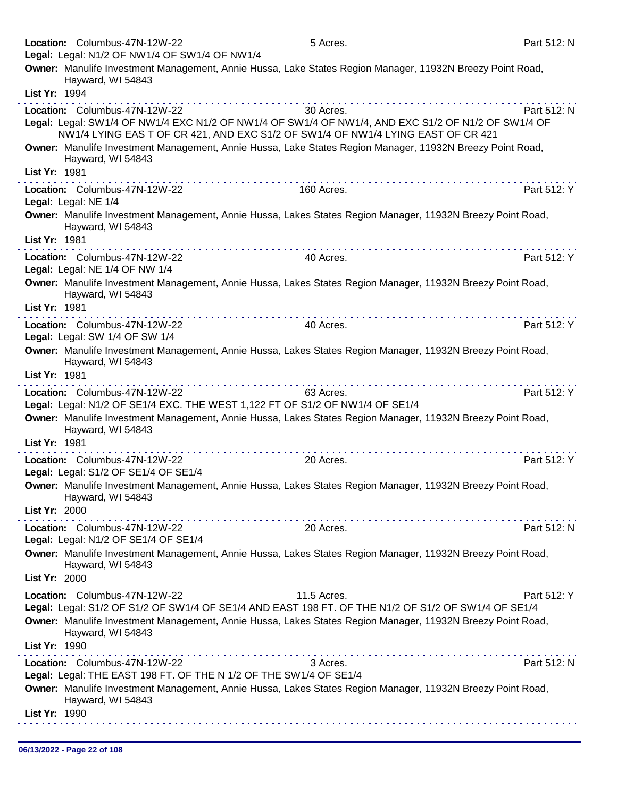|                      | Location: Columbus-47N-12W-22                                                                                                                                                                                           | 5 Acres.                                                                                                                                                                                                                                                                                                                                                                                                                                                                 | Part 512: N |
|----------------------|-------------------------------------------------------------------------------------------------------------------------------------------------------------------------------------------------------------------------|--------------------------------------------------------------------------------------------------------------------------------------------------------------------------------------------------------------------------------------------------------------------------------------------------------------------------------------------------------------------------------------------------------------------------------------------------------------------------|-------------|
|                      | Legal: Legal: N1/2 OF NW1/4 OF SW1/4 OF NW1/4                                                                                                                                                                           |                                                                                                                                                                                                                                                                                                                                                                                                                                                                          |             |
|                      | Owner: Manulife Investment Management, Annie Hussa, Lake States Region Manager, 11932N Breezy Point Road,<br>Hayward, WI 54843                                                                                          |                                                                                                                                                                                                                                                                                                                                                                                                                                                                          |             |
| List Yr: 1994        |                                                                                                                                                                                                                         |                                                                                                                                                                                                                                                                                                                                                                                                                                                                          |             |
|                      | Location: Columbus-47N-12W-22<br>Legal: Legal: SW1/4 OF NW1/4 EXC N1/2 OF NW1/4 OF SW1/4 OF NW1/4, AND EXC S1/2 OF N1/2 OF SW1/4 OF<br>NW1/4 LYING EAS T OF CR 421, AND EXC S1/2 OF SW1/4 OF NW1/4 LYING EAST OF CR 421 | 30 Acres.                                                                                                                                                                                                                                                                                                                                                                                                                                                                | Part 512: N |
|                      | Owner: Manulife Investment Management, Annie Hussa, Lake States Region Manager, 11932N Breezy Point Road,<br>Hayward, WI 54843                                                                                          |                                                                                                                                                                                                                                                                                                                                                                                                                                                                          |             |
| List Yr: 1981        |                                                                                                                                                                                                                         |                                                                                                                                                                                                                                                                                                                                                                                                                                                                          |             |
| Legal: Legal: NE 1/4 | Location: Columbus-47N-12W-22                                                                                                                                                                                           | 160 Acres.                                                                                                                                                                                                                                                                                                                                                                                                                                                               | Part 512: Y |
|                      | Owner: Manulife Investment Management, Annie Hussa, Lakes States Region Manager, 11932N Breezy Point Road,<br>Hayward, WI 54843                                                                                         |                                                                                                                                                                                                                                                                                                                                                                                                                                                                          |             |
| List Yr: 1981        |                                                                                                                                                                                                                         |                                                                                                                                                                                                                                                                                                                                                                                                                                                                          |             |
|                      | Location: Columbus-47N-12W-22<br>Legal: Legal: NE 1/4 OF NW 1/4                                                                                                                                                         | 40 Acres.                                                                                                                                                                                                                                                                                                                                                                                                                                                                | Part 512: Y |
|                      | Owner: Manulife Investment Management, Annie Hussa, Lakes States Region Manager, 11932N Breezy Point Road,<br>Hayward, WI 54843                                                                                         |                                                                                                                                                                                                                                                                                                                                                                                                                                                                          |             |
| List Yr: 1981        | <u> 2012 - La característica de la característica de la c</u>                                                                                                                                                           |                                                                                                                                                                                                                                                                                                                                                                                                                                                                          |             |
|                      | Location: Columbus-47N-12W-22                                                                                                                                                                                           | 40 Acres.                                                                                                                                                                                                                                                                                                                                                                                                                                                                | Part 512: Y |
|                      | Legal: Legal: SW 1/4 OF SW 1/4                                                                                                                                                                                          |                                                                                                                                                                                                                                                                                                                                                                                                                                                                          |             |
|                      | Owner: Manulife Investment Management, Annie Hussa, Lakes States Region Manager, 11932N Breezy Point Road,<br>Hayward, WI 54843                                                                                         |                                                                                                                                                                                                                                                                                                                                                                                                                                                                          |             |
| List Yr: 1981        |                                                                                                                                                                                                                         |                                                                                                                                                                                                                                                                                                                                                                                                                                                                          |             |
|                      | Location: Columbus-47N-12W-22<br>Legal: Legal: N1/2 OF SE1/4 EXC. THE WEST 1,122 FT OF S1/2 OF NW1/4 OF SE1/4                                                                                                           | 63 Acres.                                                                                                                                                                                                                                                                                                                                                                                                                                                                | Part 512: Y |
|                      | Owner: Manulife Investment Management, Annie Hussa, Lakes States Region Manager, 11932N Breezy Point Road,<br>Hayward, WI 54843                                                                                         |                                                                                                                                                                                                                                                                                                                                                                                                                                                                          |             |
| List Yr: 1981        |                                                                                                                                                                                                                         |                                                                                                                                                                                                                                                                                                                                                                                                                                                                          |             |
|                      | Location: Columbus-47N-12W-22<br>Legal: Legal: S1/2 OF SE1/4 OF SE1/4                                                                                                                                                   | 20 Acres.                                                                                                                                                                                                                                                                                                                                                                                                                                                                | Part 512: Y |
|                      | Owner: Manulife Investment Management, Annie Hussa, Lakes States Region Manager, 11932N Breezy Point Road,<br>Hayward, WI 54843                                                                                         |                                                                                                                                                                                                                                                                                                                                                                                                                                                                          |             |
| List Yr: 2000        |                                                                                                                                                                                                                         |                                                                                                                                                                                                                                                                                                                                                                                                                                                                          |             |
|                      | Location: Columbus-47N-12W-22<br>Legal: Legal: N1/2 OF SE1/4 OF SE1/4                                                                                                                                                   | 20 Acres.                                                                                                                                                                                                                                                                                                                                                                                                                                                                | Part 512: N |
|                      | Owner: Manulife Investment Management, Annie Hussa, Lakes States Region Manager, 11932N Breezy Point Road,<br>Hayward, WI 54843                                                                                         |                                                                                                                                                                                                                                                                                                                                                                                                                                                                          |             |
| List Yr: 2000        |                                                                                                                                                                                                                         |                                                                                                                                                                                                                                                                                                                                                                                                                                                                          |             |
|                      | Location: Columbus-47N-12W-22                                                                                                                                                                                           | $\label{eq:2.1} \mathcal{L}^{\mathcal{A}}(\mathcal{A}^{\mathcal{A}}(\mathcal{A}^{\mathcal{A}}(\mathcal{A}^{\mathcal{A}}(\mathcal{A}^{\mathcal{A}}(\mathcal{A}^{\mathcal{A}}(\mathcal{A}^{\mathcal{A}}(\mathcal{A}^{\mathcal{A}}(\mathcal{A}^{\mathcal{A}}(\mathcal{A}^{\mathcal{A}}(\mathcal{A}^{\mathcal{A}}(\mathcal{A}^{\mathcal{A}}(\mathcal{A}^{\mathcal{A}}(\mathcal{A}^{\mathcal{A}}(\mathcal{A}^{\mathcal{A}}(\mathcal{A}^{\mathcal{A}}(\mathcal$<br>11.5 Acres. | Part 512: Y |
|                      | Legal: Legal: S1/2 OF S1/2 OF SW1/4 OF SE1/4 AND EAST 198 FT. OF THE N1/2 OF S1/2 OF SW1/4 OF SE1/4                                                                                                                     |                                                                                                                                                                                                                                                                                                                                                                                                                                                                          |             |
|                      | Owner: Manulife Investment Management, Annie Hussa, Lakes States Region Manager, 11932N Breezy Point Road,<br>Hayward, WI 54843                                                                                         |                                                                                                                                                                                                                                                                                                                                                                                                                                                                          |             |
| List Yr: 1990        |                                                                                                                                                                                                                         |                                                                                                                                                                                                                                                                                                                                                                                                                                                                          |             |
|                      | Location: Columbus-47N-12W-22<br>Legal: Legal: THE EAST 198 FT. OF THE N 1/2 OF THE SW1/4 OF SE1/4                                                                                                                      | 3 Acres.                                                                                                                                                                                                                                                                                                                                                                                                                                                                 | Part 512: N |
|                      | Owner: Manulife Investment Management, Annie Hussa, Lakes States Region Manager, 11932N Breezy Point Road,<br>Hayward, WI 54843                                                                                         |                                                                                                                                                                                                                                                                                                                                                                                                                                                                          |             |
| List Yr: 1990        |                                                                                                                                                                                                                         |                                                                                                                                                                                                                                                                                                                                                                                                                                                                          |             |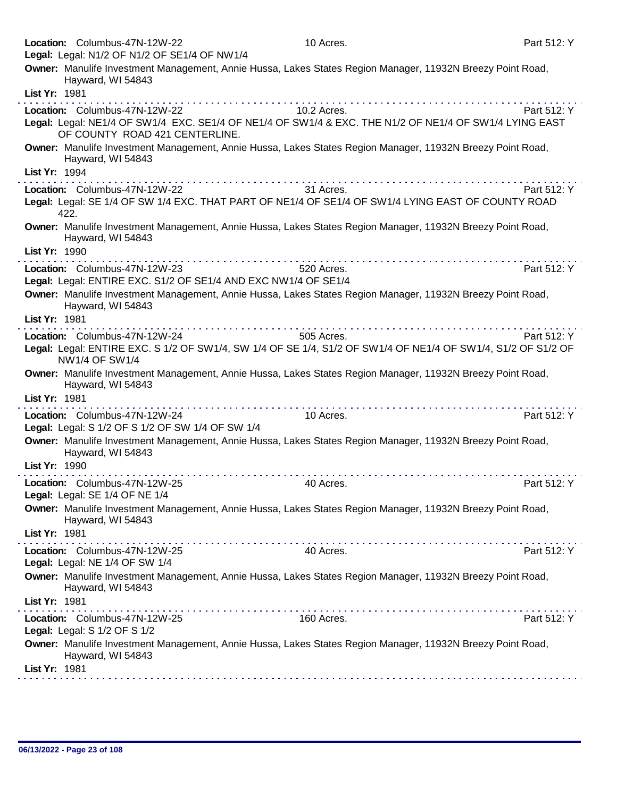|               | Location: Columbus-47N-12W-22<br>Legal: Legal: N1/2 OF N1/2 OF SE1/4 OF NW1/4                                                                                                                                                                                                                                                                                                                                                                                                                                                                                        | 10 Acres.                                                                                                                                                                                                                            | Part 512: Y |
|---------------|----------------------------------------------------------------------------------------------------------------------------------------------------------------------------------------------------------------------------------------------------------------------------------------------------------------------------------------------------------------------------------------------------------------------------------------------------------------------------------------------------------------------------------------------------------------------|--------------------------------------------------------------------------------------------------------------------------------------------------------------------------------------------------------------------------------------|-------------|
|               | Owner: Manulife Investment Management, Annie Hussa, Lakes States Region Manager, 11932N Breezy Point Road,                                                                                                                                                                                                                                                                                                                                                                                                                                                           |                                                                                                                                                                                                                                      |             |
|               | Hayward, WI 54843                                                                                                                                                                                                                                                                                                                                                                                                                                                                                                                                                    |                                                                                                                                                                                                                                      |             |
| List Yr: 1981 | . <b>.</b>                                                                                                                                                                                                                                                                                                                                                                                                                                                                                                                                                           |                                                                                                                                                                                                                                      |             |
|               | Location: Columbus-47N-12W-22                                                                                                                                                                                                                                                                                                                                                                                                                                                                                                                                        | 10.2 Acres.                                                                                                                                                                                                                          | Part 512: Y |
|               | Legal: Legal: NE1/4 OF SW1/4 EXC. SE1/4 OF NE1/4 OF SW1/4 & EXC. THE N1/2 OF NE1/4 OF SW1/4 LYING EAST<br>OF COUNTY ROAD 421 CENTERLINE.                                                                                                                                                                                                                                                                                                                                                                                                                             |                                                                                                                                                                                                                                      |             |
|               | Owner: Manulife Investment Management, Annie Hussa, Lakes States Region Manager, 11932N Breezy Point Road,<br>Hayward, WI 54843                                                                                                                                                                                                                                                                                                                                                                                                                                      |                                                                                                                                                                                                                                      |             |
| List Yr: 1994 |                                                                                                                                                                                                                                                                                                                                                                                                                                                                                                                                                                      | <u>a comunicación de la comunicación de la comunicación de la comunicación de la comunicación de la comunicación de la comunicación de la comunicación de la comunicación de la comunicación de la comunicación de la comunicaci</u> |             |
|               | Location: Columbus-47N-12W-22<br>Legal: Legal: SE 1/4 OF SW 1/4 EXC. THAT PART OF NE1/4 OF SE1/4 OF SW1/4 LYING EAST OF COUNTY ROAD<br>422.                                                                                                                                                                                                                                                                                                                                                                                                                          | 31 Acres.                                                                                                                                                                                                                            | Part 512: Y |
| List Yr: 1990 | Owner: Manulife Investment Management, Annie Hussa, Lakes States Region Manager, 11932N Breezy Point Road,<br>Hayward, WI 54843                                                                                                                                                                                                                                                                                                                                                                                                                                      |                                                                                                                                                                                                                                      |             |
|               | Location: Columbus-47N-12W-23                                                                                                                                                                                                                                                                                                                                                                                                                                                                                                                                        | 520 Acres.                                                                                                                                                                                                                           | Part 512: Y |
|               | Legal: Legal: ENTIRE EXC. S1/2 OF SE1/4 AND EXC NW1/4 OF SE1/4                                                                                                                                                                                                                                                                                                                                                                                                                                                                                                       |                                                                                                                                                                                                                                      |             |
| List Yr: 1981 | Owner: Manulife Investment Management, Annie Hussa, Lakes States Region Manager, 11932N Breezy Point Road,<br>Hayward, WI 54843                                                                                                                                                                                                                                                                                                                                                                                                                                      |                                                                                                                                                                                                                                      |             |
|               | Location: Columbus-47N-12W-24                                                                                                                                                                                                                                                                                                                                                                                                                                                                                                                                        | 505 Acres.                                                                                                                                                                                                                           | Part 512: Y |
|               | Legal: Legal: ENTIRE EXC. S 1/2 OF SW1/4, SW 1/4 OF SE 1/4, S1/2 OF SW1/4 OF NE1/4 OF SW1/4, S1/2 OF S1/2 OF<br>NW1/4 OF SW1/4                                                                                                                                                                                                                                                                                                                                                                                                                                       |                                                                                                                                                                                                                                      |             |
|               |                                                                                                                                                                                                                                                                                                                                                                                                                                                                                                                                                                      |                                                                                                                                                                                                                                      |             |
|               | Owner: Manulife Investment Management, Annie Hussa, Lakes States Region Manager, 11932N Breezy Point Road,<br>Hayward, WI 54843                                                                                                                                                                                                                                                                                                                                                                                                                                      |                                                                                                                                                                                                                                      |             |
| List Yr: 1981 |                                                                                                                                                                                                                                                                                                                                                                                                                                                                                                                                                                      |                                                                                                                                                                                                                                      |             |
|               | Location: Columbus-47N-12W-24<br>Legal: Legal: S 1/2 OF S 1/2 OF SW 1/4 OF SW 1/4                                                                                                                                                                                                                                                                                                                                                                                                                                                                                    | 10 Acres.                                                                                                                                                                                                                            | Part 512: Y |
|               | Owner: Manulife Investment Management, Annie Hussa, Lakes States Region Manager, 11932N Breezy Point Road,<br>Hayward, WI 54843                                                                                                                                                                                                                                                                                                                                                                                                                                      |                                                                                                                                                                                                                                      |             |
| List Yr: 1990 |                                                                                                                                                                                                                                                                                                                                                                                                                                                                                                                                                                      |                                                                                                                                                                                                                                      |             |
|               | Location: Columbus-47N-12W-25<br>Legal: Legal: SE 1/4 OF NE 1/4                                                                                                                                                                                                                                                                                                                                                                                                                                                                                                      | 40 Acres.                                                                                                                                                                                                                            | Part 512: Y |
|               | Owner: Manulife Investment Management, Annie Hussa, Lakes States Region Manager, 11932N Breezy Point Road,<br>Hayward, WI 54843                                                                                                                                                                                                                                                                                                                                                                                                                                      |                                                                                                                                                                                                                                      |             |
| List Yr: 1981 |                                                                                                                                                                                                                                                                                                                                                                                                                                                                                                                                                                      |                                                                                                                                                                                                                                      |             |
|               | $\label{eq:reduced} \begin{split} \mathcal{L}_{\mathcal{A}}(\mathcal{A}) = \mathcal{L}_{\mathcal{A}}(\mathcal{A}) = \mathcal{L}_{\mathcal{A}}(\mathcal{A}) = \mathcal{L}_{\mathcal{A}}(\mathcal{A}) = \mathcal{L}_{\mathcal{A}}(\mathcal{A}) = \mathcal{L}_{\mathcal{A}}(\mathcal{A}) = \mathcal{L}_{\mathcal{A}}(\mathcal{A}) = \mathcal{L}_{\mathcal{A}}(\mathcal{A}) = \mathcal{L}_{\mathcal{A}}(\mathcal{A}) = \mathcal{L}_{\mathcal{A}}(\mathcal{A}) = \mathcal{L}_{\mathcal{A}}(\mathcal{A$<br>Location: Columbus-47N-12W-25<br>Legal: Legal: NE 1/4 OF SW 1/4 | 40 Acres.                                                                                                                                                                                                                            | Part 512: Y |
|               | Owner: Manulife Investment Management, Annie Hussa, Lakes States Region Manager, 11932N Breezy Point Road,<br>Hayward, WI 54843                                                                                                                                                                                                                                                                                                                                                                                                                                      |                                                                                                                                                                                                                                      |             |
| List Yr: 1981 |                                                                                                                                                                                                                                                                                                                                                                                                                                                                                                                                                                      |                                                                                                                                                                                                                                      |             |
|               | Location: Columbus-47N-12W-25<br>Legal: Legal: S 1/2 OF S 1/2                                                                                                                                                                                                                                                                                                                                                                                                                                                                                                        | 160 Acres.                                                                                                                                                                                                                           | Part 512: Y |
| List Yr: 1981 | Owner: Manulife Investment Management, Annie Hussa, Lakes States Region Manager, 11932N Breezy Point Road,<br>Hayward, WI 54843                                                                                                                                                                                                                                                                                                                                                                                                                                      |                                                                                                                                                                                                                                      |             |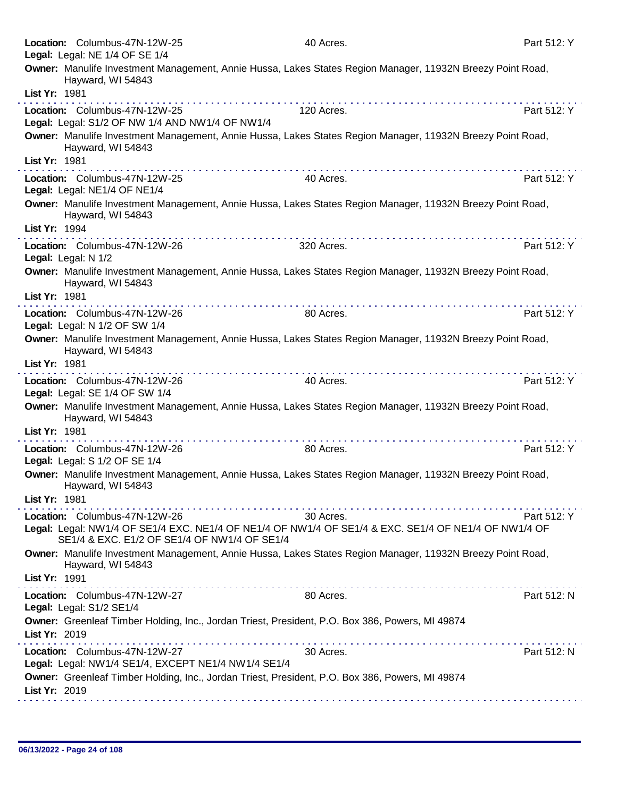|               | Location: Columbus-47N-12W-25<br>Legal: Legal: NE 1/4 OF SE 1/4                      | 40 Acres.                                                                                                         | Part 512: Y |
|---------------|--------------------------------------------------------------------------------------|-------------------------------------------------------------------------------------------------------------------|-------------|
|               | Hayward, WI 54843                                                                    | Owner: Manulife Investment Management, Annie Hussa, Lakes States Region Manager, 11932N Breezy Point Road,        |             |
| List Yr: 1981 |                                                                                      | . <b>.</b>                                                                                                        |             |
|               | Location: Columbus-47N-12W-25<br>Legal: Legal: S1/2 OF NW 1/4 AND NW1/4 OF NW1/4     | 120 Acres.                                                                                                        | Part 512: Y |
|               | Hayward, WI 54843                                                                    | Owner: Manulife Investment Management, Annie Hussa, Lakes States Region Manager, 11932N Breezy Point Road,        |             |
| List Yr: 1981 |                                                                                      |                                                                                                                   |             |
|               | Location: Columbus-47N-12W-25<br>Legal: Legal: NE1/4 OF NE1/4                        | 40 Acres.                                                                                                         | Part 512: Y |
|               | Hayward, WI 54843                                                                    | Owner: Manulife Investment Management, Annie Hussa, Lakes States Region Manager, 11932N Breezy Point Road,        |             |
| List Yr: 1994 |                                                                                      | .                                                                                                                 |             |
|               | Location: Columbus-47N-12W-26<br>Legal: Legal: N 1/2                                 | 320 Acres.                                                                                                        | Part 512: Y |
|               | Hayward, WI 54843                                                                    | Owner: Manulife Investment Management, Annie Hussa, Lakes States Region Manager, 11932N Breezy Point Road,        |             |
| List Yr: 1981 |                                                                                      |                                                                                                                   |             |
|               | Location: Columbus-47N-12W-26<br>Legal: Legal: N 1/2 OF SW 1/4                       | 80 Acres.                                                                                                         | Part 512: Y |
|               |                                                                                      | Owner: Manulife Investment Management, Annie Hussa, Lakes States Region Manager, 11932N Breezy Point Road,        |             |
|               | Hayward, WI 54843                                                                    |                                                                                                                   |             |
| List Yr: 1981 |                                                                                      |                                                                                                                   |             |
|               | Location: Columbus-47N-12W-26<br>Legal: Legal: SE 1/4 OF SW 1/4                      | 40 Acres.                                                                                                         | Part 512: Y |
|               | Hayward, WI 54843                                                                    | Owner: Manulife Investment Management, Annie Hussa, Lakes States Region Manager, 11932N Breezy Point Road,        |             |
| List Yr: 1981 |                                                                                      |                                                                                                                   |             |
|               | Location: Columbus-47N-12W-26<br>Legal: Legal: S 1/2 OF SE 1/4                       | 80 Acres.                                                                                                         | Part 512: Y |
|               | Hayward, WI 54843                                                                    | Owner: Manulife Investment Management, Annie Hussa, Lakes States Region Manager, 11932N Breezy Point Road,        |             |
| List Yr: 1981 |                                                                                      | <u>.</u>                                                                                                          |             |
|               | Location: Columbus-47N-12W-26<br>SE1/4 & EXC. E1/2 OF SE1/4 OF NW1/4 OF SE1/4        | 30 Acres.<br>Legal: Legal: NW1/4 OF SE1/4 EXC. NE1/4 OF NE1/4 OF NW1/4 OF SE1/4 & EXC. SE1/4 OF NE1/4 OF NW1/4 OF | Part 512: Y |
|               | Hayward, WI 54843                                                                    | Owner: Manulife Investment Management, Annie Hussa, Lakes States Region Manager, 11932N Breezy Point Road,        |             |
| List Yr: 1991 |                                                                                      |                                                                                                                   |             |
|               | Location: Columbus-47N-12W-27<br>Legal: Legal: S1/2 SE1/4                            | 80 Acres.                                                                                                         | Part 512: N |
| List Yr: 2019 |                                                                                      | Owner: Greenleaf Timber Holding, Inc., Jordan Triest, President, P.O. Box 386, Powers, MI 49874                   |             |
|               | Location: Columbus-47N-12W-27<br>Legal: Legal: NW1/4 SE1/4, EXCEPT NE1/4 NW1/4 SE1/4 | 30 Acres.                                                                                                         | Part 512: N |
| List Yr: 2019 |                                                                                      | Owner: Greenleaf Timber Holding, Inc., Jordan Triest, President, P.O. Box 386, Powers, MI 49874                   |             |
|               |                                                                                      |                                                                                                                   |             |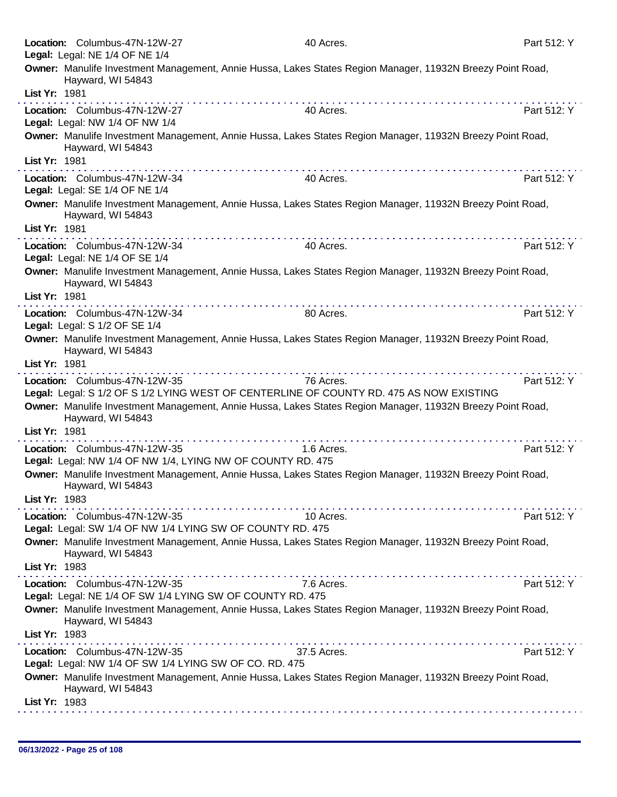|               | Location: Columbus-47N-12W-27                                                               | 40 Acres.                                                                                                                                                                                                                                   | Part 512: Y |
|---------------|---------------------------------------------------------------------------------------------|---------------------------------------------------------------------------------------------------------------------------------------------------------------------------------------------------------------------------------------------|-------------|
|               | Legal: Legal: NE 1/4 OF NE 1/4                                                              | Owner: Manulife Investment Management, Annie Hussa, Lakes States Region Manager, 11932N Breezy Point Road,                                                                                                                                  |             |
|               | Hayward, WI 54843                                                                           |                                                                                                                                                                                                                                             |             |
| List Yr: 1981 |                                                                                             |                                                                                                                                                                                                                                             |             |
|               | Location: Columbus-47N-12W-27                                                               | 40 Acres.                                                                                                                                                                                                                                   | Part 512: Y |
|               | Legal: Legal: NW 1/4 OF NW 1/4                                                              |                                                                                                                                                                                                                                             |             |
|               | Hayward, WI 54843                                                                           | Owner: Manulife Investment Management, Annie Hussa, Lakes States Region Manager, 11932N Breezy Point Road,                                                                                                                                  |             |
| List Yr: 1981 |                                                                                             |                                                                                                                                                                                                                                             |             |
|               | Location: Columbus-47N-12W-34                                                               | 40 Acres.                                                                                                                                                                                                                                   | Part 512: Y |
|               | Legal: Legal: SE 1/4 OF NE 1/4                                                              |                                                                                                                                                                                                                                             |             |
|               | Hayward, WI 54843                                                                           | Owner: Manulife Investment Management, Annie Hussa, Lakes States Region Manager, 11932N Breezy Point Road,                                                                                                                                  |             |
| List Yr: 1981 |                                                                                             |                                                                                                                                                                                                                                             |             |
|               | Location: Columbus-47N-12W-34<br>Legal: Legal: NE 1/4 OF SE 1/4                             | 40 Acres.                                                                                                                                                                                                                                   | Part 512: Y |
|               | Hayward, WI 54843                                                                           | Owner: Manulife Investment Management, Annie Hussa, Lakes States Region Manager, 11932N Breezy Point Road,                                                                                                                                  |             |
| List Yr: 1981 |                                                                                             |                                                                                                                                                                                                                                             |             |
|               | Location: Columbus-47N-12W-34                                                               | the contract of the contract of the contract of the contract of the contract of the contract of the contract of the contract of the contract of the contract of the contract of the contract of the contract of the contract o<br>80 Acres. | Part 512: Y |
|               | Legal: Legal: S 1/2 OF SE 1/4                                                               |                                                                                                                                                                                                                                             |             |
|               | Hayward, WI 54843                                                                           | Owner: Manulife Investment Management, Annie Hussa, Lakes States Region Manager, 11932N Breezy Point Road,                                                                                                                                  |             |
| List Yr: 1981 |                                                                                             |                                                                                                                                                                                                                                             |             |
|               | Location: Columbus-47N-12W-35                                                               | 76 Acres.                                                                                                                                                                                                                                   | Part 512: Y |
|               |                                                                                             | Legal: Legal: S 1/2 OF S 1/2 LYING WEST OF CENTERLINE OF COUNTY RD. 475 AS NOW EXISTING                                                                                                                                                     |             |
|               | Hayward, WI 54843                                                                           | Owner: Manulife Investment Management, Annie Hussa, Lakes States Region Manager, 11932N Breezy Point Road,                                                                                                                                  |             |
| List Yr: 1981 |                                                                                             |                                                                                                                                                                                                                                             |             |
|               | Location: Columbus-47N-12W-35<br>Legal: Legal: NW 1/4 OF NW 1/4, LYING NW OF COUNTY RD. 475 | 1.6 Acres.                                                                                                                                                                                                                                  | Part 512: Y |
|               | Hayward, WI 54843                                                                           | Owner: Manulife Investment Management, Annie Hussa, Lakes States Region Manager, 11932N Breezy Point Road,                                                                                                                                  |             |
| List Yr: 1983 |                                                                                             |                                                                                                                                                                                                                                             |             |
|               | Location: Columbus-47N-12W-35<br>Legal: Legal: SW 1/4 OF NW 1/4 LYING SW OF COUNTY RD. 475  | 10 Acres.                                                                                                                                                                                                                                   | Part 512: Y |
|               | Hayward, WI 54843                                                                           | Owner: Manulife Investment Management, Annie Hussa, Lakes States Region Manager, 11932N Breezy Point Road,                                                                                                                                  |             |
| List Yr: 1983 |                                                                                             |                                                                                                                                                                                                                                             |             |
|               | Location: Columbus-47N-12W-35<br>Legal: Legal: NE 1/4 OF SW 1/4 LYING SW OF COUNTY RD. 475  | 7.6 Acres.                                                                                                                                                                                                                                  | Part 512: Y |
|               | Hayward, WI 54843                                                                           | Owner: Manulife Investment Management, Annie Hussa, Lakes States Region Manager, 11932N Breezy Point Road,                                                                                                                                  |             |
| List Yr: 1983 |                                                                                             |                                                                                                                                                                                                                                             |             |
|               | Location: Columbus-47N-12W-35                                                               | 37.5 Acres.                                                                                                                                                                                                                                 | Part 512: Y |
|               | Legal: Legal: NW 1/4 OF SW 1/4 LYING SW OF CO. RD. 475                                      |                                                                                                                                                                                                                                             |             |
|               | Hayward, WI 54843                                                                           | Owner: Manulife Investment Management, Annie Hussa, Lakes States Region Manager, 11932N Breezy Point Road,                                                                                                                                  |             |
| List Yr: 1983 |                                                                                             |                                                                                                                                                                                                                                             |             |
|               |                                                                                             |                                                                                                                                                                                                                                             |             |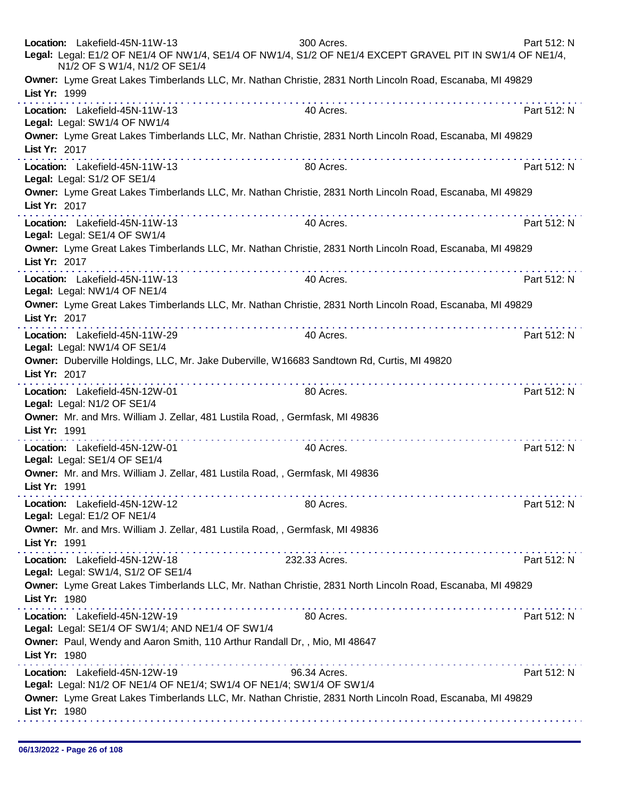| Location: Lakefield-45N-11W-13<br>Legal: Legal: E1/2 OF NE1/4 OF NW1/4, SE1/4 OF NW1/4, S1/2 OF NE1/4 EXCEPT GRAVEL PIT IN SW1/4 OF NE1/4,<br>N1/2 OF S W1/4, N1/2 OF SE1/4 | 300 Acres.    | Part 512: N |
|-----------------------------------------------------------------------------------------------------------------------------------------------------------------------------|---------------|-------------|
| Owner: Lyme Great Lakes Timberlands LLC, Mr. Nathan Christie, 2831 North Lincoln Road, Escanaba, MI 49829<br>List Yr: 1999<br>.                                             |               |             |
| Location: Lakefield-45N-11W-13<br>Legal: Legal: SW1/4 OF NW1/4                                                                                                              | 40 Acres.     | Part 512: N |
| Owner: Lyme Great Lakes Timberlands LLC, Mr. Nathan Christie, 2831 North Lincoln Road, Escanaba, MI 49829<br>List Yr: 2017                                                  |               |             |
| Location: Lakefield-45N-11W-13<br>Legal: Legal: S1/2 OF SE1/4                                                                                                               | 80 Acres.     | Part 512: N |
| Owner: Lyme Great Lakes Timberlands LLC, Mr. Nathan Christie, 2831 North Lincoln Road, Escanaba, MI 49829<br>List Yr: 2017                                                  |               |             |
| Location: Lakefield-45N-11W-13<br>Legal: Legal: SE1/4 OF SW1/4                                                                                                              | 40 Acres.     | Part 512: N |
| Owner: Lyme Great Lakes Timberlands LLC, Mr. Nathan Christie, 2831 North Lincoln Road, Escanaba, MI 49829<br>List Yr: 2017<br>the second companies and companies are        |               |             |
| Location: Lakefield-45N-11W-13<br>Legal: Legal: NW1/4 OF NE1/4                                                                                                              | 40 Acres.     | Part 512: N |
| Owner: Lyme Great Lakes Timberlands LLC, Mr. Nathan Christie, 2831 North Lincoln Road, Escanaba, MI 49829<br>List Yr: 2017                                                  |               |             |
| Location: Lakefield-45N-11W-29<br>Legal: Legal: NW1/4 OF SE1/4                                                                                                              | 40 Acres.     | Part 512: N |
| Owner: Duberville Holdings, LLC, Mr. Jake Duberville, W16683 Sandtown Rd, Curtis, MI 49820<br>List Yr: 2017                                                                 |               |             |
| Location: Lakefield-45N-12W-01<br>Legal: Legal: N1/2 OF SE1/4                                                                                                               | 80 Acres.     | Part 512: N |
| Owner: Mr. and Mrs. William J. Zellar, 481 Lustila Road, , Germfask, MI 49836<br>List Yr: 1991                                                                              | .             |             |
| Location: Lakefield-45N-12W-01<br>Legal: Legal: SE1/4 OF SE1/4                                                                                                              | 40 Acres.     | Part 512: N |
| Owner: Mr. and Mrs. William J. Zellar, 481 Lustila Road, , Germfask, MI 49836<br>List Yr: 1991                                                                              |               |             |
| Location: Lakefield-45N-12W-12<br>Legal: Legal: E1/2 OF NE1/4                                                                                                               | 80 Acres.     | Part 512: N |
| Owner: Mr. and Mrs. William J. Zellar, 481 Lustila Road, , Germfask, MI 49836<br>List Yr: 1991                                                                              |               |             |
| Location: Lakefield-45N-12W-18<br>Legal: Legal: SW1/4, S1/2 OF SE1/4                                                                                                        | 232.33 Acres. | Part 512: N |
| Owner: Lyme Great Lakes Timberlands LLC, Mr. Nathan Christie, 2831 North Lincoln Road, Escanaba, MI 49829<br>List Yr: 1980                                                  |               |             |
| Location: Lakefield-45N-12W-19<br>Legal: Legal: SE1/4 OF SW1/4; AND NE1/4 OF SW1/4                                                                                          | 80 Acres.     | Part 512: N |
| Owner: Paul, Wendy and Aaron Smith, 110 Arthur Randall Dr,, Mio, MI 48647<br>List Yr: 1980                                                                                  |               |             |
| Location: Lakefield-45N-12W-19<br>Legal: Legal: N1/2 OF NE1/4 OF NE1/4; SW1/4 OF NE1/4; SW1/4 OF SW1/4                                                                      | 96.34 Acres.  | Part 512: N |
| Owner: Lyme Great Lakes Timberlands LLC, Mr. Nathan Christie, 2831 North Lincoln Road, Escanaba, MI 49829<br>List Yr: 1980                                                  |               |             |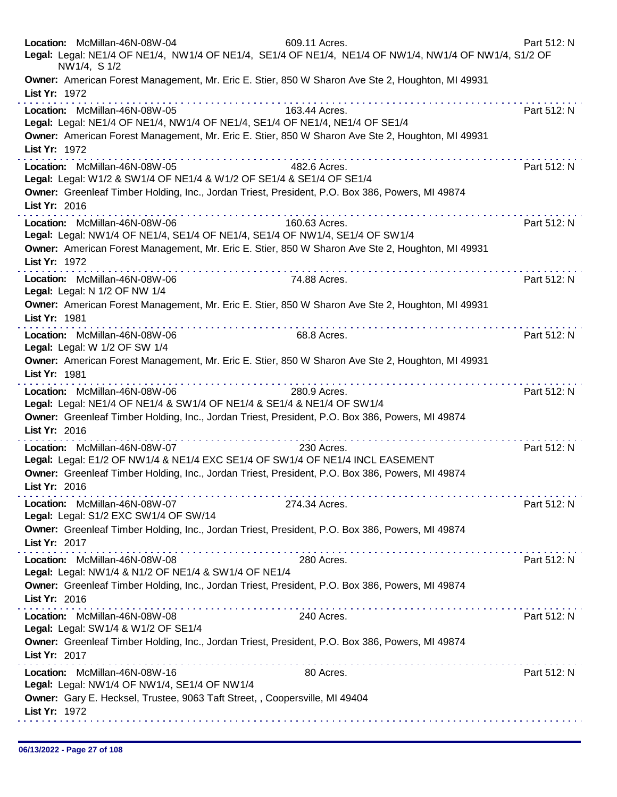| Location: McMillan-46N-08W-04<br>609.11 Acres.<br>Legal: Legal: NE1/4 OF NE1/4, NW1/4 OF NE1/4, SE1/4 OF NE1/4, NE1/4 OF NW1/4, NW1/4 OF NW1/4, S1/2 OF<br>NW1/4, S 1/2                                                                                                                                                                                                                                                                                                                                                                                                                                                                                             | Part 512: N |
|---------------------------------------------------------------------------------------------------------------------------------------------------------------------------------------------------------------------------------------------------------------------------------------------------------------------------------------------------------------------------------------------------------------------------------------------------------------------------------------------------------------------------------------------------------------------------------------------------------------------------------------------------------------------|-------------|
| Owner: American Forest Management, Mr. Eric E. Stier, 850 W Sharon Ave Ste 2, Houghton, MI 49931<br>List Yr: 1972                                                                                                                                                                                                                                                                                                                                                                                                                                                                                                                                                   |             |
| Location: McMillan-46N-08W-05<br>163.44 Acres.<br>Legal: Legal: NE1/4 OF NE1/4, NW1/4 OF NE1/4, SE1/4 OF NE1/4, NE1/4 OF SE1/4<br>Owner: American Forest Management, Mr. Eric E. Stier, 850 W Sharon Ave Ste 2, Houghton, MI 49931<br>List Yr: 1972                                                                                                                                                                                                                                                                                                                                                                                                                 | Part 512: N |
| Location: McMillan-46N-08W-05<br>482.6 Acres.<br>Legal: Legal: W1/2 & SW1/4 OF NE1/4 & W1/2 OF SE1/4 & SE1/4 OF SE1/4<br>Owner: Greenleaf Timber Holding, Inc., Jordan Triest, President, P.O. Box 386, Powers, MI 49874<br>List Yr: 2016                                                                                                                                                                                                                                                                                                                                                                                                                           | Part 512: N |
| Location: McMillan-46N-08W-06<br>160.63 Acres.<br>Legal: Legal: NW1/4 OF NE1/4, SE1/4 OF NE1/4, SE1/4 OF NW1/4, SE1/4 OF SW1/4<br>Owner: American Forest Management, Mr. Eric E. Stier, 850 W Sharon Ave Ste 2, Houghton, MI 49931<br>List Yr: 1972                                                                                                                                                                                                                                                                                                                                                                                                                 | Part 512: N |
| Location: McMillan-46N-08W-06<br>74.88 Acres.<br>Legal: Legal: N 1/2 OF NW 1/4<br>Owner: American Forest Management, Mr. Eric E. Stier, 850 W Sharon Ave Ste 2, Houghton, MI 49931<br>List Yr: 1981                                                                                                                                                                                                                                                                                                                                                                                                                                                                 | Part 512: N |
| .<br>Location: McMillan-46N-08W-06<br>68.8 Acres.<br>Legal: Legal: W 1/2 OF SW 1/4<br>Owner: American Forest Management, Mr. Eric E. Stier, 850 W Sharon Ave Ste 2, Houghton, MI 49931<br>List Yr: 1981                                                                                                                                                                                                                                                                                                                                                                                                                                                             | Part 512: N |
| a construction of the construction of the construction of the construction of the construction of the construction of the construction of the construction of the construction of the construction of the construction of the<br>Location: McMillan-46N-08W-06<br>280.9 Acres.<br>Legal: Legal: NE1/4 OF NE1/4 & SW1/4 OF NE1/4 & SE1/4 & NE1/4 OF SW1/4<br>Owner: Greenleaf Timber Holding, Inc., Jordan Triest, President, P.O. Box 386, Powers, MI 49874<br>List Yr: 2016                                                                                                                                                                                        | Part 512: N |
| Location: McMillan-46N-08W-07<br>230 Acres.<br>Legal: Legal: E1/2 OF NW1/4 & NE1/4 EXC SE1/4 OF SW1/4 OF NE1/4 INCL EASEMENT<br>Owner: Greenleaf Timber Holding, Inc., Jordan Triest, President, P.O. Box 386, Powers, MI 49874<br>List Yr: 2016                                                                                                                                                                                                                                                                                                                                                                                                                    | Part 512: N |
| Location: McMillan-46N-08W-07<br>274.34 Acres.<br>Legal: Legal: S1/2 EXC SW1/4 OF SW/14<br>Owner: Greenleaf Timber Holding, Inc., Jordan Triest, President, P.O. Box 386, Powers, MI 49874<br>List Yr: 2017                                                                                                                                                                                                                                                                                                                                                                                                                                                         | Part 512: N |
| Location: McMillan-46N-08W-08<br>280 Acres.<br>Legal: Legal: NW1/4 & N1/2 OF NE1/4 & SW1/4 OF NE1/4<br>Owner: Greenleaf Timber Holding, Inc., Jordan Triest, President, P.O. Box 386, Powers, MI 49874                                                                                                                                                                                                                                                                                                                                                                                                                                                              | Part 512: N |
| List Yr: 2016<br>$\label{eq:2.1} \mathcal{L}^{\mathcal{A}}(\mathcal{A}^{\mathcal{A}}(\mathcal{A}^{\mathcal{A}}(\mathcal{A}^{\mathcal{A}}(\mathcal{A}^{\mathcal{A}}(\mathcal{A}^{\mathcal{A}}(\mathcal{A}^{\mathcal{A}}(\mathcal{A}^{\mathcal{A}}(\mathcal{A}^{\mathcal{A}}(\mathcal{A}^{\mathcal{A}}(\mathcal{A}^{\mathcal{A}}(\mathcal{A}^{\mathcal{A}}(\mathcal{A}^{\mathcal{A}}(\mathcal{A}^{\mathcal{A}}(\mathcal{A}^{\mathcal{A}}(\mathcal{A}^{\mathcal{A}}(\mathcal$<br>Location: McMillan-46N-08W-08<br>240 Acres.<br>Legal: Legal: SW1/4 & W1/2 OF SE1/4<br>Owner: Greenleaf Timber Holding, Inc., Jordan Triest, President, P.O. Box 386, Powers, MI 49874 | Part 512: N |
| List Yr: 2017<br>Location: McMillan-46N-08W-16<br>80 Acres.<br>Legal: Legal: NW1/4 OF NW1/4, SE1/4 OF NW1/4<br>Owner: Gary E. Hecksel, Trustee, 9063 Taft Street, , Coopersville, MI 49404                                                                                                                                                                                                                                                                                                                                                                                                                                                                          | Part 512: N |
| List Yr: 1972                                                                                                                                                                                                                                                                                                                                                                                                                                                                                                                                                                                                                                                       |             |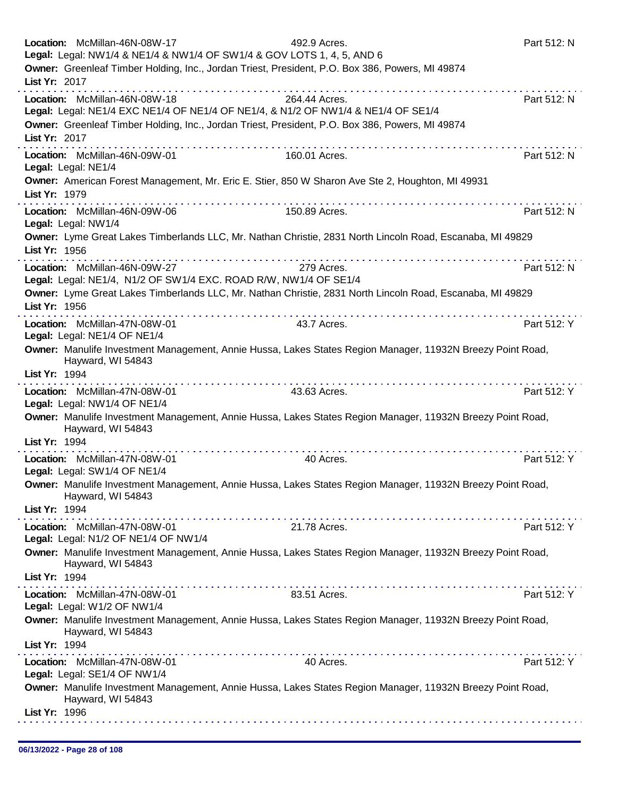|               | Location: McMillan-46N-08W-17<br>Legal: Legal: NW1/4 & NE1/4 & NW1/4 OF SW1/4 & GOV LOTS 1, 4, 5, AND 6 | 492.9 Acres.                                                                                               | Part 512: N |
|---------------|---------------------------------------------------------------------------------------------------------|------------------------------------------------------------------------------------------------------------|-------------|
|               |                                                                                                         | Owner: Greenleaf Timber Holding, Inc., Jordan Triest, President, P.O. Box 386, Powers, MI 49874            |             |
| List Yr: 2017 |                                                                                                         |                                                                                                            |             |
|               | Location: McMillan-46N-08W-18                                                                           | 264.44 Acres.                                                                                              | Part 512: N |
|               |                                                                                                         | Legal: Legal: NE1/4 EXC NE1/4 OF NE1/4 OF NE1/4, & N1/2 OF NW1/4 & NE1/4 OF SE1/4                          |             |
| List Yr: 2017 |                                                                                                         | Owner: Greenleaf Timber Holding, Inc., Jordan Triest, President, P.O. Box 386, Powers, MI 49874            |             |
|               | Location: McMillan-46N-09W-01                                                                           | 160.01 Acres.                                                                                              | Part 512: N |
|               | Legal: Legal: NE1/4                                                                                     |                                                                                                            |             |
|               |                                                                                                         | Owner: American Forest Management, Mr. Eric E. Stier, 850 W Sharon Ave Ste 2, Houghton, MI 49931           |             |
| List Yr: 1979 |                                                                                                         | .                                                                                                          |             |
|               | Location: McMillan-46N-09W-06<br>Legal: Legal: NW1/4                                                    | 150.89 Acres.                                                                                              | Part 512: N |
|               |                                                                                                         | Owner: Lyme Great Lakes Timberlands LLC, Mr. Nathan Christie, 2831 North Lincoln Road, Escanaba, MI 49829  |             |
| List Yr: 1956 |                                                                                                         |                                                                                                            |             |
|               | Location: McMillan-46N-09W-27                                                                           | 279 Acres.                                                                                                 | Part 512: N |
|               | Legal: Legal: NE1/4, N1/2 OF SW1/4 EXC. ROAD R/W, NW1/4 OF SE1/4                                        | Owner: Lyme Great Lakes Timberlands LLC, Mr. Nathan Christie, 2831 North Lincoln Road, Escanaba, MI 49829  |             |
| List Yr: 1956 |                                                                                                         |                                                                                                            |             |
|               | Location: McMillan-47N-08W-01                                                                           | 43.7 Acres.                                                                                                | Part 512: Y |
|               | Legal: Legal: NE1/4 OF NE1/4                                                                            |                                                                                                            |             |
|               | Hayward, WI 54843                                                                                       | Owner: Manulife Investment Management, Annie Hussa, Lakes States Region Manager, 11932N Breezy Point Road, |             |
| List Yr: 1994 |                                                                                                         |                                                                                                            |             |
|               | Location: McMillan-47N-08W-01                                                                           | . <b>.</b><br>43.63 Acres.                                                                                 | Part 512: Y |
|               | Legal: Legal: NW1/4 OF NE1/4                                                                            |                                                                                                            |             |
|               | Hayward, WI 54843                                                                                       | Owner: Manulife Investment Management, Annie Hussa, Lakes States Region Manager, 11932N Breezy Point Road, |             |
| List Yr: 1994 |                                                                                                         |                                                                                                            |             |
|               | Location: McMillan-47N-08W-01                                                                           | 40 Acres.                                                                                                  | Part 512: Y |
|               | Legal: Legal: SW1/4 OF NE1/4                                                                            |                                                                                                            |             |
|               | Hayward, WI 54843                                                                                       | Owner: Manulife Investment Management, Annie Hussa, Lakes States Region Manager, 11932N Breezy Point Road  |             |
| List Yr: 1994 |                                                                                                         |                                                                                                            |             |
|               | Location: McMillan-47N-08W-01                                                                           | 21.78 Acres.                                                                                               | Part 512: Y |
|               | Legal: Legal: N1/2 OF NE1/4 OF NW1/4                                                                    |                                                                                                            |             |
|               | Hayward, WI 54843                                                                                       | Owner: Manulife Investment Management, Annie Hussa, Lakes States Region Manager, 11932N Breezy Point Road, |             |
| List Yr: 1994 |                                                                                                         |                                                                                                            |             |
|               | Location: McMillan-47N-08W-01                                                                           | 83.51 Acres.                                                                                               | Part 512: Y |
|               | Legal: Legal: W1/2 OF NW1/4                                                                             |                                                                                                            |             |
|               | Hayward, WI 54843                                                                                       | Owner: Manulife Investment Management, Annie Hussa, Lakes States Region Manager, 11932N Breezy Point Road, |             |
| List Yr: 1994 |                                                                                                         |                                                                                                            |             |
|               | Location: McMillan-47N-08W-01<br>Legal: Legal: SE1/4 OF NW1/4                                           | 40 Acres.                                                                                                  | Part 512: Y |
|               | Hayward, WI 54843                                                                                       | Owner: Manulife Investment Management, Annie Hussa, Lakes States Region Manager, 11932N Breezy Point Road, |             |
| List Yr: 1996 |                                                                                                         |                                                                                                            |             |
|               |                                                                                                         |                                                                                                            |             |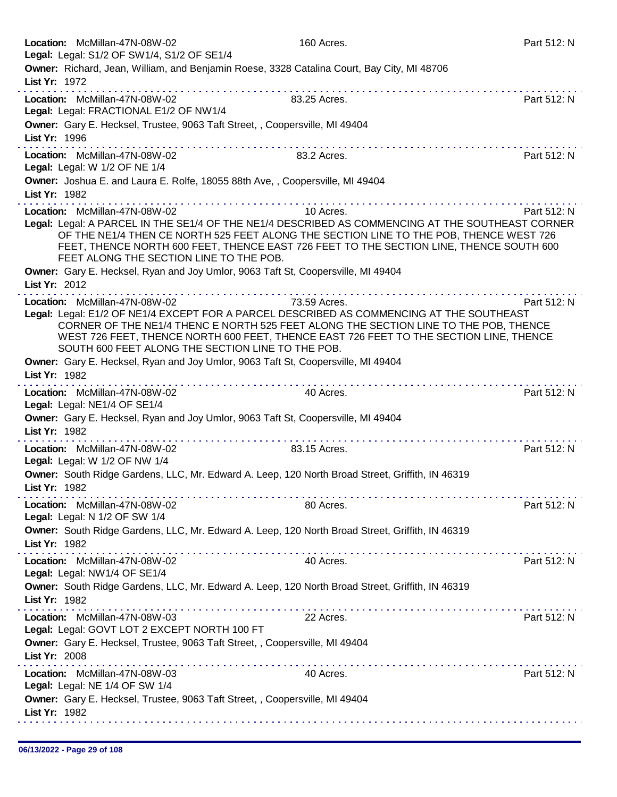| Location: McMillan-47N-08W-02<br>Legal: Legal: S1/2 OF SW1/4, S1/2 OF SE1/4                                                                                            | 160 Acres.                                                                                                                                                                                                                                                                                         | Part 512: N |
|------------------------------------------------------------------------------------------------------------------------------------------------------------------------|----------------------------------------------------------------------------------------------------------------------------------------------------------------------------------------------------------------------------------------------------------------------------------------------------|-------------|
| List Yr: 1972                                                                                                                                                          | Owner: Richard, Jean, William, and Benjamin Roese, 3328 Catalina Court, Bay City, MI 48706                                                                                                                                                                                                         |             |
| Location: McMillan-47N-08W-02<br>Legal: Legal: FRACTIONAL E1/2 OF NW1/4                                                                                                | 83.25 Acres.                                                                                                                                                                                                                                                                                       | Part 512: N |
| Owner: Gary E. Hecksel, Trustee, 9063 Taft Street, , Coopersville, MI 49404<br>List Yr: 1996                                                                           |                                                                                                                                                                                                                                                                                                    |             |
| Location: McMillan-47N-08W-02<br>Legal: Legal: W 1/2 OF NE 1/4                                                                                                         | 83.2 Acres.                                                                                                                                                                                                                                                                                        | Part 512: N |
| Owner: Joshua E. and Laura E. Rolfe, 18055 88th Ave, , Coopersville, MI 49404<br>List Yr: 1982                                                                         |                                                                                                                                                                                                                                                                                                    |             |
| Location: McMillan-47N-08W-02<br>FEET ALONG THE SECTION LINE TO THE POB.                                                                                               | 10 Acres.<br>Legal: Legal: A PARCEL IN THE SE1/4 OF THE NE1/4 DESCRIBED AS COMMENCING AT THE SOUTHEAST CORNER<br>OF THE NE1/4 THEN CE NORTH 525 FEET ALONG THE SECTION LINE TO THE POB, THENCE WEST 726<br>FEET, THENCE NORTH 600 FEET, THENCE EAST 726 FEET TO THE SECTION LINE, THENCE SOUTH 600 | Part 512: N |
| Owner: Gary E. Hecksel, Ryan and Joy Umlor, 9063 Taft St, Coopersville, MI 49404<br>List Yr: 2012                                                                      |                                                                                                                                                                                                                                                                                                    |             |
| Location: McMillan-47N-08W-02<br>SOUTH 600 FEET ALONG THE SECTION LINE TO THE POB.<br>Owner: Gary E. Hecksel, Ryan and Joy Umlor, 9063 Taft St, Coopersville, MI 49404 | 73.59 Acres.<br>Legal: Legal: E1/2 OF NE1/4 EXCEPT FOR A PARCEL DESCRIBED AS COMMENCING AT THE SOUTHEAST<br>CORNER OF THE NE1/4 THENC E NORTH 525 FEET ALONG THE SECTION LINE TO THE POB, THENCE<br>WEST 726 FEET, THENCE NORTH 600 FEET, THENCE EAST 726 FEET TO THE SECTION LINE, THENCE         | Part 512: N |
| List Yr: 1982                                                                                                                                                          |                                                                                                                                                                                                                                                                                                    |             |
| Location: McMillan-47N-08W-02<br>Legal: Legal: NE1/4 OF SE1/4                                                                                                          | 40 Acres.                                                                                                                                                                                                                                                                                          | Part 512: N |
| Owner: Gary E. Hecksel, Ryan and Joy Umlor, 9063 Taft St, Coopersville, MI 49404<br>List Yr: 1982                                                                      |                                                                                                                                                                                                                                                                                                    |             |
| Location: McMillan-47N-08W-02<br>Legal: Legal: W 1/2 OF NW 1/4                                                                                                         | 83.15 Acres.                                                                                                                                                                                                                                                                                       | Part 512: N |
| List Yr: 1982                                                                                                                                                          | Owner: South Ridge Gardens, LLC, Mr. Edward A. Leep, 120 North Broad Street, Griffith, IN 46319                                                                                                                                                                                                    |             |
| Location: McMillan-47N-08W-02<br>Legal: Legal: N 1/2 OF SW 1/4                                                                                                         | 80 Acres.                                                                                                                                                                                                                                                                                          | Part 512: N |
| List Yr: 1982                                                                                                                                                          | Owner: South Ridge Gardens, LLC, Mr. Edward A. Leep, 120 North Broad Street, Griffith, IN 46319                                                                                                                                                                                                    |             |
| Location: McMillan-47N-08W-02<br>Legal: Legal: NW1/4 OF SE1/4                                                                                                          | 40 Acres.                                                                                                                                                                                                                                                                                          | Part 512: N |
| List Yr: 1982                                                                                                                                                          | Owner: South Ridge Gardens, LLC, Mr. Edward A. Leep, 120 North Broad Street, Griffith, IN 46319                                                                                                                                                                                                    |             |
| Location: McMillan-47N-08W-03<br>Legal: Legal: GOVT LOT 2 EXCEPT NORTH 100 FT                                                                                          | 22 Acres.                                                                                                                                                                                                                                                                                          | Part 512: N |
| Owner: Gary E. Hecksel, Trustee, 9063 Taft Street, , Coopersville, MI 49404<br>List Yr: 2008                                                                           |                                                                                                                                                                                                                                                                                                    |             |
| Location: McMillan-47N-08W-03<br>Legal: Legal: NE 1/4 OF SW 1/4                                                                                                        | 40 Acres.                                                                                                                                                                                                                                                                                          | Part 512: N |
| Owner: Gary E. Hecksel, Trustee, 9063 Taft Street, , Coopersville, MI 49404<br>List Yr: 1982                                                                           |                                                                                                                                                                                                                                                                                                    |             |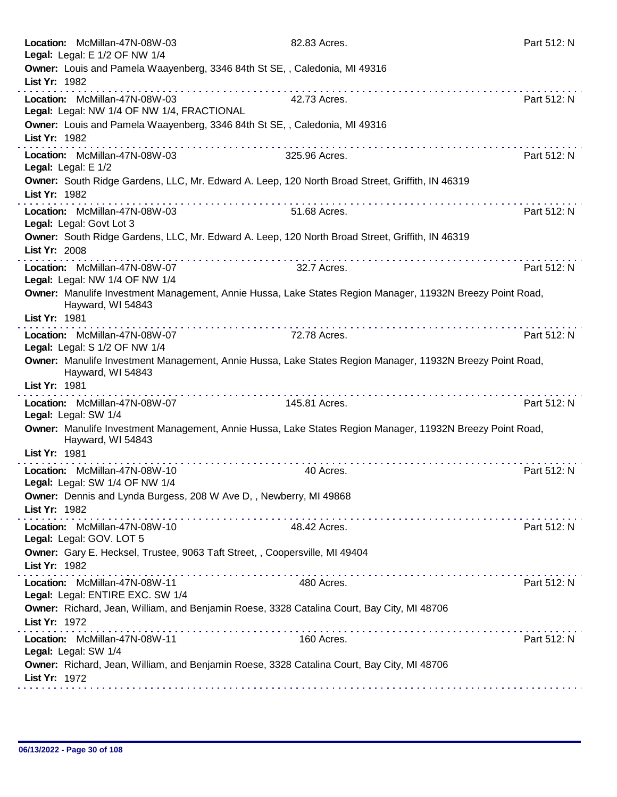| Location: McMillan-47N-08W-03<br>Legal: Legal: E 1/2 OF NW 1/4                                                                          | 82.83 Acres.      | Part 512: N |
|-----------------------------------------------------------------------------------------------------------------------------------------|-------------------|-------------|
| Owner: Louis and Pamela Waayenberg, 3346 84th St SE, , Caledonia, MI 49316<br>List Yr: 1982                                             |                   |             |
| Location: McMillan-47N-08W-03<br>Legal: Legal: NW 1/4 OF NW 1/4, FRACTIONAL                                                             | .<br>42.73 Acres. | Part 512: N |
| Owner: Louis and Pamela Waayenberg, 3346 84th St SE,, Caledonia, MI 49316<br>List Yr: 1982                                              |                   |             |
| .<br>Location: McMillan-47N-08W-03                                                                                                      | 325.96 Acres.     | Part 512: N |
| Legal: Legal: E 1/2<br>Owner: South Ridge Gardens, LLC, Mr. Edward A. Leep, 120 North Broad Street, Griffith, IN 46319<br>List Yr: 1982 |                   |             |
| Location: McMillan-47N-08W-03<br>Legal: Legal: Govt Lot 3                                                                               | 51.68 Acres.      | Part 512: N |
| Owner: South Ridge Gardens, LLC, Mr. Edward A. Leep, 120 North Broad Street, Griffith, IN 46319<br>List Yr: 2008                        |                   |             |
| Location: McMillan-47N-08W-07<br>Legal: Legal: NW 1/4 OF NW 1/4                                                                         | 32.7 Acres.       | Part 512: N |
| Owner: Manulife Investment Management, Annie Hussa, Lake States Region Manager, 11932N Breezy Point Road,<br>Hayward, WI 54843          |                   |             |
| List Yr: 1981                                                                                                                           |                   |             |
| Location: McMillan-47N-08W-07<br>Legal: Legal: S 1/2 OF NW 1/4                                                                          | 72.78 Acres.      | Part 512: N |
| Owner: Manulife Investment Management, Annie Hussa, Lake States Region Manager, 11932N Breezy Point Road,<br>Hayward, WI 54843          |                   |             |
| List Yr: 1981                                                                                                                           |                   |             |
| Location: McMillan-47N-08W-07<br>Legal: Legal: SW 1/4                                                                                   | 145.81 Acres.     | Part 512: N |
| Owner: Manulife Investment Management, Annie Hussa, Lake States Region Manager, 11932N Breezy Point Road,<br>Hayward, WI 54843          |                   |             |
| List Yr: 1981                                                                                                                           |                   | .           |
| Location: McMillan-47N-08W-10<br>Legal: Legal: SW 1/4 OF NW 1/4                                                                         | 40 Acres.         | Part 512: N |
| Owner: Dennis and Lynda Burgess, 208 W Ave D, , Newberry, MI 49868<br>List Yr: 1982                                                     |                   |             |
| Location: McMillan-47N-08W-10<br>Legal: Legal: GOV. LOT 5                                                                               | 48.42 Acres.      | Part 512: N |
| Owner: Gary E. Hecksel, Trustee, 9063 Taft Street, , Coopersville, MI 49404<br>List Yr: 1982                                            |                   |             |
| Location: McMillan-47N-08W-11<br>Legal: Legal: ENTIRE EXC. SW 1/4                                                                       | 480 Acres.        | Part 512: N |
| Owner: Richard, Jean, William, and Benjamin Roese, 3328 Catalina Court, Bay City, MI 48706<br>List Yr: 1972                             |                   |             |
| Location: McMillan-47N-08W-11<br>Legal: Legal: SW 1/4                                                                                   | 160 Acres.        | Part 512: N |
| Owner: Richard, Jean, William, and Benjamin Roese, 3328 Catalina Court, Bay City, MI 48706<br>List Yr: 1972                             |                   |             |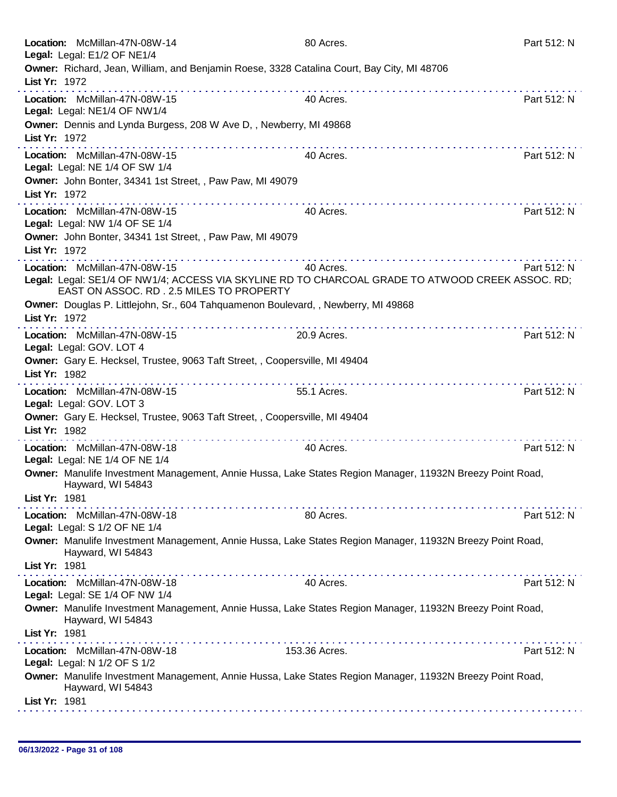| Location: McMillan-47N-08W-14<br>Legal: Legal: E1/2 OF NE1/4                                                                                                                  | 80 Acres.     | Part 512: N |
|-------------------------------------------------------------------------------------------------------------------------------------------------------------------------------|---------------|-------------|
| Owner: Richard, Jean, William, and Benjamin Roese, 3328 Catalina Court, Bay City, MI 48706<br>List Yr: 1972                                                                   |               |             |
| Location: McMillan-47N-08W-15<br>Legal: Legal: NE1/4 OF NW1/4                                                                                                                 | 40 Acres.     | Part 512: N |
| Owner: Dennis and Lynda Burgess, 208 W Ave D, , Newberry, MI 49868<br>List Yr: 1972                                                                                           |               |             |
| Location: McMillan-47N-08W-15<br>Legal: Legal: NE 1/4 OF SW 1/4                                                                                                               | 40 Acres.     | Part 512: N |
| Owner: John Bonter, 34341 1st Street, , Paw Paw, MI 49079<br>List Yr: 1972                                                                                                    |               |             |
| Location: McMillan-47N-08W-15<br>Legal: Legal: NW 1/4 OF SE 1/4                                                                                                               | 40 Acres.     | Part 512: N |
| Owner: John Bonter, 34341 1st Street, , Paw Paw, MI 49079<br>List Yr: 1972                                                                                                    |               |             |
| Location: McMillan-47N-08W-15<br>Legal: Legal: SE1/4 OF NW1/4; ACCESS VIA SKYLINE RD TO CHARCOAL GRADE TO ATWOOD CREEK ASSOC. RD;<br>EAST ON ASSOC, RD, 2.5 MILES TO PROPERTY | 40 Acres.     | Part 512: N |
| Owner: Douglas P. Littlejohn, Sr., 604 Tahquamenon Boulevard, , Newberry, MI 49868<br>List Yr: 1972<br>.                                                                      |               |             |
| Location: McMillan-47N-08W-15<br>Legal: Legal: GOV. LOT 4                                                                                                                     | 20.9 Acres.   | Part 512: N |
| Owner: Gary E. Hecksel, Trustee, 9063 Taft Street, , Coopersville, MI 49404<br>List Yr: 1982<br>.                                                                             |               |             |
| Location: McMillan-47N-08W-15<br>Legal: Legal: GOV. LOT 3                                                                                                                     | 55.1 Acres.   | Part 512: N |
| Owner: Gary E. Hecksel, Trustee, 9063 Taft Street, , Coopersville, MI 49404<br>List Yr: 1982                                                                                  |               |             |
| Location: McMillan-47N-08W-18<br>Legal: Legal: NE 1/4 OF NE 1/4                                                                                                               | 40 Acres.     | Part 512: N |
| Owner: Manulife Investment Management, Annie Hussa, Lake States Region Manager, 11932N Breezy Point Road,<br>Hayward, WI 54843<br>List Yr: 1981                               |               |             |
| Location: McMillan-47N-08W-18                                                                                                                                                 | 80 Acres.     | Part 512: N |
| Legal: Legal: S 1/2 OF NE 1/4<br>Owner: Manulife Investment Management, Annie Hussa, Lake States Region Manager, 11932N Breezy Point Road,<br>Hayward, WI 54843               |               |             |
| List Yr: 1981<br>.<br>Location: McMillan-47N-08W-18                                                                                                                           | 40 Acres.     | Part 512: N |
| Legal: Legal: SE 1/4 OF NW 1/4                                                                                                                                                |               |             |
| Owner: Manulife Investment Management, Annie Hussa, Lake States Region Manager, 11932N Breezy Point Road,<br>Hayward, WI 54843                                                |               |             |
| List Yr: 1981                                                                                                                                                                 | .             |             |
| Location: McMillan-47N-08W-18<br>Legal: Legal: N 1/2 OF S 1/2                                                                                                                 | 153.36 Acres. | Part 512: N |
| Owner: Manulife Investment Management, Annie Hussa, Lake States Region Manager, 11932N Breezy Point Road,<br>Hayward, WI 54843                                                |               |             |
| List Yr: 1981                                                                                                                                                                 |               |             |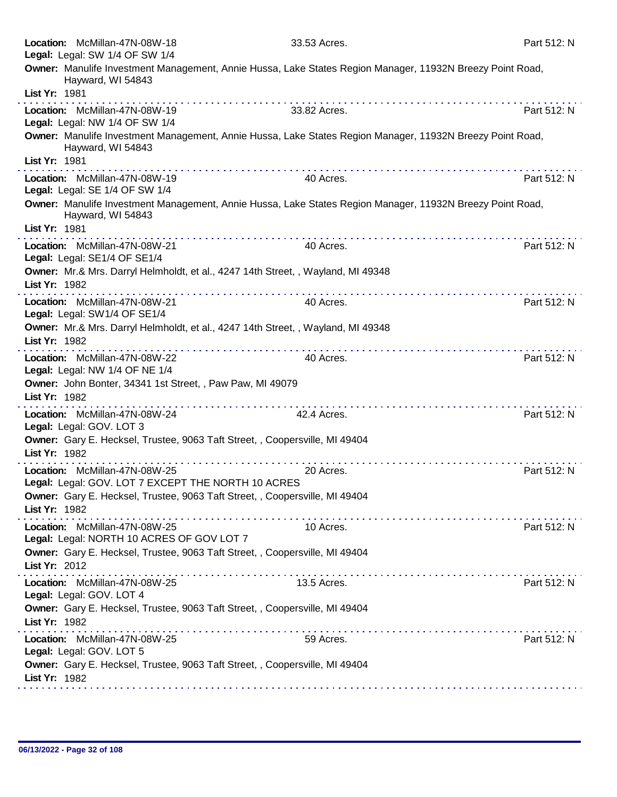|               | Location: McMillan-47N-08W-18<br>Legal: Legal: SW 1/4 OF SW 1/4                                                           | 33.53 Acres.                                                                                              | Part 512: N |
|---------------|---------------------------------------------------------------------------------------------------------------------------|-----------------------------------------------------------------------------------------------------------|-------------|
|               | Hayward, WI 54843                                                                                                         | Owner: Manulife Investment Management, Annie Hussa, Lake States Region Manager, 11932N Breezy Point Road, |             |
| List Yr: 1981 | . <b>.</b>                                                                                                                |                                                                                                           |             |
|               | Location: McMillan-47N-08W-19<br>Legal: Legal: NW 1/4 OF SW 1/4                                                           | 33.82 Acres.                                                                                              | Part 512: N |
| List Yr: 1981 | Hayward, WI 54843                                                                                                         | Owner: Manulife Investment Management, Annie Hussa, Lake States Region Manager, 11932N Breezy Point Road, |             |
|               | Location: McMillan-47N-08W-19<br>Legal: Legal: SE 1/4 OF SW 1/4                                                           | 40 Acres.                                                                                                 | Part 512: N |
| List Yr: 1981 | Hayward, WI 54843                                                                                                         | Owner: Manulife Investment Management, Annie Hussa, Lake States Region Manager, 11932N Breezy Point Road, |             |
|               | Location: McMillan-47N-08W-21<br>Legal: Legal: SE1/4 OF SE1/4                                                             | 40 Acres.                                                                                                 | Part 512: N |
| List Yr: 1982 | Owner: Mr.& Mrs. Darryl Helmholdt, et al., 4247 14th Street, , Wayland, MI 49348                                          |                                                                                                           |             |
|               | Location: McMillan-47N-08W-21<br>Legal: Legal: SW1/4 OF SE1/4                                                             | 40 Acres.                                                                                                 | Part 512: N |
| List Yr: 1982 | Owner: Mr.& Mrs. Darryl Helmholdt, et al., 4247 14th Street, , Wayland, MI 49348                                          |                                                                                                           |             |
|               | Location: McMillan-47N-08W-22<br>Legal: Legal: NW 1/4 OF NE 1/4                                                           | 40 Acres.                                                                                                 | Part 512: N |
| List Yr: 1982 | Owner: John Bonter, 34341 1st Street, , Paw Paw, MI 49079<br>.                                                            |                                                                                                           |             |
|               | Location: McMillan-47N-08W-24<br>Legal: Legal: GOV. LOT 3                                                                 | 42.4 Acres.                                                                                               | Part 512: N |
| List Yr: 1982 | Owner: Gary E. Hecksel, Trustee, 9063 Taft Street, , Coopersville, MI 49404                                               |                                                                                                           |             |
|               | Location: McMillan-47N-08W-25<br>Legal: Legal: GOV. LOT 7 EXCEPT THE NORTH 10 ACRES                                       | 20 Acres.                                                                                                 | Part 512: N |
| List Yr: 1982 | Owner: Gary E. Hecksel, Trustee, 9063 Taft Street, , Coopersville, MI 49404<br><u> Andrew American American American </u> |                                                                                                           |             |
|               | Location: McMillan-47N-08W-25<br>Legal: Legal: NORTH 10 ACRES OF GOV LOT 7                                                | 10 Acres.                                                                                                 | Part 512: N |
| List Yr: 2012 | Owner: Gary E. Hecksel, Trustee, 9063 Taft Street, , Coopersville, MI 49404                                               |                                                                                                           |             |
|               | Location: McMillan-47N-08W-25<br>Legal: Legal: GOV. LOT 4                                                                 | 13.5 Acres.                                                                                               | Part 512: N |
| List Yr: 1982 | Owner: Gary E. Hecksel, Trustee, 9063 Taft Street, , Coopersville, MI 49404                                               |                                                                                                           |             |
|               | Location: McMillan-47N-08W-25<br>Legal: Legal: GOV. LOT 5                                                                 | 59 Acres.                                                                                                 | Part 512: N |
| List Yr: 1982 | Owner: Gary E. Hecksel, Trustee, 9063 Taft Street, , Coopersville, MI 49404                                               |                                                                                                           |             |
|               |                                                                                                                           |                                                                                                           |             |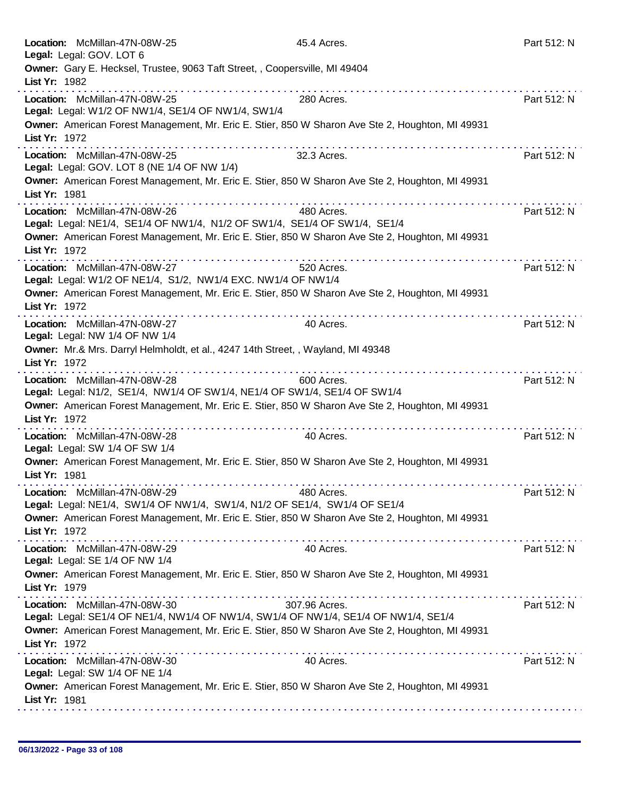| Location: McMillan-47N-08W-25<br>Legal: Legal: GOV. LOT 6                                                            | 45.4 Acres.     | Part 512: N |
|----------------------------------------------------------------------------------------------------------------------|-----------------|-------------|
| Owner: Gary E. Hecksel, Trustee, 9063 Taft Street, , Coopersville, MI 49404<br>List Yr: 1982                         |                 |             |
| Location: McMillan-47N-08W-25<br>Legal: Legal: W1/2 OF NW1/4, SE1/4 OF NW1/4, SW1/4                                  | 280 Acres.      | Part 512: N |
| Owner: American Forest Management, Mr. Eric E. Stier, 850 W Sharon Ave Ste 2, Houghton, MI 49931<br>List Yr: 1972    |                 |             |
| Location: McMillan-47N-08W-25<br>Legal: Legal: GOV. LOT 8 (NE 1/4 OF NW 1/4)                                         | 32.3 Acres.     | Part 512: N |
| Owner: American Forest Management, Mr. Eric E. Stier, 850 W Sharon Ave Ste 2, Houghton, MI 49931<br>List Yr: 1981    |                 |             |
| Location: McMillan-47N-08W-26<br>Legal: Legal: NE1/4, SE1/4 OF NW1/4, N1/2 OF SW1/4, SE1/4 OF SW1/4, SE1/4           | .<br>480 Acres. | Part 512: N |
| Owner: American Forest Management, Mr. Eric E. Stier, 850 W Sharon Ave Ste 2, Houghton, MI 49931<br>List Yr: 1972    |                 |             |
| Location: McMillan-47N-08W-27<br>Legal: Legal: W1/2 OF NE1/4, S1/2, NW1/4 EXC. NW1/4 OF NW1/4                        | 520 Acres.      | Part 512: N |
| Owner: American Forest Management, Mr. Eric E. Stier, 850 W Sharon Ave Ste 2, Houghton, MI 49931<br>List Yr: 1972    |                 |             |
| Location: McMillan-47N-08W-27<br>Legal: Legal: NW 1/4 OF NW 1/4                                                      | 40 Acres.       | Part 512: N |
| Owner: Mr.& Mrs. Darryl Helmholdt, et al., 4247 14th Street, , Wayland, MI 49348<br>List Yr: 1972                    |                 |             |
| Location: McMillan-47N-08W-28<br>Legal: Legal: N1/2, SE1/4, NW1/4 OF SW1/4, NE1/4 OF SW1/4, SE1/4 OF SW1/4           | .<br>600 Acres. | Part 512: N |
| Owner: American Forest Management, Mr. Eric E. Stier, 850 W Sharon Ave Ste 2, Houghton, MI 49931<br>List Yr: 1972    |                 |             |
| Location: McMillan-47N-08W-28<br>Legal: Legal: SW 1/4 OF SW 1/4                                                      | 40 Acres.       | Part 512: N |
| Owner: American Forest Management, Mr. Eric E. Stier, 850 W Sharon Ave Ste 2, Houghton, MI 49931<br>List Yr: 1981    |                 |             |
| Location: McMillan-47N-08W-29<br>Legal: Legal: NE1/4, SW1/4 OF NW1/4, SW1/4, N1/2 OF SE1/4, SW1/4 OF SE1/4           | 480 Acres.      | Part 512: N |
| Owner: American Forest Management, Mr. Eric E. Stier, 850 W Sharon Ave Ste 2, Houghton, MI 49931<br>List Yr: 1972    |                 |             |
| Location: McMillan-47N-08W-29<br>Legal: Legal: SE 1/4 OF NW 1/4                                                      | 40 Acres.       | Part 512: N |
| Owner: American Forest Management, Mr. Eric E. Stier, 850 W Sharon Ave Ste 2, Houghton, MI 49931<br>List Yr: 1979    |                 |             |
| Location: McMillan-47N-08W-30<br>Legal: Legal: SE1/4 OF NE1/4, NW1/4 OF NW1/4, SW1/4 OF NW1/4, SE1/4 OF NW1/4, SE1/4 | 307.96 Acres.   | Part 512: N |
| Owner: American Forest Management, Mr. Eric E. Stier, 850 W Sharon Ave Ste 2, Houghton, MI 49931<br>List Yr: 1972    |                 |             |
| Location: McMillan-47N-08W-30<br>Legal: Legal: SW 1/4 OF NE 1/4                                                      | 40 Acres.       | Part 512: N |
| Owner: American Forest Management, Mr. Eric E. Stier, 850 W Sharon Ave Ste 2, Houghton, MI 49931<br>List Yr: 1981    |                 |             |
|                                                                                                                      |                 |             |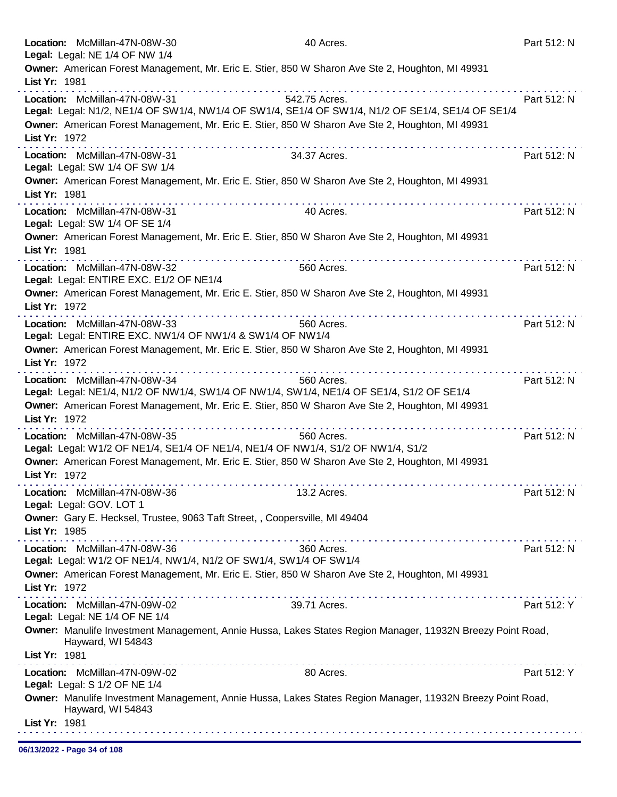|               | Location: McMillan-47N-08W-30<br>Legal: Legal: NE 1/4 OF NW 1/4                                         | 40 Acres.                                                                                                  | Part 512: N |
|---------------|---------------------------------------------------------------------------------------------------------|------------------------------------------------------------------------------------------------------------|-------------|
|               |                                                                                                         | Owner: American Forest Management, Mr. Eric E. Stier, 850 W Sharon Ave Ste 2, Houghton, MI 49931           |             |
| List Yr: 1981 |                                                                                                         |                                                                                                            |             |
|               | Location: McMillan-47N-08W-31                                                                           | 542.75 Acres.                                                                                              | Part 512: N |
|               |                                                                                                         | Legal: Legal: N1/2, NE1/4 OF SW1/4, NW1/4 OF SW1/4, SE1/4 OF SW1/4, N1/2 OF SE1/4, SE1/4 OF SE1/4          |             |
| List Yr: 1972 |                                                                                                         | Owner: American Forest Management, Mr. Eric E. Stier, 850 W Sharon Ave Ste 2, Houghton, MI 49931           |             |
|               | Location: McMillan-47N-08W-31                                                                           | 34.37 Acres.                                                                                               | Part 512: N |
|               | Legal: Legal: SW 1/4 OF SW 1/4                                                                          |                                                                                                            |             |
|               |                                                                                                         | Owner: American Forest Management, Mr. Eric E. Stier, 850 W Sharon Ave Ste 2, Houghton, MI 49931           |             |
| List Yr: 1981 |                                                                                                         |                                                                                                            |             |
|               | Location: McMillan-47N-08W-31                                                                           | 40 Acres.                                                                                                  | Part 512: N |
|               | Legal: Legal: SW 1/4 OF SE 1/4                                                                          | Owner: American Forest Management, Mr. Eric E. Stier, 850 W Sharon Ave Ste 2, Houghton, MI 49931           |             |
| List Yr: 1981 |                                                                                                         |                                                                                                            |             |
|               | Location: McMillan-47N-08W-32                                                                           | dia ara-dia ara-dia ara-dia ara-dia<br>560 Acres.                                                          | Part 512: N |
|               | Legal: Legal: ENTIRE EXC. E1/2 OF NE1/4                                                                 |                                                                                                            |             |
|               |                                                                                                         | Owner: American Forest Management, Mr. Eric E. Stier, 850 W Sharon Ave Ste 2, Houghton, MI 49931           |             |
| List Yr: 1972 |                                                                                                         |                                                                                                            |             |
|               | Location: McMillan-47N-08W-33<br>Legal: Legal: ENTIRE EXC. NW1/4 OF NW1/4 & SW1/4 OF NW1/4              | 560 Acres.                                                                                                 | Part 512: N |
|               |                                                                                                         | Owner: American Forest Management, Mr. Eric E. Stier, 850 W Sharon Ave Ste 2, Houghton, MI 49931           |             |
| List Yr: 1972 |                                                                                                         |                                                                                                            |             |
|               | Location: McMillan-47N-08W-34                                                                           | 560 Acres.                                                                                                 | Part 512: N |
|               | Legal: Legal: NE1/4, N1/2 OF NW1/4, SW1/4 OF NW1/4, SW1/4, NE1/4 OF SE1/4, S1/2 OF SE1/4                |                                                                                                            |             |
| List Yr: 1972 |                                                                                                         | Owner: American Forest Management, Mr. Eric E. Stier, 850 W Sharon Ave Ste 2, Houghton, MI 49931           |             |
|               | Location: McMillan-47N-08W-35                                                                           | .<br>560 Acres.                                                                                            | Part 512: N |
|               | Legal: Legal: W1/2 OF NE1/4, SE1/4 OF NE1/4, NE1/4 OF NW1/4, S1/2 OF NW1/4, S1/2                        |                                                                                                            |             |
|               |                                                                                                         | Owner: American Forest Management, Mr. Eric E. Stier, 850 W Sharon Ave Ste 2, Houghton, MI 49931           |             |
| List Yr: 1972 |                                                                                                         |                                                                                                            |             |
|               | Location: McMillan-47N-08W-36                                                                           | 13.2 Acres.                                                                                                | Part 512: N |
|               | Legal: Legal: GOV. LOT 1<br>Owner: Gary E. Hecksel, Trustee, 9063 Taft Street, , Coopersville, MI 49404 |                                                                                                            |             |
| List Yr: 1985 |                                                                                                         |                                                                                                            |             |
|               | Location: McMillan-47N-08W-36                                                                           | 360 Acres.                                                                                                 | Part 512: N |
|               | Legal: Legal: W1/2 OF NE1/4, NW1/4, N1/2 OF SW1/4, SW1/4 OF SW1/4                                       |                                                                                                            |             |
|               |                                                                                                         | Owner: American Forest Management, Mr. Eric E. Stier, 850 W Sharon Ave Ste 2, Houghton, MI 49931           |             |
| List Yr: 1972 |                                                                                                         |                                                                                                            |             |
|               | Location: McMillan-47N-09W-02<br>Legal: Legal: NE 1/4 OF NE 1/4                                         | 39.71 Acres.                                                                                               | Part 512: Y |
|               |                                                                                                         | Owner: Manulife Investment Management, Annie Hussa, Lakes States Region Manager, 11932N Breezy Point Road, |             |
|               | Hayward, WI 54843                                                                                       |                                                                                                            |             |
| List Yr: 1981 |                                                                                                         |                                                                                                            |             |
|               | Location: McMillan-47N-09W-02                                                                           | 80 Acres.                                                                                                  | Part 512: Y |
|               | Legal: Legal: S 1/2 OF NE 1/4                                                                           | Owner: Manulife Investment Management, Annie Hussa, Lakes States Region Manager, 11932N Breezy Point Road, |             |
|               | Hayward, WI 54843                                                                                       |                                                                                                            |             |
| List Yr: 1981 |                                                                                                         |                                                                                                            |             |
|               |                                                                                                         |                                                                                                            |             |

06/13/2022 - Page 34 of 108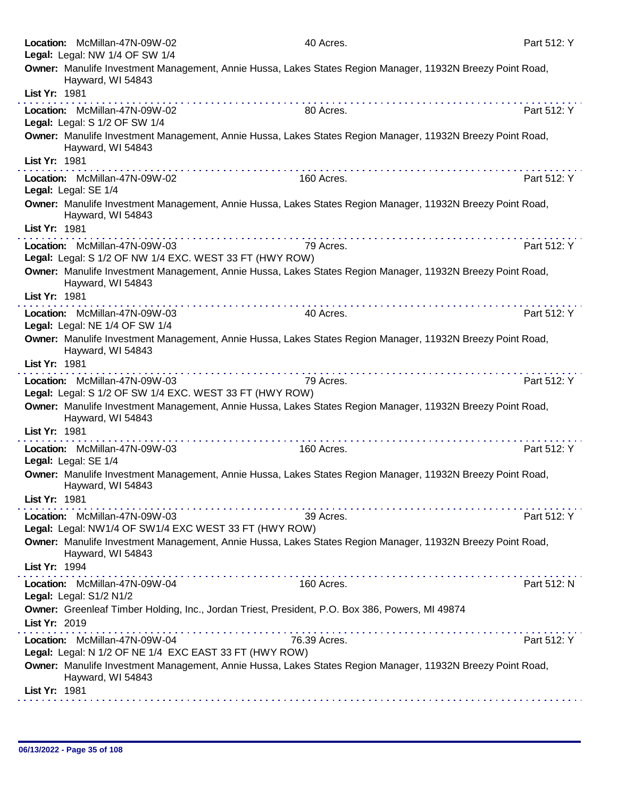|               | Location: McMillan-47N-09W-02<br>Legal: Legal: NW 1/4 OF SW 1/4                          | 40 Acres.                                                                                                                                                                                                                                                                                                                                                  | Part 512: Y |
|---------------|------------------------------------------------------------------------------------------|------------------------------------------------------------------------------------------------------------------------------------------------------------------------------------------------------------------------------------------------------------------------------------------------------------------------------------------------------------|-------------|
|               | Hayward, WI 54843                                                                        | Owner: Manulife Investment Management, Annie Hussa, Lakes States Region Manager, 11932N Breezy Point Road,                                                                                                                                                                                                                                                 |             |
| List Yr: 1981 |                                                                                          | $\mathcal{L}^{\mathcal{A}}(\mathcal{A}^{\mathcal{A}}(\mathcal{A}^{\mathcal{A}}(\mathcal{A}^{\mathcal{A}}(\mathcal{A}^{\mathcal{A}}(\mathcal{A}^{\mathcal{A}}(\mathcal{A}^{\mathcal{A}}(\mathcal{A}^{\mathcal{A}}(\mathcal{A}^{\mathcal{A}}(\mathcal{A}^{\mathcal{A}}(\mathcal{A}^{\mathcal{A}}(\mathcal{A}^{\mathcal{A}}(\mathcal{A}^{\mathcal{A}})))))))$ |             |
|               | Location: McMillan-47N-09W-02<br>Legal: Legal: S 1/2 OF SW 1/4                           | 80 Acres.                                                                                                                                                                                                                                                                                                                                                  | Part 512: Y |
|               | Hayward, WI 54843                                                                        | Owner: Manulife Investment Management, Annie Hussa, Lakes States Region Manager, 11932N Breezy Point Road,                                                                                                                                                                                                                                                 |             |
| List Yr: 1981 |                                                                                          |                                                                                                                                                                                                                                                                                                                                                            |             |
|               | Location: McMillan-47N-09W-02<br>Legal: Legal: SE 1/4                                    | 160 Acres.                                                                                                                                                                                                                                                                                                                                                 | Part 512: Y |
|               | Hayward, WI 54843                                                                        | Owner: Manulife Investment Management, Annie Hussa, Lakes States Region Manager, 11932N Breezy Point Road,                                                                                                                                                                                                                                                 |             |
| List Yr: 1981 |                                                                                          |                                                                                                                                                                                                                                                                                                                                                            |             |
|               | Location: McMillan-47N-09W-03<br>Legal: Legal: S 1/2 OF NW 1/4 EXC. WEST 33 FT (HWY ROW) | 79 Acres.                                                                                                                                                                                                                                                                                                                                                  | Part 512: Y |
|               | Hayward, WI 54843                                                                        | Owner: Manulife Investment Management, Annie Hussa, Lakes States Region Manager, 11932N Breezy Point Road,                                                                                                                                                                                                                                                 |             |
| List Yr: 1981 |                                                                                          |                                                                                                                                                                                                                                                                                                                                                            |             |
|               | Location: McMillan-47N-09W-03<br>Legal: Legal: NE 1/4 OF SW 1/4                          | 40 Acres.                                                                                                                                                                                                                                                                                                                                                  | Part 512: Y |
|               |                                                                                          | Owner: Manulife Investment Management, Annie Hussa, Lakes States Region Manager, 11932N Breezy Point Road,                                                                                                                                                                                                                                                 |             |
|               | Hayward, WI 54843                                                                        |                                                                                                                                                                                                                                                                                                                                                            |             |
| List Yr: 1981 |                                                                                          |                                                                                                                                                                                                                                                                                                                                                            |             |
|               | Location: McMillan-47N-09W-03<br>Legal: Legal: S 1/2 OF SW 1/4 EXC. WEST 33 FT (HWY ROW) | 79 Acres.                                                                                                                                                                                                                                                                                                                                                  | Part 512: Y |
|               | Hayward, WI 54843                                                                        | Owner: Manulife Investment Management, Annie Hussa, Lakes States Region Manager, 11932N Breezy Point Road,                                                                                                                                                                                                                                                 |             |
| List Yr: 1981 |                                                                                          | . <b>.</b>                                                                                                                                                                                                                                                                                                                                                 |             |
|               | Location: McMillan-47N-09W-03<br>Legal: Legal: SE 1/4                                    | 160 Acres.                                                                                                                                                                                                                                                                                                                                                 | Part 512: Y |
| List Yr: 1981 | Hayward, WI 54843                                                                        | Owner: Manulife Investment Management, Annie Hussa, Lakes States Region Manager, 11932N Breezy Point Road,                                                                                                                                                                                                                                                 |             |
|               | Location: McMillan-47N-09W-03                                                            | 39 Acres.                                                                                                                                                                                                                                                                                                                                                  | Part 512: Y |
|               | Legal: Legal: NW1/4 OF SW1/4 EXC WEST 33 FT (HWY ROW)                                    |                                                                                                                                                                                                                                                                                                                                                            |             |
| List Yr: 1994 | Hayward, WI 54843                                                                        | Owner: Manulife Investment Management, Annie Hussa, Lakes States Region Manager, 11932N Breezy Point Road,                                                                                                                                                                                                                                                 |             |
|               | Location: McMillan-47N-09W-04                                                            | 160 Acres.                                                                                                                                                                                                                                                                                                                                                 | Part 512: N |
|               | Legal: Legal: S1/2 N1/2                                                                  |                                                                                                                                                                                                                                                                                                                                                            |             |
|               |                                                                                          | Owner: Greenleaf Timber Holding, Inc., Jordan Triest, President, P.O. Box 386, Powers, MI 49874                                                                                                                                                                                                                                                            |             |
| List Yr: 2019 |                                                                                          |                                                                                                                                                                                                                                                                                                                                                            |             |
|               | Location: McMillan-47N-09W-04                                                            | 76.39 Acres.                                                                                                                                                                                                                                                                                                                                               | Part 512: Y |
|               | Legal: Legal: N 1/2 OF NE 1/4 EXC EAST 33 FT (HWY ROW)<br>Hayward, WI 54843              | Owner: Manulife Investment Management, Annie Hussa, Lakes States Region Manager, 11932N Breezy Point Road,                                                                                                                                                                                                                                                 |             |
| List Yr: 1981 |                                                                                          |                                                                                                                                                                                                                                                                                                                                                            |             |
|               |                                                                                          |                                                                                                                                                                                                                                                                                                                                                            |             |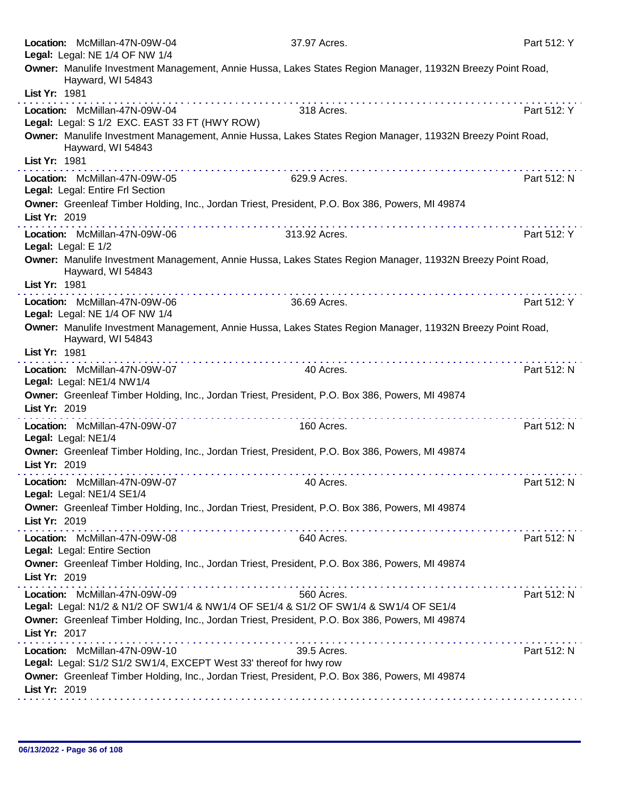|               | Location: McMillan-47N-09W-04<br>Legal: Legal: NE 1/4 OF NW 1/4   | 37.97 Acres.                                                                                                                                                                                                                                                                                                                                                                                                                                                 | Part 512: Y |
|---------------|-------------------------------------------------------------------|--------------------------------------------------------------------------------------------------------------------------------------------------------------------------------------------------------------------------------------------------------------------------------------------------------------------------------------------------------------------------------------------------------------------------------------------------------------|-------------|
|               |                                                                   | Owner: Manulife Investment Management, Annie Hussa, Lakes States Region Manager, 11932N Breezy Point Road,                                                                                                                                                                                                                                                                                                                                                   |             |
| List Yr: 1981 | Hayward, WI 54843                                                 |                                                                                                                                                                                                                                                                                                                                                                                                                                                              |             |
|               | Location: McMillan-47N-09W-04                                     | 318 Acres.                                                                                                                                                                                                                                                                                                                                                                                                                                                   | Part 512: Y |
|               | Legal: Legal: S 1/2 EXC. EAST 33 FT (HWY ROW)                     |                                                                                                                                                                                                                                                                                                                                                                                                                                                              |             |
|               | Hayward, WI 54843                                                 | Owner: Manulife Investment Management, Annie Hussa, Lakes States Region Manager, 11932N Breezy Point Road,                                                                                                                                                                                                                                                                                                                                                   |             |
| List Yr: 1981 |                                                                   | $\mathcal{L}^{\mathcal{A}}(\mathcal{A},\mathcal{A},\mathcal{A},\mathcal{A},\mathcal{A},\mathcal{A},\mathcal{A},\mathcal{A},\mathcal{A},\mathcal{A},\mathcal{A},\mathcal{A},\mathcal{A},\mathcal{A},\mathcal{A},\mathcal{A},\mathcal{A},\mathcal{A},\mathcal{A},\mathcal{A},\mathcal{A},\mathcal{A},\mathcal{A},\mathcal{A},\mathcal{A},\mathcal{A},\mathcal{A},\mathcal{A},\mathcal{A},\mathcal{A},\mathcal{A},\mathcal{A},\mathcal{A},\mathcal{A},\mathcal$ |             |
|               | Location: McMillan-47N-09W-05<br>Legal: Legal: Entire Frl Section | 629.9 Acres.                                                                                                                                                                                                                                                                                                                                                                                                                                                 | Part 512: N |
| List Yr: 2019 |                                                                   | Owner: Greenleaf Timber Holding, Inc., Jordan Triest, President, P.O. Box 386, Powers, MI 49874<br>.                                                                                                                                                                                                                                                                                                                                                         |             |
|               | Location: McMillan-47N-09W-06<br>Legal: Legal: E 1/2              | 313.92 Acres.                                                                                                                                                                                                                                                                                                                                                                                                                                                | Part 512: Y |
|               | Hayward, WI 54843                                                 | Owner: Manulife Investment Management, Annie Hussa, Lakes States Region Manager, 11932N Breezy Point Road,                                                                                                                                                                                                                                                                                                                                                   |             |
| List Yr: 1981 |                                                                   |                                                                                                                                                                                                                                                                                                                                                                                                                                                              |             |
|               | Location: McMillan-47N-09W-06<br>Legal: Legal: NE 1/4 OF NW 1/4   | 36.69 Acres.                                                                                                                                                                                                                                                                                                                                                                                                                                                 | Part 512: Y |
|               | Hayward, WI 54843                                                 | Owner: Manulife Investment Management, Annie Hussa, Lakes States Region Manager, 11932N Breezy Point Road,                                                                                                                                                                                                                                                                                                                                                   |             |
| List Yr: 1981 |                                                                   |                                                                                                                                                                                                                                                                                                                                                                                                                                                              |             |
|               | Location: McMillan-47N-09W-07<br>Legal: Legal: NE1/4 NW1/4        | 40 Acres.                                                                                                                                                                                                                                                                                                                                                                                                                                                    | Part 512: N |
|               |                                                                   | Owner: Greenleaf Timber Holding, Inc., Jordan Triest, President, P.O. Box 386, Powers, MI 49874                                                                                                                                                                                                                                                                                                                                                              |             |
| List Yr: 2019 |                                                                   | . <b>.</b>                                                                                                                                                                                                                                                                                                                                                                                                                                                   |             |
|               | Location: McMillan-47N-09W-07<br>Legal: Legal: NE1/4              | 160 Acres.                                                                                                                                                                                                                                                                                                                                                                                                                                                   | Part 512: N |
| List Yr: 2019 |                                                                   | Owner: Greenleaf Timber Holding, Inc., Jordan Triest, President, P.O. Box 386, Powers, MI 49874                                                                                                                                                                                                                                                                                                                                                              |             |
|               | Location: McMillan-47N-09W-07                                     | 40 Acres.                                                                                                                                                                                                                                                                                                                                                                                                                                                    | Part 512: N |
|               | Legal: Legal: NE1/4 SE1/4                                         | Owner: Greenleaf Timber Holding, Inc., Jordan Triest, President, P.O. Box 386, Powers, MI 49874                                                                                                                                                                                                                                                                                                                                                              |             |
| List Yr: 2019 |                                                                   |                                                                                                                                                                                                                                                                                                                                                                                                                                                              |             |
|               | Location: McMillan-47N-09W-08<br>Legal: Legal: Entire Section     | 640 Acres.                                                                                                                                                                                                                                                                                                                                                                                                                                                   | Part 512: N |
| List Yr: 2019 |                                                                   | Owner: Greenleaf Timber Holding, Inc., Jordan Triest, President, P.O. Box 386, Powers, MI 49874                                                                                                                                                                                                                                                                                                                                                              |             |
|               | Location: McMillan-47N-09W-09                                     | 560 Acres.                                                                                                                                                                                                                                                                                                                                                                                                                                                   | Part 512: N |
|               |                                                                   | Legal: Legal: N1/2 & N1/2 OF SW1/4 & NW1/4 OF SE1/4 & S1/2 OF SW1/4 & SW1/4 OF SE1/4                                                                                                                                                                                                                                                                                                                                                                         |             |
| List Yr: 2017 |                                                                   | Owner: Greenleaf Timber Holding, Inc., Jordan Triest, President, P.O. Box 386, Powers, MI 49874                                                                                                                                                                                                                                                                                                                                                              |             |
|               | Location: McMillan-47N-09W-10                                     | 39.5 Acres.                                                                                                                                                                                                                                                                                                                                                                                                                                                  | Part 512: N |
|               |                                                                   | Legal: Legal: S1/2 S1/2 SW1/4, EXCEPT West 33' thereof for hwy row<br>Owner: Greenleaf Timber Holding, Inc., Jordan Triest, President, P.O. Box 386, Powers, MI 49874                                                                                                                                                                                                                                                                                        |             |
| List Yr: 2019 |                                                                   |                                                                                                                                                                                                                                                                                                                                                                                                                                                              |             |
|               |                                                                   |                                                                                                                                                                                                                                                                                                                                                                                                                                                              |             |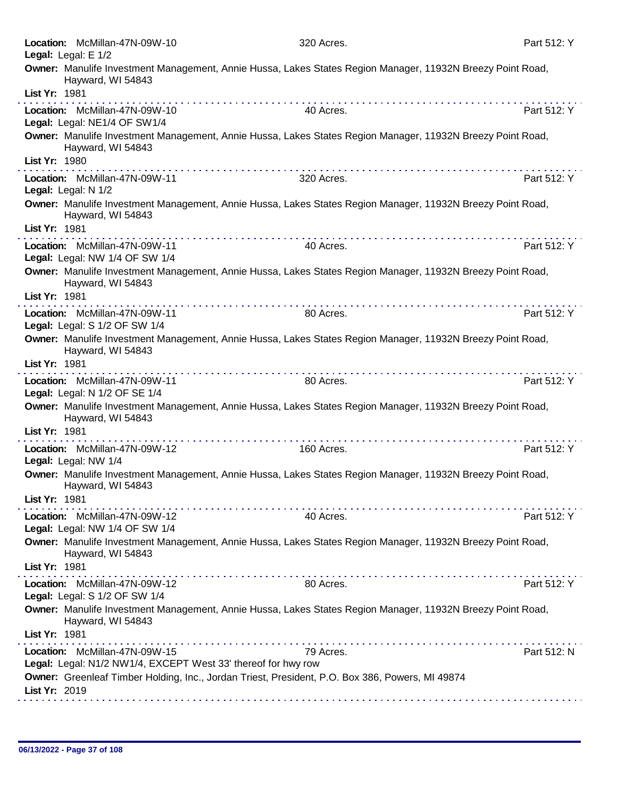| Location: McMillan-47N-09W-10<br>Legal: Legal: E 1/2            | 320 Acres.                                                                                                 | Part 512: Y |
|-----------------------------------------------------------------|------------------------------------------------------------------------------------------------------------|-------------|
| Hayward, WI 54843<br>List Yr: 1981                              | Owner: Manulife Investment Management, Annie Hussa, Lakes States Region Manager, 11932N Breezy Point Road, |             |
| Location: McMillan-47N-09W-10<br>Legal: Legal: NE1/4 OF SW1/4   | 40 Acres.                                                                                                  | Part 512: Y |
| Hayward, WI 54843<br>List Yr: 1980                              | Owner: Manulife Investment Management, Annie Hussa, Lakes States Region Manager, 11932N Breezy Point Road, |             |
| Location: McMillan-47N-09W-11<br>Legal: Legal: N 1/2            | 320 Acres.                                                                                                 | Part 512: Y |
| Hayward, WI 54843<br>List Yr: 1981                              | Owner: Manulife Investment Management, Annie Hussa, Lakes States Region Manager, 11932N Breezy Point Road, |             |
| Location: McMillan-47N-09W-11<br>Legal: Legal: NW 1/4 OF SW 1/4 | 40 Acres.                                                                                                  | Part 512: Y |
| Hayward, WI 54843                                               | Owner: Manulife Investment Management, Annie Hussa, Lakes States Region Manager, 11932N Breezy Point Road, |             |
| List Yr: 1981                                                   | <u> 2012 - 2022 - 2023 - 2023 - 2023 - 2024 - 202</u>                                                      |             |
| Location: McMillan-47N-09W-11<br>Legal: Legal: S 1/2 OF SW 1/4  | 80 Acres.                                                                                                  | Part 512: Y |
| Hayward, WI 54843                                               | Owner: Manulife Investment Management, Annie Hussa, Lakes States Region Manager, 11932N Breezy Point Road, |             |
| List Yr: 1981                                                   |                                                                                                            |             |
| Location: McMillan-47N-09W-11<br>Legal: Legal: N 1/2 OF SE 1/4  | 80 Acres.                                                                                                  | Part 512: Y |
| Hayward, WI 54843<br>List Yr: 1981                              | Owner: Manulife Investment Management, Annie Hussa, Lakes States Region Manager, 11932N Breezy Point Road, |             |
|                                                                 |                                                                                                            |             |
| Location: McMillan-47N-09W-12<br>Legal: Legal: NW 1/4           | 160 Acres.                                                                                                 | Part 512: Y |
| Hayward, WI 54843<br>List Yr: 1981                              | Owner: Manulife Investment Management, Annie Hussa, Lakes States Region Manager, 11932N Breezy Point Road, |             |
|                                                                 |                                                                                                            |             |
| Location: McMillan-47N-09W-12<br>Legal: Legal: NW 1/4 OF SW 1/4 | 40 Acres.                                                                                                  | Part 512: Y |
| Hayward, WI 54843<br>List Yr: 1981                              | Owner: Manulife Investment Management, Annie Hussa, Lakes States Region Manager, 11932N Breezy Point Road, |             |
| Location: McMillan-47N-09W-12                                   | 80 Acres.                                                                                                  | Part 512: Y |
| Legal: Legal: S 1/2 OF SW 1/4                                   |                                                                                                            |             |
| Hayward, WI 54843<br>List Yr: 1981                              | Owner: Manulife Investment Management, Annie Hussa, Lakes States Region Manager, 11932N Breezy Point Road, |             |
| Location: McMillan-47N-09W-15                                   | 79 Acres.                                                                                                  | Part 512: N |
| Legal: Legal: N1/2 NW1/4, EXCEPT West 33' thereof for hwy row   | Owner: Greenleaf Timber Holding, Inc., Jordan Triest, President, P.O. Box 386, Powers, MI 49874            |             |
| List Yr: 2019                                                   |                                                                                                            |             |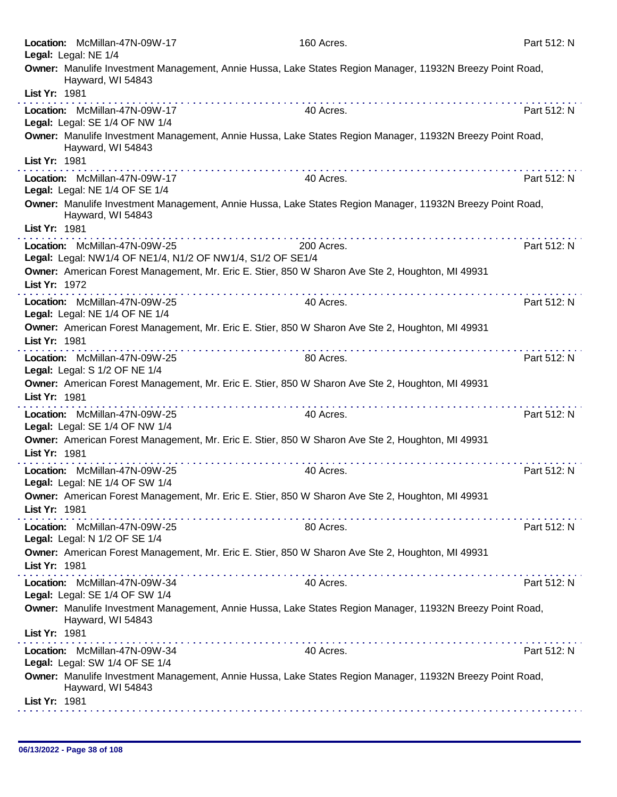| Location: McMillan-47N-09W-17<br>Legal: Legal: NE 1/4                                       | 160 Acres.                                                                                                | Part 512: N |
|---------------------------------------------------------------------------------------------|-----------------------------------------------------------------------------------------------------------|-------------|
| Hayward, WI 54843                                                                           | Owner: Manulife Investment Management, Annie Hussa, Lake States Region Manager, 11932N Breezy Point Road, |             |
| List Yr: 1981                                                                               |                                                                                                           |             |
| Location: McMillan-47N-09W-17<br>Legal: Legal: SE 1/4 OF NW 1/4                             | 40 Acres.                                                                                                 | Part 512: N |
| Hayward, WI 54843                                                                           | Owner: Manulife Investment Management, Annie Hussa, Lake States Region Manager, 11932N Breezy Point Road, |             |
| List Yr: 1981                                                                               |                                                                                                           |             |
| Location: McMillan-47N-09W-17<br>Legal: Legal: NE 1/4 OF SE 1/4                             | 40 Acres.                                                                                                 | Part 512: N |
| Hayward, WI 54843                                                                           | Owner: Manulife Investment Management, Annie Hussa, Lake States Region Manager, 11932N Breezy Point Road, |             |
| List Yr: 1981                                                                               |                                                                                                           |             |
| Location: McMillan-47N-09W-25<br>Legal: Legal: NW1/4 OF NE1/4, N1/2 OF NW1/4, S1/2 OF SE1/4 | 200 Acres.                                                                                                | Part 512: N |
| List Yr: 1972                                                                               | Owner: American Forest Management, Mr. Eric E. Stier, 850 W Sharon Ave Ste 2, Houghton, MI 49931          |             |
| Location: McMillan-47N-09W-25<br>Legal: Legal: NE 1/4 OF NE 1/4                             | 40 Acres.                                                                                                 | Part 512: N |
| List Yr: 1981                                                                               | Owner: American Forest Management, Mr. Eric E. Stier, 850 W Sharon Ave Ste 2, Houghton, MI 49931          |             |
| Location: McMillan-47N-09W-25<br>Legal: Legal: S 1/2 OF NE 1/4                              | .<br>.<br>80 Acres.                                                                                       | Part 512: N |
| List Yr: 1981                                                                               | Owner: American Forest Management, Mr. Eric E. Stier, 850 W Sharon Ave Ste 2, Houghton, MI 49931          |             |
| Location: McMillan-47N-09W-25<br>Legal: Legal: SE 1/4 OF NW 1/4                             | 40 Acres.                                                                                                 | Part 512: N |
| List Yr: 1981                                                                               | Owner: American Forest Management, Mr. Eric E. Stier, 850 W Sharon Ave Ste 2, Houghton, MI 49931          |             |
| Location: McMillan-47N-09W-25<br>Legal: Legal: NE 1/4 OF SW 1/4                             | 40 Acres.                                                                                                 | Part 512: N |
| List Yr: 1981                                                                               | Owner: American Forest Management, Mr. Eric E. Stier, 850 W Sharon Ave Ste 2, Houghton, MI 49931          |             |
| Location: McMillan-47N-09W-25<br>Legal: Legal: N 1/2 OF SE 1/4                              | 80 Acres.                                                                                                 | Part 512: N |
| List Yr: 1981                                                                               | Owner: American Forest Management, Mr. Eric E. Stier, 850 W Sharon Ave Ste 2, Houghton, MI 49931          |             |
| Location: McMillan-47N-09W-34                                                               | 40 Acres.                                                                                                 | Part 512: N |
| Legal: Legal: SE 1/4 OF SW 1/4                                                              |                                                                                                           |             |
| Hayward, WI 54843                                                                           | Owner: Manulife Investment Management, Annie Hussa, Lake States Region Manager, 11932N Breezy Point Road, |             |
| List Yr: 1981                                                                               |                                                                                                           |             |
| Location: McMillan-47N-09W-34<br>Legal: Legal: SW 1/4 OF SE 1/4                             | 40 Acres.                                                                                                 | Part 512: N |
| Hayward, WI 54843                                                                           | Owner: Manulife Investment Management, Annie Hussa, Lake States Region Manager, 11932N Breezy Point Road, |             |
| List Yr: 1981                                                                               |                                                                                                           |             |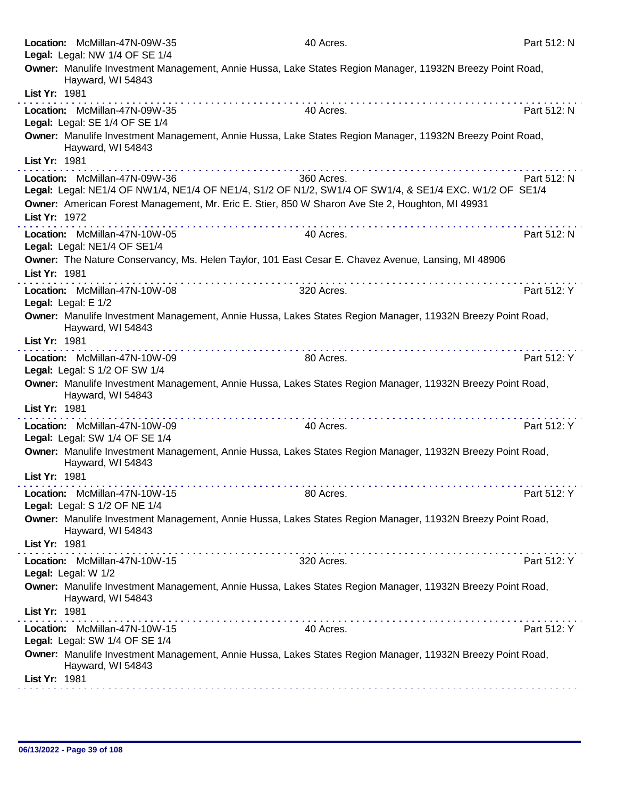|                     | Location: McMillan-47N-09W-35                                                                                                           | 40 Acres.                                                                                                                                                                                                                            | Part 512: N |
|---------------------|-----------------------------------------------------------------------------------------------------------------------------------------|--------------------------------------------------------------------------------------------------------------------------------------------------------------------------------------------------------------------------------------|-------------|
|                     | Legal: Legal: NW 1/4 OF SE 1/4                                                                                                          |                                                                                                                                                                                                                                      |             |
|                     | Owner: Manulife Investment Management, Annie Hussa, Lake States Region Manager, 11932N Breezy Point Road,<br>Hayward, WI 54843          |                                                                                                                                                                                                                                      |             |
| List Yr: 1981       |                                                                                                                                         |                                                                                                                                                                                                                                      |             |
|                     | Location: McMillan-47N-09W-35<br>Legal: Legal: SE 1/4 OF SE 1/4                                                                         | 40 Acres.                                                                                                                                                                                                                            | Part 512: N |
|                     | Owner: Manulife Investment Management, Annie Hussa, Lake States Region Manager, 11932N Breezy Point Road,<br>Hayward, WI 54843          |                                                                                                                                                                                                                                      |             |
| List Yr: 1981       |                                                                                                                                         | <u>The second contract and the second contract of the second contract of the second contract of the second contract of the second contract of the second contract of the second contract of the second contract of the second co</u> |             |
|                     | Location: McMillan-47N-09W-36<br>Legal: Legal: NE1/4 OF NW1/4, NE1/4 OF NE1/4, S1/2 OF N1/2, SW1/4 OF SW1/4, & SE1/4 EXC. W1/2 OF SE1/4 | 360 Acres.                                                                                                                                                                                                                           | Part 512: N |
| List Yr: 1972       | Owner: American Forest Management, Mr. Eric E. Stier, 850 W Sharon Ave Ste 2, Houghton, MI 49931                                        |                                                                                                                                                                                                                                      |             |
|                     | Location: McMillan-47N-10W-05<br>Legal: Legal: NE1/4 OF SE1/4                                                                           | 40 Acres.                                                                                                                                                                                                                            | Part 512: N |
| List Yr: 1981       | Owner: The Nature Conservancy, Ms. Helen Taylor, 101 East Cesar E. Chavez Avenue, Lansing, MI 48906                                     |                                                                                                                                                                                                                                      |             |
| Legal: Legal: E 1/2 | the second complete service in the second<br>Location: McMillan-47N-10W-08                                                              | 320 Acres.                                                                                                                                                                                                                           | Part 512: Y |
|                     | Owner: Manulife Investment Management, Annie Hussa, Lakes States Region Manager, 11932N Breezy Point Road,<br>Hayward, WI 54843         |                                                                                                                                                                                                                                      |             |
| List Yr: 1981       |                                                                                                                                         |                                                                                                                                                                                                                                      |             |
|                     | Location: McMillan-47N-10W-09<br>Legal: Legal: S 1/2 OF SW 1/4                                                                          | 80 Acres.                                                                                                                                                                                                                            | Part 512: Y |
|                     | Owner: Manulife Investment Management, Annie Hussa, Lakes States Region Manager, 11932N Breezy Point Road,<br>Hayward, WI 54843         |                                                                                                                                                                                                                                      |             |
| List Yr: 1981       |                                                                                                                                         |                                                                                                                                                                                                                                      |             |
|                     | Location: McMillan-47N-10W-09<br>Legal: Legal: SW 1/4 OF SE 1/4                                                                         | 40 Acres.                                                                                                                                                                                                                            | Part 512: Y |
|                     | Owner: Manulife Investment Management, Annie Hussa, Lakes States Region Manager, 11932N Breezy Point Road,<br>Hayward, WI 54843         |                                                                                                                                                                                                                                      |             |
| List Yr: 1981       |                                                                                                                                         |                                                                                                                                                                                                                                      |             |
|                     | Location: McMillan-47N-10W-15<br>Legal: Legal: S 1/2 OF NE 1/4                                                                          | 80 Acres.                                                                                                                                                                                                                            | Part 512: Y |
|                     | Owner: Manulife Investment Management, Annie Hussa, Lakes States Region Manager, 11932N Breezy Point Road,<br>Hayward, WI 54843         |                                                                                                                                                                                                                                      |             |
| List Yr: 1981       |                                                                                                                                         |                                                                                                                                                                                                                                      |             |
| Legal: Legal: W 1/2 | Location: McMillan-47N-10W-15                                                                                                           | 320 Acres.                                                                                                                                                                                                                           | Part 512: Y |
|                     | Owner: Manulife Investment Management, Annie Hussa, Lakes States Region Manager, 11932N Breezy Point Road,<br>Hayward, WI 54843         |                                                                                                                                                                                                                                      |             |
| List Yr: 1981       |                                                                                                                                         |                                                                                                                                                                                                                                      |             |
|                     | Location: McMillan-47N-10W-15<br>Legal: Legal: SW 1/4 OF SE 1/4                                                                         | 40 Acres.                                                                                                                                                                                                                            | Part 512: Y |
|                     | Owner: Manulife Investment Management, Annie Hussa, Lakes States Region Manager, 11932N Breezy Point Road,<br>Hayward, WI 54843         |                                                                                                                                                                                                                                      |             |
| List Yr: 1981       |                                                                                                                                         |                                                                                                                                                                                                                                      |             |
|                     |                                                                                                                                         |                                                                                                                                                                                                                                      |             |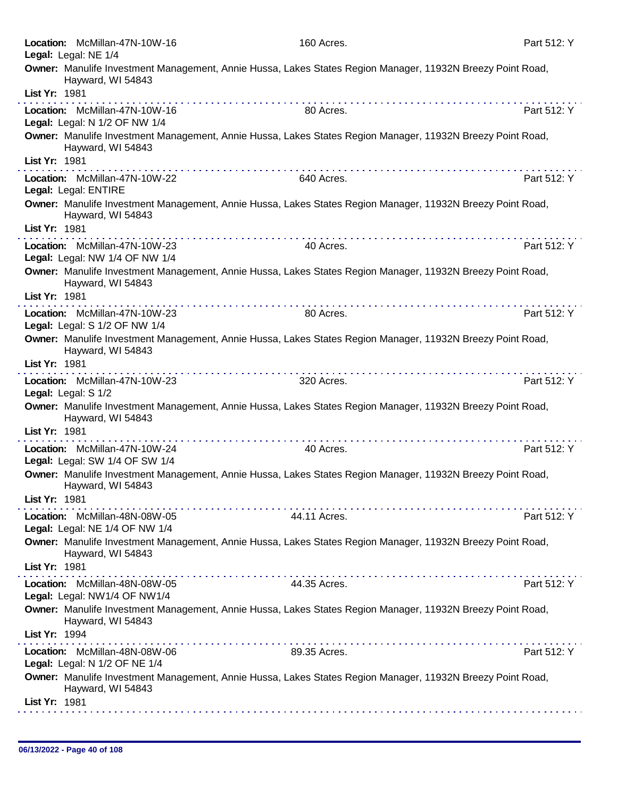| Location: McMillan-47N-10W-16<br>Legal: Legal: NE 1/4           | 160 Acres.                                                                                                                                                                                                                                                                                                                                                                                                                                                                                     | Part 512: Y |
|-----------------------------------------------------------------|------------------------------------------------------------------------------------------------------------------------------------------------------------------------------------------------------------------------------------------------------------------------------------------------------------------------------------------------------------------------------------------------------------------------------------------------------------------------------------------------|-------------|
| Hayward, WI 54843                                               | Owner: Manulife Investment Management, Annie Hussa, Lakes States Region Manager, 11932N Breezy Point Road,                                                                                                                                                                                                                                                                                                                                                                                     |             |
| List Yr: 1981                                                   |                                                                                                                                                                                                                                                                                                                                                                                                                                                                                                |             |
| Location: McMillan-47N-10W-16<br>Legal: Legal: N 1/2 OF NW 1/4  | 80 Acres.                                                                                                                                                                                                                                                                                                                                                                                                                                                                                      | Part 512: Y |
| Hayward, WI 54843                                               | Owner: Manulife Investment Management, Annie Hussa, Lakes States Region Manager, 11932N Breezy Point Road,                                                                                                                                                                                                                                                                                                                                                                                     |             |
| List Yr: 1981                                                   |                                                                                                                                                                                                                                                                                                                                                                                                                                                                                                |             |
| Location: McMillan-47N-10W-22<br>Legal: Legal: ENTIRE           | 640 Acres.                                                                                                                                                                                                                                                                                                                                                                                                                                                                                     | Part 512: Y |
| Hayward, WI 54843                                               | Owner: Manulife Investment Management, Annie Hussa, Lakes States Region Manager, 11932N Breezy Point Road,                                                                                                                                                                                                                                                                                                                                                                                     |             |
| List Yr: 1981                                                   |                                                                                                                                                                                                                                                                                                                                                                                                                                                                                                |             |
| Location: McMillan-47N-10W-23<br>Legal: Legal: NW 1/4 OF NW 1/4 | 40 Acres.                                                                                                                                                                                                                                                                                                                                                                                                                                                                                      | Part 512: Y |
| Hayward, WI 54843                                               | Owner: Manulife Investment Management, Annie Hussa, Lakes States Region Manager, 11932N Breezy Point Road,                                                                                                                                                                                                                                                                                                                                                                                     |             |
| List Yr: 1981                                                   |                                                                                                                                                                                                                                                                                                                                                                                                                                                                                                |             |
| Location: McMillan-47N-10W-23                                   | 80 Acres.                                                                                                                                                                                                                                                                                                                                                                                                                                                                                      | Part 512: Y |
| Legal: Legal: S 1/2 OF NW 1/4                                   | Owner: Manulife Investment Management, Annie Hussa, Lakes States Region Manager, 11932N Breezy Point Road,                                                                                                                                                                                                                                                                                                                                                                                     |             |
| Hayward, WI 54843<br>List Yr: 1981                              |                                                                                                                                                                                                                                                                                                                                                                                                                                                                                                |             |
| Location: McMillan-47N-10W-23                                   | 320 Acres.                                                                                                                                                                                                                                                                                                                                                                                                                                                                                     | Part 512: Y |
| Legal: Legal: S 1/2                                             |                                                                                                                                                                                                                                                                                                                                                                                                                                                                                                |             |
| Hayward, WI 54843                                               | Owner: Manulife Investment Management, Annie Hussa, Lakes States Region Manager, 11932N Breezy Point Road,                                                                                                                                                                                                                                                                                                                                                                                     |             |
| List Yr: 1981                                                   |                                                                                                                                                                                                                                                                                                                                                                                                                                                                                                |             |
| Location: McMillan-47N-10W-24<br>Legal: Legal: SW 1/4 OF SW 1/4 | 40 Acres.                                                                                                                                                                                                                                                                                                                                                                                                                                                                                      | Part 512: Y |
| Hayward, WI 54843                                               | Owner: Manulife Investment Management, Annie Hussa, Lakes States Region Manager, 11932N Breezy Point Road,                                                                                                                                                                                                                                                                                                                                                                                     |             |
| List Yr: 1981                                                   |                                                                                                                                                                                                                                                                                                                                                                                                                                                                                                |             |
| Location: McMillan-48N-08W-05<br>Legal: Legal: NE 1/4 OF NW 1/4 | 44.11 Acres.                                                                                                                                                                                                                                                                                                                                                                                                                                                                                   | Part 512: Y |
| Hayward, WI 54843                                               | Owner: Manulife Investment Management, Annie Hussa, Lakes States Region Manager, 11932N Breezy Point Road,                                                                                                                                                                                                                                                                                                                                                                                     |             |
| List Yr: 1981                                                   | $\label{eq:2.1} \begin{split} \mathcal{L}_{\mathcal{A}}(\mathcal{A})=\mathcal{L}_{\mathcal{A}}(\mathcal{A})=\mathcal{L}_{\mathcal{A}}(\mathcal{A})=\mathcal{L}_{\mathcal{A}}(\mathcal{A})=\mathcal{L}_{\mathcal{A}}(\mathcal{A})=\mathcal{L}_{\mathcal{A}}(\mathcal{A})=\mathcal{L}_{\mathcal{A}}(\mathcal{A})=\mathcal{L}_{\mathcal{A}}(\mathcal{A})=\mathcal{L}_{\mathcal{A}}(\mathcal{A})=\mathcal{L}_{\mathcal{A}}(\mathcal{A})=\mathcal{L}_{\mathcal{A}}(\mathcal{A})=\mathcal{L}_{\math$ |             |
| Location: McMillan-48N-08W-05<br>Legal: Legal: NW1/4 OF NW1/4   | 44.35 Acres.                                                                                                                                                                                                                                                                                                                                                                                                                                                                                   | Part 512: Y |
| Hayward, WI 54843                                               | Owner: Manulife Investment Management, Annie Hussa, Lakes States Region Manager, 11932N Breezy Point Road,                                                                                                                                                                                                                                                                                                                                                                                     |             |
| List Yr: 1994                                                   | $\mathcal{L}^{\mathcal{A}}(\mathcal{A}^{\mathcal{A}}(\mathcal{A}^{\mathcal{A}}(\mathcal{A}^{\mathcal{A}}(\mathcal{A}^{\mathcal{A}}(\mathcal{A}^{\mathcal{A}}(\mathcal{A}^{\mathcal{A}}(\mathcal{A}^{\mathcal{A}}(\mathcal{A}^{\mathcal{A}}(\mathcal{A}^{\mathcal{A}}(\mathcal{A}^{\mathcal{A}}(\mathcal{A}^{\mathcal{A}}(\mathcal{A}^{\mathcal{A}}(\mathcal{A}^{\mathcal{A}}(\mathcal{A}^{\mathcal{A}}(\mathcal{A}^{\mathcal{A}}(\mathcal{A}^{\mathcal{A$<br>.                                 |             |
| Location: McMillan-48N-08W-06<br>Legal: Legal: N 1/2 OF NE 1/4  | 89.35 Acres.                                                                                                                                                                                                                                                                                                                                                                                                                                                                                   | Part 512: Y |
| Hayward, WI 54843                                               | Owner: Manulife Investment Management, Annie Hussa, Lakes States Region Manager, 11932N Breezy Point Road,                                                                                                                                                                                                                                                                                                                                                                                     |             |
| List Yr: 1981                                                   |                                                                                                                                                                                                                                                                                                                                                                                                                                                                                                |             |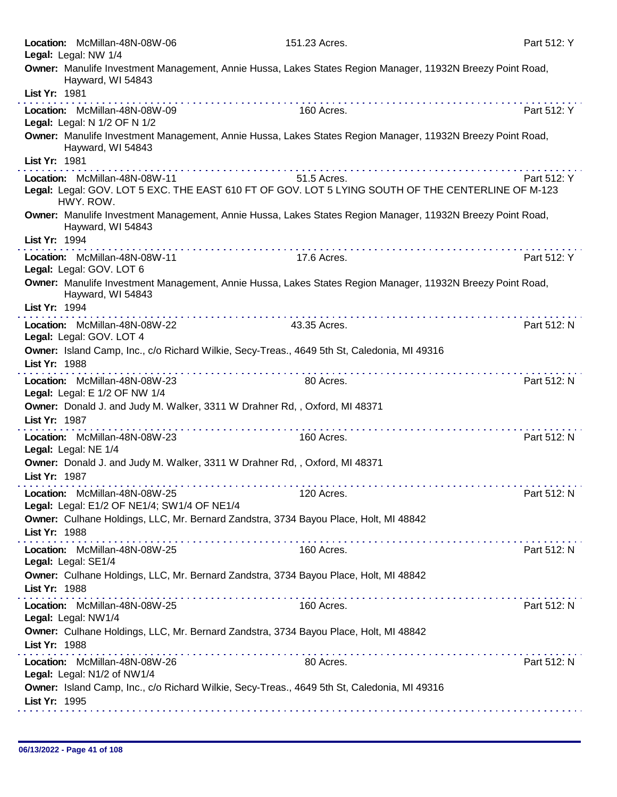|               | Location: McMillan-48N-08W-06<br>Legal: Legal: NW 1/4                                                                                                                                                                                                                                       | 151.23 Acres.                                                                                                     | Part 512: Y |
|---------------|---------------------------------------------------------------------------------------------------------------------------------------------------------------------------------------------------------------------------------------------------------------------------------------------|-------------------------------------------------------------------------------------------------------------------|-------------|
|               | Hayward, WI 54843                                                                                                                                                                                                                                                                           | Owner: Manulife Investment Management, Annie Hussa, Lakes States Region Manager, 11932N Breezy Point Road,        |             |
| List Yr: 1981 |                                                                                                                                                                                                                                                                                             |                                                                                                                   |             |
|               | Location: McMillan-48N-08W-09<br>Legal: Legal: N 1/2 OF N 1/2                                                                                                                                                                                                                               | 160 Acres.                                                                                                        | Part 512: Y |
|               | Hayward, WI 54843                                                                                                                                                                                                                                                                           | Owner: Manulife Investment Management, Annie Hussa, Lakes States Region Manager, 11932N Breezy Point Road,        |             |
| List Yr: 1981 |                                                                                                                                                                                                                                                                                             |                                                                                                                   |             |
|               | Location: McMillan-48N-08W-11<br>HWY. ROW.                                                                                                                                                                                                                                                  | 51.5 Acres.<br>Legal: Legal: GOV. LOT 5 EXC. THE EAST 610 FT OF GOV. LOT 5 LYING SOUTH OF THE CENTERLINE OF M-123 | Part 512: Y |
|               | Hayward, WI 54843                                                                                                                                                                                                                                                                           | Owner: Manulife Investment Management, Annie Hussa, Lakes States Region Manager, 11932N Breezy Point Road,        |             |
| List Yr: 1994 |                                                                                                                                                                                                                                                                                             |                                                                                                                   |             |
|               | Location: McMillan-48N-08W-11<br>Legal: Legal: GOV. LOT 6                                                                                                                                                                                                                                   | 17.6 Acres.                                                                                                       | Part 512: Y |
| List Yr: 1994 | Hayward, WI 54843                                                                                                                                                                                                                                                                           | Owner: Manulife Investment Management, Annie Hussa, Lakes States Region Manager, 11932N Breezy Point Road,        |             |
|               | the second complete service in the second complete service of the service service in the service of the service of the service of the service of the service of the service of the service of the service of the service of th<br>Location: McMillan-48N-08W-22<br>Legal: Legal: GOV. LOT 4 | 43.35 Acres.                                                                                                      | Part 512: N |
| List Yr: 1988 |                                                                                                                                                                                                                                                                                             | Owner: Island Camp, Inc., c/o Richard Wilkie, Secy-Treas., 4649 5th St, Caledonia, MI 49316                       |             |
|               | Location: McMillan-48N-08W-23<br>Legal: Legal: E 1/2 OF NW 1/4                                                                                                                                                                                                                              | <u>.</u><br>80 Acres.                                                                                             | Part 512: N |
| List Yr: 1987 | Owner: Donald J. and Judy M. Walker, 3311 W Drahner Rd, , Oxford, MI 48371                                                                                                                                                                                                                  |                                                                                                                   |             |
|               | Location: McMillan-48N-08W-23<br>Legal: Legal: NE 1/4                                                                                                                                                                                                                                       | 160 Acres.                                                                                                        | Part 512: N |
| List Yr: 1987 | Owner: Donald J. and Judy M. Walker, 3311 W Drahner Rd, , Oxford, MI 48371                                                                                                                                                                                                                  |                                                                                                                   |             |
|               | Location: McMillan-48N-08W-25<br>Legal: Legal: E1/2 OF NE1/4; SW1/4 OF NE1/4                                                                                                                                                                                                                | 120 Acres.                                                                                                        | Part 512: N |
| List Yr: 1988 |                                                                                                                                                                                                                                                                                             | Owner: Culhane Holdings, LLC, Mr. Bernard Zandstra, 3734 Bayou Place, Holt, MI 48842                              |             |
|               | Location: McMillan-48N-08W-25<br>Legal: Legal: SE1/4                                                                                                                                                                                                                                        | 160 Acres.                                                                                                        | Part 512: N |
| List Yr: 1988 |                                                                                                                                                                                                                                                                                             | Owner: Culhane Holdings, LLC, Mr. Bernard Zandstra, 3734 Bayou Place, Holt, MI 48842                              |             |
|               | Location: McMillan-48N-08W-25<br>Legal: Legal: NW1/4                                                                                                                                                                                                                                        | 160 Acres.                                                                                                        | Part 512: N |
| List Yr: 1988 |                                                                                                                                                                                                                                                                                             | Owner: Culhane Holdings, LLC, Mr. Bernard Zandstra, 3734 Bayou Place, Holt, MI 48842                              |             |
|               | Location: McMillan-48N-08W-26<br>Legal: Legal: N1/2 of NW1/4                                                                                                                                                                                                                                | 80 Acres.                                                                                                         | Part 512: N |
| List Yr: 1995 |                                                                                                                                                                                                                                                                                             | Owner: Island Camp, Inc., c/o Richard Wilkie, Secy-Treas., 4649 5th St, Caledonia, MI 49316                       |             |
|               |                                                                                                                                                                                                                                                                                             |                                                                                                                   |             |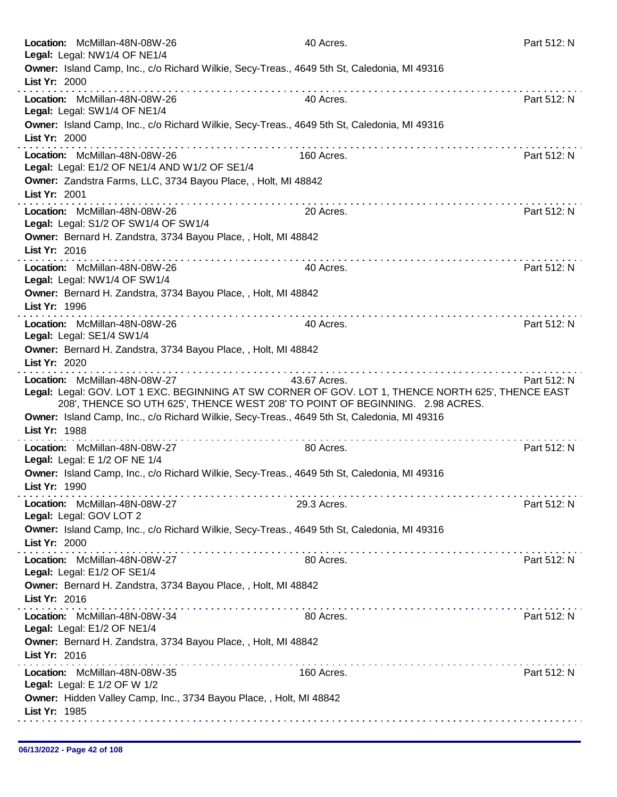|               | Location: McMillan-48N-08W-26<br>Legal: Legal: NW1/4 OF NE1/4                  | 40 Acres.                                                                                                                                                                                           | Part 512: N                                                         |
|---------------|--------------------------------------------------------------------------------|-----------------------------------------------------------------------------------------------------------------------------------------------------------------------------------------------------|---------------------------------------------------------------------|
| List Yr: 2000 |                                                                                | Owner: Island Camp, Inc., c/o Richard Wilkie, Secy-Treas., 4649 5th St, Caledonia, MI 49316                                                                                                         |                                                                     |
|               | Location: McMillan-48N-08W-26<br>Legal: Legal: SW1/4 OF NE1/4                  | 40 Acres.                                                                                                                                                                                           | Part 512: N                                                         |
| List Yr: 2000 |                                                                                | Owner: Island Camp, Inc., c/o Richard Wilkie, Secy-Treas., 4649 5th St, Caledonia, MI 49316<br>.                                                                                                    |                                                                     |
|               | Location: McMillan-48N-08W-26<br>Legal: Legal: E1/2 OF NE1/4 AND W1/2 OF SE1/4 | 160 Acres.                                                                                                                                                                                          | Part 512: N                                                         |
| List Yr: 2001 |                                                                                | Owner: Zandstra Farms, LLC, 3734 Bayou Place, , Holt, MI 48842                                                                                                                                      |                                                                     |
|               | Location: McMillan-48N-08W-26<br>Legal: Legal: S1/2 OF SW1/4 OF SW1/4          | 20 Acres.                                                                                                                                                                                           | Part 512: N                                                         |
| List Yr: 2016 |                                                                                | Owner: Bernard H. Zandstra, 3734 Bayou Place, , Holt, MI 48842                                                                                                                                      |                                                                     |
|               | Location: McMillan-48N-08W-26<br>Legal: Legal: NW1/4 OF SW1/4                  | 40 Acres.                                                                                                                                                                                           | Part 512: N                                                         |
| List Yr: 1996 |                                                                                | Owner: Bernard H. Zandstra, 3734 Bayou Place, , Holt, MI 48842                                                                                                                                      |                                                                     |
|               | Location: McMillan-48N-08W-26<br>Legal: Legal: SE1/4 SW1/4                     | 40 Acres.                                                                                                                                                                                           | Part 512: N                                                         |
| List Yr: 2020 |                                                                                | Owner: Bernard H. Zandstra, 3734 Bayou Place, , Holt, MI 48842                                                                                                                                      |                                                                     |
|               | Location: McMillan-48N-08W-27                                                  | 43.67 Acres.<br>Legal: Legal: GOV. LOT 1 EXC. BEGINNING AT SW CORNER OF GOV. LOT 1, THENCE NORTH 625', THENCE EAST<br>208', THENCE SO UTH 625', THENCE WEST 208' TO POINT OF BEGINNING. 2.98 ACRES. | <u>a serie de la característica de la caracterís</u><br>Part 512: N |
| List Yr: 1988 |                                                                                | Owner: Island Camp, Inc., c/o Richard Wilkie, Secy-Treas., 4649 5th St, Caledonia, MI 49316<br>.                                                                                                    |                                                                     |
|               | Location: McMillan-48N-08W-27<br>Legal: Legal: E 1/2 OF NE 1/4                 | 80 Acres.                                                                                                                                                                                           | Part 512: N                                                         |
|               | List Yr: 1990                                                                  | Owner: Island Camp, Inc., c/o Richard Wilkie, Secy-Treas., 4649 5th St, Caledonia, MI 49316                                                                                                         |                                                                     |
|               | Location: McMillan-48N-08W-27<br>Legal: Legal: GOV LOT 2                       | 29.3 Acres.                                                                                                                                                                                         | Part 512: N                                                         |
| List Yr: 2000 |                                                                                | Owner: Island Camp, Inc., c/o Richard Wilkie, Secy-Treas., 4649 5th St, Caledonia, MI 49316                                                                                                         |                                                                     |
|               | Location: McMillan-48N-08W-27<br>Legal: Legal: E1/2 OF SE1/4                   | 80 Acres.                                                                                                                                                                                           | Part 512: N                                                         |
| List Yr: 2016 |                                                                                | Owner: Bernard H. Zandstra, 3734 Bayou Place, , Holt, MI 48842                                                                                                                                      |                                                                     |
|               | Location: McMillan-48N-08W-34<br>Legal: Legal: E1/2 OF NE1/4                   | 80 Acres.                                                                                                                                                                                           | Part 512: N                                                         |
| List Yr: 2016 |                                                                                | Owner: Bernard H. Zandstra, 3734 Bayou Place, , Holt, MI 48842                                                                                                                                      |                                                                     |
|               | Location: McMillan-48N-08W-35<br>Legal: Legal: E 1/2 OF W 1/2                  | 160 Acres.                                                                                                                                                                                          | Part 512: N                                                         |
| List Yr: 1985 |                                                                                | Owner: Hidden Valley Camp, Inc., 3734 Bayou Place, , Holt, MI 48842                                                                                                                                 |                                                                     |
|               |                                                                                |                                                                                                                                                                                                     |                                                                     |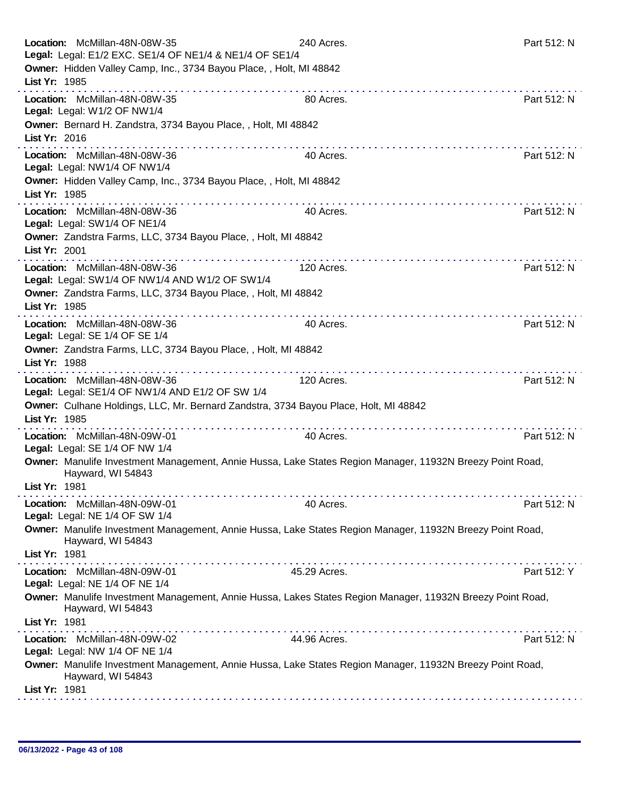| Location: McMillan-48N-08W-35                                                                                                   | 240 Acres.   | Part 512: N |
|---------------------------------------------------------------------------------------------------------------------------------|--------------|-------------|
| Legal: Legal: E1/2 EXC. SE1/4 OF NE1/4 & NE1/4 OF SE1/4                                                                         |              |             |
| Owner: Hidden Valley Camp, Inc., 3734 Bayou Place, , Holt, MI 48842<br>List Yr: 1985                                            |              |             |
|                                                                                                                                 |              |             |
| Location: McMillan-48N-08W-35<br>Legal: Legal: W1/2 OF NW1/4                                                                    | 80 Acres.    | Part 512: N |
| Owner: Bernard H. Zandstra, 3734 Bayou Place,, Holt, MI 48842                                                                   |              |             |
| List Yr: 2016                                                                                                                   |              |             |
| Location: McMillan-48N-08W-36                                                                                                   | 40 Acres.    | Part 512: N |
| Legal: Legal: NW1/4 OF NW1/4                                                                                                    |              |             |
| Owner: Hidden Valley Camp, Inc., 3734 Bayou Place, , Holt, MI 48842                                                             |              |             |
| List Yr: 1985                                                                                                                   |              |             |
| Location: McMillan-48N-08W-36                                                                                                   | 40 Acres.    | Part 512: N |
| Legal: Legal: SW1/4 OF NE1/4                                                                                                    |              |             |
| Owner: Zandstra Farms, LLC, 3734 Bayou Place, , Holt, MI 48842                                                                  |              |             |
| List Yr: 2001                                                                                                                   |              |             |
| Location: McMillan-48N-08W-36                                                                                                   | 120 Acres.   | Part 512: N |
| Legal: Legal: SW1/4 OF NW1/4 AND W1/2 OF SW1/4                                                                                  |              |             |
| Owner: Zandstra Farms, LLC, 3734 Bayou Place, , Holt, MI 48842                                                                  |              |             |
| List Yr: 1985                                                                                                                   |              |             |
| Location: McMillan-48N-08W-36                                                                                                   | 40 Acres.    | Part 512: N |
| Legal: Legal: SE 1/4 OF SE 1/4                                                                                                  |              |             |
| Owner: Zandstra Farms, LLC, 3734 Bayou Place, , Holt, MI 48842                                                                  |              |             |
| List Yr: 1988                                                                                                                   |              |             |
| .<br>Location: McMillan-48N-08W-36                                                                                              | 120 Acres.   | Part 512: N |
| Legal: Legal: SE1/4 OF NW1/4 AND E1/2 OF SW 1/4                                                                                 |              |             |
| Owner: Culhane Holdings, LLC, Mr. Bernard Zandstra, 3734 Bayou Place, Holt, MI 48842                                            |              |             |
| List Yr: 1985                                                                                                                   |              |             |
| Location: McMillan-48N-09W-01                                                                                                   | 40 Acres.    | Part 512: N |
| Legal: Legal: SE 1/4 OF NW 1/4                                                                                                  |              |             |
| Owner: Manulife Investment Management, Annie Hussa, Lake States Region Manager, 11932N Breezy Point Road,                       |              |             |
| Hayward, WI 54843                                                                                                               |              |             |
| List Yr: 1981                                                                                                                   |              |             |
| Location: McMillan-48N-09W-01                                                                                                   | 40 Acres.    | Part 512: N |
| Legal: Legal: NE 1/4 OF SW 1/4                                                                                                  |              |             |
| Owner: Manulife Investment Management, Annie Hussa, Lake States Region Manager, 11932N Breezy Point Road,<br>Hayward, WI 54843  |              |             |
| List Yr: 1981                                                                                                                   |              |             |
| . <b>.</b><br>Location: McMillan-48N-09W-01                                                                                     | 45.29 Acres. | Part 512: Y |
| Legal: Legal: NE 1/4 OF NE 1/4                                                                                                  |              |             |
| Owner: Manulife Investment Management, Annie Hussa, Lakes States Region Manager, 11932N Breezy Point Road,<br>Hayward, WI 54843 |              |             |
| List Yr: 1981                                                                                                                   |              |             |
|                                                                                                                                 | 44.96 Acres. | Part 512: N |
| Location: McMillan-48N-09W-02<br>Legal: Legal: NW 1/4 OF NE 1/4                                                                 |              |             |
| Owner: Manulife Investment Management, Annie Hussa, Lake States Region Manager, 11932N Breezy Point Road,                       |              |             |
| Hayward, WI 54843                                                                                                               |              |             |
| List Yr: 1981                                                                                                                   |              |             |
|                                                                                                                                 |              |             |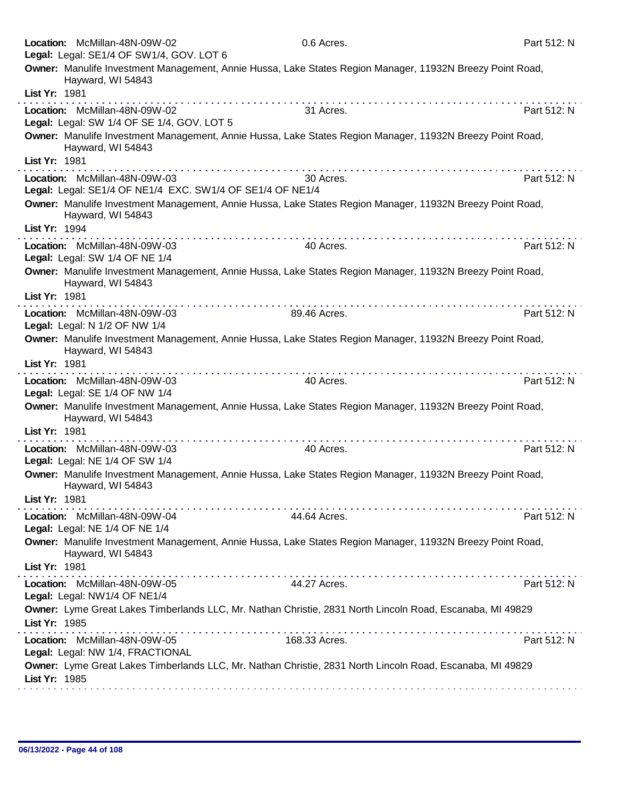|               | Location: McMillan-48N-09W-02<br>Legal: Legal: SE1/4 OF SW1/4, GOV. LOT 6                  | 0.6 Acres.                                                                                                | Part 512: N |
|---------------|--------------------------------------------------------------------------------------------|-----------------------------------------------------------------------------------------------------------|-------------|
|               | Hayward, WI 54843                                                                          | Owner: Manulife Investment Management, Annie Hussa, Lake States Region Manager, 11932N Breezy Point Road, |             |
| List Yr: 1981 |                                                                                            |                                                                                                           |             |
|               | Location: McMillan-48N-09W-02<br>Legal: Legal: SW 1/4 OF SE 1/4, GOV. LOT 5                | 31 Acres.                                                                                                 | Part 512: N |
|               | Hayward, WI 54843                                                                          | Owner: Manulife Investment Management, Annie Hussa, Lake States Region Manager, 11932N Breezy Point Road, |             |
| List Yr: 1981 |                                                                                            |                                                                                                           |             |
|               | Location: McMillan-48N-09W-03<br>Legal: Legal: SE1/4 OF NE1/4 EXC. SW1/4 OF SE1/4 OF NE1/4 | 30 Acres.                                                                                                 | Part 512: N |
|               | Hayward, WI 54843                                                                          | Owner: Manulife Investment Management, Annie Hussa, Lake States Region Manager, 11932N Breezy Point Road, |             |
| List Yr: 1994 |                                                                                            |                                                                                                           |             |
|               | Location: McMillan-48N-09W-03<br>Legal: Legal: SW 1/4 OF NE 1/4                            | 40 Acres.                                                                                                 | Part 512: N |
|               | Hayward, WI 54843                                                                          | Owner: Manulife Investment Management, Annie Hussa, Lake States Region Manager, 11932N Breezy Point Road, |             |
| List Yr: 1981 |                                                                                            |                                                                                                           |             |
|               | Location: McMillan-48N-09W-03<br>Legal: Legal: N 1/2 OF NW 1/4                             | 89.46 Acres.                                                                                              | Part 512: N |
|               | Hayward, WI 54843                                                                          | Owner: Manulife Investment Management, Annie Hussa, Lake States Region Manager, 11932N Breezy Point Road, |             |
| List Yr: 1981 |                                                                                            |                                                                                                           |             |
|               | Location: McMillan-48N-09W-03<br>Legal: Legal: SE 1/4 OF NW 1/4                            | 40 Acres.                                                                                                 | Part 512: N |
| List Yr: 1981 | Hayward, WI 54843                                                                          | Owner: Manulife Investment Management, Annie Hussa, Lake States Region Manager, 11932N Breezy Point Road, |             |
|               |                                                                                            |                                                                                                           |             |
|               | Location: McMillan-48N-09W-03<br>Legal: Legal: NE 1/4 OF SW 1/4                            | 40 Acres.                                                                                                 | Part 512: N |
|               | Hayward, WI 54843                                                                          | Owner: Manulife Investment Management, Annie Hussa, Lake States Region Manager, 11932N Breezy Point Road, |             |
| List Yr: 1981 | <u>.</u>                                                                                   |                                                                                                           |             |
|               | Location: McMillan-48N-09W-04<br>Legal: Legal: NE 1/4 OF NE 1/4                            | 44.64 Acres.                                                                                              | Part 512: N |
|               | Hayward, WI 54843                                                                          | Owner: Manulife Investment Management, Annie Hussa, Lake States Region Manager, 11932N Breezy Point Road, |             |
| List Yr: 1981 |                                                                                            |                                                                                                           |             |
|               | Location: McMillan-48N-09W-05<br>Legal: Legal: NW1/4 OF NE1/4                              | 44.27 Acres.                                                                                              | Part 512: N |
| List Yr: 1985 |                                                                                            | Owner: Lyme Great Lakes Timberlands LLC, Mr. Nathan Christie, 2831 North Lincoln Road, Escanaba, MI 49829 |             |
|               | Location: McMillan-48N-09W-05<br>Legal: Legal: NW 1/4, FRACTIONAL                          | 168.33 Acres.                                                                                             | Part 512: N |
| List Yr: 1985 |                                                                                            | Owner: Lyme Great Lakes Timberlands LLC, Mr. Nathan Christie, 2831 North Lincoln Road, Escanaba, MI 49829 |             |
|               |                                                                                            |                                                                                                           |             |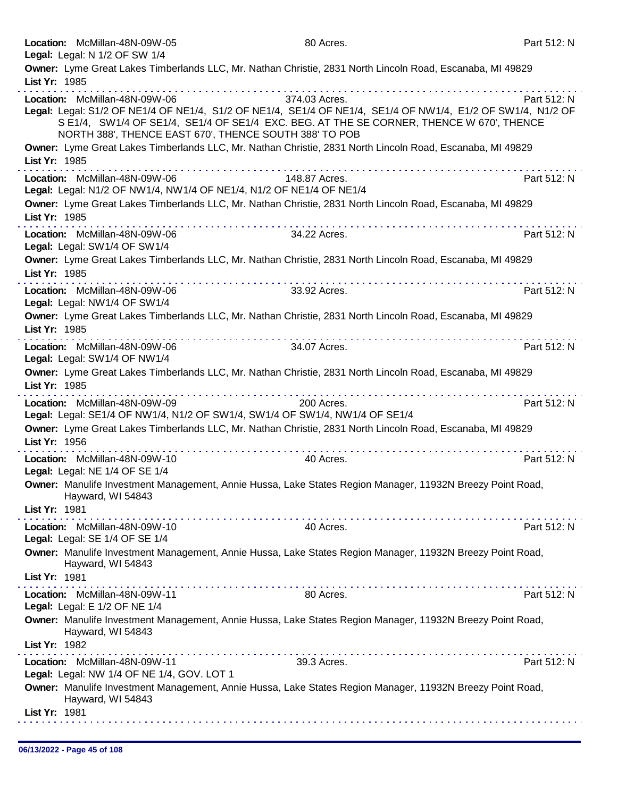|               | Location: McMillan-48N-09W-05<br>Legal: Legal: N 1/2 OF SW 1/4                          | 80 Acres.                                                                                                                                                                                                                | Part 512: N |
|---------------|-----------------------------------------------------------------------------------------|--------------------------------------------------------------------------------------------------------------------------------------------------------------------------------------------------------------------------|-------------|
| List Yr: 1985 |                                                                                         | Owner: Lyme Great Lakes Timberlands LLC, Mr. Nathan Christie, 2831 North Lincoln Road, Escanaba, MI 49829                                                                                                                |             |
|               |                                                                                         |                                                                                                                                                                                                                          |             |
|               | Location: McMillan-48N-09W-06<br>NORTH 388', THENCE EAST 670', THENCE SOUTH 388' TO POB | 374.03 Acres.<br>Legal: Legal: S1/2 OF NE1/4 OF NE1/4, S1/2 OF NE1/4, SE1/4 OF NE1/4, SE1/4 OF NW1/4, E1/2 OF SW1/4, N1/2 OF<br>S E1/4, SW1/4 OF SE1/4, SE1/4 OF SE1/4 EXC. BEG. AT THE SE CORNER, THENCE W 670', THENCE | Part 512: N |
| List Yr: 1985 |                                                                                         | Owner: Lyme Great Lakes Timberlands LLC, Mr. Nathan Christie, 2831 North Lincoln Road, Escanaba, MI 49829                                                                                                                |             |
|               | .<br>Location: McMillan-48N-09W-06                                                      | 148.87 Acres.                                                                                                                                                                                                            | Part 512: N |
|               | Legal: Legal: N1/2 OF NW1/4, NW1/4 OF NE1/4, N1/2 OF NE1/4 OF NE1/4                     | Owner: Lyme Great Lakes Timberlands LLC, Mr. Nathan Christie, 2831 North Lincoln Road, Escanaba, MI 49829                                                                                                                |             |
| List Yr: 1985 |                                                                                         |                                                                                                                                                                                                                          |             |
|               | Location: McMillan-48N-09W-06<br>Legal: Legal: SW1/4 OF SW1/4                           | 34.22 Acres.                                                                                                                                                                                                             | Part 512: N |
|               |                                                                                         | Owner: Lyme Great Lakes Timberlands LLC, Mr. Nathan Christie, 2831 North Lincoln Road, Escanaba, MI 49829                                                                                                                |             |
| List Yr: 1985 |                                                                                         |                                                                                                                                                                                                                          |             |
|               | Location: McMillan-48N-09W-06<br>Legal: Legal: NW1/4 OF SW1/4                           | 33.92 Acres.                                                                                                                                                                                                             | Part 512: N |
|               |                                                                                         | Owner: Lyme Great Lakes Timberlands LLC, Mr. Nathan Christie, 2831 North Lincoln Road, Escanaba, MI 49829                                                                                                                |             |
| List Yr: 1985 |                                                                                         |                                                                                                                                                                                                                          |             |
|               | Location: McMillan-48N-09W-06<br>Legal: Legal: SW1/4 OF NW1/4                           | 34.07 Acres.                                                                                                                                                                                                             | Part 512: N |
| List Yr: 1985 |                                                                                         | Owner: Lyme Great Lakes Timberlands LLC, Mr. Nathan Christie, 2831 North Lincoln Road, Escanaba, MI 49829                                                                                                                |             |
|               | Location: McMillan-48N-09W-09                                                           | 200 Acres.                                                                                                                                                                                                               | Part 512: N |
|               | Legal: Legal: SE1/4 OF NW1/4, N1/2 OF SW1/4, SW1/4 OF SW1/4, NW1/4 OF SE1/4             |                                                                                                                                                                                                                          |             |
| List Yr: 1956 | .                                                                                       | Owner: Lyme Great Lakes Timberlands LLC, Mr. Nathan Christie, 2831 North Lincoln Road, Escanaba, MI 49829                                                                                                                |             |
|               | Location: McMillan-48N-09W-10<br>Legal: Legal: NE 1/4 OF SE 1/4                         | 40 Acres.                                                                                                                                                                                                                | Part 512: N |
|               | Hayward, WI 54843                                                                       | Owner: Manulife Investment Management, Annie Hussa, Lake States Region Manager, 11932N Breezy Point Road,                                                                                                                |             |
| List Yr: 1981 |                                                                                         |                                                                                                                                                                                                                          |             |
|               | Location: McMillan-48N-09W-10<br>Legal: Legal: SE 1/4 OF SE 1/4                         | 40 Acres.                                                                                                                                                                                                                | Part 512: N |
|               | Hayward, WI 54843                                                                       | Owner: Manulife Investment Management, Annie Hussa, Lake States Region Manager, 11932N Breezy Point Road,                                                                                                                |             |
| List Yr: 1981 |                                                                                         |                                                                                                                                                                                                                          |             |
|               | Location: McMillan-48N-09W-11<br>Legal: Legal: E 1/2 OF NE 1/4                          | 80 Acres.                                                                                                                                                                                                                | Part 512: N |
|               | Hayward, WI 54843                                                                       | Owner: Manulife Investment Management, Annie Hussa, Lake States Region Manager, 11932N Breezy Point Road,                                                                                                                |             |
| List Yr: 1982 |                                                                                         |                                                                                                                                                                                                                          |             |
|               | Location: McMillan-48N-09W-11<br>Legal: Legal: NW 1/4 OF NE 1/4, GOV. LOT 1             | 39.3 Acres.                                                                                                                                                                                                              | Part 512: N |
|               | Hayward, WI 54843                                                                       | Owner: Manulife Investment Management, Annie Hussa, Lake States Region Manager, 11932N Breezy Point Road,                                                                                                                |             |
| List Yr: 1981 |                                                                                         |                                                                                                                                                                                                                          |             |
|               |                                                                                         |                                                                                                                                                                                                                          |             |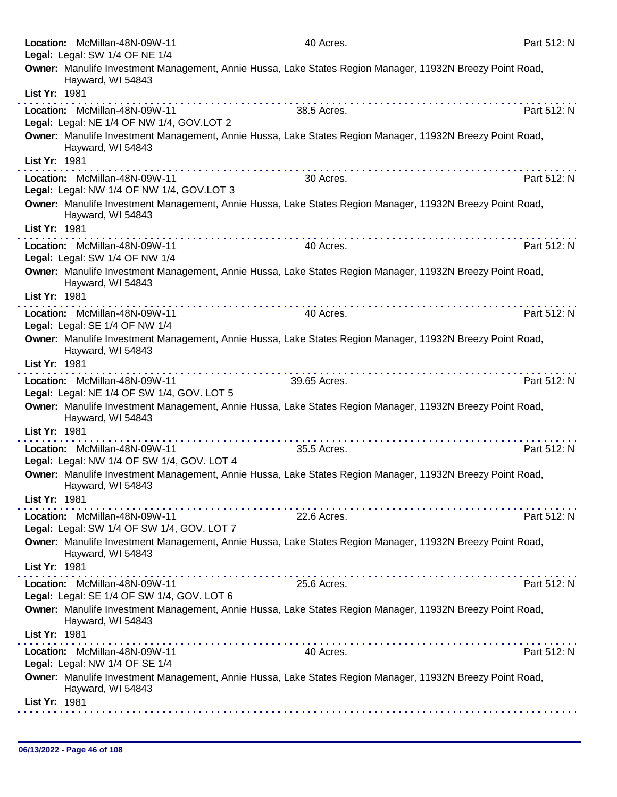|               | Location: McMillan-48N-09W-11                                               | 40 Acres.                                                                                                 | Part 512: N |
|---------------|-----------------------------------------------------------------------------|-----------------------------------------------------------------------------------------------------------|-------------|
|               | Legal: Legal: SW 1/4 OF NE 1/4                                              |                                                                                                           |             |
|               | Hayward, WI 54843                                                           | Owner: Manulife Investment Management, Annie Hussa, Lake States Region Manager, 11932N Breezy Point Road, |             |
| List Yr: 1981 |                                                                             |                                                                                                           |             |
|               | Location: McMillan-48N-09W-11<br>Legal: Legal: NE 1/4 OF NW 1/4, GOV.LOT 2  | 38.5 Acres.                                                                                               | Part 512: N |
|               | Hayward, WI 54843                                                           | Owner: Manulife Investment Management, Annie Hussa, Lake States Region Manager, 11932N Breezy Point Road, |             |
| List Yr: 1981 |                                                                             |                                                                                                           |             |
|               | Location: McMillan-48N-09W-11<br>Legal: Legal: NW 1/4 OF NW 1/4, GOV.LOT 3  | 30 Acres.                                                                                                 | Part 512: N |
|               | Hayward, WI 54843                                                           | Owner: Manulife Investment Management, Annie Hussa, Lake States Region Manager, 11932N Breezy Point Road, |             |
| List Yr: 1981 | .                                                                           |                                                                                                           |             |
|               | Location: McMillan-48N-09W-11<br>Legal: Legal: SW 1/4 OF NW 1/4             | 40 Acres.                                                                                                 | Part 512: N |
|               | Hayward, WI 54843                                                           | Owner: Manulife Investment Management, Annie Hussa, Lake States Region Manager, 11932N Breezy Point Road, |             |
| List Yr: 1981 |                                                                             |                                                                                                           |             |
|               | Location: McMillan-48N-09W-11<br>Legal: Legal: SE 1/4 OF NW 1/4             | 40 Acres.                                                                                                 | Part 512: N |
|               | Hayward, WI 54843                                                           | Owner: Manulife Investment Management, Annie Hussa, Lake States Region Manager, 11932N Breezy Point Road, |             |
| List Yr: 1981 |                                                                             |                                                                                                           |             |
|               | Location: McMillan-48N-09W-11<br>Legal: Legal: NE 1/4 OF SW 1/4, GOV. LOT 5 | 39.65 Acres.                                                                                              | Part 512: N |
|               | Hayward, WI 54843                                                           | Owner: Manulife Investment Management, Annie Hussa, Lake States Region Manager, 11932N Breezy Point Road, |             |
| List Yr: 1981 |                                                                             |                                                                                                           |             |
|               | Location: McMillan-48N-09W-11<br>Legal: Legal: NW 1/4 OF SW 1/4, GOV. LOT 4 | 35.5 Acres.                                                                                               | Part 512: N |
|               | Hayward, WI 54843                                                           | Owner: Manulife Investment Management, Annie Hussa, Lake States Region Manager, 11932N Breezy Point Road, |             |
| List Yr: 1981 |                                                                             |                                                                                                           |             |
|               | Location: McMillan-48N-09W-11<br>Legal: Legal: SW 1/4 OF SW 1/4, GOV. LOT 7 | .<br>22.6 Acres.                                                                                          | Part 512: N |
|               |                                                                             | Owner: Manulife Investment Management, Annie Hussa, Lake States Region Manager, 11932N Breezy Point Road, |             |
| List Yr: 1981 | Hayward, WI 54843                                                           |                                                                                                           |             |
|               | .<br>Location: McMillan-48N-09W-11                                          |                                                                                                           |             |
|               | Legal: Legal: SE 1/4 OF SW 1/4, GOV. LOT 6                                  | 25.6 Acres.                                                                                               | Part 512: N |
|               | Hayward, WI 54843                                                           | Owner: Manulife Investment Management, Annie Hussa, Lake States Region Manager, 11932N Breezy Point Road, |             |
| List Yr: 1981 |                                                                             |                                                                                                           |             |
|               | Location: McMillan-48N-09W-11<br>Legal: Legal: NW 1/4 OF SE 1/4             | 40 Acres.                                                                                                 | Part 512: N |
|               | Hayward, WI 54843                                                           | Owner: Manulife Investment Management, Annie Hussa, Lake States Region Manager, 11932N Breezy Point Road, |             |
| List Yr: 1981 |                                                                             |                                                                                                           |             |
|               |                                                                             |                                                                                                           |             |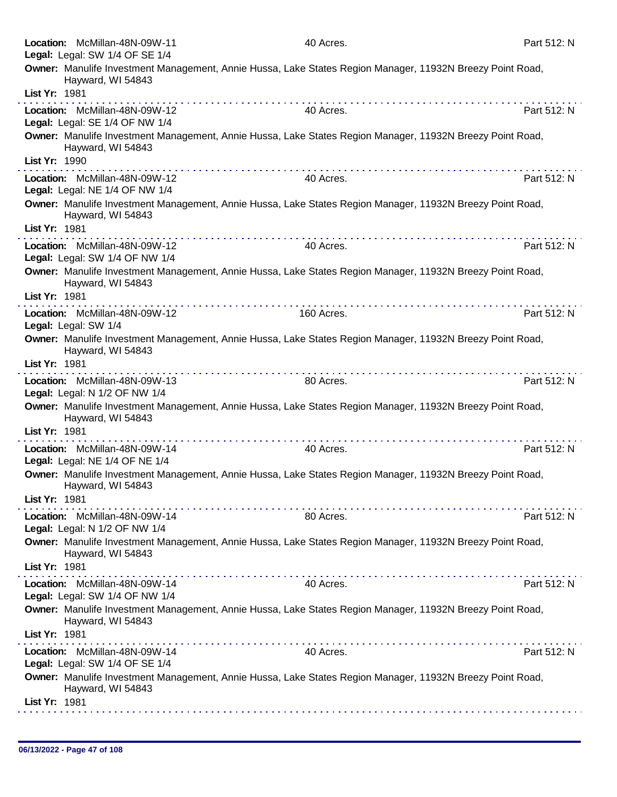| Location: McMillan-48N-09W-11                                   | 40 Acres.                                                                                                                                                                                                                                                                                                                                                                                                                                                              | Part 512: N |
|-----------------------------------------------------------------|------------------------------------------------------------------------------------------------------------------------------------------------------------------------------------------------------------------------------------------------------------------------------------------------------------------------------------------------------------------------------------------------------------------------------------------------------------------------|-------------|
| Legal: Legal: SW 1/4 OF SE 1/4                                  |                                                                                                                                                                                                                                                                                                                                                                                                                                                                        |             |
| Hayward, WI 54843                                               | Owner: Manulife Investment Management, Annie Hussa, Lake States Region Manager, 11932N Breezy Point Road,                                                                                                                                                                                                                                                                                                                                                              |             |
| List Yr: 1981                                                   |                                                                                                                                                                                                                                                                                                                                                                                                                                                                        |             |
| Location: McMillan-48N-09W-12<br>Legal: Legal: SE 1/4 OF NW 1/4 | 40 Acres.                                                                                                                                                                                                                                                                                                                                                                                                                                                              | Part 512: N |
| Hayward, WI 54843                                               | Owner: Manulife Investment Management, Annie Hussa, Lake States Region Manager, 11932N Breezy Point Road,                                                                                                                                                                                                                                                                                                                                                              |             |
| List Yr: 1990                                                   |                                                                                                                                                                                                                                                                                                                                                                                                                                                                        |             |
| Location: McMillan-48N-09W-12<br>Legal: Legal: NE 1/4 OF NW 1/4 | 40 Acres.                                                                                                                                                                                                                                                                                                                                                                                                                                                              | Part 512: N |
| Hayward, WI 54843<br>List Yr: 1981                              | Owner: Manulife Investment Management, Annie Hussa, Lake States Region Manager, 11932N Breezy Point Road,                                                                                                                                                                                                                                                                                                                                                              |             |
|                                                                 |                                                                                                                                                                                                                                                                                                                                                                                                                                                                        |             |
| Location: McMillan-48N-09W-12<br>Legal: Legal: SW 1/4 OF NW 1/4 | 40 Acres.                                                                                                                                                                                                                                                                                                                                                                                                                                                              | Part 512: N |
| Hayward, WI 54843                                               | Owner: Manulife Investment Management, Annie Hussa, Lake States Region Manager, 11932N Breezy Point Road,                                                                                                                                                                                                                                                                                                                                                              |             |
| List Yr: 1981                                                   |                                                                                                                                                                                                                                                                                                                                                                                                                                                                        |             |
| Location: McMillan-48N-09W-12<br>Legal: Legal: SW 1/4           | 160 Acres.                                                                                                                                                                                                                                                                                                                                                                                                                                                             | Part 512: N |
| Hayward, WI 54843                                               | Owner: Manulife Investment Management, Annie Hussa, Lake States Region Manager, 11932N Breezy Point Road,                                                                                                                                                                                                                                                                                                                                                              |             |
| List Yr: 1981                                                   |                                                                                                                                                                                                                                                                                                                                                                                                                                                                        |             |
| Location: McMillan-48N-09W-13<br>Legal: Legal: N 1/2 OF NW 1/4  | 80 Acres.                                                                                                                                                                                                                                                                                                                                                                                                                                                              | Part 512: N |
| Hayward, WI 54843                                               | Owner: Manulife Investment Management, Annie Hussa, Lake States Region Manager, 11932N Breezy Point Road,                                                                                                                                                                                                                                                                                                                                                              |             |
| List Yr: 1981                                                   |                                                                                                                                                                                                                                                                                                                                                                                                                                                                        |             |
| Location: McMillan-48N-09W-14<br>Legal: Legal: NE 1/4 OF NE 1/4 | 40 Acres.                                                                                                                                                                                                                                                                                                                                                                                                                                                              | Part 512: N |
| Hayward, WI 54843                                               | Owner: Manulife Investment Management, Annie Hussa, Lake States Region Manager, 11932N Breezy Point Road,                                                                                                                                                                                                                                                                                                                                                              |             |
| List Yr: 1981                                                   |                                                                                                                                                                                                                                                                                                                                                                                                                                                                        |             |
| Location: McMillan-48N-09W-14<br>Legal: Legal: N 1/2 OF NW 1/4  | 80 Acres.                                                                                                                                                                                                                                                                                                                                                                                                                                                              | Part 512: N |
| Hayward, WI 54843                                               | Owner: Manulife Investment Management, Annie Hussa, Lake States Region Manager, 11932N Breezy Point Road,                                                                                                                                                                                                                                                                                                                                                              |             |
| List Yr: 1981                                                   |                                                                                                                                                                                                                                                                                                                                                                                                                                                                        |             |
| Location: McMillan-48N-09W-14<br>Legal: Legal: SW 1/4 OF NW 1/4 | 40 Acres.                                                                                                                                                                                                                                                                                                                                                                                                                                                              | Part 512: N |
| Hayward, WI 54843                                               | Owner: Manulife Investment Management, Annie Hussa, Lake States Region Manager, 11932N Breezy Point Road,                                                                                                                                                                                                                                                                                                                                                              |             |
| List Yr: 1981                                                   |                                                                                                                                                                                                                                                                                                                                                                                                                                                                        |             |
| Location: McMillan-48N-09W-14<br>Legal: Legal: SW 1/4 OF SE 1/4 | $\mathcal{L}^{\mathcal{A}}(\mathcal{A}^{\mathcal{A}}(\mathcal{A}^{\mathcal{A}}(\mathcal{A}^{\mathcal{A}}(\mathcal{A}^{\mathcal{A}}(\mathcal{A}^{\mathcal{A}}(\mathcal{A}^{\mathcal{A}}(\mathcal{A}^{\mathcal{A}}(\mathcal{A}^{\mathcal{A}}(\mathcal{A}^{\mathcal{A}}(\mathcal{A}^{\mathcal{A}}(\mathcal{A}^{\mathcal{A}}(\mathcal{A}^{\mathcal{A}}(\mathcal{A}^{\mathcal{A}}(\mathcal{A}^{\mathcal{A}}(\mathcal{A}^{\mathcal{A}}(\mathcal{A}^{\mathcal{A$<br>40 Acres. | Part 512: N |
| Hayward, WI 54843                                               | Owner: Manulife Investment Management, Annie Hussa, Lake States Region Manager, 11932N Breezy Point Road,                                                                                                                                                                                                                                                                                                                                                              |             |
| List Yr: 1981                                                   |                                                                                                                                                                                                                                                                                                                                                                                                                                                                        |             |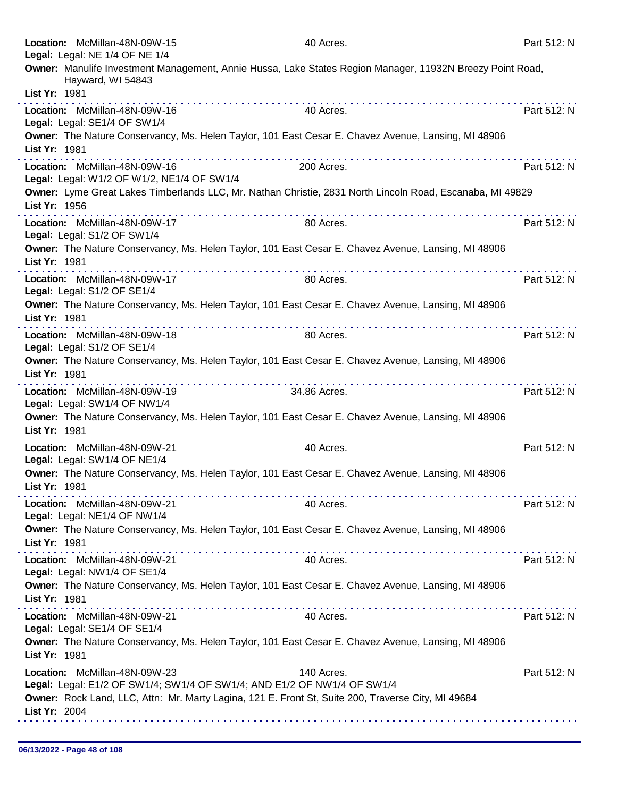|                 | Location: McMillan-48N-09W-15<br>Legal: Legal: NE 1/4 OF NE 1/4             |                                                                         | 40 Acres.                                                                                                 | Part 512: N |
|-----------------|-----------------------------------------------------------------------------|-------------------------------------------------------------------------|-----------------------------------------------------------------------------------------------------------|-------------|
|                 | Hayward, WI 54843                                                           |                                                                         | Owner: Manulife Investment Management, Annie Hussa, Lake States Region Manager, 11932N Breezy Point Road, |             |
| List Yr: 1981   |                                                                             |                                                                         |                                                                                                           |             |
|                 | Location: McMillan-48N-09W-16<br>Legal: Legal: SE1/4 OF SW1/4               |                                                                         | 40 Acres.                                                                                                 | Part 512: N |
|                 |                                                                             |                                                                         | Owner: The Nature Conservancy, Ms. Helen Taylor, 101 East Cesar E. Chavez Avenue, Lansing, MI 48906       |             |
| List Yr: 1981   |                                                                             |                                                                         |                                                                                                           |             |
|                 | Location: McMillan-48N-09W-16<br>Legal: Legal: W1/2 OF W1/2, NE1/4 OF SW1/4 |                                                                         | 200 Acres.                                                                                                | Part 512: N |
| List Yr: 1956   |                                                                             |                                                                         | Owner: Lyme Great Lakes Timberlands LLC, Mr. Nathan Christie, 2831 North Lincoln Road, Escanaba, MI 49829 |             |
|                 | Location: McMillan-48N-09W-17<br>Legal: Legal: S1/2 OF SW1/4                |                                                                         | 80 Acres.                                                                                                 | Part 512: N |
| List Yr: 1981   |                                                                             |                                                                         | Owner: The Nature Conservancy, Ms. Helen Taylor, 101 East Cesar E. Chavez Avenue, Lansing, MI 48906       |             |
|                 | Location: McMillan-48N-09W-17<br>Legal: Legal: S1/2 OF SE1/4                |                                                                         | 80 Acres.                                                                                                 | Part 512: N |
| List Yr: 1981   |                                                                             |                                                                         | Owner: The Nature Conservancy, Ms. Helen Taylor, 101 East Cesar E. Chavez Avenue, Lansing, MI 48906       |             |
|                 | Location: McMillan-48N-09W-18<br>Legal: Legal: S1/2 OF SE1/4                | .                                                                       | 80 Acres.                                                                                                 | Part 512: N |
| List Yr: 1981   |                                                                             |                                                                         | Owner: The Nature Conservancy, Ms. Helen Taylor, 101 East Cesar E. Chavez Avenue, Lansing, MI 48906       |             |
|                 | Location: McMillan-48N-09W-19<br>Legal: Legal: SW1/4 OF NW1/4               |                                                                         | 34.86 Acres.                                                                                              | Part 512: N |
| List Yr: 1981   |                                                                             |                                                                         | Owner: The Nature Conservancy, Ms. Helen Taylor, 101 East Cesar E. Chavez Avenue, Lansing, MI 48906       |             |
|                 | Location: McMillan-48N-09W-21<br>Legal: Legal: SW1/4 OF NE1/4               |                                                                         | 40 Acres.                                                                                                 | Part 512: N |
| List $Yr: 1981$ |                                                                             |                                                                         | Owner: The Nature Conservancy, Ms. Helen Taylor, 101 East Cesar E. Chavez Avenue, Lansing, MI 48906       |             |
|                 | Location: McMillan-48N-09W-21<br>Legal: Legal: NE1/4 OF NW1/4               |                                                                         | 40 Acres.                                                                                                 | Part 512: N |
| List Yr: 1981   |                                                                             |                                                                         | Owner: The Nature Conservancy, Ms. Helen Taylor, 101 East Cesar E. Chavez Avenue, Lansing, MI 48906       |             |
|                 | Location: McMillan-48N-09W-21<br>Legal: Legal: NW1/4 OF SE1/4               |                                                                         | 40 Acres.                                                                                                 | Part 512: N |
| List Yr: 1981   |                                                                             |                                                                         | Owner: The Nature Conservancy, Ms. Helen Taylor, 101 East Cesar E. Chavez Avenue, Lansing, MI 48906       |             |
|                 | Location: McMillan-48N-09W-21<br>Legal: Legal: SE1/4 OF SE1/4               |                                                                         | 40 Acres.                                                                                                 | Part 512: N |
| List Yr: 1981   |                                                                             |                                                                         | Owner: The Nature Conservancy, Ms. Helen Taylor, 101 East Cesar E. Chavez Avenue, Lansing, MI 48906       |             |
|                 | Location: McMillan-48N-09W-23                                               | Legal: Legal: E1/2 OF SW1/4; SW1/4 OF SW1/4; AND E1/2 OF NW1/4 OF SW1/4 | 140 Acres.                                                                                                | Part 512: N |
|                 |                                                                             |                                                                         | Owner: Rock Land, LLC, Attn: Mr. Marty Lagina, 121 E. Front St, Suite 200, Traverse City, MI 49684        |             |
| List Yr: 2004   |                                                                             |                                                                         |                                                                                                           |             |
|                 |                                                                             |                                                                         |                                                                                                           |             |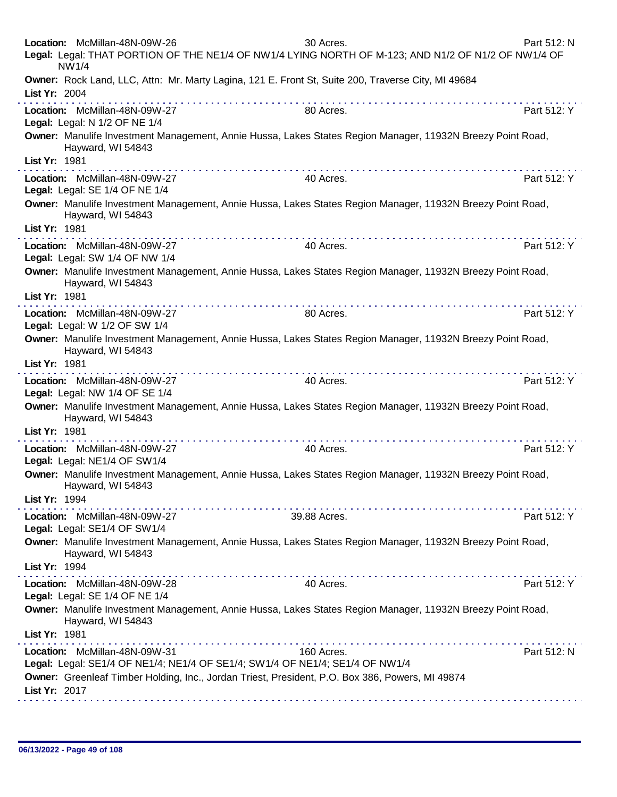| Location: McMillan-48N-09W-26<br>NW1/4                          | 30 Acres.<br>Legal: Legal: THAT PORTION OF THE NE1/4 OF NW1/4 LYING NORTH OF M-123; AND N1/2 OF N1/2 OF NW1/4 OF                                                                                                                                                                                                                                                                                                                                             | Part 512: N                          |
|-----------------------------------------------------------------|--------------------------------------------------------------------------------------------------------------------------------------------------------------------------------------------------------------------------------------------------------------------------------------------------------------------------------------------------------------------------------------------------------------------------------------------------------------|--------------------------------------|
| List Yr: 2004                                                   | Owner: Rock Land, LLC, Attn: Mr. Marty Lagina, 121 E. Front St, Suite 200, Traverse City, MI 49684                                                                                                                                                                                                                                                                                                                                                           |                                      |
| Location: McMillan-48N-09W-27<br>Legal: Legal: N 1/2 OF NE 1/4  | .<br>80 Acres.                                                                                                                                                                                                                                                                                                                                                                                                                                               | and and and and and a<br>Part 512: Y |
| Hayward, WI 54843                                               | Owner: Manulife Investment Management, Annie Hussa, Lakes States Region Manager, 11932N Breezy Point Road,                                                                                                                                                                                                                                                                                                                                                   |                                      |
| List Yr: 1981                                                   |                                                                                                                                                                                                                                                                                                                                                                                                                                                              |                                      |
| Location: McMillan-48N-09W-27<br>Legal: Legal: SE 1/4 OF NE 1/4 | 40 Acres.                                                                                                                                                                                                                                                                                                                                                                                                                                                    | Part 512: Y                          |
| Hayward, WI 54843                                               | Owner: Manulife Investment Management, Annie Hussa, Lakes States Region Manager, 11932N Breezy Point Road,                                                                                                                                                                                                                                                                                                                                                   |                                      |
| List Yr: 1981                                                   | . <b>.</b>                                                                                                                                                                                                                                                                                                                                                                                                                                                   |                                      |
| Location: McMillan-48N-09W-27<br>Legal: Legal: SW 1/4 OF NW 1/4 | 40 Acres.                                                                                                                                                                                                                                                                                                                                                                                                                                                    | Part 512: Y                          |
| Hayward, WI 54843                                               | Owner: Manulife Investment Management, Annie Hussa, Lakes States Region Manager, 11932N Breezy Point Road,                                                                                                                                                                                                                                                                                                                                                   |                                      |
| List Yr: 1981                                                   | $\label{eq:2.1} \begin{array}{lllllllllllllllllll} \mathbf{1}_{\mathbf{1}} & \mathbf{1}_{\mathbf{1}} & \mathbf{1}_{\mathbf{1}} & \mathbf{1}_{\mathbf{1}} & \mathbf{1}_{\mathbf{1}} & \mathbf{1}_{\mathbf{1}} & \mathbf{1}_{\mathbf{1}} & \mathbf{1}_{\mathbf{1}} & \mathbf{1}_{\mathbf{1}} & \mathbf{1}_{\mathbf{1}} & \mathbf{1}_{\mathbf{1}} & \mathbf{1}_{\mathbf{1}} & \mathbf{1}_{\mathbf{1}} & \mathbf{1}_{\mathbf{1}} & \mathbf{1}_{\mathbf{1}} &$    |                                      |
| Location: McMillan-48N-09W-27<br>Legal: Legal: W 1/2 OF SW 1/4  | 80 Acres.                                                                                                                                                                                                                                                                                                                                                                                                                                                    | Part 512: Y                          |
| Hayward, WI 54843                                               | Owner: Manulife Investment Management, Annie Hussa, Lakes States Region Manager, 11932N Breezy Point Road,                                                                                                                                                                                                                                                                                                                                                   |                                      |
| List Yr: 1981                                                   |                                                                                                                                                                                                                                                                                                                                                                                                                                                              |                                      |
| Location: McMillan-48N-09W-27<br>Legal: Legal: NW 1/4 OF SE 1/4 | 40 Acres.                                                                                                                                                                                                                                                                                                                                                                                                                                                    | Part 512: Y                          |
| Hayward, WI 54843                                               | Owner: Manulife Investment Management, Annie Hussa, Lakes States Region Manager, 11932N Breezy Point Road,                                                                                                                                                                                                                                                                                                                                                   |                                      |
| List Yr: 1981                                                   |                                                                                                                                                                                                                                                                                                                                                                                                                                                              |                                      |
| Location: McMillan-48N-09W-27<br>Legal: Legal: NE1/4 OF SW1/4   | 40 Acres.                                                                                                                                                                                                                                                                                                                                                                                                                                                    | Part 512: Y                          |
| Hayward, WI 54843                                               | Owner: Manulife Investment Management, Annie Hussa, Lakes States Region Manager, 11932N Breezy Point Road,                                                                                                                                                                                                                                                                                                                                                   |                                      |
| List Yr: 1994                                                   |                                                                                                                                                                                                                                                                                                                                                                                                                                                              |                                      |
| Location: McMillan-48N-09W-27<br>Legal: Legal: SE1/4 OF SW1/4   | 39.88 Acres.                                                                                                                                                                                                                                                                                                                                                                                                                                                 | Part 512: Y                          |
| Hayward, WI 54843                                               | Owner: Manulife Investment Management, Annie Hussa, Lakes States Region Manager, 11932N Breezy Point Road,                                                                                                                                                                                                                                                                                                                                                   |                                      |
| List Yr: 1994                                                   |                                                                                                                                                                                                                                                                                                                                                                                                                                                              |                                      |
| Location: McMillan-48N-09W-28<br>Legal: Legal: SE 1/4 OF NE 1/4 | 40 Acres.                                                                                                                                                                                                                                                                                                                                                                                                                                                    | Part 512: Y                          |
| Hayward, WI 54843                                               | Owner: Manulife Investment Management, Annie Hussa, Lakes States Region Manager, 11932N Breezy Point Road,                                                                                                                                                                                                                                                                                                                                                   |                                      |
| List Yr: 1981                                                   | $\mathcal{L}^{\mathcal{A}}(\mathcal{A},\mathcal{A},\mathcal{A},\mathcal{A},\mathcal{A},\mathcal{A},\mathcal{A},\mathcal{A},\mathcal{A},\mathcal{A},\mathcal{A},\mathcal{A},\mathcal{A},\mathcal{A},\mathcal{A},\mathcal{A},\mathcal{A},\mathcal{A},\mathcal{A},\mathcal{A},\mathcal{A},\mathcal{A},\mathcal{A},\mathcal{A},\mathcal{A},\mathcal{A},\mathcal{A},\mathcal{A},\mathcal{A},\mathcal{A},\mathcal{A},\mathcal{A},\mathcal{A},\mathcal{A},\mathcal$ |                                      |
| Location: McMillan-48N-09W-31                                   | 160 Acres.<br>Legal: Legal: SE1/4 OF NE1/4; NE1/4 OF SE1/4; SW1/4 OF NE1/4; SE1/4 OF NW1/4                                                                                                                                                                                                                                                                                                                                                                   | Part 512: N                          |
| List Yr: 2017                                                   | Owner: Greenleaf Timber Holding, Inc., Jordan Triest, President, P.O. Box 386, Powers, MI 49874                                                                                                                                                                                                                                                                                                                                                              |                                      |
|                                                                 |                                                                                                                                                                                                                                                                                                                                                                                                                                                              |                                      |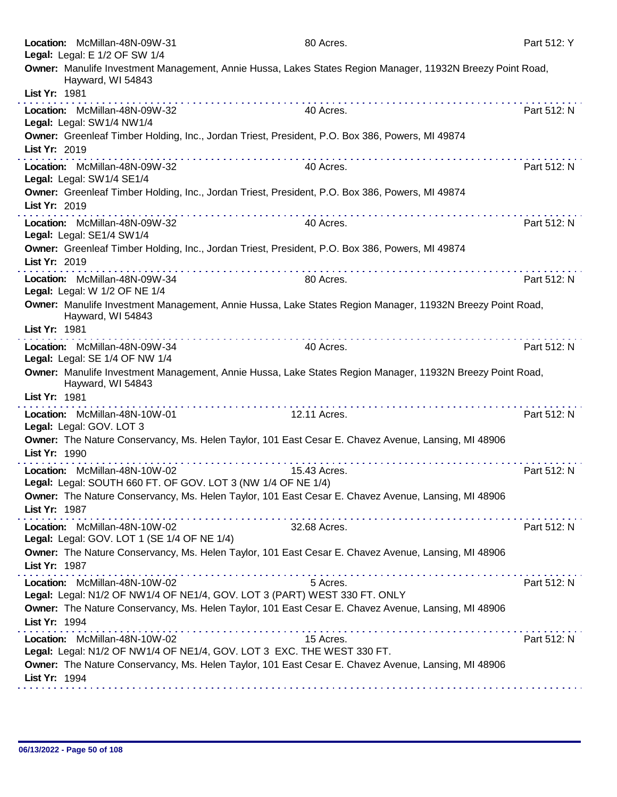|               | Location: McMillan-48N-09W-31<br>Legal: Legal: E 1/2 OF SW 1/4               | 80 Acres.                                                                                                                                                                                                                                                                                                                   | Part 512: Y |
|---------------|------------------------------------------------------------------------------|-----------------------------------------------------------------------------------------------------------------------------------------------------------------------------------------------------------------------------------------------------------------------------------------------------------------------------|-------------|
| List Yr: 1981 | Hayward, WI 54843                                                            | Owner: Manulife Investment Management, Annie Hussa, Lakes States Region Manager, 11932N Breezy Point Road,                                                                                                                                                                                                                  |             |
|               |                                                                              |                                                                                                                                                                                                                                                                                                                             |             |
|               | Location: McMillan-48N-09W-32<br>Legal: Legal: SW1/4 NW1/4                   | 40 Acres.                                                                                                                                                                                                                                                                                                                   | Part 512: N |
| List Yr: 2019 |                                                                              | Owner: Greenleaf Timber Holding, Inc., Jordan Triest, President, P.O. Box 386, Powers, MI 49874                                                                                                                                                                                                                             |             |
|               | Location: McMillan-48N-09W-32<br>Legal: Legal: SW1/4 SE1/4                   | 40 Acres.                                                                                                                                                                                                                                                                                                                   | Part 512: N |
| List Yr: 2019 |                                                                              | Owner: Greenleaf Timber Holding, Inc., Jordan Triest, President, P.O. Box 386, Powers, MI 49874                                                                                                                                                                                                                             |             |
|               | Location: McMillan-48N-09W-32<br>Legal: Legal: SE1/4 SW1/4                   | 40 Acres.                                                                                                                                                                                                                                                                                                                   | Part 512: N |
| List Yr: 2019 |                                                                              | Owner: Greenleaf Timber Holding, Inc., Jordan Triest, President, P.O. Box 386, Powers, MI 49874                                                                                                                                                                                                                             |             |
|               | Location: McMillan-48N-09W-34<br>Legal: Legal: W 1/2 OF NE 1/4               | 80 Acres.                                                                                                                                                                                                                                                                                                                   | Part 512: N |
|               | Hayward, WI 54843                                                            | Owner: Manulife Investment Management, Annie Hussa, Lake States Region Manager, 11932N Breezy Point Road,                                                                                                                                                                                                                   |             |
| List Yr: 1981 |                                                                              |                                                                                                                                                                                                                                                                                                                             |             |
|               | Location: McMillan-48N-09W-34<br>Legal: Legal: SE 1/4 OF NW 1/4              | 40 Acres.                                                                                                                                                                                                                                                                                                                   | Part 512: N |
|               | Hayward, WI 54843                                                            | Owner: Manulife Investment Management, Annie Hussa, Lake States Region Manager, 11932N Breezy Point Road,                                                                                                                                                                                                                   |             |
| List Yr: 1981 |                                                                              | .                                                                                                                                                                                                                                                                                                                           |             |
|               |                                                                              |                                                                                                                                                                                                                                                                                                                             |             |
|               | Location: McMillan-48N-10W-01<br>Legal: Legal: GOV. LOT 3                    | 12.11 Acres.                                                                                                                                                                                                                                                                                                                | Part 512: N |
| List Yr: 1990 |                                                                              | Owner: The Nature Conservancy, Ms. Helen Taylor, 101 East Cesar E. Chavez Avenue, Lansing, MI 48906                                                                                                                                                                                                                         |             |
|               | Location: McMillan-48N-10W-02                                                | .<br>15.43 Acres.                                                                                                                                                                                                                                                                                                           | Part 512: N |
|               |                                                                              | Legal: Legal: SOUTH 660 FT. OF GOV. LOT 3 (NW 1/4 OF NE 1/4)                                                                                                                                                                                                                                                                |             |
| List Yr: 1987 |                                                                              | Owner: The Nature Conservancy, Ms. Helen Taylor, 101 East Cesar E. Chavez Avenue, Lansing, MI 48906                                                                                                                                                                                                                         |             |
|               | Location: McMillan-48N-10W-02<br>Legal: Legal: GOV. LOT 1 (SE 1/4 OF NE 1/4) | 32.68 Acres.                                                                                                                                                                                                                                                                                                                | Part 512: N |
| List Yr: 1987 |                                                                              | Owner: The Nature Conservancy, Ms. Helen Taylor, 101 East Cesar E. Chavez Avenue, Lansing, MI 48906                                                                                                                                                                                                                         |             |
|               | Location: McMillan-48N-10W-02                                                | .<br>a construction of the construction of the construction of the construction of the construction of the construction of the construction of the construction of the construction of the construction of the construction of the<br>5 Acres.<br>Legal: Legal: N1/2 OF NW1/4 OF NE1/4, GOV. LOT 3 (PART) WEST 330 FT. ONLY | Part 512: N |
| List Yr: 1994 |                                                                              | Owner: The Nature Conservancy, Ms. Helen Taylor, 101 East Cesar E. Chavez Avenue, Lansing, MI 48906                                                                                                                                                                                                                         |             |
|               | Location: McMillan-48N-10W-02                                                | 15 Acres.<br>Legal: Legal: N1/2 OF NW1/4 OF NE1/4, GOV. LOT 3 EXC. THE WEST 330 FT.                                                                                                                                                                                                                                         | Part 512: N |
| List Yr: 1994 |                                                                              | Owner: The Nature Conservancy, Ms. Helen Taylor, 101 East Cesar E. Chavez Avenue, Lansing, MI 48906                                                                                                                                                                                                                         |             |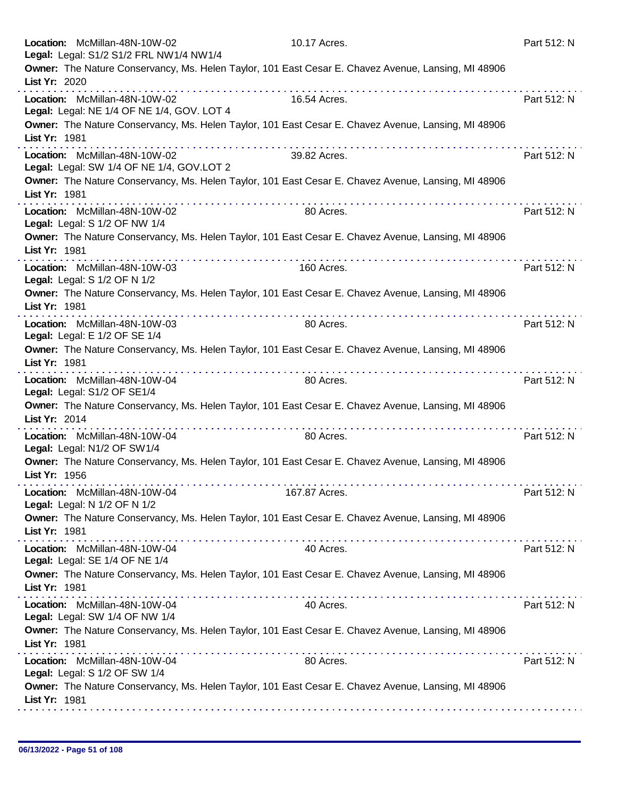|               | Location: McMillan-48N-10W-02<br>Legal: Legal: S1/2 S1/2 FRL NW1/4 NW1/4    |   | 10.17 Acres.                                                                                        | Part 512: N |
|---------------|-----------------------------------------------------------------------------|---|-----------------------------------------------------------------------------------------------------|-------------|
| List Yr: 2020 |                                                                             |   | Owner: The Nature Conservancy, Ms. Helen Taylor, 101 East Cesar E. Chavez Avenue, Lansing, MI 48906 |             |
|               | Location: McMillan-48N-10W-02<br>Legal: Legal: NE 1/4 OF NE 1/4, GOV. LOT 4 | . | 16.54 Acres.                                                                                        | Part 512: N |
| List Yr: 1981 |                                                                             |   | Owner: The Nature Conservancy, Ms. Helen Taylor, 101 East Cesar E. Chavez Avenue, Lansing, MI 48906 |             |
|               | Location: McMillan-48N-10W-02<br>Legal: Legal: SW 1/4 OF NE 1/4, GOV.LOT 2  |   | 39.82 Acres.                                                                                        | Part 512: N |
| List Yr: 1981 |                                                                             |   | Owner: The Nature Conservancy, Ms. Helen Taylor, 101 East Cesar E. Chavez Avenue, Lansing, MI 48906 |             |
|               | Location: McMillan-48N-10W-02<br>Legal: Legal: S 1/2 OF NW 1/4              |   | 80 Acres.                                                                                           | Part 512: N |
| List Yr: 1981 |                                                                             |   | Owner: The Nature Conservancy, Ms. Helen Taylor, 101 East Cesar E. Chavez Avenue, Lansing, MI 48906 |             |
|               | Location: McMillan-48N-10W-03<br>Legal: Legal: S 1/2 OF N 1/2               |   | 160 Acres.                                                                                          | Part 512: N |
| List Yr: 1981 |                                                                             |   | Owner: The Nature Conservancy, Ms. Helen Taylor, 101 East Cesar E. Chavez Avenue, Lansing, MI 48906 |             |
|               | Location: McMillan-48N-10W-03<br>Legal: Legal: E 1/2 OF SE 1/4              |   | 80 Acres.                                                                                           | Part 512: N |
| List Yr: 1981 |                                                                             |   | Owner: The Nature Conservancy, Ms. Helen Taylor, 101 East Cesar E. Chavez Avenue, Lansing, MI 48906 |             |
|               | Location: McMillan-48N-10W-04<br>Legal: Legal: S1/2 OF SE1/4                | . | 80 Acres.                                                                                           | Part 512: N |
| List Yr: 2014 |                                                                             | . | Owner: The Nature Conservancy, Ms. Helen Taylor, 101 East Cesar E. Chavez Avenue, Lansing, MI 48906 |             |
|               | Location: McMillan-48N-10W-04<br>Legal: Legal: N1/2 OF SW1/4                |   | 80 Acres.                                                                                           | Part 512: N |
| List Yr: 1956 |                                                                             |   | Owner: The Nature Conservancy, Ms. Helen Taylor, 101 East Cesar E. Chavez Avenue, Lansing, MI 48906 |             |
|               | Location: McMillan-48N-10W-04<br>Legal: Legal: N 1/2 OF N 1/2               |   | 167.87 Acres.                                                                                       | Part 512: N |
| List Yr: 1981 |                                                                             |   | Owner: The Nature Conservancy, Ms. Helen Taylor, 101 East Cesar E. Chavez Avenue, Lansing, MI 48906 |             |
|               | Location: McMillan-48N-10W-04<br>Legal: Legal: SE 1/4 OF NE 1/4             |   | 40 Acres.                                                                                           | Part 512: N |
| List Yr: 1981 |                                                                             |   | Owner: The Nature Conservancy, Ms. Helen Taylor, 101 East Cesar E. Chavez Avenue, Lansing, MI 48906 |             |
|               | Location: McMillan-48N-10W-04<br>Legal: Legal: SW 1/4 OF NW 1/4             |   | 40 Acres.                                                                                           | Part 512: N |
| List Yr: 1981 |                                                                             |   | Owner: The Nature Conservancy, Ms. Helen Taylor, 101 East Cesar E. Chavez Avenue, Lansing, MI 48906 |             |
|               | Location: McMillan-48N-10W-04<br>Legal: Legal: S 1/2 OF SW 1/4              |   | 80 Acres.                                                                                           | Part 512: N |
| List Yr: 1981 |                                                                             |   | Owner: The Nature Conservancy, Ms. Helen Taylor, 101 East Cesar E. Chavez Avenue, Lansing, MI 48906 |             |
|               |                                                                             |   |                                                                                                     |             |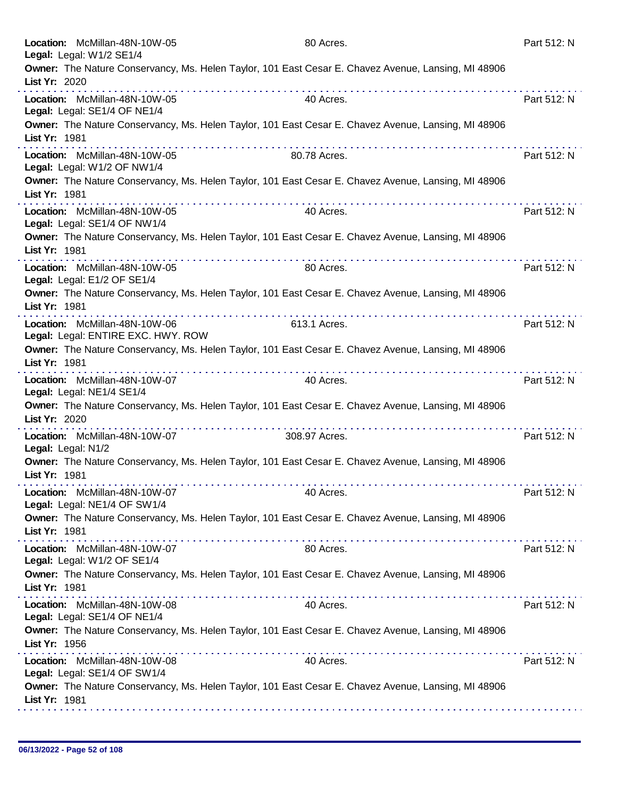| Location: McMillan-48N-10W-05<br>Legal: Legal: W1/2 SE1/4           |   | 80 Acres.                                                                                                | Part 512: N |
|---------------------------------------------------------------------|---|----------------------------------------------------------------------------------------------------------|-------------|
| List Yr: 2020                                                       |   | Owner: The Nature Conservancy, Ms. Helen Taylor, 101 East Cesar E. Chavez Avenue, Lansing, MI 48906      |             |
| Location: McMillan-48N-10W-05<br>Legal: Legal: SE1/4 OF NE1/4       |   | 40 Acres.                                                                                                | Part 512: N |
| List Yr: 1981                                                       |   | Owner: The Nature Conservancy, Ms. Helen Taylor, 101 East Cesar E. Chavez Avenue, Lansing, MI 48906      |             |
| Location: McMillan-48N-10W-05<br>Legal: Legal: W1/2 OF NW1/4        |   | 80.78 Acres.                                                                                             | Part 512: N |
| List Yr: 1981                                                       |   | Owner: The Nature Conservancy, Ms. Helen Taylor, 101 East Cesar E. Chavez Avenue, Lansing, MI 48906      |             |
| Location: McMillan-48N-10W-05<br>Legal: Legal: SE1/4 OF NW1/4       |   | 40 Acres.                                                                                                | Part 512: N |
| List Yr: 1981                                                       |   | Owner: The Nature Conservancy, Ms. Helen Taylor, 101 East Cesar E. Chavez Avenue, Lansing, MI 48906      |             |
| Location: McMillan-48N-10W-05<br>Legal: Legal: E1/2 OF SE1/4        |   | 80 Acres.                                                                                                | Part 512: N |
| List Yr: 1981                                                       |   | Owner: The Nature Conservancy, Ms. Helen Taylor, 101 East Cesar E. Chavez Avenue, Lansing, MI 48906      |             |
| Location: McMillan-48N-10W-06<br>Legal: Legal: ENTIRE EXC. HWY. ROW |   | 613.1 Acres.                                                                                             | Part 512: N |
| List Yr: 1981                                                       | . | Owner: The Nature Conservancy, Ms. Helen Taylor, 101 East Cesar E. Chavez Avenue, Lansing, MI 48906<br>. |             |
| Location: McMillan-48N-10W-07<br>Legal: Legal: NE1/4 SE1/4          |   | 40 Acres.                                                                                                | Part 512: N |
| List Yr: 2020                                                       | . | Owner: The Nature Conservancy, Ms. Helen Taylor, 101 East Cesar E. Chavez Avenue, Lansing, MI 48906      |             |
| Location: McMillan-48N-10W-07<br>Legal: Legal: N1/2                 |   | 308.97 Acres.                                                                                            | Part 512: N |
| List Yr: 1981                                                       |   | Owner: The Nature Conservancy, Ms. Helen Taylor, 101 East Cesar E. Chavez Avenue, Lansing, MI 48906      |             |
| Location: McMillan-48N-10W-07<br>Legal: Legal: NE1/4 OF SW1/4       |   | 40 Acres.                                                                                                | Part 512: N |
| List Yr: 1981                                                       |   | Owner: The Nature Conservancy, Ms. Helen Taylor, 101 East Cesar E. Chavez Avenue, Lansing, MI 48906      |             |
| Location: McMillan-48N-10W-07<br>Legal: Legal: W1/2 OF SE1/4        |   | 80 Acres.                                                                                                | Part 512: N |
| List Yr: 1981                                                       |   | Owner: The Nature Conservancy, Ms. Helen Taylor, 101 East Cesar E. Chavez Avenue, Lansing, MI 48906      |             |
| Location: McMillan-48N-10W-08<br>Legal: Legal: SE1/4 OF NE1/4       |   | 40 Acres.                                                                                                | Part 512: N |
| List Yr: 1956                                                       |   | Owner: The Nature Conservancy, Ms. Helen Taylor, 101 East Cesar E. Chavez Avenue, Lansing, MI 48906      |             |
| Location: McMillan-48N-10W-08<br>Legal: Legal: SE1/4 OF SW1/4       |   | 40 Acres.                                                                                                | Part 512: N |
| List Yr: 1981                                                       |   | Owner: The Nature Conservancy, Ms. Helen Taylor, 101 East Cesar E. Chavez Avenue, Lansing, MI 48906      |             |
|                                                                     |   |                                                                                                          |             |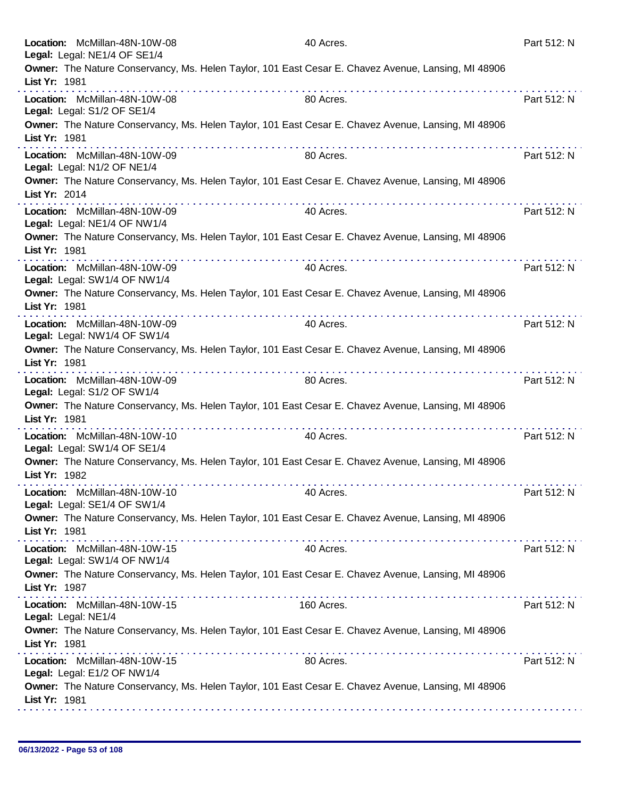| Location: McMillan-48N-10W-08<br>Legal: Legal: NE1/4 OF SE1/4 |   | 40 Acres.                                                                                           | Part 512: N |
|---------------------------------------------------------------|---|-----------------------------------------------------------------------------------------------------|-------------|
| List Yr: 1981                                                 |   | Owner: The Nature Conservancy, Ms. Helen Taylor, 101 East Cesar E. Chavez Avenue, Lansing, MI 48906 |             |
| Location: McMillan-48N-10W-08<br>Legal: Legal: S1/2 OF SE1/4  | . | 80 Acres.                                                                                           | Part 512: N |
| List Yr: 1981                                                 |   | Owner: The Nature Conservancy, Ms. Helen Taylor, 101 East Cesar E. Chavez Avenue, Lansing, MI 48906 |             |
| Location: McMillan-48N-10W-09<br>Legal: Legal: N1/2 OF NE1/4  |   | 80 Acres.                                                                                           | Part 512: N |
| List Yr: 2014                                                 |   | Owner: The Nature Conservancy, Ms. Helen Taylor, 101 East Cesar E. Chavez Avenue, Lansing, MI 48906 |             |
| Location: McMillan-48N-10W-09<br>Legal: Legal: NE1/4 OF NW1/4 |   | 40 Acres.                                                                                           | Part 512: N |
| List Yr: 1981                                                 | . | Owner: The Nature Conservancy, Ms. Helen Taylor, 101 East Cesar E. Chavez Avenue, Lansing, MI 48906 |             |
| Location: McMillan-48N-10W-09<br>Legal: Legal: SW1/4 OF NW1/4 |   | 40 Acres.                                                                                           | Part 512: N |
| List Yr: 1981                                                 |   | Owner: The Nature Conservancy, Ms. Helen Taylor, 101 East Cesar E. Chavez Avenue, Lansing, MI 48906 |             |
| Location: McMillan-48N-10W-09<br>Legal: Legal: NW1/4 OF SW1/4 |   | 40 Acres.                                                                                           | Part 512: N |
| List Yr: 1981                                                 | . | Owner: The Nature Conservancy, Ms. Helen Taylor, 101 East Cesar E. Chavez Avenue, Lansing, MI 48906 |             |
| Location: McMillan-48N-10W-09<br>Legal: Legal: S1/2 OF SW1/4  |   | 80 Acres.                                                                                           | Part 512: N |
| List Yr: 1981                                                 |   | Owner: The Nature Conservancy, Ms. Helen Taylor, 101 East Cesar E. Chavez Avenue, Lansing, MI 48906 |             |
| Location: McMillan-48N-10W-10<br>Legal: Legal: SW1/4 OF SE1/4 |   | 40 Acres.                                                                                           | Part 512: N |
| List Yr: 1982                                                 |   | Owner: The Nature Conservancy, Ms. Helen Taylor, 101 East Cesar E. Chavez Avenue, Lansing, MI 48906 |             |
| Location: McMillan-48N-10W-10<br>Legal: Legal: SE1/4 OF SW1/4 |   | 40 Acres.                                                                                           | Part 512: N |
| List Yr: 1981                                                 |   | Owner: The Nature Conservancy, Ms. Helen Taylor, 101 East Cesar E. Chavez Avenue, Lansing, MI 48906 |             |
| Location: McMillan-48N-10W-15<br>Legal: Legal: SW1/4 OF NW1/4 |   | 40 Acres.                                                                                           | Part 512: N |
| List Yr: 1987                                                 |   | Owner: The Nature Conservancy, Ms. Helen Taylor, 101 East Cesar E. Chavez Avenue, Lansing, MI 48906 |             |
| Location: McMillan-48N-10W-15<br>Legal: Legal: NE1/4          |   | 160 Acres.                                                                                          | Part 512: N |
| List Yr: 1981                                                 |   | Owner: The Nature Conservancy, Ms. Helen Taylor, 101 East Cesar E. Chavez Avenue, Lansing, MI 48906 |             |
| Location: McMillan-48N-10W-15<br>Legal: Legal: E1/2 OF NW1/4  |   | 80 Acres.                                                                                           | Part 512: N |
| List Yr: 1981                                                 |   | Owner: The Nature Conservancy, Ms. Helen Taylor, 101 East Cesar E. Chavez Avenue, Lansing, MI 48906 |             |
|                                                               |   |                                                                                                     |             |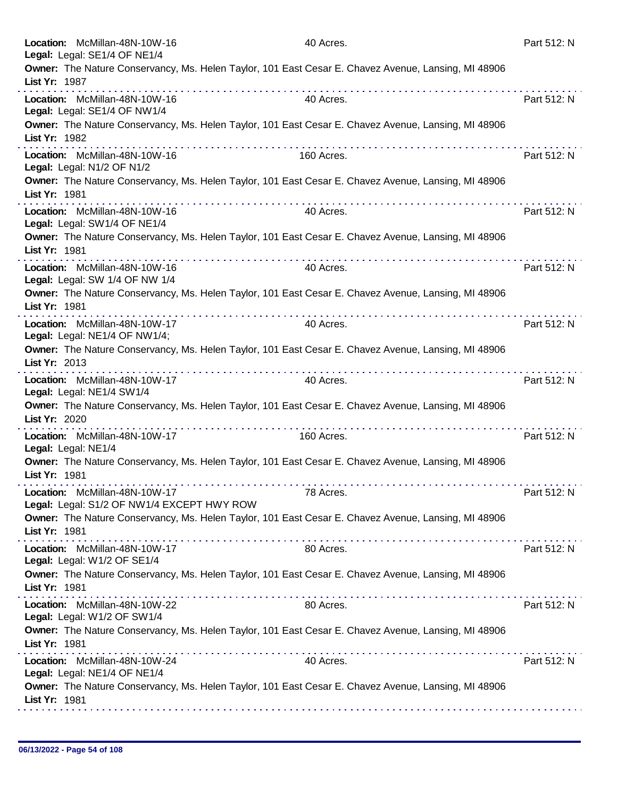| Location: McMillan-48N-10W-16<br>Legal: Legal: SE1/4 OF NE1/4                                                                                                        | 40 Acres.  | Part 512: N |
|----------------------------------------------------------------------------------------------------------------------------------------------------------------------|------------|-------------|
| Owner: The Nature Conservancy, Ms. Helen Taylor, 101 East Cesar E. Chavez Avenue, Lansing, MI 48906<br>List Yr: 1987                                                 |            |             |
| Location: McMillan-48N-10W-16<br>Legal: Legal: SE1/4 OF NW1/4                                                                                                        | 40 Acres.  | Part 512: N |
| Owner: The Nature Conservancy, Ms. Helen Taylor, 101 East Cesar E. Chavez Avenue, Lansing, MI 48906<br>List Yr: 1982                                                 |            |             |
| Location: McMillan-48N-10W-16<br>Legal: Legal: N1/2 OF N1/2                                                                                                          | 160 Acres. | Part 512: N |
| Owner: The Nature Conservancy, Ms. Helen Taylor, 101 East Cesar E. Chavez Avenue, Lansing, MI 48906<br>List Yr: 1981                                                 |            |             |
| Location: McMillan-48N-10W-16<br>Legal: Legal: SW1/4 OF NE1/4                                                                                                        | 40 Acres.  | Part 512: N |
| Owner: The Nature Conservancy, Ms. Helen Taylor, 101 East Cesar E. Chavez Avenue, Lansing, MI 48906<br>List Yr: 1981                                                 |            |             |
| Location: McMillan-48N-10W-16<br>Legal: Legal: SW 1/4 OF NW 1/4                                                                                                      | 40 Acres.  | Part 512: N |
| Owner: The Nature Conservancy, Ms. Helen Taylor, 101 East Cesar E. Chavez Avenue, Lansing, MI 48906<br>List Yr: 1981                                                 |            |             |
| Location: McMillan-48N-10W-17<br>Legal: Legal: NE1/4 OF NW1/4;                                                                                                       | 40 Acres.  | Part 512: N |
| Owner: The Nature Conservancy, Ms. Helen Taylor, 101 East Cesar E. Chavez Avenue, Lansing, MI 48906<br>List Yr: 2013<br>the second companies of the second companies |            |             |
| Location: McMillan-48N-10W-17<br>Legal: Legal: NE1/4 SW1/4                                                                                                           | 40 Acres.  | Part 512: N |
| Owner: The Nature Conservancy, Ms. Helen Taylor, 101 East Cesar E. Chavez Avenue, Lansing, MI 48906<br>List Yr: 2020                                                 |            |             |
| Location: McMillan-48N-10W-17<br>Legal: Legal: NE1/4                                                                                                                 | 160 Acres. | Part 512: N |
| Owner: The Nature Conservancy, Ms. Helen Taylor, 101 East Cesar E. Chavez Avenue, Lansing, MI 48906<br>List Yr: 1981                                                 |            |             |
| Location: McMillan-48N-10W-17<br>Legal: Legal: S1/2 OF NW1/4 EXCEPT HWY ROW                                                                                          | 78 Acres.  | Part 512: N |
| Owner: The Nature Conservancy, Ms. Helen Taylor, 101 East Cesar E. Chavez Avenue, Lansing, MI 48906<br>List Yr: 1981                                                 |            |             |
| Location: McMillan-48N-10W-17<br>Legal: Legal: W1/2 OF SE1/4                                                                                                         | 80 Acres.  | Part 512: N |
| Owner: The Nature Conservancy, Ms. Helen Taylor, 101 East Cesar E. Chavez Avenue, Lansing, MI 48906<br>List Yr: 1981                                                 |            |             |
| Location: McMillan-48N-10W-22<br>Legal: Legal: W1/2 OF SW1/4                                                                                                         | 80 Acres.  | Part 512: N |
| Owner: The Nature Conservancy, Ms. Helen Taylor, 101 East Cesar E. Chavez Avenue, Lansing, MI 48906<br>List Yr: 1981                                                 |            |             |
| Location: McMillan-48N-10W-24<br>Legal: Legal: NE1/4 OF NE1/4                                                                                                        | 40 Acres.  | Part 512: N |
| Owner: The Nature Conservancy, Ms. Helen Taylor, 101 East Cesar E. Chavez Avenue, Lansing, MI 48906<br>List Yr: 1981                                                 |            |             |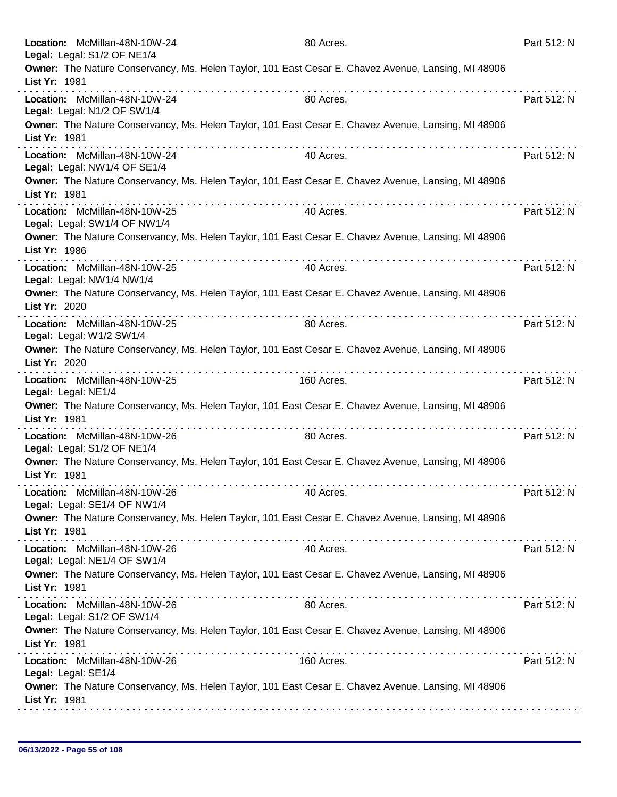|                     | Location: McMillan-48N-10W-24<br>Legal: Legal: S1/2 OF NE1/4  |                                         | 80 Acres.                                                                                           | Part 512: N |
|---------------------|---------------------------------------------------------------|-----------------------------------------|-----------------------------------------------------------------------------------------------------|-------------|
| List Yr: 1981       |                                                               |                                         | Owner: The Nature Conservancy, Ms. Helen Taylor, 101 East Cesar E. Chavez Avenue, Lansing, MI 48906 |             |
|                     | Location: McMillan-48N-10W-24<br>Legal: Legal: N1/2 OF SW1/4  | did did a cicle did a cicle did a cicle | 80 Acres.                                                                                           | Part 512: N |
| List Yr: 1981       |                                                               |                                         | Owner: The Nature Conservancy, Ms. Helen Taylor, 101 East Cesar E. Chavez Avenue, Lansing, MI 48906 |             |
|                     | Location: McMillan-48N-10W-24<br>Legal: Legal: NW1/4 OF SE1/4 | .                                       | 40 Acres.                                                                                           | Part 512: N |
| List Yr: 1981       |                                                               |                                         | Owner: The Nature Conservancy, Ms. Helen Taylor, 101 East Cesar E. Chavez Avenue, Lansing, MI 48906 |             |
|                     | Location: McMillan-48N-10W-25<br>Legal: Legal: SW1/4 OF NW1/4 |                                         | 40 Acres.                                                                                           | Part 512: N |
| List Yr: 1986       |                                                               |                                         | Owner: The Nature Conservancy, Ms. Helen Taylor, 101 East Cesar E. Chavez Avenue, Lansing, MI 48906 |             |
|                     | Location: McMillan-48N-10W-25<br>Legal: Legal: NW1/4 NW1/4    |                                         | 40 Acres.                                                                                           | Part 512: N |
| List Yr: 2020       |                                                               |                                         | Owner: The Nature Conservancy, Ms. Helen Taylor, 101 East Cesar E. Chavez Avenue, Lansing, MI 48906 |             |
|                     | Location: McMillan-48N-10W-25<br>Legal: Legal: W1/2 SW1/4     | .                                       | 80 Acres.                                                                                           | Part 512: N |
| List Yr: 2020       |                                                               |                                         | Owner: The Nature Conservancy, Ms. Helen Taylor, 101 East Cesar E. Chavez Avenue, Lansing, MI 48906 |             |
| Legal: Legal: NE1/4 | Location: McMillan-48N-10W-25                                 |                                         | 160 Acres.                                                                                          | Part 512: N |
| List Yr: 1981       |                                                               |                                         | Owner: The Nature Conservancy, Ms. Helen Taylor, 101 East Cesar E. Chavez Avenue, Lansing, MI 48906 |             |
|                     | Location: McMillan-48N-10W-26<br>Legal: Legal: S1/2 OF NE1/4  | .                                       | 80 Acres.                                                                                           | Part 512: N |
| List Yr: 1981       |                                                               |                                         | Owner: The Nature Conservancy, Ms. Helen Taylor, 101 East Cesar E. Chavez Avenue, Lansing, MI 48906 |             |
|                     | Location: McMillan-48N-10W-26<br>Legal: Legal: SE1/4 OF NW1/4 |                                         | 40 Acres.                                                                                           | Part 512: N |
| List Yr: 1981       |                                                               |                                         | Owner: The Nature Conservancy, Ms. Helen Taylor, 101 East Cesar E. Chavez Avenue, Lansing, MI 48906 |             |
|                     | Location: McMillan-48N-10W-26<br>Legal: Legal: NE1/4 OF SW1/4 |                                         | 40 Acres.                                                                                           | Part 512: N |
| List Yr: 1981       |                                                               |                                         | Owner: The Nature Conservancy, Ms. Helen Taylor, 101 East Cesar E. Chavez Avenue, Lansing, MI 48906 |             |
|                     | Location: McMillan-48N-10W-26<br>Legal: Legal: S1/2 OF SW1/4  |                                         | 80 Acres.                                                                                           | Part 512: N |
| List Yr: 1981       |                                                               |                                         | Owner: The Nature Conservancy, Ms. Helen Taylor, 101 East Cesar E. Chavez Avenue, Lansing, MI 48906 |             |
| Legal: Legal: SE1/4 | Location: McMillan-48N-10W-26                                 |                                         | 160 Acres.                                                                                          | Part 512: N |
| List Yr: 1981       |                                                               |                                         | Owner: The Nature Conservancy, Ms. Helen Taylor, 101 East Cesar E. Chavez Avenue, Lansing, MI 48906 |             |
|                     |                                                               |                                         |                                                                                                     |             |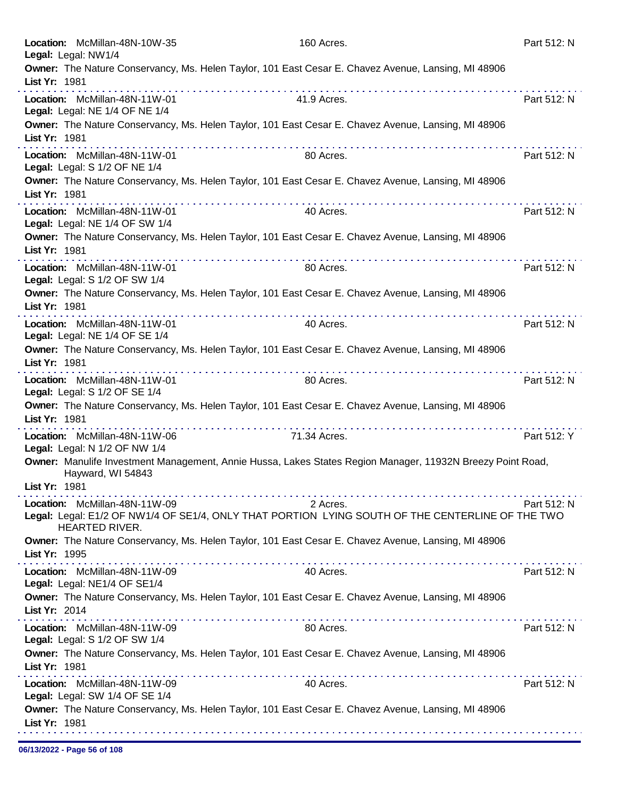| Location: McMillan-48N-10W-35<br>Legal: Legal: NW1/4            | 160 Acres.                                                                                                                                                                                                                                                                                                                                                     | Part 512: N |
|-----------------------------------------------------------------|----------------------------------------------------------------------------------------------------------------------------------------------------------------------------------------------------------------------------------------------------------------------------------------------------------------------------------------------------------------|-------------|
|                                                                 | Owner: The Nature Conservancy, Ms. Helen Taylor, 101 East Cesar E. Chavez Avenue, Lansing, MI 48906                                                                                                                                                                                                                                                            |             |
| List Yr: 1981                                                   |                                                                                                                                                                                                                                                                                                                                                                |             |
| Location: McMillan-48N-11W-01                                   | 41.9 Acres.                                                                                                                                                                                                                                                                                                                                                    | Part 512: N |
| Legal: Legal: NE 1/4 OF NE 1/4                                  |                                                                                                                                                                                                                                                                                                                                                                |             |
|                                                                 | Owner: The Nature Conservancy, Ms. Helen Taylor, 101 East Cesar E. Chavez Avenue, Lansing, MI 48906                                                                                                                                                                                                                                                            |             |
| List Yr: 1981                                                   | $\label{eq:2.1} \mathcal{L}^{\mathcal{A}}(\mathcal{A}^{\mathcal{A}}(\mathcal{A}^{\mathcal{A}}(\mathcal{A}^{\mathcal{A}}(\mathcal{A}^{\mathcal{A}}(\mathcal{A}^{\mathcal{A}}(\mathcal{A}^{\mathcal{A}}(\mathcal{A}^{\mathcal{A}}(\mathcal{A}^{\mathcal{A}}(\mathcal{A}^{\mathcal{A}}(\mathcal{A}^{\mathcal{A}}(\mathcal{A}^{\mathcal{A}}))))))$                 |             |
| Location: McMillan-48N-11W-01                                   | 80 Acres.                                                                                                                                                                                                                                                                                                                                                      | Part 512: N |
| Legal: Legal: S 1/2 OF NE 1/4                                   |                                                                                                                                                                                                                                                                                                                                                                |             |
|                                                                 | Owner: The Nature Conservancy, Ms. Helen Taylor, 101 East Cesar E. Chavez Avenue, Lansing, MI 48906                                                                                                                                                                                                                                                            |             |
| List Yr: 1981                                                   |                                                                                                                                                                                                                                                                                                                                                                |             |
| Location: McMillan-48N-11W-01                                   | 40 Acres.                                                                                                                                                                                                                                                                                                                                                      | Part 512: N |
| Legal: Legal: NE 1/4 OF SW 1/4                                  | Owner: The Nature Conservancy, Ms. Helen Taylor, 101 East Cesar E. Chavez Avenue, Lansing, MI 48906                                                                                                                                                                                                                                                            |             |
| List Yr: 1981                                                   |                                                                                                                                                                                                                                                                                                                                                                |             |
| Location: McMillan-48N-11W-01                                   | 80 Acres.                                                                                                                                                                                                                                                                                                                                                      | Part 512: N |
| Legal: Legal: S 1/2 OF SW 1/4                                   |                                                                                                                                                                                                                                                                                                                                                                |             |
|                                                                 | Owner: The Nature Conservancy, Ms. Helen Taylor, 101 East Cesar E. Chavez Avenue, Lansing, MI 48906                                                                                                                                                                                                                                                            |             |
| List Yr: 1981                                                   |                                                                                                                                                                                                                                                                                                                                                                |             |
| Location: McMillan-48N-11W-01                                   | 40 Acres.                                                                                                                                                                                                                                                                                                                                                      | Part 512: N |
| Legal: Legal: NE 1/4 OF SE 1/4                                  |                                                                                                                                                                                                                                                                                                                                                                |             |
|                                                                 | Owner: The Nature Conservancy, Ms. Helen Taylor, 101 East Cesar E. Chavez Avenue, Lansing, MI 48906                                                                                                                                                                                                                                                            |             |
| List Yr: 1981                                                   | . <b>.</b><br>.                                                                                                                                                                                                                                                                                                                                                |             |
| Location: McMillan-48N-11W-01                                   | 80 Acres.                                                                                                                                                                                                                                                                                                                                                      | Part 512: N |
| Legal: Legal: S 1/2 OF SE 1/4                                   | Owner: The Nature Conservancy, Ms. Helen Taylor, 101 East Cesar E. Chavez Avenue, Lansing, MI 48906                                                                                                                                                                                                                                                            |             |
| List Yr: 1981                                                   |                                                                                                                                                                                                                                                                                                                                                                |             |
| Location: McMillan-48N-11W-06                                   | 71.34 Acres.                                                                                                                                                                                                                                                                                                                                                   | Part 512: Y |
| Legal: Legal: N 1/2 OF NW 1/4                                   |                                                                                                                                                                                                                                                                                                                                                                |             |
|                                                                 | Owner: Manulife Investment Management, Annie Hussa, Lakes States Region Manager, 11932N Breezy Point Road,                                                                                                                                                                                                                                                     |             |
| Hayward, WI 54843                                               |                                                                                                                                                                                                                                                                                                                                                                |             |
| List Yr: 1981                                                   | $\label{eq:2.1} \begin{split} \mathbf{u}^{\prime} & = \mathbf{u}^{\prime} + \mathbf{u}^{\prime} + \mathbf{u}^{\prime} + \mathbf{u}^{\prime} + \mathbf{u}^{\prime} + \mathbf{u}^{\prime} + \mathbf{u}^{\prime} + \mathbf{u}^{\prime} + \mathbf{u}^{\prime} + \mathbf{u}^{\prime} + \mathbf{u}^{\prime} + \mathbf{u}^{\prime} + \mathbf{u}^{\prime} \end{split}$ |             |
| Location: McMillan-48N-11W-09                                   | 2 Acres.                                                                                                                                                                                                                                                                                                                                                       | Part 512: N |
| <b>HEARTED RIVER.</b>                                           | Legal: Legal: E1/2 OF NW1/4 OF SE1/4, ONLY THAT PORTION LYING SOUTH OF THE CENTERLINE OF THE TWO                                                                                                                                                                                                                                                               |             |
|                                                                 | Owner: The Nature Conservancy, Ms. Helen Taylor, 101 East Cesar E. Chavez Avenue, Lansing, MI 48906                                                                                                                                                                                                                                                            |             |
| List Yr: 1995                                                   |                                                                                                                                                                                                                                                                                                                                                                |             |
| Location: McMillan-48N-11W-09                                   | 40 Acres.                                                                                                                                                                                                                                                                                                                                                      | Part 512: N |
| Legal: Legal: NE1/4 OF SE1/4                                    |                                                                                                                                                                                                                                                                                                                                                                |             |
|                                                                 | Owner: The Nature Conservancy, Ms. Helen Taylor, 101 East Cesar E. Chavez Avenue, Lansing, MI 48906                                                                                                                                                                                                                                                            |             |
| List Yr: 2014                                                   |                                                                                                                                                                                                                                                                                                                                                                |             |
| Location: McMillan-48N-11W-09                                   | 80 Acres.                                                                                                                                                                                                                                                                                                                                                      | Part 512: N |
| Legal: Legal: S 1/2 OF SW 1/4                                   |                                                                                                                                                                                                                                                                                                                                                                |             |
|                                                                 | Owner: The Nature Conservancy, Ms. Helen Taylor, 101 East Cesar E. Chavez Avenue, Lansing, MI 48906                                                                                                                                                                                                                                                            |             |
| List Yr: 1981                                                   |                                                                                                                                                                                                                                                                                                                                                                |             |
| Location: McMillan-48N-11W-09<br>Legal: Legal: SW 1/4 OF SE 1/4 | 40 Acres.                                                                                                                                                                                                                                                                                                                                                      | Part 512: N |
|                                                                 | Owner: The Nature Conservancy, Ms. Helen Taylor, 101 East Cesar E. Chavez Avenue, Lansing, MI 48906                                                                                                                                                                                                                                                            |             |
| List Yr: 1981                                                   |                                                                                                                                                                                                                                                                                                                                                                |             |
|                                                                 |                                                                                                                                                                                                                                                                                                                                                                |             |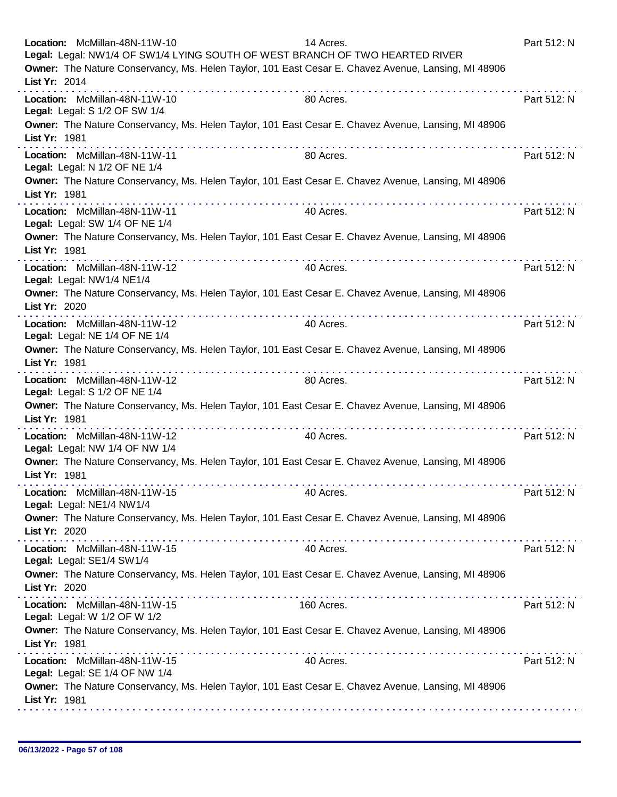| Location: McMillan-48N-11W-10                                   |   | 14 Acres.<br>Legal: Legal: NW1/4 OF SW1/4 LYING SOUTH OF WEST BRANCH OF TWO HEARTED RIVER<br>Owner: The Nature Conservancy, Ms. Helen Taylor, 101 East Cesar E. Chavez Avenue, Lansing, MI 48906 | Part 512: N |
|-----------------------------------------------------------------|---|--------------------------------------------------------------------------------------------------------------------------------------------------------------------------------------------------|-------------|
| List Yr: 2014                                                   |   |                                                                                                                                                                                                  |             |
| Location: McMillan-48N-11W-10<br>Legal: Legal: S 1/2 OF SW 1/4  |   | 80 Acres.                                                                                                                                                                                        | Part 512: N |
| List Yr: 1981                                                   |   | Owner: The Nature Conservancy, Ms. Helen Taylor, 101 East Cesar E. Chavez Avenue, Lansing, MI 48906                                                                                              |             |
| Location: McMillan-48N-11W-11<br>Legal: Legal: N 1/2 OF NE 1/4  |   | 80 Acres.                                                                                                                                                                                        | Part 512: N |
| List Yr: 1981                                                   |   | Owner: The Nature Conservancy, Ms. Helen Taylor, 101 East Cesar E. Chavez Avenue, Lansing, MI 48906<br>.                                                                                         |             |
| Location: McMillan-48N-11W-11<br>Legal: Legal: SW 1/4 OF NE 1/4 |   | 40 Acres.                                                                                                                                                                                        | Part 512: N |
| List Yr: 1981                                                   |   | Owner: The Nature Conservancy, Ms. Helen Taylor, 101 East Cesar E. Chavez Avenue, Lansing, MI 48906                                                                                              |             |
| Location: McMillan-48N-11W-12<br>Legal: Legal: NW1/4 NE1/4      |   | 40 Acres.                                                                                                                                                                                        | Part 512: N |
| List Yr: 2020                                                   |   | Owner: The Nature Conservancy, Ms. Helen Taylor, 101 East Cesar E. Chavez Avenue, Lansing, MI 48906                                                                                              |             |
| Location: McMillan-48N-11W-12<br>Legal: Legal: NE 1/4 OF NE 1/4 |   | 40 Acres.                                                                                                                                                                                        | Part 512: N |
| List Yr: 1981                                                   | . | Owner: The Nature Conservancy, Ms. Helen Taylor, 101 East Cesar E. Chavez Avenue, Lansing, MI 48906                                                                                              |             |
| Location: McMillan-48N-11W-12<br>Legal: Legal: S 1/2 OF NE 1/4  |   | 80 Acres.                                                                                                                                                                                        | Part 512: N |
| List Yr: 1981                                                   |   | Owner: The Nature Conservancy, Ms. Helen Taylor, 101 East Cesar E. Chavez Avenue, Lansing, MI 48906                                                                                              |             |
| Location: McMillan-48N-11W-12<br>Legal: Legal: NW 1/4 OF NW 1/4 |   | 40 Acres.                                                                                                                                                                                        | Part 512: N |
| List Yr: 1981                                                   |   | Owner: The Nature Conservancy, Ms. Helen Taylor, 101 East Cesar E. Chavez Avenue, Lansing, MI 48906                                                                                              |             |
| Location: McMillan-48N-11W-15<br>Legal: Legal: NE1/4 NW1/4      |   | 40 Acres.                                                                                                                                                                                        | Part 512: N |
| List Yr: 2020                                                   |   | Owner: The Nature Conservancy, Ms. Helen Taylor, 101 East Cesar E. Chavez Avenue, Lansing, MI 48906                                                                                              |             |
| Location: McMillan-48N-11W-15<br>Legal: Legal: SE1/4 SW1/4      |   | 40 Acres.                                                                                                                                                                                        | Part 512: N |
| List Yr: 2020                                                   |   | Owner: The Nature Conservancy, Ms. Helen Taylor, 101 East Cesar E. Chavez Avenue, Lansing, MI 48906                                                                                              |             |
| Location: McMillan-48N-11W-15<br>Legal: Legal: W 1/2 OF W 1/2   |   | 160 Acres.                                                                                                                                                                                       | Part 512: N |
| List Yr: 1981                                                   |   | Owner: The Nature Conservancy, Ms. Helen Taylor, 101 East Cesar E. Chavez Avenue, Lansing, MI 48906                                                                                              |             |
| Location: McMillan-48N-11W-15<br>Legal: Legal: SE 1/4 OF NW 1/4 |   | 40 Acres.                                                                                                                                                                                        | Part 512: N |
| List Yr: 1981                                                   |   | Owner: The Nature Conservancy, Ms. Helen Taylor, 101 East Cesar E. Chavez Avenue, Lansing, MI 48906                                                                                              |             |
|                                                                 |   |                                                                                                                                                                                                  |             |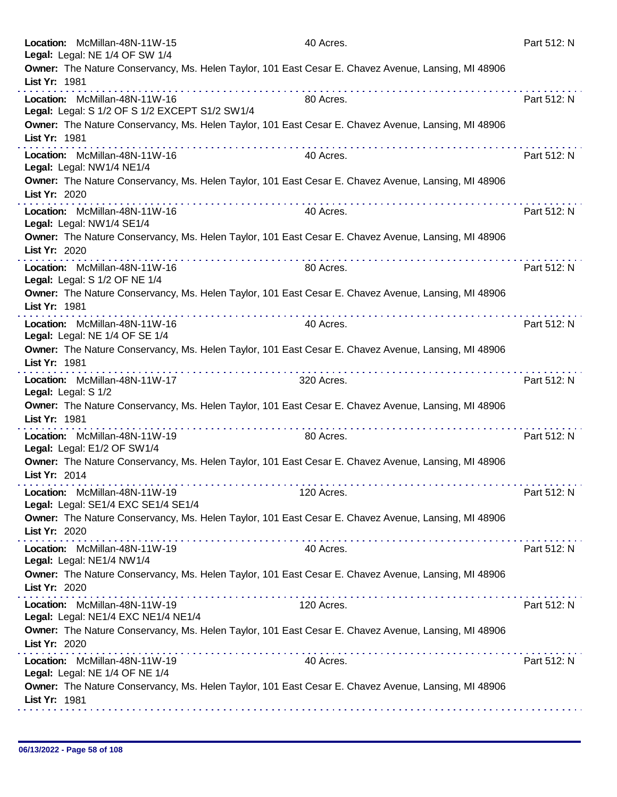| Location: McMillan-48N-11W-15<br>Legal: Legal: NE 1/4 OF SW 1/4                                                                                              | 40 Acres.  | Part 512: N |
|--------------------------------------------------------------------------------------------------------------------------------------------------------------|------------|-------------|
| Owner: The Nature Conservancy, Ms. Helen Taylor, 101 East Cesar E. Chavez Avenue, Lansing, MI 48906<br>List Yr: 1981<br>.                                    |            |             |
| Location: McMillan-48N-11W-16<br>Legal: Legal: S 1/2 OF S 1/2 EXCEPT S1/2 SW1/4                                                                              | 80 Acres.  | Part 512: N |
| Owner: The Nature Conservancy, Ms. Helen Taylor, 101 East Cesar E. Chavez Avenue, Lansing, MI 48906<br>List Yr: 1981                                         |            |             |
| Location: McMillan-48N-11W-16<br>Legal: Legal: NW1/4 NE1/4                                                                                                   | 40 Acres.  | Part 512: N |
| Owner: The Nature Conservancy, Ms. Helen Taylor, 101 East Cesar E. Chavez Avenue, Lansing, MI 48906<br>List Yr: 2020<br><b>Service</b> State                 |            |             |
| Location: McMillan-48N-11W-16<br>Legal: Legal: NW1/4 SE1/4                                                                                                   | 40 Acres.  | Part 512: N |
| Owner: The Nature Conservancy, Ms. Helen Taylor, 101 East Cesar E. Chavez Avenue, Lansing, MI 48906<br>List Yr: 2020                                         |            |             |
| Location: McMillan-48N-11W-16<br>Legal: Legal: S 1/2 OF NE 1/4                                                                                               | 80 Acres.  | Part 512: N |
| Owner: The Nature Conservancy, Ms. Helen Taylor, 101 East Cesar E. Chavez Avenue, Lansing, MI 48906<br>List Yr: 1981                                         |            |             |
| Location: McMillan-48N-11W-16<br>Legal: Legal: NE 1/4 OF SE 1/4                                                                                              | 40 Acres.  | Part 512: N |
| Owner: The Nature Conservancy, Ms. Helen Taylor, 101 East Cesar E. Chavez Avenue, Lansing, MI 48906<br>List Yr: 1981<br><u>a sua sua sua sua sua sua sua</u> | .          |             |
| Location: McMillan-48N-11W-17<br>Legal: Legal: S 1/2                                                                                                         | 320 Acres. | Part 512: N |
| Owner: The Nature Conservancy, Ms. Helen Taylor, 101 East Cesar E. Chavez Avenue, Lansing, MI 48906<br>List Yr: 1981                                         |            |             |
| Location: McMillan-48N-11W-19<br>Legal: Legal: E1/2 OF SW1/4                                                                                                 | 80 Acres.  | Part 512: N |
| Owner: The Nature Conservancy, Ms. Helen Taylor, 101 East Cesar E. Chavez Avenue, Lansing, MI 48906<br>List Yr: 2014                                         |            |             |
| Location: McMillan-48N-11W-19<br>Legal: Legal: SE1/4 EXC SE1/4 SE1/4                                                                                         | 120 Acres. | Part 512: N |
| Owner: The Nature Conservancy, Ms. Helen Taylor, 101 East Cesar E. Chavez Avenue, Lansing, MI 48906<br>List Yr: 2020                                         |            |             |
| Location: McMillan-48N-11W-19<br>Legal: Legal: NE1/4 NW1/4                                                                                                   | 40 Acres.  | Part 512: N |
| Owner: The Nature Conservancy, Ms. Helen Taylor, 101 East Cesar E. Chavez Avenue, Lansing, MI 48906<br>List Yr: 2020                                         |            |             |
| Location: McMillan-48N-11W-19<br>Legal: Legal: NE1/4 EXC NE1/4 NE1/4                                                                                         | 120 Acres. | Part 512: N |
| Owner: The Nature Conservancy, Ms. Helen Taylor, 101 East Cesar E. Chavez Avenue, Lansing, MI 48906<br>List Yr: 2020                                         |            |             |
| Location: McMillan-48N-11W-19<br>Legal: Legal: NE 1/4 OF NE 1/4                                                                                              | 40 Acres.  | Part 512: N |
| Owner: The Nature Conservancy, Ms. Helen Taylor, 101 East Cesar E. Chavez Avenue, Lansing, MI 48906<br>List Yr: 1981                                         |            |             |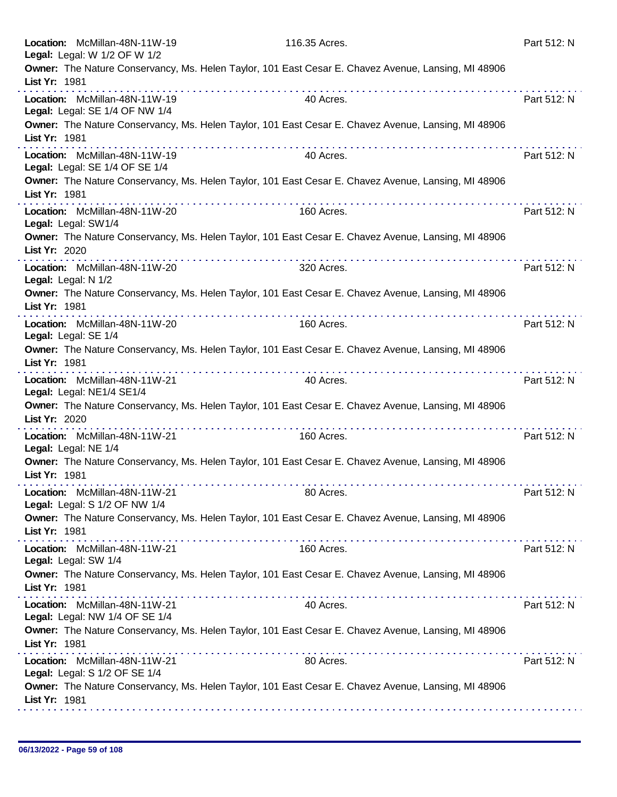| Location: McMillan-48N-11W-19<br>Legal: Legal: W 1/2 OF W 1/2   | 116.35 Acres.                                                                                            | Part 512: N |
|-----------------------------------------------------------------|----------------------------------------------------------------------------------------------------------|-------------|
| List Yr: 1981                                                   | Owner: The Nature Conservancy, Ms. Helen Taylor, 101 East Cesar E. Chavez Avenue, Lansing, MI 48906      |             |
| Location: McMillan-48N-11W-19<br>Legal: Legal: SE 1/4 OF NW 1/4 | 40 Acres.                                                                                                | Part 512: N |
| List Yr: 1981                                                   | Owner: The Nature Conservancy, Ms. Helen Taylor, 101 East Cesar E. Chavez Avenue, Lansing, MI 48906      |             |
| Location: McMillan-48N-11W-19<br>Legal: Legal: SE 1/4 OF SE 1/4 | 40 Acres.                                                                                                | Part 512: N |
| List Yr: 1981                                                   | Owner: The Nature Conservancy, Ms. Helen Taylor, 101 East Cesar E. Chavez Avenue, Lansing, MI 48906<br>. |             |
| Location: McMillan-48N-11W-20<br>Legal: Legal: SW1/4            | 160 Acres.                                                                                               | Part 512: N |
| List Yr: 2020                                                   | Owner: The Nature Conservancy, Ms. Helen Taylor, 101 East Cesar E. Chavez Avenue, Lansing, MI 48906      |             |
| Location: McMillan-48N-11W-20<br>Legal: Legal: N 1/2            | 320 Acres.                                                                                               | Part 512: N |
| List Yr: 1981                                                   | Owner: The Nature Conservancy, Ms. Helen Taylor, 101 East Cesar E. Chavez Avenue, Lansing, MI 48906      |             |
| Location: McMillan-48N-11W-20<br>Legal: Legal: SE 1/4           | 160 Acres.                                                                                               | Part 512: N |
| List Yr: 1981                                                   | Owner: The Nature Conservancy, Ms. Helen Taylor, 101 East Cesar E. Chavez Avenue, Lansing, MI 48906      |             |
| Location: McMillan-48N-11W-21<br>Legal: Legal: NE1/4 SE1/4      | 40 Acres.                                                                                                | Part 512: N |
| List Yr: 2020                                                   | Owner: The Nature Conservancy, Ms. Helen Taylor, 101 East Cesar E. Chavez Avenue, Lansing, MI 48906      |             |
| Location: McMillan-48N-11W-21<br>Legal: Legal: NE 1/4           | 160 Acres.                                                                                               | Part 512: N |
| List Yr: 1981                                                   | Owner: The Nature Conservancy, Ms. Helen Taylor, 101 East Cesar E. Chavez Avenue, Lansing, MI 48906      |             |
| Location: McMillan-48N-11W-21<br>Legal: Legal: S 1/2 OF NW 1/4  | 80 Acres.                                                                                                | Part 512: N |
| List Yr: 1981                                                   | Owner: The Nature Conservancy, Ms. Helen Taylor, 101 East Cesar E. Chavez Avenue, Lansing, MI 48906      |             |
| Location: McMillan-48N-11W-21<br>Legal: Legal: SW 1/4           | 160 Acres.                                                                                               | Part 512: N |
| List Yr: 1981                                                   | Owner: The Nature Conservancy, Ms. Helen Taylor, 101 East Cesar E. Chavez Avenue, Lansing, MI 48906      |             |
| Location: McMillan-48N-11W-21<br>Legal: Legal: NW 1/4 OF SE 1/4 | 40 Acres.                                                                                                | Part 512: N |
| List Yr: 1981                                                   | Owner: The Nature Conservancy, Ms. Helen Taylor, 101 East Cesar E. Chavez Avenue, Lansing, MI 48906      |             |
| Location: McMillan-48N-11W-21<br>Legal: Legal: S 1/2 OF SE 1/4  | 80 Acres.                                                                                                | Part 512: N |
| List Yr: 1981                                                   | Owner: The Nature Conservancy, Ms. Helen Taylor, 101 East Cesar E. Chavez Avenue, Lansing, MI 48906      |             |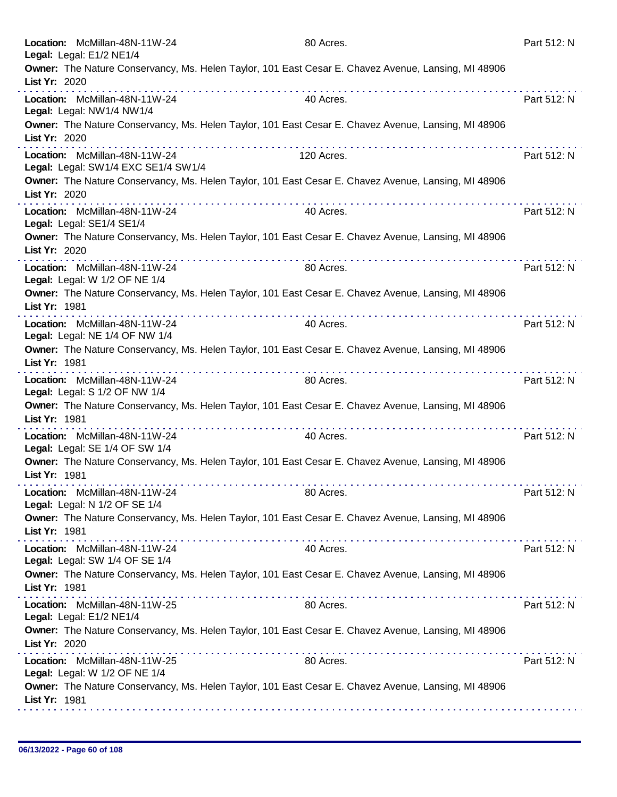| Location: McMillan-48N-11W-24<br>Legal: Legal: E1/2 NE1/4            |                                                      | 80 Acres.                                                                                           | Part 512: N |
|----------------------------------------------------------------------|------------------------------------------------------|-----------------------------------------------------------------------------------------------------|-------------|
| List Yr: 2020                                                        |                                                      | Owner: The Nature Conservancy, Ms. Helen Taylor, 101 East Cesar E. Chavez Avenue, Lansing, MI 48906 |             |
| Location: McMillan-48N-11W-24<br>Legal: Legal: NW1/4 NW1/4           |                                                      | 40 Acres.                                                                                           | Part 512: N |
| List Yr: 2020                                                        | the property of the property of the                  | Owner: The Nature Conservancy, Ms. Helen Taylor, 101 East Cesar E. Chavez Avenue, Lansing, MI 48906 |             |
| Location: McMillan-48N-11W-24<br>Legal: Legal: SW1/4 EXC SE1/4 SW1/4 |                                                      | 120 Acres.                                                                                          | Part 512: N |
| List Yr: 2020                                                        | .                                                    | Owner: The Nature Conservancy, Ms. Helen Taylor, 101 East Cesar E. Chavez Avenue, Lansing, MI 48906 |             |
| Location: McMillan-48N-11W-24<br>Legal: Legal: SE1/4 SE1/4           |                                                      | 40 Acres.                                                                                           | Part 512: N |
| List Yr: 2020                                                        |                                                      | Owner: The Nature Conservancy, Ms. Helen Taylor, 101 East Cesar E. Chavez Avenue, Lansing, MI 48906 |             |
| Location: McMillan-48N-11W-24<br>Legal: Legal: W 1/2 OF NE 1/4       |                                                      | 80 Acres.                                                                                           | Part 512: N |
| List Yr: 1981                                                        |                                                      | Owner: The Nature Conservancy, Ms. Helen Taylor, 101 East Cesar E. Chavez Avenue, Lansing, MI 48906 |             |
| Location: McMillan-48N-11W-24<br>Legal: Legal: NE 1/4 OF NW 1/4      |                                                      | 40 Acres.                                                                                           | Part 512: N |
| List Yr: 1981                                                        | .                                                    | Owner: The Nature Conservancy, Ms. Helen Taylor, 101 East Cesar E. Chavez Avenue, Lansing, MI 48906 |             |
| Location: McMillan-48N-11W-24<br>Legal: Legal: S 1/2 OF NW 1/4       |                                                      | 80 Acres.                                                                                           | Part 512: N |
| List Yr: 1981                                                        | .                                                    | Owner: The Nature Conservancy, Ms. Helen Taylor, 101 East Cesar E. Chavez Avenue, Lansing, MI 48906 |             |
| Location: McMillan-48N-11W-24<br>Legal: Legal: SE 1/4 OF SW 1/4      |                                                      | 40 Acres.                                                                                           | Part 512: N |
| List Yr: 1981                                                        |                                                      | Owner: The Nature Conservancy, Ms. Helen Taylor, 101 East Cesar E. Chavez Avenue, Lansing, MI 48906 |             |
| Location: McMillan-48N-11W-24<br>Legal: Legal: N 1/2 OF SE 1/4       |                                                      | 80 Acres.                                                                                           | Part 512: N |
| List Yr: 1981                                                        |                                                      | Owner: The Nature Conservancy, Ms. Helen Taylor, 101 East Cesar E. Chavez Avenue, Lansing, MI 48906 |             |
| Location: McMillan-48N-11W-24<br>Legal: Legal: SW 1/4 OF SE 1/4      |                                                      | 40 Acres.                                                                                           | Part 512: N |
| List Yr: 1981                                                        |                                                      | Owner: The Nature Conservancy, Ms. Helen Taylor, 101 East Cesar E. Chavez Avenue, Lansing, MI 48906 |             |
| Location: McMillan-48N-11W-25<br>Legal: Legal: E1/2 NE1/4            |                                                      | 80 Acres.                                                                                           | Part 512: N |
| List Yr: 2020                                                        | <u> 2012 - 2022 - 2023 - 2023 - 2023 - 2024 - 20</u> | Owner: The Nature Conservancy, Ms. Helen Taylor, 101 East Cesar E. Chavez Avenue, Lansing, MI 48906 |             |
| Location: McMillan-48N-11W-25<br>Legal: Legal: W 1/2 OF NE 1/4       |                                                      | 80 Acres.                                                                                           | Part 512: N |
| List Yr: 1981                                                        |                                                      | Owner: The Nature Conservancy, Ms. Helen Taylor, 101 East Cesar E. Chavez Avenue, Lansing, MI 48906 |             |
|                                                                      |                                                      |                                                                                                     |             |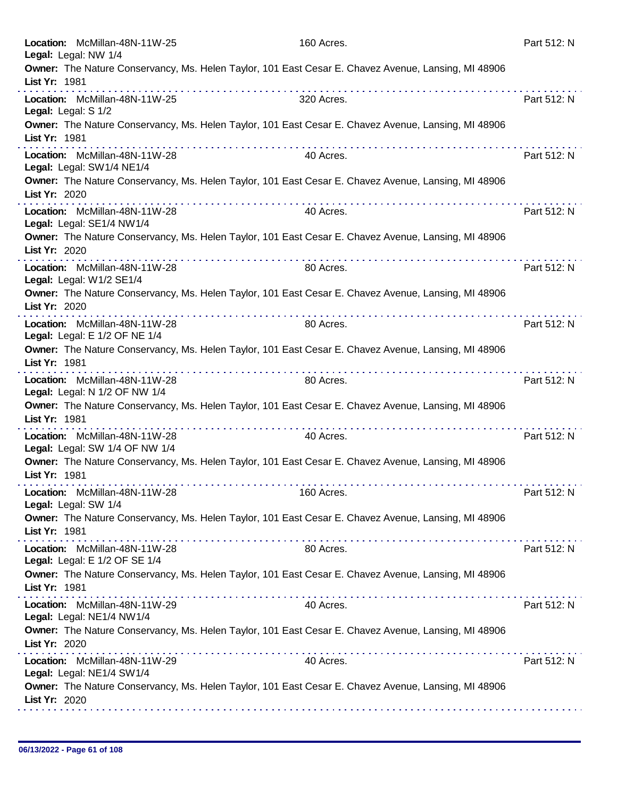| Location: McMillan-48N-11W-25<br>Legal: Legal: NW 1/4           |                                                                                                                                                                                                                               | 160 Acres.                                                                                          | Part 512: N |
|-----------------------------------------------------------------|-------------------------------------------------------------------------------------------------------------------------------------------------------------------------------------------------------------------------------|-----------------------------------------------------------------------------------------------------|-------------|
| List Yr: 1981                                                   |                                                                                                                                                                                                                               | Owner: The Nature Conservancy, Ms. Helen Taylor, 101 East Cesar E. Chavez Avenue, Lansing, MI 48906 |             |
| Location: McMillan-48N-11W-25<br>Legal: Legal: S 1/2            |                                                                                                                                                                                                                               | 320 Acres.                                                                                          | Part 512: N |
| List Yr: 1981                                                   |                                                                                                                                                                                                                               | Owner: The Nature Conservancy, Ms. Helen Taylor, 101 East Cesar E. Chavez Avenue, Lansing, MI 48906 |             |
| Location: McMillan-48N-11W-28<br>Legal: Legal: SW1/4 NE1/4      |                                                                                                                                                                                                                               | 40 Acres.                                                                                           | Part 512: N |
| List Yr: 2020                                                   |                                                                                                                                                                                                                               | Owner: The Nature Conservancy, Ms. Helen Taylor, 101 East Cesar E. Chavez Avenue, Lansing, MI 48906 |             |
| Location: McMillan-48N-11W-28<br>Legal: Legal: SE1/4 NW1/4      |                                                                                                                                                                                                                               | 40 Acres.                                                                                           | Part 512: N |
| List Yr: 2020                                                   |                                                                                                                                                                                                                               | Owner: The Nature Conservancy, Ms. Helen Taylor, 101 East Cesar E. Chavez Avenue, Lansing, MI 48906 |             |
| Location: McMillan-48N-11W-28<br>Legal: Legal: W1/2 SE1/4       |                                                                                                                                                                                                                               | 80 Acres.                                                                                           | Part 512: N |
| List Yr: 2020                                                   | .                                                                                                                                                                                                                             | Owner: The Nature Conservancy, Ms. Helen Taylor, 101 East Cesar E. Chavez Avenue, Lansing, MI 48906 |             |
| Location: McMillan-48N-11W-28<br>Legal: Legal: E 1/2 OF NE 1/4  |                                                                                                                                                                                                                               | 80 Acres.                                                                                           | Part 512: N |
| List Yr: 1981                                                   |                                                                                                                                                                                                                               | Owner: The Nature Conservancy, Ms. Helen Taylor, 101 East Cesar E. Chavez Avenue, Lansing, MI 48906 |             |
| Location: McMillan-48N-11W-28<br>Legal: Legal: N 1/2 OF NW 1/4  |                                                                                                                                                                                                                               | 80 Acres.                                                                                           | Part 512: N |
| List Yr: 1981                                                   |                                                                                                                                                                                                                               | Owner: The Nature Conservancy, Ms. Helen Taylor, 101 East Cesar E. Chavez Avenue, Lansing, MI 48906 |             |
| Location: McMillan-48N-11W-28<br>Legal: Legal: SW 1/4 OF NW 1/4 |                                                                                                                                                                                                                               | 40 Acres.                                                                                           | Part 512: N |
| List Yr: 1981                                                   |                                                                                                                                                                                                                               | Owner: The Nature Conservancy, Ms. Helen Taylor, 101 East Cesar E. Chavez Avenue, Lansing, MI 48906 |             |
| Location: McMillan-48N-11W-28<br>Legal: Legal: SW 1/4           |                                                                                                                                                                                                                               | 160 Acres.                                                                                          | Part 512: N |
| List Yr: 1981                                                   |                                                                                                                                                                                                                               | Owner: The Nature Conservancy, Ms. Helen Taylor, 101 East Cesar E. Chavez Avenue, Lansing, MI 48906 |             |
| Location: McMillan-48N-11W-28<br>Legal: Legal: E 1/2 OF SE 1/4  |                                                                                                                                                                                                                               | 80 Acres.                                                                                           | Part 512: N |
| List Yr: 1981                                                   |                                                                                                                                                                                                                               | Owner: The Nature Conservancy, Ms. Helen Taylor, 101 East Cesar E. Chavez Avenue, Lansing, MI 48906 |             |
| Location: McMillan-48N-11W-29<br>Legal: Legal: NE1/4 NW1/4      |                                                                                                                                                                                                                               | 40 Acres.                                                                                           | Part 512: N |
| List Yr: 2020                                                   | a construction of the construction of the construction of the construction of the construction of the construction of the construction of the construction of the construction of the construction of the construction of the | Owner: The Nature Conservancy, Ms. Helen Taylor, 101 East Cesar E. Chavez Avenue, Lansing, MI 48906 |             |
| Location: McMillan-48N-11W-29<br>Legal: Legal: NE1/4 SW1/4      |                                                                                                                                                                                                                               | 40 Acres.                                                                                           | Part 512: N |
| List Yr: 2020                                                   |                                                                                                                                                                                                                               | Owner: The Nature Conservancy, Ms. Helen Taylor, 101 East Cesar E. Chavez Avenue, Lansing, MI 48906 |             |
|                                                                 |                                                                                                                                                                                                                               |                                                                                                     |             |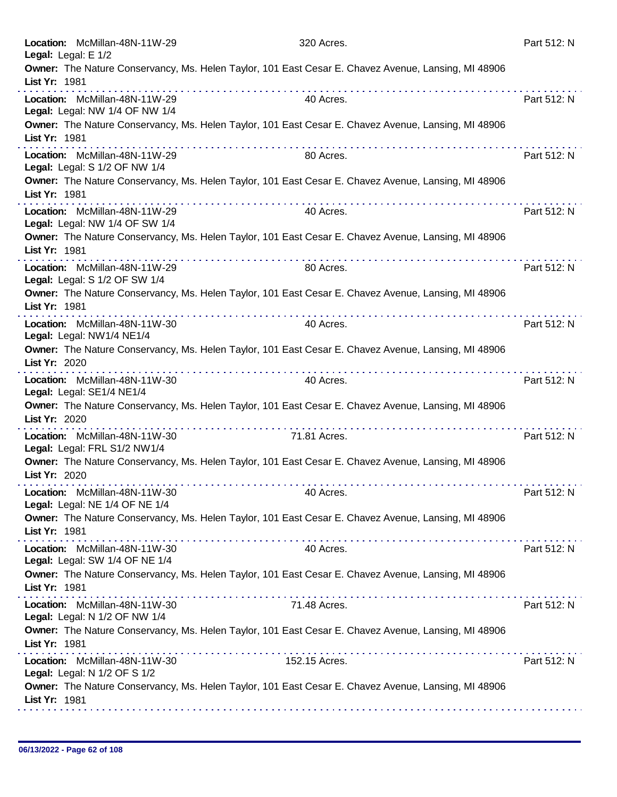| Owner: The Nature Conservancy, Ms. Helen Taylor, 101 East Cesar E. Chavez Avenue, Lansing, MI 48906<br>List Yr: 1981<br>.<br>Location: McMillan-48N-11W-29<br>40 Acres.<br>Part 512: N<br>Legal: Legal: NW 1/4 OF NW 1/4<br>Owner: The Nature Conservancy, Ms. Helen Taylor, 101 East Cesar E. Chavez Avenue, Lansing, MI 48906<br>List Yr: 1981<br>.<br>Location: McMillan-48N-11W-29<br>Part 512: N<br>80 Acres.<br>Legal: Legal: S 1/2 OF NW 1/4<br>Owner: The Nature Conservancy, Ms. Helen Taylor, 101 East Cesar E. Chavez Avenue, Lansing, MI 48906<br>List Yr: 1981<br>Location: McMillan-48N-11W-29<br>Part 512: N<br>40 Acres.<br>Legal: Legal: NW 1/4 OF SW 1/4<br>Owner: The Nature Conservancy, Ms. Helen Taylor, 101 East Cesar E. Chavez Avenue, Lansing, MI 48906<br>List Yr: 1981<br>Location: McMillan-48N-11W-29<br>80 Acres.<br>Part 512: N<br>Legal: Legal: S 1/2 OF SW 1/4<br>Owner: The Nature Conservancy, Ms. Helen Taylor, 101 East Cesar E. Chavez Avenue, Lansing, MI 48906<br>List Yr: 1981<br>Part 512: N<br>Location: McMillan-48N-11W-30<br>40 Acres.<br>Legal: Legal: NW1/4 NE1/4<br>Owner: The Nature Conservancy, Ms. Helen Taylor, 101 East Cesar E. Chavez Avenue, Lansing, MI 48906<br>List Yr: 2020<br><u>.</u><br>Location: McMillan-48N-11W-30<br>40 Acres.<br>Part 512: N<br>Legal: Legal: SE1/4 NE1/4<br>Owner: The Nature Conservancy, Ms. Helen Taylor, 101 East Cesar E. Chavez Avenue, Lansing, MI 48906<br>List Yr: 2020<br>.<br>Location: McMillan-48N-11W-30<br>71.81 Acres.<br>Part 512: N<br>Legal: Legal: FRL S1/2 NW1/4<br>Owner: The Nature Conservancy, Ms. Helen Taylor, 101 East Cesar E. Chavez Avenue, Lansing, MI 48906<br>List Yr: 2020<br>Location: McMillan-48N-11W-30<br>Part 512: N<br>40 Acres.<br>Legal: Legal: NE 1/4 OF NE 1/4<br>Owner: The Nature Conservancy, Ms. Helen Taylor, 101 East Cesar E. Chavez Avenue, Lansing, MI 48906<br>List Yr: 1981<br>Location: McMillan-48N-11W-30<br>Part 512: N<br>40 Acres.<br>Legal: Legal: SW 1/4 OF NE 1/4<br>Owner: The Nature Conservancy, Ms. Helen Taylor, 101 East Cesar E. Chavez Avenue, Lansing, MI 48906<br>List Yr: 1981<br>Location: McMillan-48N-11W-30<br>Part 512: N<br>71.48 Acres.<br>Legal: Legal: N 1/2 OF NW 1/4<br>Owner: The Nature Conservancy, Ms. Helen Taylor, 101 East Cesar E. Chavez Avenue, Lansing, MI 48906<br>List Yr: 1981<br>152.15 Acres.<br>Part 512: N<br>Location: McMillan-48N-11W-30<br>Legal: Legal: N 1/2 OF S 1/2<br>Owner: The Nature Conservancy, Ms. Helen Taylor, 101 East Cesar E. Chavez Avenue, Lansing, MI 48906<br>List Yr: 1981 | Location: McMillan-48N-11W-29<br>Legal: Legal: E 1/2 | 320 Acres. | Part 512: N |
|-------------------------------------------------------------------------------------------------------------------------------------------------------------------------------------------------------------------------------------------------------------------------------------------------------------------------------------------------------------------------------------------------------------------------------------------------------------------------------------------------------------------------------------------------------------------------------------------------------------------------------------------------------------------------------------------------------------------------------------------------------------------------------------------------------------------------------------------------------------------------------------------------------------------------------------------------------------------------------------------------------------------------------------------------------------------------------------------------------------------------------------------------------------------------------------------------------------------------------------------------------------------------------------------------------------------------------------------------------------------------------------------------------------------------------------------------------------------------------------------------------------------------------------------------------------------------------------------------------------------------------------------------------------------------------------------------------------------------------------------------------------------------------------------------------------------------------------------------------------------------------------------------------------------------------------------------------------------------------------------------------------------------------------------------------------------------------------------------------------------------------------------------------------------------------------------------------------------------------------------------------------------------------------------------------------------------------------------------------------------------------------------------------------------------------------------------------------------------------------------------------------------------------------------------------------------------------------------------------|------------------------------------------------------|------------|-------------|
|                                                                                                                                                                                                                                                                                                                                                                                                                                                                                                                                                                                                                                                                                                                                                                                                                                                                                                                                                                                                                                                                                                                                                                                                                                                                                                                                                                                                                                                                                                                                                                                                                                                                                                                                                                                                                                                                                                                                                                                                                                                                                                                                                                                                                                                                                                                                                                                                                                                                                                                                                                                                       |                                                      |            |             |
|                                                                                                                                                                                                                                                                                                                                                                                                                                                                                                                                                                                                                                                                                                                                                                                                                                                                                                                                                                                                                                                                                                                                                                                                                                                                                                                                                                                                                                                                                                                                                                                                                                                                                                                                                                                                                                                                                                                                                                                                                                                                                                                                                                                                                                                                                                                                                                                                                                                                                                                                                                                                       |                                                      |            |             |
|                                                                                                                                                                                                                                                                                                                                                                                                                                                                                                                                                                                                                                                                                                                                                                                                                                                                                                                                                                                                                                                                                                                                                                                                                                                                                                                                                                                                                                                                                                                                                                                                                                                                                                                                                                                                                                                                                                                                                                                                                                                                                                                                                                                                                                                                                                                                                                                                                                                                                                                                                                                                       |                                                      |            |             |
|                                                                                                                                                                                                                                                                                                                                                                                                                                                                                                                                                                                                                                                                                                                                                                                                                                                                                                                                                                                                                                                                                                                                                                                                                                                                                                                                                                                                                                                                                                                                                                                                                                                                                                                                                                                                                                                                                                                                                                                                                                                                                                                                                                                                                                                                                                                                                                                                                                                                                                                                                                                                       |                                                      |            |             |
|                                                                                                                                                                                                                                                                                                                                                                                                                                                                                                                                                                                                                                                                                                                                                                                                                                                                                                                                                                                                                                                                                                                                                                                                                                                                                                                                                                                                                                                                                                                                                                                                                                                                                                                                                                                                                                                                                                                                                                                                                                                                                                                                                                                                                                                                                                                                                                                                                                                                                                                                                                                                       |                                                      |            |             |
|                                                                                                                                                                                                                                                                                                                                                                                                                                                                                                                                                                                                                                                                                                                                                                                                                                                                                                                                                                                                                                                                                                                                                                                                                                                                                                                                                                                                                                                                                                                                                                                                                                                                                                                                                                                                                                                                                                                                                                                                                                                                                                                                                                                                                                                                                                                                                                                                                                                                                                                                                                                                       |                                                      |            |             |
|                                                                                                                                                                                                                                                                                                                                                                                                                                                                                                                                                                                                                                                                                                                                                                                                                                                                                                                                                                                                                                                                                                                                                                                                                                                                                                                                                                                                                                                                                                                                                                                                                                                                                                                                                                                                                                                                                                                                                                                                                                                                                                                                                                                                                                                                                                                                                                                                                                                                                                                                                                                                       |                                                      |            |             |
|                                                                                                                                                                                                                                                                                                                                                                                                                                                                                                                                                                                                                                                                                                                                                                                                                                                                                                                                                                                                                                                                                                                                                                                                                                                                                                                                                                                                                                                                                                                                                                                                                                                                                                                                                                                                                                                                                                                                                                                                                                                                                                                                                                                                                                                                                                                                                                                                                                                                                                                                                                                                       |                                                      |            |             |
|                                                                                                                                                                                                                                                                                                                                                                                                                                                                                                                                                                                                                                                                                                                                                                                                                                                                                                                                                                                                                                                                                                                                                                                                                                                                                                                                                                                                                                                                                                                                                                                                                                                                                                                                                                                                                                                                                                                                                                                                                                                                                                                                                                                                                                                                                                                                                                                                                                                                                                                                                                                                       |                                                      |            |             |
|                                                                                                                                                                                                                                                                                                                                                                                                                                                                                                                                                                                                                                                                                                                                                                                                                                                                                                                                                                                                                                                                                                                                                                                                                                                                                                                                                                                                                                                                                                                                                                                                                                                                                                                                                                                                                                                                                                                                                                                                                                                                                                                                                                                                                                                                                                                                                                                                                                                                                                                                                                                                       |                                                      |            |             |
|                                                                                                                                                                                                                                                                                                                                                                                                                                                                                                                                                                                                                                                                                                                                                                                                                                                                                                                                                                                                                                                                                                                                                                                                                                                                                                                                                                                                                                                                                                                                                                                                                                                                                                                                                                                                                                                                                                                                                                                                                                                                                                                                                                                                                                                                                                                                                                                                                                                                                                                                                                                                       |                                                      |            |             |
|                                                                                                                                                                                                                                                                                                                                                                                                                                                                                                                                                                                                                                                                                                                                                                                                                                                                                                                                                                                                                                                                                                                                                                                                                                                                                                                                                                                                                                                                                                                                                                                                                                                                                                                                                                                                                                                                                                                                                                                                                                                                                                                                                                                                                                                                                                                                                                                                                                                                                                                                                                                                       |                                                      |            |             |
|                                                                                                                                                                                                                                                                                                                                                                                                                                                                                                                                                                                                                                                                                                                                                                                                                                                                                                                                                                                                                                                                                                                                                                                                                                                                                                                                                                                                                                                                                                                                                                                                                                                                                                                                                                                                                                                                                                                                                                                                                                                                                                                                                                                                                                                                                                                                                                                                                                                                                                                                                                                                       |                                                      |            |             |
|                                                                                                                                                                                                                                                                                                                                                                                                                                                                                                                                                                                                                                                                                                                                                                                                                                                                                                                                                                                                                                                                                                                                                                                                                                                                                                                                                                                                                                                                                                                                                                                                                                                                                                                                                                                                                                                                                                                                                                                                                                                                                                                                                                                                                                                                                                                                                                                                                                                                                                                                                                                                       |                                                      |            |             |
|                                                                                                                                                                                                                                                                                                                                                                                                                                                                                                                                                                                                                                                                                                                                                                                                                                                                                                                                                                                                                                                                                                                                                                                                                                                                                                                                                                                                                                                                                                                                                                                                                                                                                                                                                                                                                                                                                                                                                                                                                                                                                                                                                                                                                                                                                                                                                                                                                                                                                                                                                                                                       |                                                      |            |             |
|                                                                                                                                                                                                                                                                                                                                                                                                                                                                                                                                                                                                                                                                                                                                                                                                                                                                                                                                                                                                                                                                                                                                                                                                                                                                                                                                                                                                                                                                                                                                                                                                                                                                                                                                                                                                                                                                                                                                                                                                                                                                                                                                                                                                                                                                                                                                                                                                                                                                                                                                                                                                       |                                                      |            |             |
|                                                                                                                                                                                                                                                                                                                                                                                                                                                                                                                                                                                                                                                                                                                                                                                                                                                                                                                                                                                                                                                                                                                                                                                                                                                                                                                                                                                                                                                                                                                                                                                                                                                                                                                                                                                                                                                                                                                                                                                                                                                                                                                                                                                                                                                                                                                                                                                                                                                                                                                                                                                                       |                                                      |            |             |
|                                                                                                                                                                                                                                                                                                                                                                                                                                                                                                                                                                                                                                                                                                                                                                                                                                                                                                                                                                                                                                                                                                                                                                                                                                                                                                                                                                                                                                                                                                                                                                                                                                                                                                                                                                                                                                                                                                                                                                                                                                                                                                                                                                                                                                                                                                                                                                                                                                                                                                                                                                                                       |                                                      |            |             |
|                                                                                                                                                                                                                                                                                                                                                                                                                                                                                                                                                                                                                                                                                                                                                                                                                                                                                                                                                                                                                                                                                                                                                                                                                                                                                                                                                                                                                                                                                                                                                                                                                                                                                                                                                                                                                                                                                                                                                                                                                                                                                                                                                                                                                                                                                                                                                                                                                                                                                                                                                                                                       |                                                      |            |             |
|                                                                                                                                                                                                                                                                                                                                                                                                                                                                                                                                                                                                                                                                                                                                                                                                                                                                                                                                                                                                                                                                                                                                                                                                                                                                                                                                                                                                                                                                                                                                                                                                                                                                                                                                                                                                                                                                                                                                                                                                                                                                                                                                                                                                                                                                                                                                                                                                                                                                                                                                                                                                       |                                                      |            |             |
|                                                                                                                                                                                                                                                                                                                                                                                                                                                                                                                                                                                                                                                                                                                                                                                                                                                                                                                                                                                                                                                                                                                                                                                                                                                                                                                                                                                                                                                                                                                                                                                                                                                                                                                                                                                                                                                                                                                                                                                                                                                                                                                                                                                                                                                                                                                                                                                                                                                                                                                                                                                                       |                                                      |            |             |
|                                                                                                                                                                                                                                                                                                                                                                                                                                                                                                                                                                                                                                                                                                                                                                                                                                                                                                                                                                                                                                                                                                                                                                                                                                                                                                                                                                                                                                                                                                                                                                                                                                                                                                                                                                                                                                                                                                                                                                                                                                                                                                                                                                                                                                                                                                                                                                                                                                                                                                                                                                                                       |                                                      |            |             |
|                                                                                                                                                                                                                                                                                                                                                                                                                                                                                                                                                                                                                                                                                                                                                                                                                                                                                                                                                                                                                                                                                                                                                                                                                                                                                                                                                                                                                                                                                                                                                                                                                                                                                                                                                                                                                                                                                                                                                                                                                                                                                                                                                                                                                                                                                                                                                                                                                                                                                                                                                                                                       |                                                      |            |             |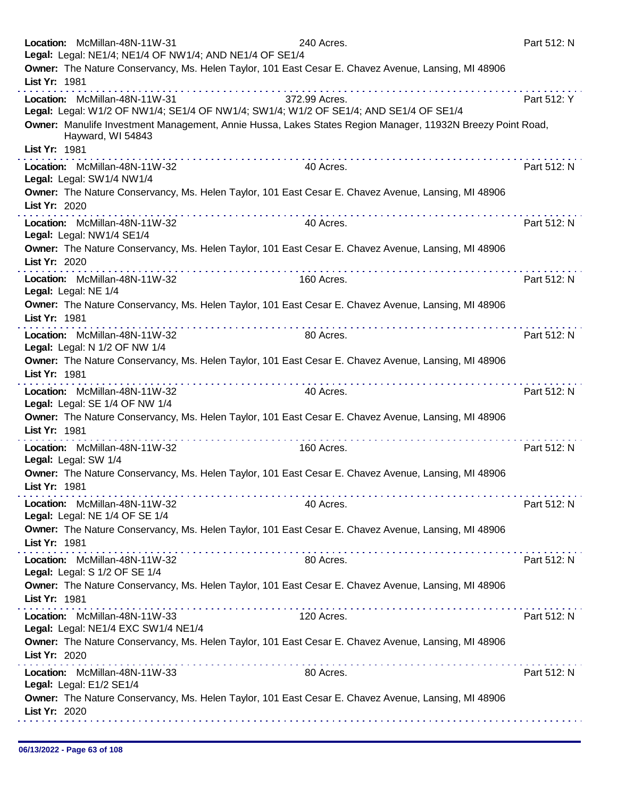|               | Location: McMillan-48N-11W-31<br>Legal: Legal: NE1/4; NE1/4 OF NW1/4; AND NE1/4 OF SE1/4 |   | 240 Acres.                                                                                                 | Part 512: N |
|---------------|------------------------------------------------------------------------------------------|---|------------------------------------------------------------------------------------------------------------|-------------|
|               |                                                                                          |   | Owner: The Nature Conservancy, Ms. Helen Taylor, 101 East Cesar E. Chavez Avenue, Lansing, MI 48906        |             |
| List Yr: 1981 |                                                                                          |   |                                                                                                            |             |
|               | Location: McMillan-48N-11W-31                                                            |   | 372.99 Acres.<br>Legal: Legal: W1/2 OF NW1/4; SE1/4 OF NW1/4; SW1/4; W1/2 OF SE1/4; AND SE1/4 OF SE1/4     | Part 512: Y |
|               |                                                                                          |   | Owner: Manulife Investment Management, Annie Hussa, Lakes States Region Manager, 11932N Breezy Point Road, |             |
|               | Hayward, WI 54843                                                                        |   |                                                                                                            |             |
| List Yr: 1981 | Location: McMillan-48N-11W-32                                                            |   | 40 Acres.                                                                                                  | Part 512: N |
|               | Legal: Legal: SW1/4 NW1/4                                                                |   |                                                                                                            |             |
|               |                                                                                          |   | Owner: The Nature Conservancy, Ms. Helen Taylor, 101 East Cesar E. Chavez Avenue, Lansing, MI 48906        |             |
| List Yr: 2020 |                                                                                          |   |                                                                                                            |             |
|               | Location: McMillan-48N-11W-32<br>Legal: Legal: NW1/4 SE1/4                               |   | 40 Acres.                                                                                                  | Part 512: N |
|               |                                                                                          |   | Owner: The Nature Conservancy, Ms. Helen Taylor, 101 East Cesar E. Chavez Avenue, Lansing, MI 48906        |             |
| List Yr: 2020 |                                                                                          | . |                                                                                                            |             |
|               | Location: McMillan-48N-11W-32<br>Legal: Legal: NE 1/4                                    |   | 160 Acres.                                                                                                 | Part 512: N |
|               |                                                                                          |   | Owner: The Nature Conservancy, Ms. Helen Taylor, 101 East Cesar E. Chavez Avenue, Lansing, MI 48906        |             |
| List Yr: 1981 |                                                                                          |   |                                                                                                            |             |
|               | Location: McMillan-48N-11W-32                                                            |   | 80 Acres.                                                                                                  | Part 512: N |
|               | Legal: Legal: N 1/2 OF NW 1/4                                                            |   | Owner: The Nature Conservancy, Ms. Helen Taylor, 101 East Cesar E. Chavez Avenue, Lansing, MI 48906        |             |
| List Yr: 1981 |                                                                                          |   |                                                                                                            |             |
|               | Location: McMillan-48N-11W-32                                                            |   | 40 Acres.                                                                                                  | Part 512: N |
|               | Legal: Legal: SE 1/4 OF NW 1/4                                                           |   | Owner: The Nature Conservancy, Ms. Helen Taylor, 101 East Cesar E. Chavez Avenue, Lansing, MI 48906        |             |
| List Yr: 1981 |                                                                                          |   |                                                                                                            |             |
|               | Location: McMillan-48N-11W-32                                                            |   | 160 Acres.                                                                                                 | Part 512: N |
|               | Legal: Legal: SW 1/4                                                                     |   | Owner: The Nature Conservancy, Ms. Helen Taylor, 101 East Cesar E. Chavez Avenue, Lansing, MI 48906        |             |
| List Yr: 1981 |                                                                                          |   |                                                                                                            |             |
|               | Location: McMillan-48N-11W-32                                                            |   | 40 Acres.                                                                                                  | Part 512: N |
|               | Legal: Legal: NE 1/4 OF SE 1/4                                                           |   |                                                                                                            |             |
| List Yr: 1981 |                                                                                          |   | Owner: The Nature Conservancy, Ms. Helen Taylor, 101 East Cesar E. Chavez Avenue, Lansing, MI 48906        |             |
|               | Location: McMillan-48N-11W-32                                                            |   | 80 Acres.                                                                                                  | Part 512: N |
|               | Legal: Legal: S 1/2 OF SE 1/4                                                            |   |                                                                                                            |             |
| List Yr: 1981 |                                                                                          |   | Owner: The Nature Conservancy, Ms. Helen Taylor, 101 East Cesar E. Chavez Avenue, Lansing, MI 48906        |             |
|               | Location: McMillan-48N-11W-33                                                            |   | 120 Acres.                                                                                                 | Part 512: N |
|               | Legal: Legal: NE1/4 EXC SW1/4 NE1/4                                                      |   |                                                                                                            |             |
|               |                                                                                          |   | Owner: The Nature Conservancy, Ms. Helen Taylor, 101 East Cesar E. Chavez Avenue, Lansing, MI 48906        |             |
| List Yr: 2020 |                                                                                          | . |                                                                                                            | Part 512: N |
|               | Location: McMillan-48N-11W-33<br>Legal: Legal: E1/2 SE1/4                                |   | 80 Acres.                                                                                                  |             |
|               |                                                                                          |   | Owner: The Nature Conservancy, Ms. Helen Taylor, 101 East Cesar E. Chavez Avenue, Lansing, MI 48906        |             |
| List Yr: 2020 |                                                                                          |   |                                                                                                            |             |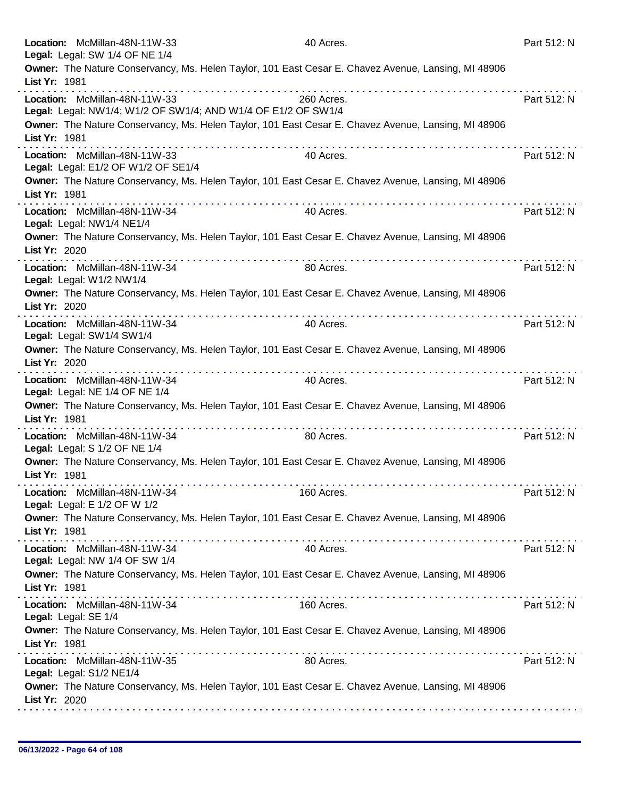| Location: McMillan-48N-11W-33<br>Legal: Legal: SW 1/4 OF NE 1/4                                |   | 40 Acres.                                                                                           | Part 512: N |
|------------------------------------------------------------------------------------------------|---|-----------------------------------------------------------------------------------------------------|-------------|
|                                                                                                |   | Owner: The Nature Conservancy, Ms. Helen Taylor, 101 East Cesar E. Chavez Avenue, Lansing, MI 48906 |             |
| List Yr: 1981                                                                                  |   |                                                                                                     |             |
| Location: McMillan-48N-11W-33<br>Legal: Legal: NW1/4; W1/2 OF SW1/4; AND W1/4 OF E1/2 OF SW1/4 |   | 260 Acres.                                                                                          | Part 512: N |
| List Yr: 1981                                                                                  |   | Owner: The Nature Conservancy, Ms. Helen Taylor, 101 East Cesar E. Chavez Avenue, Lansing, MI 48906 |             |
| Location: McMillan-48N-11W-33<br>Legal: Legal: E1/2 OF W1/2 OF SE1/4                           | . | 40 Acres.                                                                                           | Part 512: N |
| List Yr: 1981                                                                                  |   | Owner: The Nature Conservancy, Ms. Helen Taylor, 101 East Cesar E. Chavez Avenue, Lansing, MI 48906 |             |
| Location: McMillan-48N-11W-34<br>Legal: Legal: NW1/4 NE1/4                                     |   | 40 Acres.                                                                                           | Part 512: N |
| List Yr: 2020                                                                                  |   | Owner: The Nature Conservancy, Ms. Helen Taylor, 101 East Cesar E. Chavez Avenue, Lansing, MI 48906 |             |
| Location: McMillan-48N-11W-34<br>Legal: Legal: W1/2 NW1/4                                      |   | 80 Acres.                                                                                           | Part 512: N |
| List Yr: 2020                                                                                  |   | Owner: The Nature Conservancy, Ms. Helen Taylor, 101 East Cesar E. Chavez Avenue, Lansing, MI 48906 |             |
| Location: McMillan-48N-11W-34<br>Legal: Legal: SW1/4 SW1/4                                     | . | 40 Acres.                                                                                           | Part 512: N |
| List Yr: 2020                                                                                  |   | Owner: The Nature Conservancy, Ms. Helen Taylor, 101 East Cesar E. Chavez Avenue, Lansing, MI 48906 |             |
| Location: McMillan-48N-11W-34<br>Legal: Legal: NE 1/4 OF NE 1/4                                |   | 40 Acres.                                                                                           | Part 512: N |
| List Yr: 1981                                                                                  |   | Owner: The Nature Conservancy, Ms. Helen Taylor, 101 East Cesar E. Chavez Avenue, Lansing, MI 48906 |             |
| Location: McMillan-48N-11W-34<br>Legal: Legal: S 1/2 OF NE 1/4                                 |   | 80 Acres.                                                                                           | Part 512: N |
| List Yr: 1981                                                                                  |   | Owner: The Nature Conservancy, Ms. Helen Taylor, 101 East Cesar E. Chavez Avenue, Lansing, MI 48906 |             |
| Location: McMillan-48N-11W-34<br>Legal: Legal: E 1/2 OF W 1/2                                  |   | 160 Acres.                                                                                          | Part 512: N |
| List Yr: 1981                                                                                  | . | Owner: The Nature Conservancy, Ms. Helen Taylor, 101 East Cesar E. Chavez Avenue, Lansing, MI 48906 |             |
| Location: McMillan-48N-11W-34<br>Legal: Legal: NW 1/4 OF SW 1/4                                |   | 40 Acres.                                                                                           | Part 512: N |
| List Yr: 1981                                                                                  |   | Owner: The Nature Conservancy, Ms. Helen Taylor, 101 East Cesar E. Chavez Avenue, Lansing, MI 48906 |             |
| Location: McMillan-48N-11W-34<br>Legal: Legal: SE 1/4                                          |   | 160 Acres.                                                                                          | Part 512: N |
| List Yr: 1981                                                                                  |   | Owner: The Nature Conservancy, Ms. Helen Taylor, 101 East Cesar E. Chavez Avenue, Lansing, MI 48906 |             |
| Location: McMillan-48N-11W-35<br>Legal: Legal: S1/2 NE1/4                                      |   | 80 Acres.                                                                                           | Part 512: N |
| List Yr: 2020                                                                                  |   | Owner: The Nature Conservancy, Ms. Helen Taylor, 101 East Cesar E. Chavez Avenue, Lansing, MI 48906 |             |
|                                                                                                |   |                                                                                                     |             |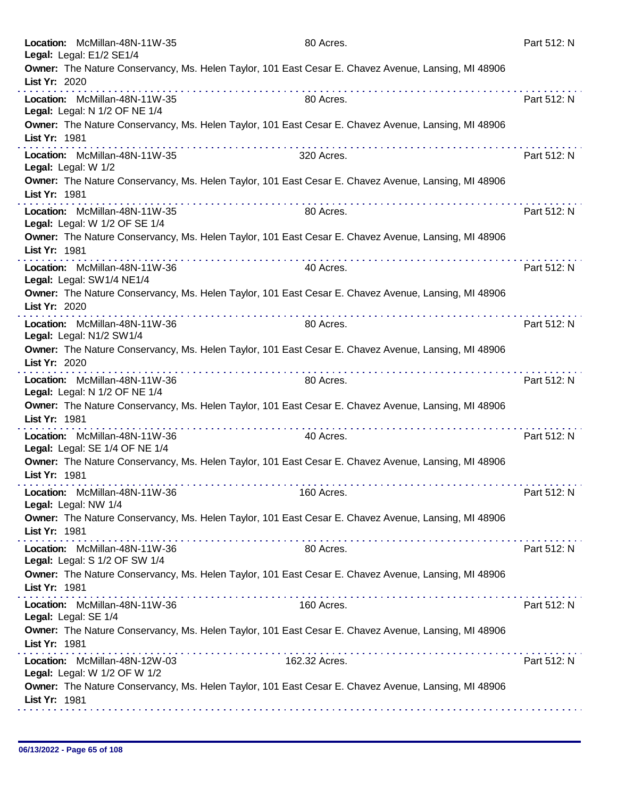| Location: McMillan-48N-11W-35<br>Legal: Legal: E1/2 SE1/4       | 80 Acres.                                                                                                     | Part 512: N |
|-----------------------------------------------------------------|---------------------------------------------------------------------------------------------------------------|-------------|
| List Yr: 2020                                                   | Owner: The Nature Conservancy, Ms. Helen Taylor, 101 East Cesar E. Chavez Avenue, Lansing, MI 48906           |             |
| Location: McMillan-48N-11W-35<br>Legal: Legal: N 1/2 OF NE 1/4  | 80 Acres.                                                                                                     | Part 512: N |
| List Yr: 1981                                                   | Owner: The Nature Conservancy, Ms. Helen Taylor, 101 East Cesar E. Chavez Avenue, Lansing, MI 48906           |             |
| Location: McMillan-48N-11W-35<br>Legal: Legal: W 1/2            | 320 Acres.                                                                                                    | Part 512: N |
| List Yr: 1981                                                   | Owner: The Nature Conservancy, Ms. Helen Taylor, 101 East Cesar E. Chavez Avenue, Lansing, MI 48906           |             |
| Location: McMillan-48N-11W-35<br>Legal: Legal: W 1/2 OF SE 1/4  | 80 Acres.                                                                                                     | Part 512: N |
| List Yr: 1981                                                   | Owner: The Nature Conservancy, Ms. Helen Taylor, 101 East Cesar E. Chavez Avenue, Lansing, MI 48906<br>.      |             |
| Location: McMillan-48N-11W-36<br>Legal: Legal: SW1/4 NE1/4      | 40 Acres.                                                                                                     | Part 512: N |
| List Yr: 2020                                                   | Owner: The Nature Conservancy, Ms. Helen Taylor, 101 East Cesar E. Chavez Avenue, Lansing, MI 48906           |             |
| Location: McMillan-48N-11W-36<br>Legal: Legal: N1/2 SW1/4       | 80 Acres.                                                                                                     | Part 512: N |
| List Yr: 2020                                                   | Owner: The Nature Conservancy, Ms. Helen Taylor, 101 East Cesar E. Chavez Avenue, Lansing, MI 48906<br>.<br>. |             |
| Location: McMillan-48N-11W-36<br>Legal: Legal: N 1/2 OF NE 1/4  | 80 Acres.                                                                                                     | Part 512: N |
| List Yr: 1981                                                   | Owner: The Nature Conservancy, Ms. Helen Taylor, 101 East Cesar E. Chavez Avenue, Lansing, MI 48906           |             |
| Location: McMillan-48N-11W-36<br>Legal: Legal: SE 1/4 OF NE 1/4 | 40 Acres.                                                                                                     | Part 512: N |
| List Yr: 1981                                                   | Owner: The Nature Conservancy, Ms. Helen Taylor, 101 East Cesar E. Chavez Avenue, Lansing, MI 48906           |             |
| Location: McMillan-48N-11W-36<br>Legal: Legal: NW 1/4           | 160 Acres.                                                                                                    | Part 512: N |
| List Yr: 1981                                                   | Owner: The Nature Conservancy, Ms. Helen Taylor, 101 East Cesar E. Chavez Avenue, Lansing, MI 48906           |             |
| Location: McMillan-48N-11W-36<br>Legal: Legal: S 1/2 OF SW 1/4  | 80 Acres.                                                                                                     | Part 512: N |
| List Yr: 1981                                                   | Owner: The Nature Conservancy, Ms. Helen Taylor, 101 East Cesar E. Chavez Avenue, Lansing, MI 48906           |             |
| Location: McMillan-48N-11W-36<br>Legal: Legal: SE 1/4           | 160 Acres.                                                                                                    | Part 512: N |
| List Yr: 1981                                                   | Owner: The Nature Conservancy, Ms. Helen Taylor, 101 East Cesar E. Chavez Avenue, Lansing, MI 48906           |             |
| Location: McMillan-48N-12W-03<br>Legal: Legal: W 1/2 OF W 1/2   | 162.32 Acres.                                                                                                 | Part 512: N |
| List Yr: 1981                                                   | Owner: The Nature Conservancy, Ms. Helen Taylor, 101 East Cesar E. Chavez Avenue, Lansing, MI 48906           |             |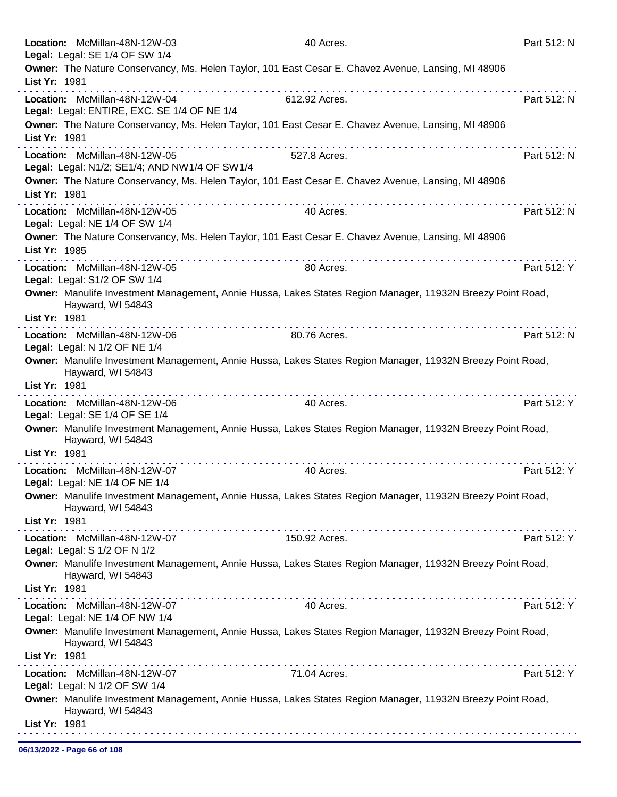|               | Location: McMillan-48N-12W-03                                   | 40 Acres.                                                                                                  | Part 512: N |
|---------------|-----------------------------------------------------------------|------------------------------------------------------------------------------------------------------------|-------------|
|               | Legal: Legal: SE 1/4 OF SW 1/4                                  | Owner: The Nature Conservancy, Ms. Helen Taylor, 101 East Cesar E. Chavez Avenue, Lansing, MI 48906        |             |
| List Yr: 1981 |                                                                 |                                                                                                            |             |
|               | Location: McMillan-48N-12W-04                                   | 612.92 Acres.                                                                                              | Part 512: N |
|               | Legal: Legal: ENTIRE, EXC. SE 1/4 OF NE 1/4                     |                                                                                                            |             |
|               |                                                                 | Owner: The Nature Conservancy, Ms. Helen Taylor, 101 East Cesar E. Chavez Avenue, Lansing, MI 48906        |             |
| List Yr: 1981 |                                                                 |                                                                                                            |             |
|               | Location: McMillan-48N-12W-05                                   | 527.8 Acres.                                                                                               | Part 512: N |
|               | Legal: Legal: N1/2; SE1/4; AND NW1/4 OF SW1/4                   | Owner: The Nature Conservancy, Ms. Helen Taylor, 101 East Cesar E. Chavez Avenue, Lansing, MI 48906        |             |
| List Yr: 1981 |                                                                 |                                                                                                            |             |
|               | Location: McMillan-48N-12W-05                                   | .<br>40 Acres.                                                                                             | Part 512: N |
|               | Legal: Legal: NE 1/4 OF SW 1/4                                  |                                                                                                            |             |
|               |                                                                 | Owner: The Nature Conservancy, Ms. Helen Taylor, 101 East Cesar E. Chavez Avenue, Lansing, MI 48906        |             |
| List Yr: 1985 |                                                                 |                                                                                                            |             |
|               | Location: McMillan-48N-12W-05                                   | 80 Acres.                                                                                                  | Part 512: Y |
|               | Legal: Legal: S1/2 OF SW 1/4                                    |                                                                                                            |             |
|               | Hayward, WI 54843                                               | Owner: Manulife Investment Management, Annie Hussa, Lakes States Region Manager, 11932N Breezy Point Road, |             |
| List Yr: 1981 |                                                                 |                                                                                                            |             |
|               | Location: McMillan-48N-12W-06                                   | 80.76 Acres.                                                                                               | Part 512: N |
|               | Legal: Legal: N 1/2 OF NE 1/4                                   |                                                                                                            |             |
|               | Hayward, WI 54843                                               | Owner: Manulife Investment Management, Annie Hussa, Lakes States Region Manager, 11932N Breezy Point Road, |             |
| List Yr: 1981 |                                                                 |                                                                                                            |             |
|               | Location: McMillan-48N-12W-06<br>Legal: Legal: SE 1/4 OF SE 1/4 | 40 Acres.                                                                                                  | Part 512: Y |
|               | Hayward, WI 54843                                               | Owner: Manulife Investment Management, Annie Hussa, Lakes States Region Manager, 11932N Breezy Point Road, |             |
|               |                                                                 |                                                                                                            |             |
| List Yr: 1981 |                                                                 |                                                                                                            |             |
|               | Location: McMillan-48N-12W-07                                   | 40 Acres.                                                                                                  | Part 512: Y |
|               | Legal: Legal: NE 1/4 OF NE 1/4                                  | Owner: Manulife Investment Management, Annie Hussa, Lakes States Region Manager, 11932N Breezy Point Road, |             |
|               | Hayward, WI 54843                                               |                                                                                                            |             |
| List Yr: 1981 |                                                                 |                                                                                                            |             |
|               | Location: McMillan-48N-12W-07<br>Legal: Legal: S 1/2 OF N 1/2   | 150.92 Acres.                                                                                              | Part 512: Y |
|               | Hayward, WI 54843                                               | Owner: Manulife Investment Management, Annie Hussa, Lakes States Region Manager, 11932N Breezy Point Road, |             |
| List Yr: 1981 |                                                                 |                                                                                                            |             |
|               | Location: McMillan-48N-12W-07<br>Legal: Legal: NE 1/4 OF NW 1/4 | 40 Acres.                                                                                                  | Part 512: Y |
|               | Hayward, WI 54843                                               | Owner: Manulife Investment Management, Annie Hussa, Lakes States Region Manager, 11932N Breezy Point Road, |             |
| List Yr: 1981 |                                                                 |                                                                                                            |             |
|               | Location: McMillan-48N-12W-07                                   | 71.04 Acres.                                                                                               | Part 512: Y |
|               | Legal: Legal: N 1/2 OF SW 1/4                                   |                                                                                                            |             |
| List Yr: 1981 | Hayward, WI 54843                                               | Owner: Manulife Investment Management, Annie Hussa, Lakes States Region Manager, 11932N Breezy Point Road, |             |

06/13/2022 - Page 66 of 108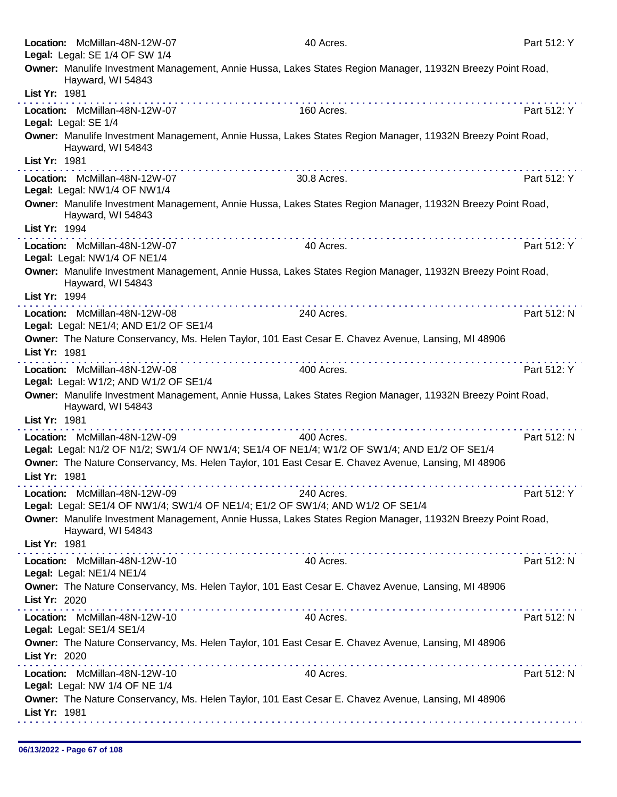|               | Location: McMillan-48N-12W-07<br>Legal: Legal: SE 1/4 OF SW 1/4        | 40 Acres.                                                                                                                                                                                                                                                                                                                                                                                                                                                    | Part 512: Y |
|---------------|------------------------------------------------------------------------|--------------------------------------------------------------------------------------------------------------------------------------------------------------------------------------------------------------------------------------------------------------------------------------------------------------------------------------------------------------------------------------------------------------------------------------------------------------|-------------|
|               | Hayward, WI 54843                                                      | Owner: Manulife Investment Management, Annie Hussa, Lakes States Region Manager, 11932N Breezy Point Road,                                                                                                                                                                                                                                                                                                                                                   |             |
| List Yr: 1981 |                                                                        |                                                                                                                                                                                                                                                                                                                                                                                                                                                              |             |
|               | Location: McMillan-48N-12W-07<br>Legal: Legal: SE 1/4                  | 160 Acres.                                                                                                                                                                                                                                                                                                                                                                                                                                                   | Part 512: Y |
|               | Hayward, WI 54843                                                      | Owner: Manulife Investment Management, Annie Hussa, Lakes States Region Manager, 11932N Breezy Point Road,                                                                                                                                                                                                                                                                                                                                                   |             |
| List Yr: 1981 |                                                                        |                                                                                                                                                                                                                                                                                                                                                                                                                                                              |             |
|               | Location: McMillan-48N-12W-07<br>Legal: Legal: NW1/4 OF NW1/4          | 30.8 Acres.                                                                                                                                                                                                                                                                                                                                                                                                                                                  | Part 512: Y |
| List Yr: 1994 | Hayward, WI 54843                                                      | Owner: Manulife Investment Management, Annie Hussa, Lakes States Region Manager, 11932N Breezy Point Road,                                                                                                                                                                                                                                                                                                                                                   |             |
|               | Location: McMillan-48N-12W-07                                          | .<br>40 Acres.                                                                                                                                                                                                                                                                                                                                                                                                                                               | Part 512: Y |
|               | Legal: Legal: NW1/4 OF NE1/4                                           |                                                                                                                                                                                                                                                                                                                                                                                                                                                              |             |
| List Yr: 1994 | Hayward, WI 54843                                                      | Owner: Manulife Investment Management, Annie Hussa, Lakes States Region Manager, 11932N Breezy Point Road,                                                                                                                                                                                                                                                                                                                                                   |             |
|               | Location: McMillan-48N-12W-08                                          | 240 Acres.                                                                                                                                                                                                                                                                                                                                                                                                                                                   | Part 512: N |
|               | Legal: Legal: NE1/4; AND E1/2 OF SE1/4                                 |                                                                                                                                                                                                                                                                                                                                                                                                                                                              |             |
| List Yr: 1981 |                                                                        | Owner: The Nature Conservancy, Ms. Helen Taylor, 101 East Cesar E. Chavez Avenue, Lansing, MI 48906                                                                                                                                                                                                                                                                                                                                                          |             |
|               | Location: McMillan-48N-12W-08<br>Legal: Legal: W1/2; AND W1/2 OF SE1/4 | 400 Acres.                                                                                                                                                                                                                                                                                                                                                                                                                                                   | Part 512: Y |
|               |                                                                        |                                                                                                                                                                                                                                                                                                                                                                                                                                                              |             |
|               | Hayward, WI 54843                                                      | Owner: Manulife Investment Management, Annie Hussa, Lakes States Region Manager, 11932N Breezy Point Road,                                                                                                                                                                                                                                                                                                                                                   |             |
| List Yr: 1981 |                                                                        |                                                                                                                                                                                                                                                                                                                                                                                                                                                              |             |
|               | Location: McMillan-48N-12W-09                                          | 400 Acres.                                                                                                                                                                                                                                                                                                                                                                                                                                                   | Part 512: N |
|               |                                                                        | Legal: Legal: N1/2 OF N1/2; SW1/4 OF NW1/4; SE1/4 OF NE1/4; W1/2 OF SW1/4; AND E1/2 OF SE1/4                                                                                                                                                                                                                                                                                                                                                                 |             |
| List Yr: 1981 |                                                                        | Owner: The Nature Conservancy, Ms. Helen Taylor, 101 East Cesar E. Chavez Avenue, Lansing, MI 48906                                                                                                                                                                                                                                                                                                                                                          |             |
|               |                                                                        |                                                                                                                                                                                                                                                                                                                                                                                                                                                              |             |
|               | Location: McMillan-48N-12W-09                                          | 240 Acres.<br>Legal: Legal: SE1/4 OF NW1/4; SW1/4 OF NE1/4; E1/2 OF SW1/4; AND W1/2 OF SE1/4                                                                                                                                                                                                                                                                                                                                                                 | Part 512: Y |
|               | Hayward, WI 54843                                                      | Owner: Manulife Investment Management, Annie Hussa, Lakes States Region Manager, 11932N Breezy Point Road,                                                                                                                                                                                                                                                                                                                                                   |             |
| List Yr: 1981 |                                                                        | $\mathcal{L}^{\mathcal{A}}(\mathcal{A},\mathcal{A},\mathcal{A},\mathcal{A},\mathcal{A},\mathcal{A},\mathcal{A},\mathcal{A},\mathcal{A},\mathcal{A},\mathcal{A},\mathcal{A},\mathcal{A},\mathcal{A},\mathcal{A},\mathcal{A},\mathcal{A},\mathcal{A},\mathcal{A},\mathcal{A},\mathcal{A},\mathcal{A},\mathcal{A},\mathcal{A},\mathcal{A},\mathcal{A},\mathcal{A},\mathcal{A},\mathcal{A},\mathcal{A},\mathcal{A},\mathcal{A},\mathcal{A},\mathcal{A},\mathcal$ |             |
|               | Location: McMillan-48N-12W-10<br>Legal: Legal: NE1/4 NE1/4             | 40 Acres.                                                                                                                                                                                                                                                                                                                                                                                                                                                    | Part 512: N |
|               |                                                                        | Owner: The Nature Conservancy, Ms. Helen Taylor, 101 East Cesar E. Chavez Avenue, Lansing, MI 48906                                                                                                                                                                                                                                                                                                                                                          |             |
| List Yr: 2020 |                                                                        |                                                                                                                                                                                                                                                                                                                                                                                                                                                              |             |
|               | Location: McMillan-48N-12W-10<br>Legal: Legal: SE1/4 SE1/4             | 40 Acres.                                                                                                                                                                                                                                                                                                                                                                                                                                                    | Part 512: N |
| List Yr: 2020 |                                                                        | Owner: The Nature Conservancy, Ms. Helen Taylor, 101 East Cesar E. Chavez Avenue, Lansing, MI 48906                                                                                                                                                                                                                                                                                                                                                          |             |
|               | Location: McMillan-48N-12W-10                                          | 40 Acres.                                                                                                                                                                                                                                                                                                                                                                                                                                                    | Part 512: N |
| List Yr: 1981 | Legal: Legal: NW 1/4 OF NE 1/4                                         | Owner: The Nature Conservancy, Ms. Helen Taylor, 101 East Cesar E. Chavez Avenue, Lansing, MI 48906                                                                                                                                                                                                                                                                                                                                                          |             |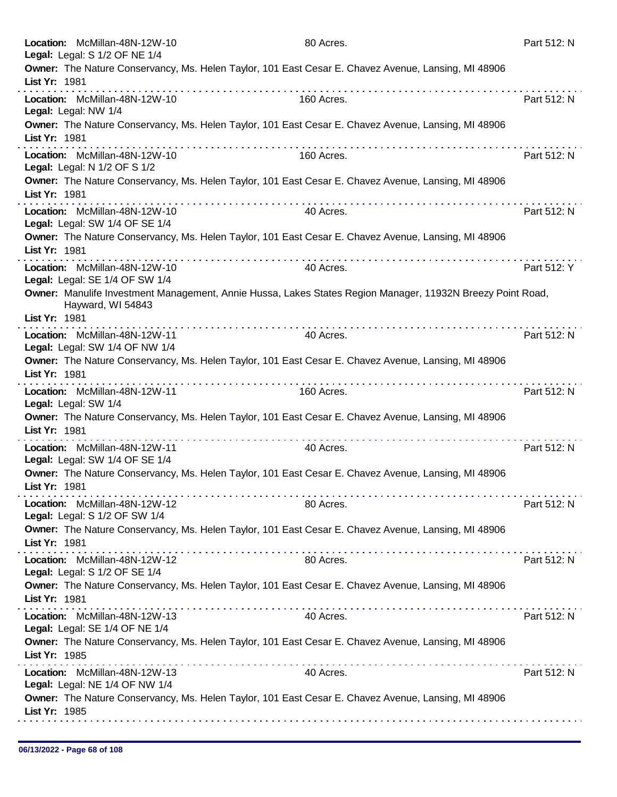|               | Location: McMillan-48N-12W-10<br>Legal: Legal: S 1/2 OF NE 1/4  |   | 80 Acres.                                                                                                  | Part 512: N |
|---------------|-----------------------------------------------------------------|---|------------------------------------------------------------------------------------------------------------|-------------|
|               |                                                                 |   | Owner: The Nature Conservancy, Ms. Helen Taylor, 101 East Cesar E. Chavez Avenue, Lansing, MI 48906        |             |
| List Yr: 1981 |                                                                 |   |                                                                                                            |             |
|               | Location: McMillan-48N-12W-10<br>Legal: Legal: NW 1/4           |   | 160 Acres.                                                                                                 | Part 512: N |
| List Yr: 1981 |                                                                 |   | Owner: The Nature Conservancy, Ms. Helen Taylor, 101 East Cesar E. Chavez Avenue, Lansing, MI 48906        |             |
|               | Location: McMillan-48N-12W-10<br>Legal: Legal: N 1/2 OF S 1/2   | . | 160 Acres.                                                                                                 | Part 512: N |
| List Yr: 1981 |                                                                 |   | Owner: The Nature Conservancy, Ms. Helen Taylor, 101 East Cesar E. Chavez Avenue, Lansing, MI 48906        |             |
|               | Location: McMillan-48N-12W-10<br>Legal: Legal: SW 1/4 OF SE 1/4 |   | 40 Acres.                                                                                                  | Part 512: N |
| List Yr: 1981 |                                                                 |   | Owner: The Nature Conservancy, Ms. Helen Taylor, 101 East Cesar E. Chavez Avenue, Lansing, MI 48906        |             |
|               | Location: McMillan-48N-12W-10<br>Legal: Legal: SE 1/4 OF SW 1/4 |   | 40 Acres.                                                                                                  | Part 512: Y |
|               | Hayward, WI 54843                                               |   | Owner: Manulife Investment Management, Annie Hussa, Lakes States Region Manager, 11932N Breezy Point Road, |             |
| List Yr: 1981 |                                                                 |   |                                                                                                            |             |
|               | Location: McMillan-48N-12W-11<br>Legal: Legal: SW 1/4 OF NW 1/4 |   | 40 Acres.                                                                                                  | Part 512: N |
| List Yr: 1981 |                                                                 |   | Owner: The Nature Conservancy, Ms. Helen Taylor, 101 East Cesar E. Chavez Avenue, Lansing, MI 48906        |             |
|               | Location: McMillan-48N-12W-11<br>Legal: Legal: SW 1/4           |   | 160 Acres.                                                                                                 | Part 512: N |
| List Yr: 1981 |                                                                 |   | Owner: The Nature Conservancy, Ms. Helen Taylor, 101 East Cesar E. Chavez Avenue, Lansing, MI 48906        |             |
|               | Location: McMillan-48N-12W-11<br>Legal: Legal: SW 1/4 OF SE 1/4 | . | 40 Acres.                                                                                                  | Part 512: N |
| List Yr: 1981 |                                                                 |   | Owner: The Nature Conservancy, Ms. Helen Taylor, 101 East Cesar E. Chavez Avenue, Lansing, MI 48906        |             |
|               | Location: McMillan-48N-12W-12<br>Legal: Legal: S 1/2 OF SW 1/4  |   | 80 Acres.                                                                                                  | Part 512: N |
| List Yr: 1981 |                                                                 |   | Owner: The Nature Conservancy, Ms. Helen Taylor, 101 East Cesar E. Chavez Avenue, Lansing, MI 48906        |             |
|               | Location: McMillan-48N-12W-12<br>Legal: Legal: S 1/2 OF SE 1/4  |   | 80 Acres.                                                                                                  | Part 512: N |
| List Yr: 1981 |                                                                 |   | Owner: The Nature Conservancy, Ms. Helen Taylor, 101 East Cesar E. Chavez Avenue, Lansing, MI 48906        |             |
|               | Location: McMillan-48N-12W-13<br>Legal: Legal: SE 1/4 OF NE 1/4 |   | 40 Acres.                                                                                                  | Part 512: N |
| List Yr: 1985 |                                                                 |   | Owner: The Nature Conservancy, Ms. Helen Taylor, 101 East Cesar E. Chavez Avenue, Lansing, MI 48906        |             |
|               | Location: McMillan-48N-12W-13<br>Legal: Legal: NE 1/4 OF NW 1/4 |   | 40 Acres.                                                                                                  | Part 512: N |
| List Yr: 1985 |                                                                 |   | Owner: The Nature Conservancy, Ms. Helen Taylor, 101 East Cesar E. Chavez Avenue, Lansing, MI 48906        |             |
|               |                                                                 |   |                                                                                                            |             |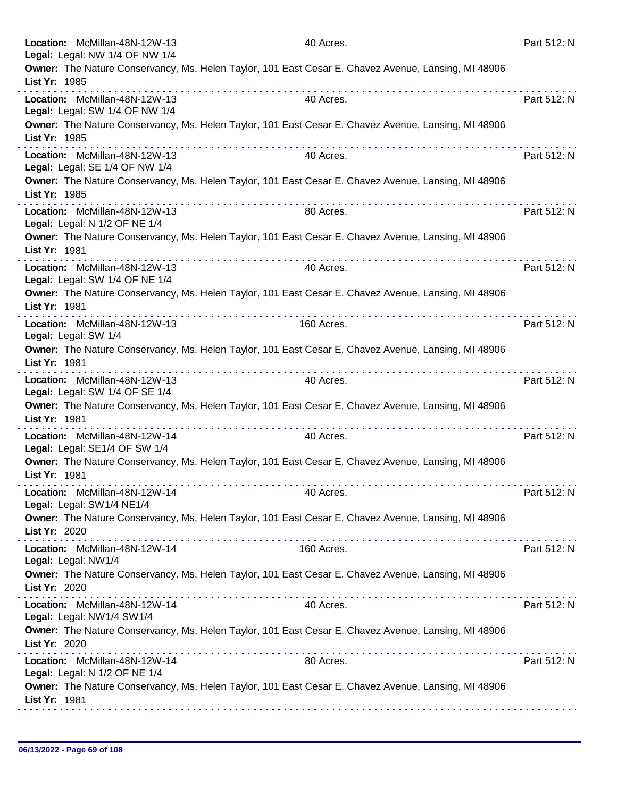|                      | Location: McMillan-48N-12W-13<br>Legal: Legal: NW 1/4 OF NW 1/4                                     | 40 Acres.  | Part 512: N |
|----------------------|-----------------------------------------------------------------------------------------------------|------------|-------------|
| List Yr: 1985        | Owner: The Nature Conservancy, Ms. Helen Taylor, 101 East Cesar E. Chavez Avenue, Lansing, MI 48906 |            |             |
|                      | . <i>.</i> .<br>Location: McMillan-48N-12W-13<br>Legal: Legal: SW 1/4 OF NW 1/4                     | 40 Acres.  | Part 512: N |
| List Yr: 1985        | Owner: The Nature Conservancy, Ms. Helen Taylor, 101 East Cesar E. Chavez Avenue, Lansing, MI 48906 |            |             |
|                      | Location: McMillan-48N-12W-13<br>Legal: Legal: SE 1/4 OF NW 1/4                                     | 40 Acres.  | Part 512: N |
| List Yr: 1985        | Owner: The Nature Conservancy, Ms. Helen Taylor, 101 East Cesar E. Chavez Avenue, Lansing, MI 48906 |            |             |
|                      | Location: McMillan-48N-12W-13<br>Legal: Legal: N 1/2 OF NE 1/4                                      | 80 Acres.  | Part 512: N |
| List Yr: 1981        | Owner: The Nature Conservancy, Ms. Helen Taylor, 101 East Cesar E. Chavez Avenue, Lansing, MI 48906 |            |             |
|                      | Location: McMillan-48N-12W-13<br>Legal: Legal: SW 1/4 OF NE 1/4                                     | 40 Acres.  | Part 512: N |
| List Yr: 1981        | Owner: The Nature Conservancy, Ms. Helen Taylor, 101 East Cesar E. Chavez Avenue, Lansing, MI 48906 |            |             |
| Legal: Legal: SW 1/4 | Location: McMillan-48N-12W-13                                                                       | 160 Acres. | Part 512: N |
| List Yr: 1981        | Owner: The Nature Conservancy, Ms. Helen Taylor, 101 East Cesar E. Chavez Avenue, Lansing, MI 48906 |            |             |
|                      | .<br>Location: McMillan-48N-12W-13<br>Legal: Legal: SW 1/4 OF SE 1/4                                | 40 Acres.  | Part 512: N |
| List Yr: 1981        | Owner: The Nature Conservancy, Ms. Helen Taylor, 101 East Cesar E. Chavez Avenue, Lansing, MI 48906 |            |             |
|                      | Location: McMillan-48N-12W-14<br>Legal: Legal: SE1/4 OF SW 1/4                                      | 40 Acres.  | Part 512: N |
| List Yr: 1981        | Owner: The Nature Conservancy, Ms. Helen Taylor, 101 East Cesar E. Chavez Avenue, Lansing, MI 48906 |            |             |
|                      | Location: McMillan-48N-12W-14<br>Legal: Legal: SW1/4 NE1/4                                          | 40 Acres.  | Part 512: N |
| List Yr: 2020        | Owner: The Nature Conservancy, Ms. Helen Taylor, 101 East Cesar E. Chavez Avenue, Lansing, MI 48906 |            |             |
| Legal: Legal: NW1/4  | Location: McMillan-48N-12W-14                                                                       | 160 Acres. | Part 512: N |
| List Yr: 2020        | Owner: The Nature Conservancy, Ms. Helen Taylor, 101 East Cesar E. Chavez Avenue, Lansing, MI 48906 |            |             |
|                      | Location: McMillan-48N-12W-14<br>Legal: Legal: NW1/4 SW1/4                                          | 40 Acres.  | Part 512: N |
| List Yr: 2020        | Owner: The Nature Conservancy, Ms. Helen Taylor, 101 East Cesar E. Chavez Avenue, Lansing, MI 48906 |            |             |
|                      | Location: McMillan-48N-12W-14<br>Legal: Legal: N 1/2 OF NE 1/4                                      | 80 Acres.  | Part 512: N |
| List Yr: 1981        | Owner: The Nature Conservancy, Ms. Helen Taylor, 101 East Cesar E. Chavez Avenue, Lansing, MI 48906 |            |             |
|                      |                                                                                                     |            |             |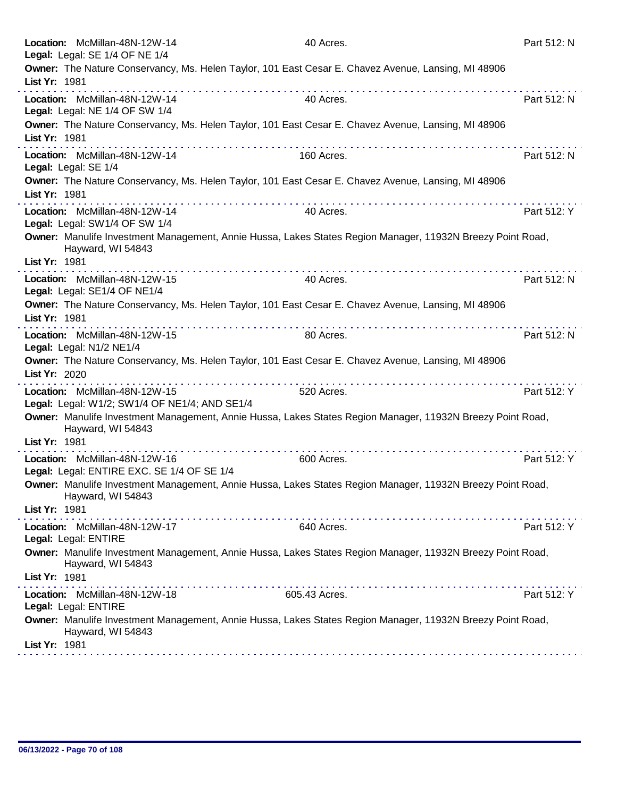| Location: McMillan-48N-12W-14<br>Legal: Legal: SE 1/4 OF NE 1/4                |            | 40 Acres.                                                                                                  | Part 512: N |
|--------------------------------------------------------------------------------|------------|------------------------------------------------------------------------------------------------------------|-------------|
| List Yr: 1981                                                                  |            | Owner: The Nature Conservancy, Ms. Helen Taylor, 101 East Cesar E. Chavez Avenue, Lansing, MI 48906        |             |
| Location: McMillan-48N-12W-14<br>Legal: Legal: NE 1/4 OF SW 1/4                |            | 40 Acres.                                                                                                  | Part 512: N |
| List Yr: 1981                                                                  |            | Owner: The Nature Conservancy, Ms. Helen Taylor, 101 East Cesar E. Chavez Avenue, Lansing, MI 48906        |             |
| Location: McMillan-48N-12W-14<br>Legal: Legal: SE 1/4                          |            | 160 Acres.                                                                                                 | Part 512: N |
| List Yr: 1981                                                                  | .          | Owner: The Nature Conservancy, Ms. Helen Taylor, 101 East Cesar E. Chavez Avenue, Lansing, MI 48906<br>.   |             |
| Location: McMillan-48N-12W-14<br>Legal: Legal: SW1/4 OF SW 1/4                 |            | 40 Acres.                                                                                                  | Part 512: Y |
| Hayward, WI 54843<br>List Yr: 1981                                             |            | Owner: Manulife Investment Management, Annie Hussa, Lakes States Region Manager, 11932N Breezy Point Road, |             |
| Location: McMillan-48N-12W-15<br>Legal: Legal: SE1/4 OF NE1/4                  |            | 40 Acres.                                                                                                  | Part 512: N |
| List Yr: 1981                                                                  |            | Owner: The Nature Conservancy, Ms. Helen Taylor, 101 East Cesar E. Chavez Avenue, Lansing, MI 48906        |             |
| Location: McMillan-48N-12W-15<br>Legal: Legal: N1/2 NE1/4                      |            | 80 Acres.                                                                                                  | Part 512: N |
| List Yr: 2020                                                                  | .          | Owner: The Nature Conservancy, Ms. Helen Taylor, 101 East Cesar E. Chavez Avenue, Lansing, MI 48906        |             |
| Location: McMillan-48N-12W-15<br>Legal: Legal: W1/2; SW1/4 OF NE1/4; AND SE1/4 |            | 520 Acres.                                                                                                 | Part 512: Y |
| Hayward, WI 54843<br>List Yr: 1981                                             |            | Owner: Manulife Investment Management, Annie Hussa, Lakes States Region Manager, 11932N Breezy Point Road, |             |
| Location: McMillan-48N-12W-16<br>Legal: Legal: ENTIRE EXC. SE 1/4 OF SE 1/4    | . <b>.</b> | 600 Acres.                                                                                                 | Part 512: Y |
| Hayward, WI 54843                                                              |            | Owner: Manulife Investment Management, Annie Hussa, Lakes States Region Manager, 11932N Breezy Point Road, |             |
| List Yr: 1981                                                                  |            |                                                                                                            |             |
| Location: McMillan-48N-12W-17<br>Legal: Legal: ENTIRE                          |            | 640 Acres.                                                                                                 | Part 512: Y |
| Hayward, WI 54843                                                              |            | Owner: Manulife Investment Management, Annie Hussa, Lakes States Region Manager, 11932N Breezy Point Road, |             |
| List Yr: 1981                                                                  |            |                                                                                                            |             |
| Location: McMillan-48N-12W-18<br>Legal: Legal: ENTIRE                          |            | 605.43 Acres.                                                                                              | Part 512: Y |
| Hayward, WI 54843<br>List Yr: 1981                                             |            | Owner: Manulife Investment Management, Annie Hussa, Lakes States Region Manager, 11932N Breezy Point Road, |             |
|                                                                                |            |                                                                                                            |             |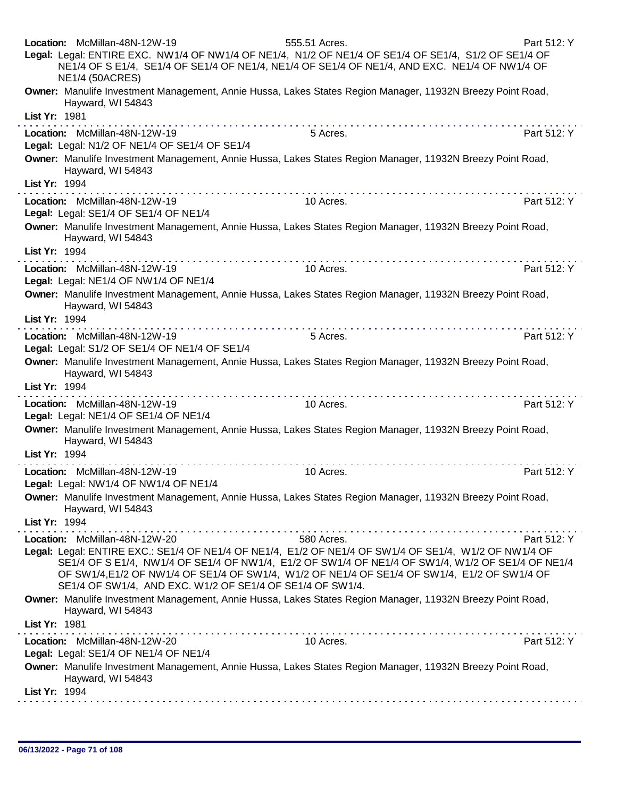| Location: McMillan-48N-12W-19<br>Legal: Legal: ENTIRE EXC. NW1/4 OF NW1/4 OF NE1/4, N1/2 OF NE1/4 OF SE1/4 OF SE1/4, S1/2 OF SE1/4 OF<br><b>NE1/4 (50ACRES)</b>    | 555.51 Acres.<br>NE1/4 OF S E1/4, SE1/4 OF SE1/4 OF NE1/4, NE1/4 OF SE1/4 OF NE1/4, AND EXC. NE1/4 OF NW1/4 OF                                                                                   | Part 512: Y |
|--------------------------------------------------------------------------------------------------------------------------------------------------------------------|--------------------------------------------------------------------------------------------------------------------------------------------------------------------------------------------------|-------------|
| Owner: Manulife Investment Management, Annie Hussa, Lakes States Region Manager, 11932N Breezy Point Road,<br>Hayward, WI 54843                                    |                                                                                                                                                                                                  |             |
| List Yr: 1981                                                                                                                                                      |                                                                                                                                                                                                  |             |
| Location: McMillan-48N-12W-19<br>Legal: Legal: N1/2 OF NE1/4 OF SE1/4 OF SE1/4                                                                                     | 5 Acres.                                                                                                                                                                                         | Part 512: Y |
| Owner: Manulife Investment Management, Annie Hussa, Lakes States Region Manager, 11932N Breezy Point Road,<br>Hayward, WI 54843                                    |                                                                                                                                                                                                  |             |
| List Yr: 1994                                                                                                                                                      |                                                                                                                                                                                                  |             |
| Location: McMillan-48N-12W-19<br>Legal: Legal: SE1/4 OF SE1/4 OF NE1/4                                                                                             | 10 Acres.                                                                                                                                                                                        | Part 512: Y |
| Owner: Manulife Investment Management, Annie Hussa, Lakes States Region Manager, 11932N Breezy Point Road,<br>Hayward, WI 54843                                    |                                                                                                                                                                                                  |             |
| List Yr: 1994                                                                                                                                                      |                                                                                                                                                                                                  |             |
| Location: McMillan-48N-12W-19<br>Legal: Legal: NE1/4 OF NW1/4 OF NE1/4                                                                                             | 10 Acres.                                                                                                                                                                                        | Part 512: Y |
| Owner: Manulife Investment Management, Annie Hussa, Lakes States Region Manager, 11932N Breezy Point Road,<br>Hayward, WI 54843                                    |                                                                                                                                                                                                  |             |
| List Yr: 1994                                                                                                                                                      |                                                                                                                                                                                                  |             |
| Location: McMillan-48N-12W-19<br>Legal: Legal: S1/2 OF SE1/4 OF NE1/4 OF SE1/4                                                                                     | 5 Acres.                                                                                                                                                                                         | Part 512: Y |
| Owner: Manulife Investment Management, Annie Hussa, Lakes States Region Manager, 11932N Breezy Point Road,<br>Hayward, WI 54843                                    |                                                                                                                                                                                                  |             |
| List Yr: 1994                                                                                                                                                      |                                                                                                                                                                                                  |             |
| Location: McMillan-48N-12W-19<br>Legal: Legal: NE1/4 OF SE1/4 OF NE1/4                                                                                             | 10 Acres.                                                                                                                                                                                        | Part 512: Y |
| Owner: Manulife Investment Management, Annie Hussa, Lakes States Region Manager, 11932N Breezy Point Road,<br>Hayward, WI 54843                                    |                                                                                                                                                                                                  |             |
| List Yr: 1994                                                                                                                                                      |                                                                                                                                                                                                  |             |
| Location: McMillan-48N-12W-19<br>Legal: Legal: NW1/4 OF NW1/4 OF NE1/4                                                                                             | 10 Acres.                                                                                                                                                                                        | Part 512: Y |
| Owner: Manulife Investment Management, Annie Hussa, Lakes States Region Manager, 11932N Breezy Point Road,<br>Hayward, WI 54843                                    |                                                                                                                                                                                                  |             |
| List Yr: 1994                                                                                                                                                      |                                                                                                                                                                                                  |             |
| Location: McMillan-48N-12W-20                                                                                                                                      | 580 Acres.                                                                                                                                                                                       | Part 512: Y |
| Legal: Legal: ENTIRE EXC.: SE1/4 OF NE1/4 OF NE1/4, E1/2 OF NE1/4 OF SW1/4 OF SE1/4, W1/2 OF NW1/4 OF<br>SE1/4 OF SW1/4, AND EXC. W1/2 OF SE1/4 OF SE1/4 OF SW1/4. | SE1/4 OF S E1/4, NW1/4 OF SE1/4 OF NW1/4, E1/2 OF SW1/4 OF NE1/4 OF SW1/4, W1/2 OF SE1/4 OF NE1/4<br>OF SW1/4,E1/2 OF NW1/4 OF SE1/4 OF SW1/4, W1/2 OF NE1/4 OF SE1/4 OF SW1/4, E1/2 OF SW1/4 OF |             |
| Owner: Manulife Investment Management, Annie Hussa, Lakes States Region Manager, 11932N Breezy Point Road,<br>Hayward, WI 54843                                    |                                                                                                                                                                                                  |             |
| List Yr: 1981                                                                                                                                                      |                                                                                                                                                                                                  |             |
| Location: McMillan-48N-12W-20<br>Legal: Legal: SE1/4 OF NE1/4 OF NE1/4                                                                                             | 10 Acres.                                                                                                                                                                                        | Part 512: Y |
| Owner: Manulife Investment Management, Annie Hussa, Lakes States Region Manager, 11932N Breezy Point Road,<br>Hayward, WI 54843                                    |                                                                                                                                                                                                  |             |
| List Yr: 1994                                                                                                                                                      |                                                                                                                                                                                                  |             |
|                                                                                                                                                                    |                                                                                                                                                                                                  |             |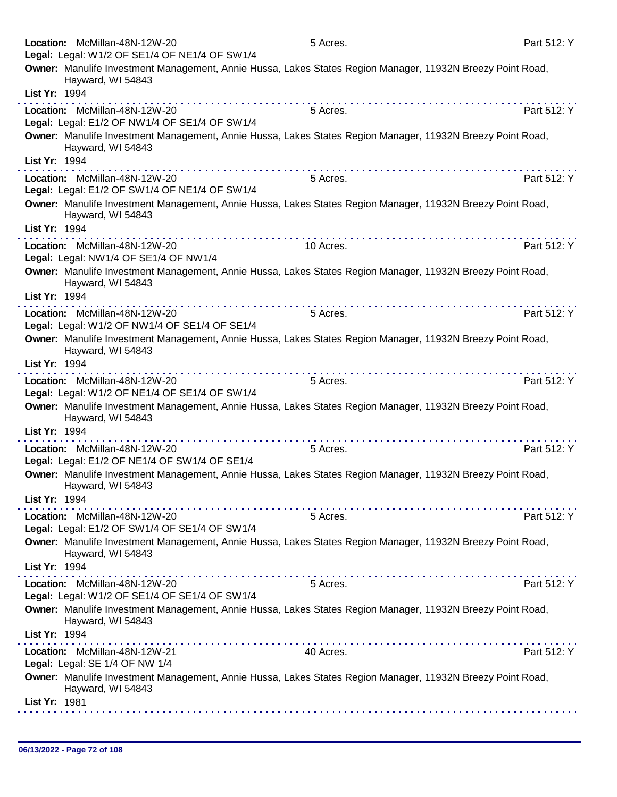|               | Location: McMillan-48N-12W-20<br>Legal: Legal: W1/2 OF SE1/4 OF NE1/4 OF SW1/4                                                  | 5 Acres.                                                                                                                                                                                                                                                                                                                                                                                                                                                     | Part 512: Y |
|---------------|---------------------------------------------------------------------------------------------------------------------------------|--------------------------------------------------------------------------------------------------------------------------------------------------------------------------------------------------------------------------------------------------------------------------------------------------------------------------------------------------------------------------------------------------------------------------------------------------------------|-------------|
| List Yr: 1994 | Owner: Manulife Investment Management, Annie Hussa, Lakes States Region Manager, 11932N Breezy Point Road,<br>Hayward, WI 54843 |                                                                                                                                                                                                                                                                                                                                                                                                                                                              |             |
|               |                                                                                                                                 |                                                                                                                                                                                                                                                                                                                                                                                                                                                              |             |
|               | Location: McMillan-48N-12W-20<br>Legal: Legal: E1/2 OF NW1/4 OF SE1/4 OF SW1/4                                                  | 5 Acres.                                                                                                                                                                                                                                                                                                                                                                                                                                                     | Part 512: Y |
|               | Owner: Manulife Investment Management, Annie Hussa, Lakes States Region Manager, 11932N Breezy Point Road,<br>Hayward, WI 54843 |                                                                                                                                                                                                                                                                                                                                                                                                                                                              |             |
| List Yr: 1994 |                                                                                                                                 | $\mathcal{L}^{\mathcal{A}}(\mathcal{A},\mathcal{A},\mathcal{A},\mathcal{A},\mathcal{A},\mathcal{A},\mathcal{A},\mathcal{A},\mathcal{A},\mathcal{A},\mathcal{A},\mathcal{A},\mathcal{A},\mathcal{A},\mathcal{A},\mathcal{A},\mathcal{A},\mathcal{A},\mathcal{A},\mathcal{A},\mathcal{A},\mathcal{A},\mathcal{A},\mathcal{A},\mathcal{A},\mathcal{A},\mathcal{A},\mathcal{A},\mathcal{A},\mathcal{A},\mathcal{A},\mathcal{A},\mathcal{A},\mathcal{A},\mathcal$ |             |
|               | Location: McMillan-48N-12W-20<br>Legal: Legal: E1/2 OF SW1/4 OF NE1/4 OF SW1/4                                                  | 5 Acres.                                                                                                                                                                                                                                                                                                                                                                                                                                                     | Part 512: Y |
|               | Owner: Manulife Investment Management, Annie Hussa, Lakes States Region Manager, 11932N Breezy Point Road,<br>Hayward, WI 54843 |                                                                                                                                                                                                                                                                                                                                                                                                                                                              |             |
| List Yr: 1994 |                                                                                                                                 |                                                                                                                                                                                                                                                                                                                                                                                                                                                              |             |
|               | Location: McMillan-48N-12W-20<br>Legal: Legal: NW1/4 OF SE1/4 OF NW1/4                                                          | 10 Acres.                                                                                                                                                                                                                                                                                                                                                                                                                                                    | Part 512: Y |
|               | Owner: Manulife Investment Management, Annie Hussa, Lakes States Region Manager, 11932N Breezy Point Road,<br>Hayward, WI 54843 |                                                                                                                                                                                                                                                                                                                                                                                                                                                              |             |
| List Yr: 1994 |                                                                                                                                 |                                                                                                                                                                                                                                                                                                                                                                                                                                                              |             |
|               | Location: McMillan-48N-12W-20                                                                                                   | 5 Acres.                                                                                                                                                                                                                                                                                                                                                                                                                                                     | Part 512: Y |
|               | Legal: Legal: W1/2 OF NW1/4 OF SE1/4 OF SE1/4                                                                                   |                                                                                                                                                                                                                                                                                                                                                                                                                                                              |             |
|               | Owner: Manulife Investment Management, Annie Hussa, Lakes States Region Manager, 11932N Breezy Point Road,<br>Hayward, WI 54843 |                                                                                                                                                                                                                                                                                                                                                                                                                                                              |             |
| List Yr: 1994 |                                                                                                                                 |                                                                                                                                                                                                                                                                                                                                                                                                                                                              |             |
|               | Location: McMillan-48N-12W-20<br>Legal: Legal: W1/2 OF NE1/4 OF SE1/4 OF SW1/4                                                  | 5 Acres.                                                                                                                                                                                                                                                                                                                                                                                                                                                     | Part 512: Y |
|               | Owner: Manulife Investment Management, Annie Hussa, Lakes States Region Manager, 11932N Breezy Point Road,<br>Hayward, WI 54843 |                                                                                                                                                                                                                                                                                                                                                                                                                                                              |             |
| List Yr: 1994 |                                                                                                                                 |                                                                                                                                                                                                                                                                                                                                                                                                                                                              |             |
|               | Location: McMillan-48N-12W-20<br>Legal: Legal: E1/2 OF NE1/4 OF SW1/4 OF SE1/4                                                  | 5 Acres.                                                                                                                                                                                                                                                                                                                                                                                                                                                     | Part 512: Y |
|               | Owner: Manulife Investment Management, Annie Hussa, Lakes States Region Manager, 11932N Breezy Point Road,<br>Hayward, WI 54843 |                                                                                                                                                                                                                                                                                                                                                                                                                                                              |             |
| List Yr: 1994 |                                                                                                                                 | .                                                                                                                                                                                                                                                                                                                                                                                                                                                            |             |
|               | Location: McMillan-48N-12W-20<br>Legal: Legal: E1/2 OF SW1/4 OF SE1/4 OF SW1/4                                                  | 5 Acres.                                                                                                                                                                                                                                                                                                                                                                                                                                                     | Part 512: Y |
|               | Owner: Manulife Investment Management, Annie Hussa, Lakes States Region Manager, 11932N Breezy Point Road,<br>Hayward, WI 54843 |                                                                                                                                                                                                                                                                                                                                                                                                                                                              |             |
| List Yr: 1994 |                                                                                                                                 |                                                                                                                                                                                                                                                                                                                                                                                                                                                              |             |
|               | Location: McMillan-48N-12W-20<br>Legal: Legal: W1/2 OF SE1/4 OF SE1/4 OF SW1/4                                                  | 5 Acres.                                                                                                                                                                                                                                                                                                                                                                                                                                                     | Part 512: Y |
|               | Owner: Manulife Investment Management, Annie Hussa, Lakes States Region Manager, 11932N Breezy Point Road,<br>Hayward, WI 54843 |                                                                                                                                                                                                                                                                                                                                                                                                                                                              |             |
| List Yr: 1994 |                                                                                                                                 |                                                                                                                                                                                                                                                                                                                                                                                                                                                              |             |
|               | Location: McMillan-48N-12W-21                                                                                                   | 40 Acres.                                                                                                                                                                                                                                                                                                                                                                                                                                                    | Part 512: Y |
|               | Legal: Legal: SE 1/4 OF NW 1/4                                                                                                  |                                                                                                                                                                                                                                                                                                                                                                                                                                                              |             |
|               | Owner: Manulife Investment Management, Annie Hussa, Lakes States Region Manager, 11932N Breezy Point Road,<br>Hayward, WI 54843 |                                                                                                                                                                                                                                                                                                                                                                                                                                                              |             |
| List Yr: 1981 |                                                                                                                                 |                                                                                                                                                                                                                                                                                                                                                                                                                                                              |             |
|               |                                                                                                                                 |                                                                                                                                                                                                                                                                                                                                                                                                                                                              |             |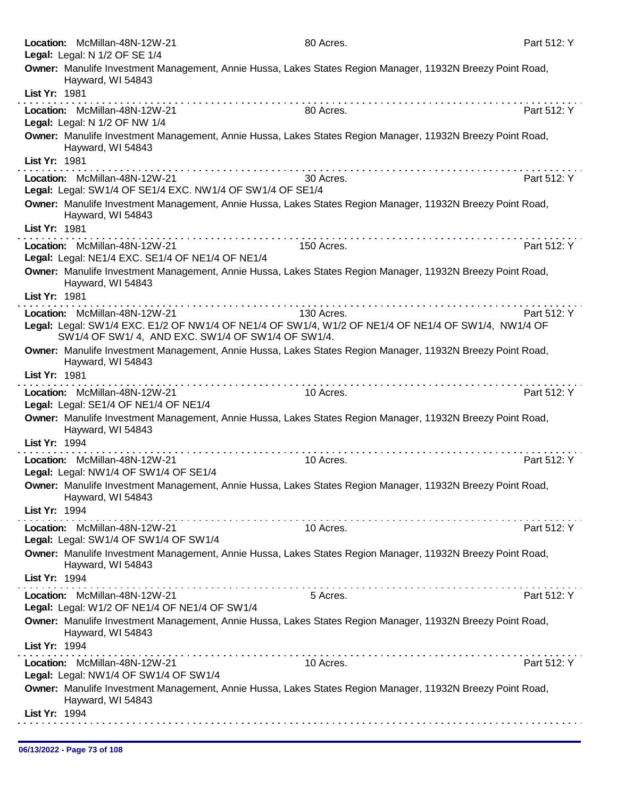|               | Location: McMillan-48N-12W-21<br>Legal: Legal: N 1/2 OF SE 1/4                             | 80 Acres.                                                                                                  | Part 512: Y |
|---------------|--------------------------------------------------------------------------------------------|------------------------------------------------------------------------------------------------------------|-------------|
|               | Hayward, WI 54843                                                                          | Owner: Manulife Investment Management, Annie Hussa, Lakes States Region Manager, 11932N Breezy Point Road, |             |
| List Yr: 1981 |                                                                                            |                                                                                                            |             |
|               | Location: McMillan-48N-12W-21<br>Legal: Legal: N 1/2 OF NW 1/4                             | 80 Acres.                                                                                                  | Part 512: Y |
|               | Hayward, WI 54843                                                                          | Owner: Manulife Investment Management, Annie Hussa, Lakes States Region Manager, 11932N Breezy Point Road, |             |
| List Yr: 1981 |                                                                                            |                                                                                                            |             |
|               | Location: McMillan-48N-12W-21<br>Legal: Legal: SW1/4 OF SE1/4 EXC. NW1/4 OF SW1/4 OF SE1/4 | 30 Acres.                                                                                                  | Part 512: Y |
|               | Hayward, WI 54843                                                                          | Owner: Manulife Investment Management, Annie Hussa, Lakes States Region Manager, 11932N Breezy Point Road, |             |
| List Yr: 1981 |                                                                                            |                                                                                                            |             |
|               | Location: McMillan-48N-12W-21<br>Legal: Legal: NE1/4 EXC. SE1/4 OF NE1/4 OF NE1/4          | 150 Acres.                                                                                                 | Part 512: Y |
| List Yr: 1981 | Hayward, WI 54843                                                                          | Owner: Manulife Investment Management, Annie Hussa, Lakes States Region Manager, 11932N Breezy Point Road, |             |
|               | Location: McMillan-48N-12W-21                                                              | 130 Acres.                                                                                                 | Part 512: Y |
|               | SW1/4 OF SW1/4, AND EXC. SW1/4 OF SW1/4 OF SW1/4.                                          | Legal: Legal: SW1/4 EXC. E1/2 OF NW1/4 OF NE1/4 OF SW1/4, W1/2 OF NE1/4 OF NE1/4 OF SW1/4, NW1/4 OF        |             |
|               | Hayward, WI 54843                                                                          | Owner: Manulife Investment Management, Annie Hussa, Lakes States Region Manager, 11932N Breezy Point Road, |             |
| List Yr: 1981 |                                                                                            |                                                                                                            |             |
|               | Location: McMillan-48N-12W-21<br>Legal: Legal: SE1/4 OF NE1/4 OF NE1/4                     | 10 Acres.                                                                                                  | Part 512: Y |
|               | Hayward, WI 54843                                                                          | Owner: Manulife Investment Management, Annie Hussa, Lakes States Region Manager, 11932N Breezy Point Road, |             |
| List Yr: 1994 |                                                                                            | . <b>.</b>                                                                                                 |             |
|               | Location: McMillan-48N-12W-21<br>Legal: Legal: NW1/4 OF SW1/4 OF SE1/4                     | 10 Acres.                                                                                                  | Part 512: Y |
|               | Hayward, WI 54843                                                                          | Owner: Manulife Investment Management, Annie Hussa, Lakes States Region Manager, 11932N Breezy Point Road, |             |
| List Yr: 1994 |                                                                                            |                                                                                                            |             |
|               | Location: McMillan-48N-12W-21<br>Legal: Legal: SW1/4 OF SW1/4 OF SW1/4                     | 10 Acres.                                                                                                  | Part 512: Y |
|               | Hayward, WI 54843                                                                          | Owner: Manulife Investment Management, Annie Hussa, Lakes States Region Manager, 11932N Breezy Point Road, |             |
| List Yr: 1994 |                                                                                            |                                                                                                            |             |
|               | Location: McMillan-48N-12W-21<br>Legal: Legal: W1/2 OF NE1/4 OF NE1/4 OF SW1/4             | 5 Acres.                                                                                                   | Part 512: Y |
|               | Hayward, WI 54843                                                                          | Owner: Manulife Investment Management, Annie Hussa, Lakes States Region Manager, 11932N Breezy Point Road, |             |
| List Yr: 1994 |                                                                                            |                                                                                                            |             |
|               | Location: McMillan-48N-12W-21<br>Legal: Legal: NW1/4 OF SW1/4 OF SW1/4                     | 10 Acres.                                                                                                  | Part 512: Y |
|               | Hayward, WI 54843                                                                          | Owner: Manulife Investment Management, Annie Hussa, Lakes States Region Manager, 11932N Breezy Point Road, |             |
| List Yr: 1994 |                                                                                            |                                                                                                            |             |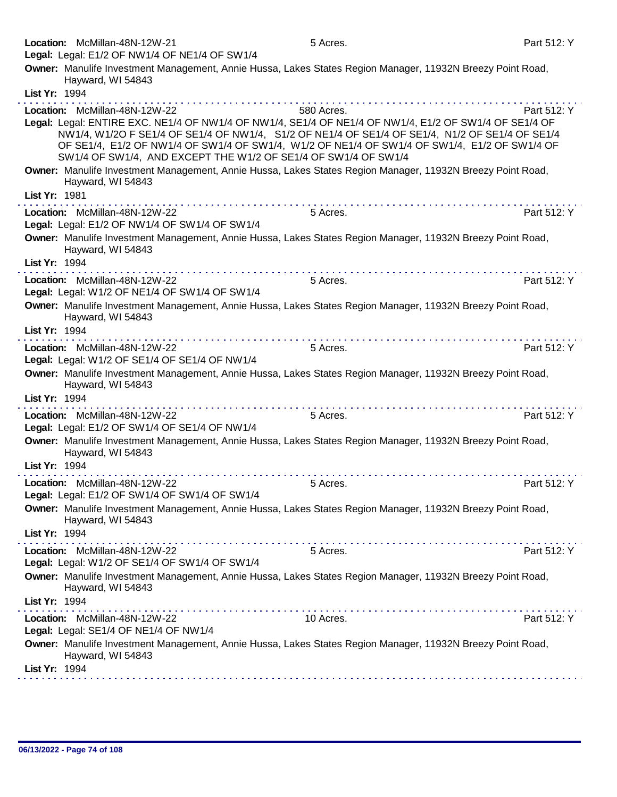| Location: McMillan-48N-12W-21<br>Legal: Legal: E1/2 OF NW1/4 OF NE1/4 OF SW1/4 | 5 Acres.                                                                                                                                                                                                                                                                                                                                                                   | Part 512: Y |
|--------------------------------------------------------------------------------|----------------------------------------------------------------------------------------------------------------------------------------------------------------------------------------------------------------------------------------------------------------------------------------------------------------------------------------------------------------------------|-------------|
|                                                                                | Owner: Manulife Investment Management, Annie Hussa, Lakes States Region Manager, 11932N Breezy Point Road,                                                                                                                                                                                                                                                                 |             |
| Hayward, WI 54843<br>List Yr: 1994                                             |                                                                                                                                                                                                                                                                                                                                                                            |             |
| Location: McMillan-48N-12W-22                                                  | 580 Acres.                                                                                                                                                                                                                                                                                                                                                                 | Part 512: Y |
|                                                                                | Legal: Legal: ENTIRE EXC. NE1/4 OF NW1/4 OF NW1/4, SE1/4 OF NE1/4 OF NW1/4, E1/2 OF SW1/4 OF SE1/4 OF<br>NW1/4, W1/2O F SE1/4 OF SE1/4 OF NW1/4, S1/2 OF NE1/4 OF SE1/4 OF SE1/4, N1/2 OF SE1/4 OF SE1/4<br>OF SE1/4, E1/2 OF NW1/4 OF SW1/4 OF SW1/4, W1/2 OF NE1/4 OF SW1/4 OF SW1/4, E1/2 OF SW1/4 OF<br>SW1/4 OF SW1/4, AND EXCEPT THE W1/2 OF SE1/4 OF SW1/4 OF SW1/4 |             |
| Hayward, WI 54843                                                              | Owner: Manulife Investment Management, Annie Hussa, Lakes States Region Manager, 11932N Breezy Point Road,                                                                                                                                                                                                                                                                 |             |
| List Yr: 1981                                                                  |                                                                                                                                                                                                                                                                                                                                                                            |             |
| Location: McMillan-48N-12W-22<br>Legal: Legal: E1/2 OF NW1/4 OF SW1/4 OF SW1/4 | 5 Acres.                                                                                                                                                                                                                                                                                                                                                                   | Part 512: Y |
| Hayward, WI 54843                                                              | Owner: Manulife Investment Management, Annie Hussa, Lakes States Region Manager, 11932N Breezy Point Road,                                                                                                                                                                                                                                                                 |             |
| List Yr: 1994                                                                  |                                                                                                                                                                                                                                                                                                                                                                            |             |
| Location: McMillan-48N-12W-22<br>Legal: Legal: W1/2 OF NE1/4 OF SW1/4 OF SW1/4 | 5 Acres.                                                                                                                                                                                                                                                                                                                                                                   | Part 512: Y |
| Hayward, WI 54843                                                              | Owner: Manulife Investment Management, Annie Hussa, Lakes States Region Manager, 11932N Breezy Point Road,                                                                                                                                                                                                                                                                 |             |
| List Yr: 1994                                                                  |                                                                                                                                                                                                                                                                                                                                                                            |             |
| Location: McMillan-48N-12W-22<br>Legal: Legal: W1/2 OF SE1/4 OF SE1/4 OF NW1/4 | 5 Acres.                                                                                                                                                                                                                                                                                                                                                                   | Part 512: Y |
| Hayward, WI 54843                                                              | Owner: Manulife Investment Management, Annie Hussa, Lakes States Region Manager, 11932N Breezy Point Road,                                                                                                                                                                                                                                                                 |             |
| List Yr: 1994                                                                  |                                                                                                                                                                                                                                                                                                                                                                            |             |
| Location: McMillan-48N-12W-22<br>Legal: Legal: E1/2 OF SW1/4 OF SE1/4 OF NW1/4 | 5 Acres.                                                                                                                                                                                                                                                                                                                                                                   | Part 512: Y |
| Hayward, WI 54843                                                              | Owner: Manulife Investment Management, Annie Hussa, Lakes States Region Manager, 11932N Breezy Point Road,                                                                                                                                                                                                                                                                 |             |
| List Yr: 1994                                                                  |                                                                                                                                                                                                                                                                                                                                                                            |             |
| Location: McMillan-48N-12W-22<br>Legal: Legal: E1/2 OF SW1/4 OF SW1/4 OF SW1/4 | 5 Acres.                                                                                                                                                                                                                                                                                                                                                                   | Part 512: Y |
| Hayward, WI 54843                                                              | Owner: Manulife Investment Management, Annie Hussa, Lakes States Region Manager, 11932N Breezy Point Road,                                                                                                                                                                                                                                                                 |             |
| List Yr: 1994                                                                  |                                                                                                                                                                                                                                                                                                                                                                            |             |
| Location: McMillan-48N-12W-22<br>Legal: Legal: W1/2 OF SE1/4 OF SW1/4 OF SW1/4 | 5 Acres.                                                                                                                                                                                                                                                                                                                                                                   | Part 512: Y |
| Hayward, WI 54843                                                              | Owner: Manulife Investment Management, Annie Hussa, Lakes States Region Manager, 11932N Breezy Point Road,                                                                                                                                                                                                                                                                 |             |
| List Yr: 1994                                                                  |                                                                                                                                                                                                                                                                                                                                                                            |             |
| Location: McMillan-48N-12W-22<br>Legal: Legal: SE1/4 OF NE1/4 OF NW1/4         | 10 Acres.                                                                                                                                                                                                                                                                                                                                                                  | Part 512: Y |
| Hayward, WI 54843                                                              | Owner: Manulife Investment Management, Annie Hussa, Lakes States Region Manager, 11932N Breezy Point Road,                                                                                                                                                                                                                                                                 |             |
| List Yr: 1994                                                                  |                                                                                                                                                                                                                                                                                                                                                                            |             |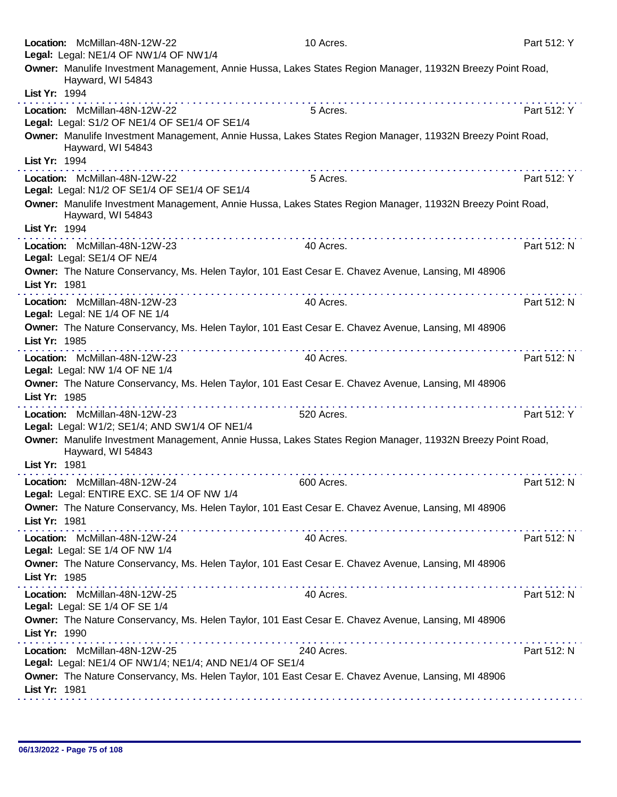|               | Location: McMillan-48N-12W-22<br>Legal: Legal: NE1/4 OF NW1/4 OF NW1/4                   | 10 Acres.                                                                                                         | Part 512: Y |
|---------------|------------------------------------------------------------------------------------------|-------------------------------------------------------------------------------------------------------------------|-------------|
| List Yr: 1994 | Hayward, WI 54843                                                                        | Owner: Manulife Investment Management, Annie Hussa, Lakes States Region Manager, 11932N Breezy Point Road,        |             |
|               | Location: McMillan-48N-12W-22                                                            | 5 Acres.                                                                                                          | Part 512: Y |
| List Yr: 1994 | Legal: Legal: S1/2 OF NE1/4 OF SE1/4 OF SE1/4<br>Hayward, WI 54843                       | Owner: Manulife Investment Management, Annie Hussa, Lakes States Region Manager, 11932N Breezy Point Road,        |             |
|               | Location: McMillan-48N-12W-22<br>Legal: Legal: N1/2 OF SE1/4 OF SE1/4 OF SE1/4           | 5 Acres.                                                                                                          | Part 512: Y |
| List Yr: 1994 | Hayward, WI 54843                                                                        | Owner: Manulife Investment Management, Annie Hussa, Lakes States Region Manager, 11932N Breezy Point Road,        |             |
|               | Location: McMillan-48N-12W-23<br>Legal: Legal: SE1/4 OF NE/4                             | 40 Acres.                                                                                                         | Part 512: N |
| List Yr: 1981 |                                                                                          | Owner: The Nature Conservancy, Ms. Helen Taylor, 101 East Cesar E. Chavez Avenue, Lansing, MI 48906<br>.<br>.     |             |
|               | Location: McMillan-48N-12W-23<br>Legal: Legal: NE 1/4 OF NE 1/4                          | 40 Acres.                                                                                                         | Part 512: N |
| List Yr: 1985 |                                                                                          | Owner: The Nature Conservancy, Ms. Helen Taylor, 101 East Cesar E. Chavez Avenue, Lansing, MI 48906               |             |
|               | Location: McMillan-48N-12W-23<br>Legal: Legal: NW 1/4 OF NE 1/4                          | 40 Acres.<br>Owner: The Nature Conservancy, Ms. Helen Taylor, 101 East Cesar E. Chavez Avenue, Lansing, MI 48906  | Part 512: N |
| List Yr: 1985 |                                                                                          |                                                                                                                   |             |
|               | Location: McMillan-48N-12W-23<br>Legal: Legal: W1/2; SE1/4; AND SW1/4 OF NE1/4           | 520 Acres.                                                                                                        | Part 512: Y |
| List Yr: 1981 | Hayward, WI 54843                                                                        | Owner: Manulife Investment Management, Annie Hussa, Lakes States Region Manager, 11932N Breezy Point Road,        |             |
|               | Location: McMillan-48N-12W-24<br>Legal: Legal: ENTIRE EXC. SE 1/4 OF NW 1/4              | 600 Acres.                                                                                                        | Part 512: N |
| List Yr: 1981 |                                                                                          | Owner: The Nature Conservancy, Ms. Helen Taylor, 101 East Cesar E. Chavez Avenue, Lansing, MI 48906               |             |
|               | Location: McMillan-48N-12W-24<br>Legal: Legal: SE 1/4 OF NW 1/4                          | 40 Acres.                                                                                                         | Part 512: N |
| List Yr: 1985 |                                                                                          | Owner: The Nature Conservancy, Ms. Helen Taylor, 101 East Cesar E. Chavez Avenue, Lansing, MI 48906               |             |
|               | Location: McMillan-48N-12W-25<br>Legal: Legal: SE 1/4 OF SE 1/4                          | 40 Acres.                                                                                                         | Part 512: N |
| List Yr: 1990 |                                                                                          | Owner: The Nature Conservancy, Ms. Helen Taylor, 101 East Cesar E. Chavez Avenue, Lansing, MI 48906               |             |
| List Yr: 1981 | Location: McMillan-48N-12W-25<br>Legal: Legal: NE1/4 OF NW1/4; NE1/4; AND NE1/4 OF SE1/4 | 240 Acres.<br>Owner: The Nature Conservancy, Ms. Helen Taylor, 101 East Cesar E. Chavez Avenue, Lansing, MI 48906 | Part 512: N |
|               |                                                                                          |                                                                                                                   |             |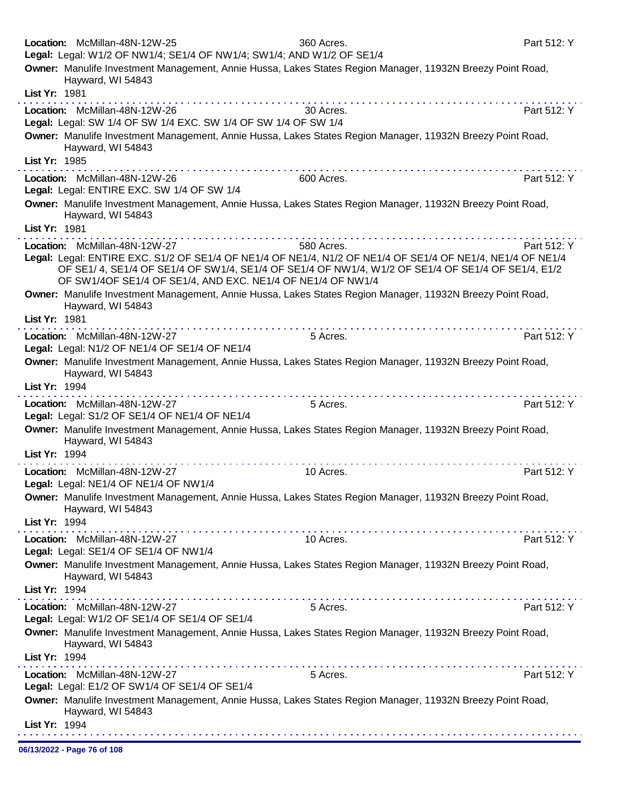|               | Location: McMillan-48N-12W-25<br>Legal: Legal: W1/2 OF NW1/4; SE1/4 OF NW1/4; SW1/4; AND W1/2 OF SE1/4 | 360 Acres.                                                                                                                                                                                                      | Part 512: Y |
|---------------|--------------------------------------------------------------------------------------------------------|-----------------------------------------------------------------------------------------------------------------------------------------------------------------------------------------------------------------|-------------|
|               | Hayward, WI 54843                                                                                      | Owner: Manulife Investment Management, Annie Hussa, Lakes States Region Manager, 11932N Breezy Point Road,                                                                                                      |             |
| List Yr: 1981 |                                                                                                        |                                                                                                                                                                                                                 |             |
|               | Location: McMillan-48N-12W-26<br>Legal: Legal: SW 1/4 OF SW 1/4 EXC. SW 1/4 OF SW 1/4 OF SW 1/4        | 30 Acres.                                                                                                                                                                                                       | Part 512: Y |
|               | Hayward, WI 54843                                                                                      | Owner: Manulife Investment Management, Annie Hussa, Lakes States Region Manager, 11932N Breezy Point Road,                                                                                                      |             |
| List Yr: 1985 |                                                                                                        |                                                                                                                                                                                                                 |             |
|               | Location: McMillan-48N-12W-26<br>Legal: Legal: ENTIRE EXC. SW 1/4 OF SW 1/4                            | 600 Acres.                                                                                                                                                                                                      | Part 512: Y |
|               | Hayward, WI 54843                                                                                      | Owner: Manulife Investment Management, Annie Hussa, Lakes States Region Manager, 11932N Breezy Point Road,                                                                                                      |             |
| List Yr: 1981 |                                                                                                        |                                                                                                                                                                                                                 |             |
|               | Location: McMillan-48N-12W-27                                                                          | a construction and construction<br>580 Acres.                                                                                                                                                                   | Part 512: Y |
|               | OF SW1/4OF SE1/4 OF SE1/4, AND EXC. NE1/4 OF NE1/4 OF NW1/4                                            | Legal: Legal: ENTIRE EXC. S1/2 OF SE1/4 OF NE1/4 OF NE1/4, N1/2 OF NE1/4 OF SE1/4 OF NE1/4, NE1/4 OF NE1/4<br>OF SE1/4, SE1/4 OF SE1/4 OF SW1/4, SE1/4 OF SE1/4 OF NW1/4, W1/2 OF SE1/4 OF SE1/4 OF SE1/4, E1/2 |             |
|               | Hayward, WI 54843                                                                                      | Owner: Manulife Investment Management, Annie Hussa, Lakes States Region Manager, 11932N Breezy Point Road,                                                                                                      |             |
| List Yr: 1981 |                                                                                                        |                                                                                                                                                                                                                 |             |
|               | Location: McMillan-48N-12W-27<br>Legal: Legal: N1/2 OF NE1/4 OF SE1/4 OF NE1/4                         | 5 Acres.                                                                                                                                                                                                        | Part 512: Y |
|               | Hayward, WI 54843                                                                                      | Owner: Manulife Investment Management, Annie Hussa, Lakes States Region Manager, 11932N Breezy Point Road,                                                                                                      |             |
| List Yr: 1994 |                                                                                                        |                                                                                                                                                                                                                 |             |
|               | Location: McMillan-48N-12W-27<br>Legal: Legal: S1/2 OF SE1/4 OF NE1/4 OF NE1/4                         | 5 Acres.                                                                                                                                                                                                        | Part 512: Y |
|               | Hayward, WI 54843                                                                                      | Owner: Manulife Investment Management, Annie Hussa, Lakes States Region Manager, 11932N Breezy Point Road,                                                                                                      |             |
| List Yr: 1994 |                                                                                                        |                                                                                                                                                                                                                 |             |
|               | Location: McMillan-48N-12W-27<br>Legal: Legal: NE1/4 OF NE1/4 OF NW1/4                                 | 10 Acres.                                                                                                                                                                                                       | Part 512: Y |
|               | Hayward, WI 54843                                                                                      | Owner: Manulife Investment Management, Annie Hussa, Lakes States Region Manager, 11932N Breezy Point Road,                                                                                                      |             |
| List Yr: 1994 |                                                                                                        |                                                                                                                                                                                                                 |             |
|               | Location: McMillan-48N-12W-27<br>Legal: Legal: SE1/4 OF SE1/4 OF NW1/4                                 | 10 Acres.                                                                                                                                                                                                       | Part 512: Y |
|               | Hayward, WI 54843                                                                                      | Owner: Manulife Investment Management, Annie Hussa, Lakes States Region Manager, 11932N Breezy Point Road,                                                                                                      |             |
| List Yr: 1994 |                                                                                                        |                                                                                                                                                                                                                 |             |
|               | Location: McMillan-48N-12W-27<br>Legal: Legal: W1/2 OF SE1/4 OF SE1/4 OF SE1/4                         | 5 Acres.                                                                                                                                                                                                        | Part 512: Y |
|               | Hayward, WI 54843                                                                                      | Owner: Manulife Investment Management, Annie Hussa, Lakes States Region Manager, 11932N Breezy Point Road,                                                                                                      |             |
| List Yr: 1994 | . The second contract is the second contract of the second $\alpha$                                    |                                                                                                                                                                                                                 |             |
|               | Location: McMillan-48N-12W-27<br>Legal: Legal: E1/2 OF SW1/4 OF SE1/4 OF SE1/4                         | 5 Acres.                                                                                                                                                                                                        | Part 512: Y |
|               | Hayward, WI 54843                                                                                      | Owner: Manulife Investment Management, Annie Hussa, Lakes States Region Manager, 11932N Breezy Point Road,                                                                                                      |             |
| List Yr: 1994 |                                                                                                        |                                                                                                                                                                                                                 |             |

06/13/2022 - Page 76 of 108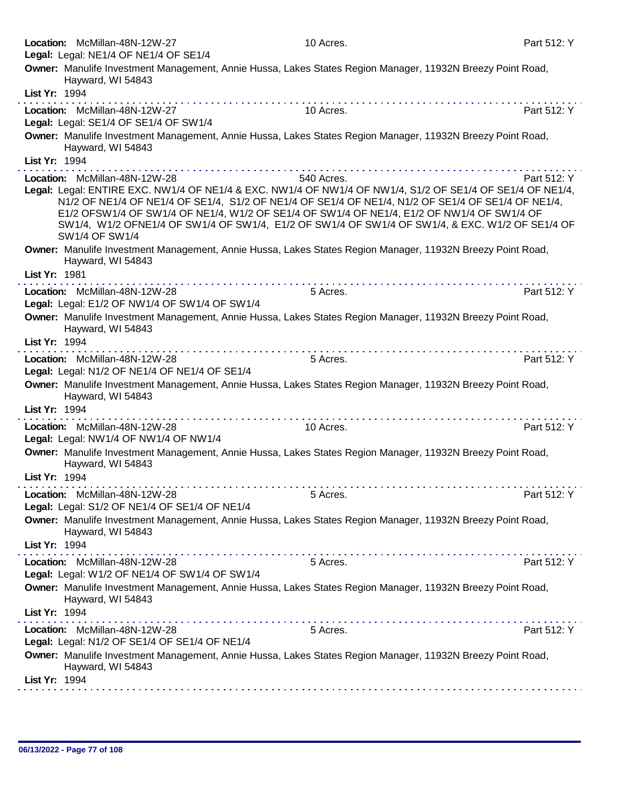| Location: McMillan-48N-12W-27<br>Legal: Legal: NE1/4 OF NE1/4 OF SE1/4                                                                                       | 10 Acres.                                                                                                                                                                                                                                                                                                         | Part 512: Y                                                                                                                                                                                                                                  |
|--------------------------------------------------------------------------------------------------------------------------------------------------------------|-------------------------------------------------------------------------------------------------------------------------------------------------------------------------------------------------------------------------------------------------------------------------------------------------------------------|----------------------------------------------------------------------------------------------------------------------------------------------------------------------------------------------------------------------------------------------|
| Owner: Manulife Investment Management, Annie Hussa, Lakes States Region Manager, 11932N Breezy Point Road,<br>Hayward, WI 54843                              |                                                                                                                                                                                                                                                                                                                   |                                                                                                                                                                                                                                              |
| List Yr: 1994                                                                                                                                                |                                                                                                                                                                                                                                                                                                                   |                                                                                                                                                                                                                                              |
| Location: McMillan-48N-12W-27<br>Legal: Legal: SE1/4 OF SE1/4 OF SW1/4                                                                                       | 10 Acres.                                                                                                                                                                                                                                                                                                         | Part 512: Y                                                                                                                                                                                                                                  |
| Owner: Manulife Investment Management, Annie Hussa, Lakes States Region Manager, 11932N Breezy Point Road,<br>Hayward, WI 54843                              |                                                                                                                                                                                                                                                                                                                   |                                                                                                                                                                                                                                              |
| List Yr: 1994                                                                                                                                                | .<br><u>a serie de la característica de la característica de la característica de la característica de la característica de la característica de la característica de la característica de la característica de la característica de </u>                                                                         |                                                                                                                                                                                                                                              |
| Location: McMillan-48N-12W-28<br>Legal: Legal: ENTIRE EXC. NW1/4 OF NE1/4 & EXC. NW1/4 OF NW1/4 OF NW1/4, S1/2 OF SE1/4 OF SE1/4 OF NE1/4,<br>SW1/4 OF SW1/4 | 540 Acres.<br>N1/2 OF NE1/4 OF NE1/4 OF SE1/4, S1/2 OF NE1/4 OF SE1/4 OF NE1/4, N1/2 OF SE1/4 OF SE1/4 OF NE1/4,<br>E1/2 OFSW1/4 OF SW1/4 OF NE1/4, W1/2 OF SE1/4 OF SW1/4 OF NE1/4, E1/2 OF NW1/4 OF SW1/4 OF<br>SW1/4, W1/2 OFNE1/4 OF SW1/4 OF SW1/4, E1/2 OF SW1/4 OF SW1/4 OF SW1/4, & EXC. W1/2 OF SE1/4 OF | Part 512: Y                                                                                                                                                                                                                                  |
| Owner: Manulife Investment Management, Annie Hussa, Lakes States Region Manager, 11932N Breezy Point Road,<br>Hayward, WI 54843<br>List Yr: 1981             |                                                                                                                                                                                                                                                                                                                   |                                                                                                                                                                                                                                              |
|                                                                                                                                                              |                                                                                                                                                                                                                                                                                                                   |                                                                                                                                                                                                                                              |
| Location: McMillan-48N-12W-28<br>Legal: Legal: E1/2 OF NW1/4 OF SW1/4 OF SW1/4                                                                               | 5 Acres.                                                                                                                                                                                                                                                                                                          | Part 512: Y                                                                                                                                                                                                                                  |
| Owner: Manulife Investment Management, Annie Hussa, Lakes States Region Manager, 11932N Breezy Point Road,<br>Hayward, WI 54843                              |                                                                                                                                                                                                                                                                                                                   |                                                                                                                                                                                                                                              |
| List Yr: 1994<br>Location: McMillan-48N-12W-28                                                                                                               | .<br>5 Acres.                                                                                                                                                                                                                                                                                                     | a construction of the construction of the construction of the construction of the construction of the construction of the construction of the construction of the construction of the construction of the construction of the<br>Part 512: Y |
| Legal: Legal: N1/2 OF NE1/4 OF NE1/4 OF SE1/4                                                                                                                |                                                                                                                                                                                                                                                                                                                   |                                                                                                                                                                                                                                              |
| Owner: Manulife Investment Management, Annie Hussa, Lakes States Region Manager, 11932N Breezy Point Road,<br>Hayward, WI 54843                              |                                                                                                                                                                                                                                                                                                                   |                                                                                                                                                                                                                                              |
| List Yr: 1994                                                                                                                                                |                                                                                                                                                                                                                                                                                                                   |                                                                                                                                                                                                                                              |
| Location: McMillan-48N-12W-28<br>Legal: Legal: NW1/4 OF NW1/4 OF NW1/4                                                                                       | 10 Acres.                                                                                                                                                                                                                                                                                                         | Part 512: Y                                                                                                                                                                                                                                  |
| Owner: Manulife Investment Management, Annie Hussa, Lakes States Region Manager, 11932N Breezy Point Road,<br>Hayward, WI 54843                              |                                                                                                                                                                                                                                                                                                                   |                                                                                                                                                                                                                                              |
| List Yr: 1994                                                                                                                                                |                                                                                                                                                                                                                                                                                                                   |                                                                                                                                                                                                                                              |
| Location: McMillan-48N-12W-28<br>Legal: Legal: S1/2 OF NE1/4 OF SE1/4 OF NE1/4                                                                               | 5 Acres.                                                                                                                                                                                                                                                                                                          | Part 512: Y                                                                                                                                                                                                                                  |
| Owner: Manulife Investment Management, Annie Hussa, Lakes States Region Manager, 11932N Breezy Point Road,<br>Hayward, WI 54843                              |                                                                                                                                                                                                                                                                                                                   |                                                                                                                                                                                                                                              |
| List Yr: 1994                                                                                                                                                |                                                                                                                                                                                                                                                                                                                   |                                                                                                                                                                                                                                              |
| Location: McMillan-48N-12W-28<br>Legal: Legal: W1/2 OF NE1/4 OF SW1/4 OF SW1/4                                                                               | 5 Acres.                                                                                                                                                                                                                                                                                                          | Part 512: Y                                                                                                                                                                                                                                  |
| Owner: Manulife Investment Management, Annie Hussa, Lakes States Region Manager, 11932N Breezy Point Road,<br>Hayward, WI 54843                              |                                                                                                                                                                                                                                                                                                                   |                                                                                                                                                                                                                                              |
| List Yr: 1994                                                                                                                                                |                                                                                                                                                                                                                                                                                                                   |                                                                                                                                                                                                                                              |
| Location: McMillan-48N-12W-28<br>Legal: Legal: N1/2 OF SE1/4 OF SE1/4 OF NE1/4                                                                               | 5 Acres.                                                                                                                                                                                                                                                                                                          | Part 512: Y                                                                                                                                                                                                                                  |
| Owner: Manulife Investment Management, Annie Hussa, Lakes States Region Manager, 11932N Breezy Point Road,<br>Hayward, WI 54843                              |                                                                                                                                                                                                                                                                                                                   |                                                                                                                                                                                                                                              |
| List Yr: 1994                                                                                                                                                |                                                                                                                                                                                                                                                                                                                   |                                                                                                                                                                                                                                              |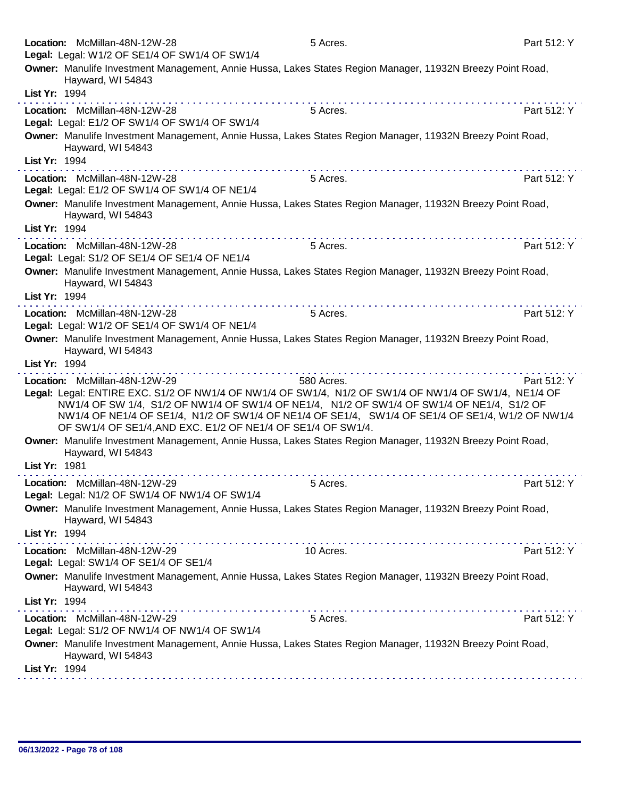| Owner: Manulife Investment Management, Annie Hussa, Lakes States Region Manager, 11932N Breezy Point Road,<br>Hayward, WI 54843                                                                                                                                                                                                                                                                         |            |             |
|---------------------------------------------------------------------------------------------------------------------------------------------------------------------------------------------------------------------------------------------------------------------------------------------------------------------------------------------------------------------------------------------------------|------------|-------------|
| List Yr: 1994                                                                                                                                                                                                                                                                                                                                                                                           |            |             |
| .<br>Location: McMillan-48N-12W-28<br>Legal: Legal: E1/2 OF SW1/4 OF SW1/4 OF SW1/4                                                                                                                                                                                                                                                                                                                     | 5 Acres.   | Part 512: Y |
| Owner: Manulife Investment Management, Annie Hussa, Lakes States Region Manager, 11932N Breezy Point Road,<br>Hayward, WI 54843                                                                                                                                                                                                                                                                         |            |             |
| List Yr: 1994                                                                                                                                                                                                                                                                                                                                                                                           |            |             |
| Location: McMillan-48N-12W-28<br>Legal: Legal: E1/2 OF SW1/4 OF SW1/4 OF NE1/4                                                                                                                                                                                                                                                                                                                          | 5 Acres.   | Part 512: Y |
| Owner: Manulife Investment Management, Annie Hussa, Lakes States Region Manager, 11932N Breezy Point Road,<br>Hayward, WI 54843                                                                                                                                                                                                                                                                         |            |             |
| List Yr: 1994                                                                                                                                                                                                                                                                                                                                                                                           |            |             |
| Location: McMillan-48N-12W-28<br>Legal: Legal: S1/2 OF SE1/4 OF SE1/4 OF NE1/4                                                                                                                                                                                                                                                                                                                          | 5 Acres.   | Part 512: Y |
| Owner: Manulife Investment Management, Annie Hussa, Lakes States Region Manager, 11932N Breezy Point Road,<br>Hayward, WI 54843                                                                                                                                                                                                                                                                         |            |             |
| List Yr: 1994<br>.                                                                                                                                                                                                                                                                                                                                                                                      |            |             |
| Location: McMillan-48N-12W-28<br>Legal: Legal: W1/2 OF SE1/4 OF SW1/4 OF NE1/4                                                                                                                                                                                                                                                                                                                          | 5 Acres.   | Part 512: Y |
| Owner: Manulife Investment Management, Annie Hussa, Lakes States Region Manager, 11932N Breezy Point Road,<br>Hayward, WI 54843                                                                                                                                                                                                                                                                         |            |             |
| List Yr: 1994                                                                                                                                                                                                                                                                                                                                                                                           | .          |             |
| Location: McMillan-48N-12W-29<br>Legal: Legal: ENTIRE EXC. S1/2 OF NW1/4 OF NW1/4 OF SW1/4, N1/2 OF SW1/4 OF NW1/4 OF SW1/4, NE1/4 OF<br>NW1/4 OF SW 1/4, S1/2 OF NW1/4 OF SW1/4 OF NE1/4, N1/2 OF SW1/4 OF SW1/4 OF NE1/4, S1/2 OF<br>NW1/4 OF NE1/4 OF SE1/4, N1/2 OF SW1/4 OF NE1/4 OF SE1/4, SW1/4 OF SE1/4 OF SE1/4, W1/2 OF NW1/4<br>OF SW1/4 OF SE1/4, AND EXC. E1/2 OF NE1/4 OF SE1/4 OF SW1/4. | 580 Acres. | Part 512: Y |
| Owner: Manulife Investment Management, Annie Hussa, Lakes States Region Manager, 11932N Breezy Point Road,<br>Hayward, WI 54843                                                                                                                                                                                                                                                                         |            |             |
| List Yr: 1981                                                                                                                                                                                                                                                                                                                                                                                           |            |             |
| Location: McMillan-48N-12W-29<br>Legal: Legal: N1/2 OF SW1/4 OF NW1/4 OF SW1/4                                                                                                                                                                                                                                                                                                                          | 5 Acres.   | Part 512: Y |
| Owner: Manulife Investment Management, Annie Hussa, Lakes States Region Manager, 11932N Breezy Point Road,<br>Hayward, WI 54843                                                                                                                                                                                                                                                                         |            |             |
| List Yr: 1994                                                                                                                                                                                                                                                                                                                                                                                           |            |             |
| Location: McMillan-48N-12W-29<br>Legal: Legal: SW1/4 OF SE1/4 OF SE1/4                                                                                                                                                                                                                                                                                                                                  | 10 Acres.  | Part 512: Y |
| Owner: Manulife Investment Management, Annie Hussa, Lakes States Region Manager, 11932N Breezy Point Road,<br>Hayward, WI 54843                                                                                                                                                                                                                                                                         |            |             |
| List Yr: 1994                                                                                                                                                                                                                                                                                                                                                                                           |            |             |
| Location: McMillan-48N-12W-29<br>Legal: Legal: S1/2 OF NW1/4 OF NW1/4 OF SW1/4                                                                                                                                                                                                                                                                                                                          | 5 Acres.   | Part 512: Y |
| Owner: Manulife Investment Management, Annie Hussa, Lakes States Region Manager, 11932N Breezy Point Road,<br>Hayward, WI 54843                                                                                                                                                                                                                                                                         |            |             |
| List Yr: 1994                                                                                                                                                                                                                                                                                                                                                                                           |            |             |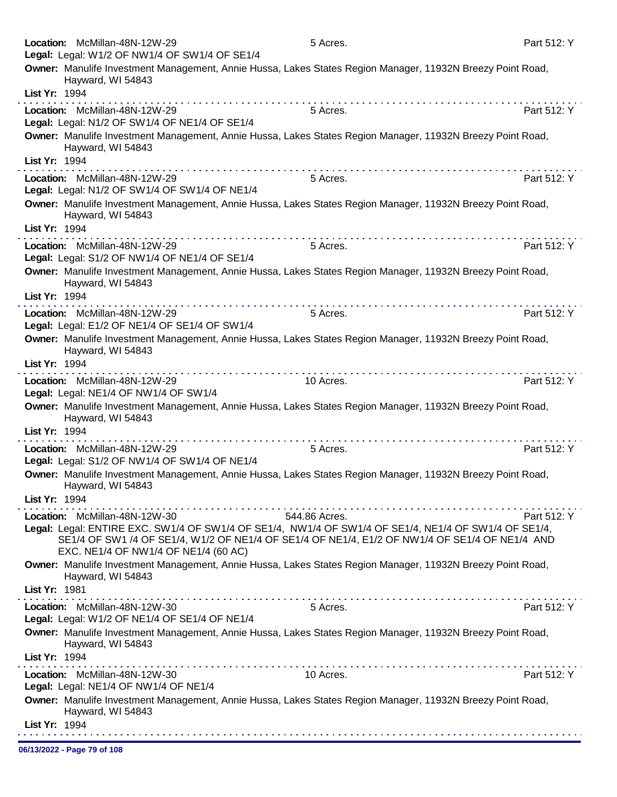| Location: McMillan-48N-12W-29                                                                                                                                                                                                                                                   | 5 Acres.      | Part 512: Y |
|---------------------------------------------------------------------------------------------------------------------------------------------------------------------------------------------------------------------------------------------------------------------------------|---------------|-------------|
| Legal: Legal: W1/2 OF NW1/4 OF SW1/4 OF SE1/4                                                                                                                                                                                                                                   |               |             |
| Owner: Manulife Investment Management, Annie Hussa, Lakes States Region Manager, 11932N Breezy Point Road,<br>Hayward, WI 54843                                                                                                                                                 |               |             |
| List Yr: 1994                                                                                                                                                                                                                                                                   |               |             |
| Location: McMillan-48N-12W-29                                                                                                                                                                                                                                                   | 5 Acres.      | Part 512: Y |
| Legal: Legal: N1/2 OF SW1/4 OF NE1/4 OF SE1/4                                                                                                                                                                                                                                   |               |             |
| Owner: Manulife Investment Management, Annie Hussa, Lakes States Region Manager, 11932N Breezy Point Road,<br>Hayward, WI 54843                                                                                                                                                 |               |             |
| List Yr: 1994                                                                                                                                                                                                                                                                   |               |             |
| Location: McMillan-48N-12W-29<br>Legal: Legal: N1/2 OF SW1/4 OF SW1/4 OF NE1/4                                                                                                                                                                                                  | 5 Acres.      | Part 512: Y |
| Owner: Manulife Investment Management, Annie Hussa, Lakes States Region Manager, 11932N Breezy Point Road,<br>Hayward, WI 54843                                                                                                                                                 |               |             |
| List Yr: 1994<br>.                                                                                                                                                                                                                                                              |               |             |
| Location: McMillan-48N-12W-29<br>Legal: Legal: S1/2 OF NW1/4 OF NE1/4 OF SE1/4                                                                                                                                                                                                  | 5 Acres.      | Part 512: Y |
| Owner: Manulife Investment Management, Annie Hussa, Lakes States Region Manager, 11932N Breezy Point Road,<br>Hayward, WI 54843<br>List Yr: 1994                                                                                                                                |               |             |
| Location: McMillan-48N-12W-29                                                                                                                                                                                                                                                   | 5 Acres.      | Part 512: Y |
| Legal: Legal: E1/2 OF NE1/4 OF SE1/4 OF SW1/4                                                                                                                                                                                                                                   |               |             |
| Owner: Manulife Investment Management, Annie Hussa, Lakes States Region Manager, 11932N Breezy Point Road,<br>Hayward, WI 54843<br>List Yr: 1994                                                                                                                                |               |             |
|                                                                                                                                                                                                                                                                                 |               |             |
| Location: McMillan-48N-12W-29<br>Legal: Legal: NE1/4 OF NW1/4 OF SW1/4                                                                                                                                                                                                          | 10 Acres.     | Part 512: Y |
| Owner: Manulife Investment Management, Annie Hussa, Lakes States Region Manager, 11932N Breezy Point Road,<br>Hayward, WI 54843<br>List Yr: 1994                                                                                                                                |               |             |
| Location: McMillan-48N-12W-29                                                                                                                                                                                                                                                   | 5 Acres.      | Part 512: Y |
| Legal: Legal: S1/2 OF NW1/4 OF SW1/4 OF NE1/4                                                                                                                                                                                                                                   |               |             |
| Owner: Manulife Investment Management, Annie Hussa, Lakes States Region Manager, 11932N Breezy Point Road,<br>Hayward, WI 54843                                                                                                                                                 |               |             |
| List Yr: 1994                                                                                                                                                                                                                                                                   |               |             |
| Location: McMillan-48N-12W-30<br>Legal: Legal: ENTIRE EXC. SW1/4 OF SW1/4 OF SE1/4, NW1/4 OF SW1/4 OF SE1/4, NE1/4 OF SW1/4 OF SE1/4,<br>SE1/4 OF SW1 /4 OF SE1/4, W1/2 OF NE1/4 OF SE1/4 OF NE1/4, E1/2 OF NW1/4 OF SE1/4 OF NE1/4 AND<br>EXC. NE1/4 OF NW1/4 OF NE1/4 (60 AC) | 544.86 Acres. | Part 512: Y |
| Owner: Manulife Investment Management, Annie Hussa, Lakes States Region Manager, 11932N Breezy Point Road,<br>Hayward, WI 54843                                                                                                                                                 |               |             |
| List Yr: 1981<br>.                                                                                                                                                                                                                                                              |               |             |
| Location: McMillan-48N-12W-30<br>Legal: Legal: W1/2 OF NE1/4 OF SE1/4 OF NE1/4                                                                                                                                                                                                  | 5 Acres.      | Part 512: Y |
| Owner: Manulife Investment Management, Annie Hussa, Lakes States Region Manager, 11932N Breezy Point Road,<br>Hayward, WI 54843                                                                                                                                                 |               |             |
| List Yr: 1994                                                                                                                                                                                                                                                                   |               |             |
| Location: McMillan-48N-12W-30<br>Legal: Legal: NE1/4 OF NW1/4 OF NE1/4                                                                                                                                                                                                          | 10 Acres.     | Part 512: Y |
| Owner: Manulife Investment Management, Annie Hussa, Lakes States Region Manager, 11932N Breezy Point Road,<br>Hayward, WI 54843                                                                                                                                                 |               |             |
| List Yr: 1994                                                                                                                                                                                                                                                                   |               |             |
| 06/13/2022 - Page 79 of 108                                                                                                                                                                                                                                                     |               |             |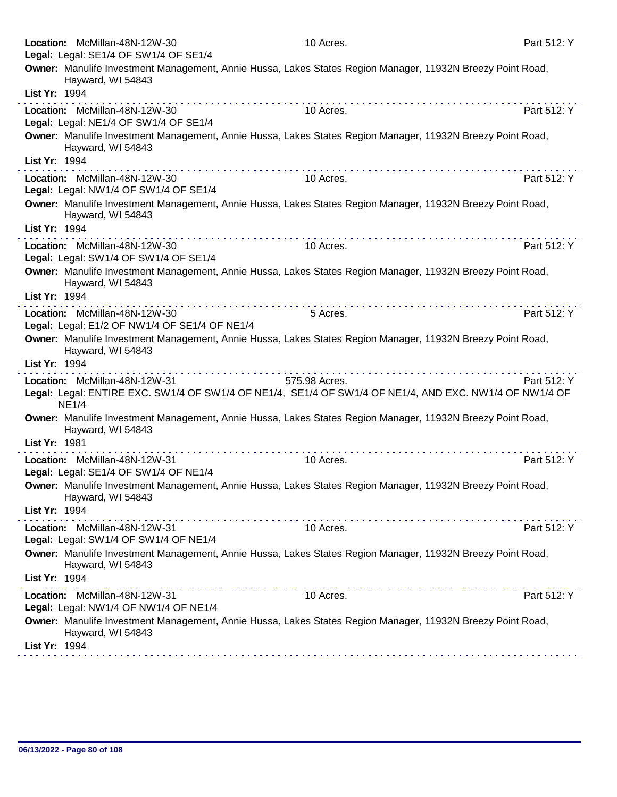| Location: McMillan-48N-12W-30                                                  | 10 Acres.                                                                                                               | Part 512: Y |
|--------------------------------------------------------------------------------|-------------------------------------------------------------------------------------------------------------------------|-------------|
| Legal: Legal: SE1/4 OF SW1/4 OF SE1/4                                          | Owner: Manulife Investment Management, Annie Hussa, Lakes States Region Manager, 11932N Breezy Point Road,              |             |
| Hayward, WI 54843<br>List Yr: 1994                                             |                                                                                                                         |             |
|                                                                                |                                                                                                                         |             |
| Location: McMillan-48N-12W-30<br>Legal: Legal: NE1/4 OF SW1/4 OF SE1/4         | 10 Acres.                                                                                                               | Part 512: Y |
| Hayward, WI 54843                                                              | Owner: Manulife Investment Management, Annie Hussa, Lakes States Region Manager, 11932N Breezy Point Road,              |             |
| List Yr: 1994                                                                  |                                                                                                                         |             |
| Location: McMillan-48N-12W-30<br>Legal: Legal: NW1/4 OF SW1/4 OF SE1/4         | 10 Acres.                                                                                                               | Part 512: Y |
| Hayward, WI 54843                                                              | Owner: Manulife Investment Management, Annie Hussa, Lakes States Region Manager, 11932N Breezy Point Road,              |             |
| List Yr: 1994                                                                  |                                                                                                                         |             |
| Location: McMillan-48N-12W-30<br>Legal: Legal: SW1/4 OF SW1/4 OF SE1/4         | 10 Acres.                                                                                                               | Part 512: Y |
| Hayward, WI 54843                                                              | Owner: Manulife Investment Management, Annie Hussa, Lakes States Region Manager, 11932N Breezy Point Road,              |             |
| List Yr: 1994                                                                  |                                                                                                                         |             |
| Location: McMillan-48N-12W-30<br>Legal: Legal: E1/2 OF NW1/4 OF SE1/4 OF NE1/4 | 5 Acres.                                                                                                                | Part 512: Y |
| Hayward, WI 54843                                                              | Owner: Manulife Investment Management, Annie Hussa, Lakes States Region Manager, 11932N Breezy Point Road,              |             |
| List Yr: 1994                                                                  |                                                                                                                         |             |
| Location: McMillan-48N-12W-31<br><b>NE1/4</b>                                  | 575.98 Acres.<br>Legal: Legal: ENTIRE EXC. SW1/4 OF SW1/4 OF NE1/4, SE1/4 OF SW1/4 OF NE1/4, AND EXC. NW1/4 OF NW1/4 OF | Part 512: Y |
| Hayward, WI 54843                                                              | Owner: Manulife Investment Management, Annie Hussa, Lakes States Region Manager, 11932N Breezy Point Road,              |             |
| List Yr: 1981                                                                  |                                                                                                                         |             |
| Location: McMillan-48N-12W-31<br>Legal: Legal: SE1/4 OF SW1/4 OF NE1/4         | 10 Acres.                                                                                                               | Part 512: Y |
| Hayward, WI 54843                                                              | Owner: Manulife Investment Management, Annie Hussa, Lakes States Region Manager, 11932N Breezy Point Road,              |             |
| List Yr: 1994                                                                  |                                                                                                                         |             |
| Location: McMillan-48N-12W-31<br>Legal: Legal: SW1/4 OF SW1/4 OF NE1/4         | 10 Acres.                                                                                                               | Part 512: Y |
| Hayward, WI 54843                                                              | Owner: Manulife Investment Management, Annie Hussa, Lakes States Region Manager, 11932N Breezy Point Road,              |             |
| List Yr: 1994                                                                  |                                                                                                                         |             |
| Location: McMillan-48N-12W-31<br>Legal: Legal: NW1/4 OF NW1/4 OF NE1/4         | 10 Acres.                                                                                                               | Part 512: Y |
| Hayward, WI 54843                                                              | Owner: Manulife Investment Management, Annie Hussa, Lakes States Region Manager, 11932N Breezy Point Road,              |             |
| List Yr: 1994                                                                  |                                                                                                                         |             |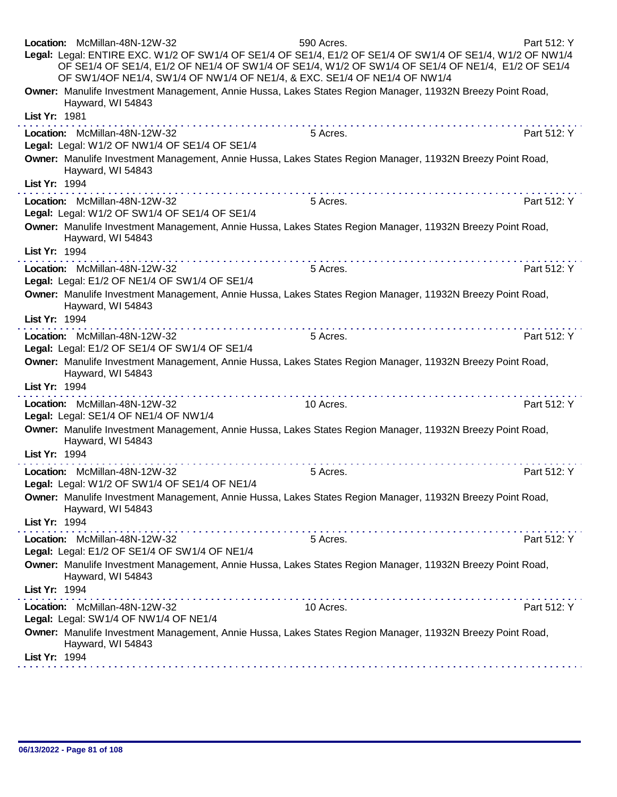|               | Location: McMillan-48N-12W-32<br>Legal: Legal: ENTIRE EXC. W1/2 OF SW1/4 OF SE1/4 OF SE1/4, E1/2 OF SE1/4 OF SW1/4 OF SE1/4, W1/2 OF NW1/4<br>OF SE1/4 OF SE1/4, E1/2 OF NE1/4 OF SW1/4 OF SE1/4, W1/2 OF SW1/4 OF SE1/4 OF NE1/4, E1/2 OF SE1/4<br>OF SW1/4OF NE1/4, SW1/4 OF NW1/4 OF NE1/4, & EXC. SE1/4 OF NE1/4 OF NW1/4                                                                                                                                                                                                                  | 590 Acres. | Part 512: Y |
|---------------|------------------------------------------------------------------------------------------------------------------------------------------------------------------------------------------------------------------------------------------------------------------------------------------------------------------------------------------------------------------------------------------------------------------------------------------------------------------------------------------------------------------------------------------------|------------|-------------|
|               | Owner: Manulife Investment Management, Annie Hussa, Lakes States Region Manager, 11932N Breezy Point Road,<br>Hayward, WI 54843                                                                                                                                                                                                                                                                                                                                                                                                                |            |             |
| List Yr: 1981 |                                                                                                                                                                                                                                                                                                                                                                                                                                                                                                                                                |            |             |
|               | Location: McMillan-48N-12W-32<br>Legal: Legal: W1/2 OF NW1/4 OF SE1/4 OF SE1/4                                                                                                                                                                                                                                                                                                                                                                                                                                                                 | 5 Acres.   | Part 512: Y |
|               | Owner: Manulife Investment Management, Annie Hussa, Lakes States Region Manager, 11932N Breezy Point Road,<br>Hayward, WI 54843                                                                                                                                                                                                                                                                                                                                                                                                                |            |             |
| List Yr: 1994 |                                                                                                                                                                                                                                                                                                                                                                                                                                                                                                                                                |            |             |
|               | Location: McMillan-48N-12W-32                                                                                                                                                                                                                                                                                                                                                                                                                                                                                                                  | 5 Acres.   | Part 512: Y |
|               | Legal: Legal: W1/2 OF SW1/4 OF SE1/4 OF SE1/4                                                                                                                                                                                                                                                                                                                                                                                                                                                                                                  |            |             |
|               | Owner: Manulife Investment Management, Annie Hussa, Lakes States Region Manager, 11932N Breezy Point Road,<br>Hayward, WI 54843                                                                                                                                                                                                                                                                                                                                                                                                                |            |             |
| List Yr: 1994 |                                                                                                                                                                                                                                                                                                                                                                                                                                                                                                                                                |            |             |
|               | Location: McMillan-48N-12W-32<br>Legal: Legal: E1/2 OF NE1/4 OF SW1/4 OF SE1/4                                                                                                                                                                                                                                                                                                                                                                                                                                                                 | 5 Acres.   | Part 512: Y |
|               | Owner: Manulife Investment Management, Annie Hussa, Lakes States Region Manager, 11932N Breezy Point Road,<br>Hayward, WI 54843                                                                                                                                                                                                                                                                                                                                                                                                                |            |             |
| List Yr: 1994 |                                                                                                                                                                                                                                                                                                                                                                                                                                                                                                                                                |            |             |
|               | .<br>Location: McMillan-48N-12W-32                                                                                                                                                                                                                                                                                                                                                                                                                                                                                                             | 5 Acres.   | Part 512: Y |
|               | Legal: Legal: E1/2 OF SE1/4 OF SW1/4 OF SE1/4                                                                                                                                                                                                                                                                                                                                                                                                                                                                                                  |            |             |
|               | Owner: Manulife Investment Management, Annie Hussa, Lakes States Region Manager, 11932N Breezy Point Road,<br>Hayward, WI 54843                                                                                                                                                                                                                                                                                                                                                                                                                |            |             |
| List Yr: 1994 | . <b>.</b>                                                                                                                                                                                                                                                                                                                                                                                                                                                                                                                                     |            |             |
|               | Location: McMillan-48N-12W-32<br>Legal: Legal: SE1/4 OF NE1/4 OF NW1/4                                                                                                                                                                                                                                                                                                                                                                                                                                                                         | 10 Acres.  | Part 512: Y |
|               | Owner: Manulife Investment Management, Annie Hussa, Lakes States Region Manager, 11932N Breezy Point Road,<br>Hayward, WI 54843                                                                                                                                                                                                                                                                                                                                                                                                                |            |             |
| List Yr: 1994 |                                                                                                                                                                                                                                                                                                                                                                                                                                                                                                                                                |            |             |
|               | Location: McMillan-48N-12W-32<br>Legal: Legal: W1/2 OF SW1/4 OF SE1/4 OF NE1/4                                                                                                                                                                                                                                                                                                                                                                                                                                                                 | 5 Acres.   | Part 512: Y |
|               | Owner: Manulife Investment Management, Annie Hussa, Lakes States Region Manager, 11932N Breezy Point Road,<br>Hayward, WI 54843                                                                                                                                                                                                                                                                                                                                                                                                                |            |             |
| List Yr: 1994 |                                                                                                                                                                                                                                                                                                                                                                                                                                                                                                                                                |            |             |
|               | $\mathcal{L}^{\mathcal{A}}(\mathcal{A},\mathcal{A},\mathcal{A},\mathcal{A},\mathcal{A},\mathcal{A},\mathcal{A},\mathcal{A},\mathcal{A},\mathcal{A},\mathcal{A},\mathcal{A},\mathcal{A},\mathcal{A},\mathcal{A},\mathcal{A},\mathcal{A},\mathcal{A},\mathcal{A},\mathcal{A},\mathcal{A},\mathcal{A},\mathcal{A},\mathcal{A},\mathcal{A},\mathcal{A},\mathcal{A},\mathcal{A},\mathcal{A},\mathcal{A},\mathcal{A},\mathcal{A},\mathcal{A},\mathcal{A},\mathcal$<br>Location: McMillan-48N-12W-32<br>Legal: Legal: E1/2 OF SE1/4 OF SW1/4 OF NE1/4 | 5 Acres.   | Part 512: Y |
|               | Owner: Manulife Investment Management, Annie Hussa, Lakes States Region Manager, 11932N Breezy Point Road,<br>Hayward, WI 54843                                                                                                                                                                                                                                                                                                                                                                                                                |            |             |
| List Yr: 1994 |                                                                                                                                                                                                                                                                                                                                                                                                                                                                                                                                                |            |             |
|               | Location: McMillan-48N-12W-32<br>Legal: Legal: SW1/4 OF NW1/4 OF NE1/4                                                                                                                                                                                                                                                                                                                                                                                                                                                                         | 10 Acres.  | Part 512: Y |
|               | Owner: Manulife Investment Management, Annie Hussa, Lakes States Region Manager, 11932N Breezy Point Road,<br>Hayward, WI 54843                                                                                                                                                                                                                                                                                                                                                                                                                |            |             |
| List Yr: 1994 |                                                                                                                                                                                                                                                                                                                                                                                                                                                                                                                                                |            |             |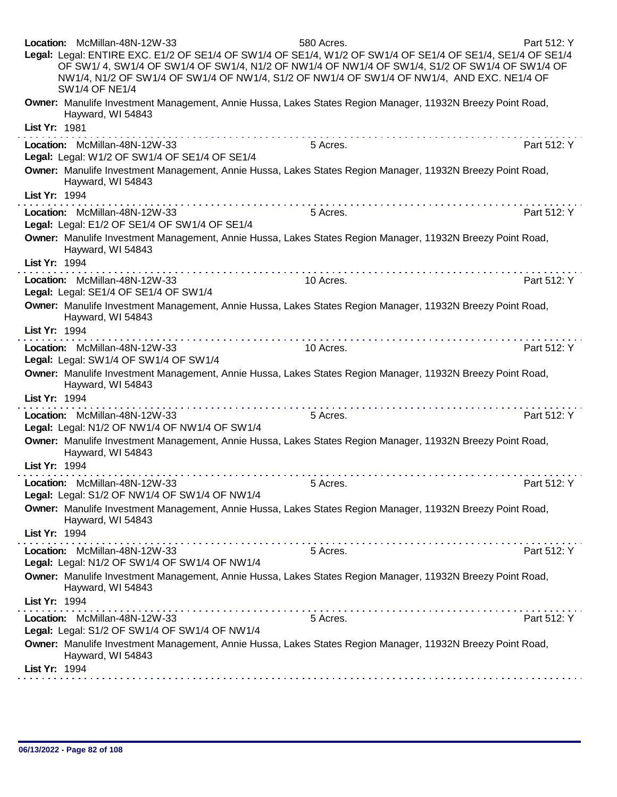|               | Location: McMillan-48N-12W-33<br>Legal: Legal: ENTIRE EXC. E1/2 OF SE1/4 OF SW1/4 OF SE1/4, W1/2 OF SW1/4 OF SE1/4 OF SE1/4, SE1/4 OF SE1/4<br>OF SW1/4, SW1/4 OF SW1/4 OF SW1/4, N1/2 OF NW1/4 OF NW1/4 OF SW1/4, S1/2 OF SW1/4 OF SW1/4 OF<br>NW1/4, N1/2 OF SW1/4 OF SW1/4 OF NW1/4, S1/2 OF NW1/4 OF SW1/4 OF NW1/4, AND EXC. NE1/4 OF<br><b>SW1/4 OF NE1/4</b> | 580 Acres. | Part 512: Y |
|---------------|---------------------------------------------------------------------------------------------------------------------------------------------------------------------------------------------------------------------------------------------------------------------------------------------------------------------------------------------------------------------|------------|-------------|
|               | Owner: Manulife Investment Management, Annie Hussa, Lakes States Region Manager, 11932N Breezy Point Road,<br>Hayward, WI 54843                                                                                                                                                                                                                                     |            |             |
| List Yr: 1981 |                                                                                                                                                                                                                                                                                                                                                                     |            |             |
|               | Location: McMillan-48N-12W-33<br>Legal: Legal: W1/2 OF SW1/4 OF SE1/4 OF SE1/4                                                                                                                                                                                                                                                                                      | 5 Acres.   | Part 512: Y |
| List Yr: 1994 | Owner: Manulife Investment Management, Annie Hussa, Lakes States Region Manager, 11932N Breezy Point Road,<br>Hayward, WI 54843                                                                                                                                                                                                                                     |            |             |
|               |                                                                                                                                                                                                                                                                                                                                                                     | 5 Acres.   | Part 512: Y |
|               | Location: McMillan-48N-12W-33<br>Legal: Legal: E1/2 OF SE1/4 OF SW1/4 OF SE1/4                                                                                                                                                                                                                                                                                      |            |             |
|               | Owner: Manulife Investment Management, Annie Hussa, Lakes States Region Manager, 11932N Breezy Point Road,<br>Hayward, WI 54843                                                                                                                                                                                                                                     |            |             |
| List Yr: 1994 |                                                                                                                                                                                                                                                                                                                                                                     |            |             |
|               | Location: McMillan-48N-12W-33<br>Legal: Legal: SE1/4 OF SE1/4 OF SW1/4                                                                                                                                                                                                                                                                                              | 10 Acres.  | Part 512: Y |
|               | Owner: Manulife Investment Management, Annie Hussa, Lakes States Region Manager, 11932N Breezy Point Road,<br>Hayward, WI 54843                                                                                                                                                                                                                                     |            |             |
| List Yr: 1994 | .                                                                                                                                                                                                                                                                                                                                                                   |            |             |
|               | Location: McMillan-48N-12W-33<br>Legal: Legal: SW1/4 OF SW1/4 OF SW1/4                                                                                                                                                                                                                                                                                              | 10 Acres.  | Part 512: Y |
| List Yr: 1994 | Owner: Manulife Investment Management, Annie Hussa, Lakes States Region Manager, 11932N Breezy Point Road,<br>Hayward, WI 54843                                                                                                                                                                                                                                     |            |             |
|               | Location: McMillan-48N-12W-33                                                                                                                                                                                                                                                                                                                                       | 5 Acres.   | Part 512: Y |
|               | Legal: Legal: N1/2 OF NW1/4 OF NW1/4 OF SW1/4                                                                                                                                                                                                                                                                                                                       |            |             |
|               | Owner: Manulife Investment Management, Annie Hussa, Lakes States Region Manager, 11932N Breezy Point Road,<br>Hayward, WI 54843                                                                                                                                                                                                                                     |            |             |
| List Yr: 1994 |                                                                                                                                                                                                                                                                                                                                                                     |            |             |
|               | Location: McMillan-48N-12W-33<br>Legal: Legal: S1/2 OF NW1/4 OF SW1/4 OF NW1/4                                                                                                                                                                                                                                                                                      | 5 Acres.   | Part 512: Y |
|               | Owner: Manulife Investment Management, Annie Hussa, Lakes States Region Manager, 11932N Breezy Point Road,<br>Hayward, WI 54843                                                                                                                                                                                                                                     |            |             |
| List Yr: 1994 |                                                                                                                                                                                                                                                                                                                                                                     |            |             |
|               | Location: McMillan-48N-12W-33<br>Legal: Legal: N1/2 OF SW1/4 OF SW1/4 OF NW1/4                                                                                                                                                                                                                                                                                      | 5 Acres.   | Part 512: Y |
| List Yr: 1994 | Owner: Manulife Investment Management, Annie Hussa, Lakes States Region Manager, 11932N Breezy Point Road,<br>Hayward, WI 54843                                                                                                                                                                                                                                     |            |             |
|               |                                                                                                                                                                                                                                                                                                                                                                     | 5 Acres.   | Part 512: Y |
|               | Location: McMillan-48N-12W-33<br>Legal: Legal: S1/2 OF SW1/4 OF SW1/4 OF NW1/4                                                                                                                                                                                                                                                                                      |            |             |
|               | Owner: Manulife Investment Management, Annie Hussa, Lakes States Region Manager, 11932N Breezy Point Road,<br>Hayward, WI 54843                                                                                                                                                                                                                                     |            |             |
| List Yr: 1994 |                                                                                                                                                                                                                                                                                                                                                                     |            |             |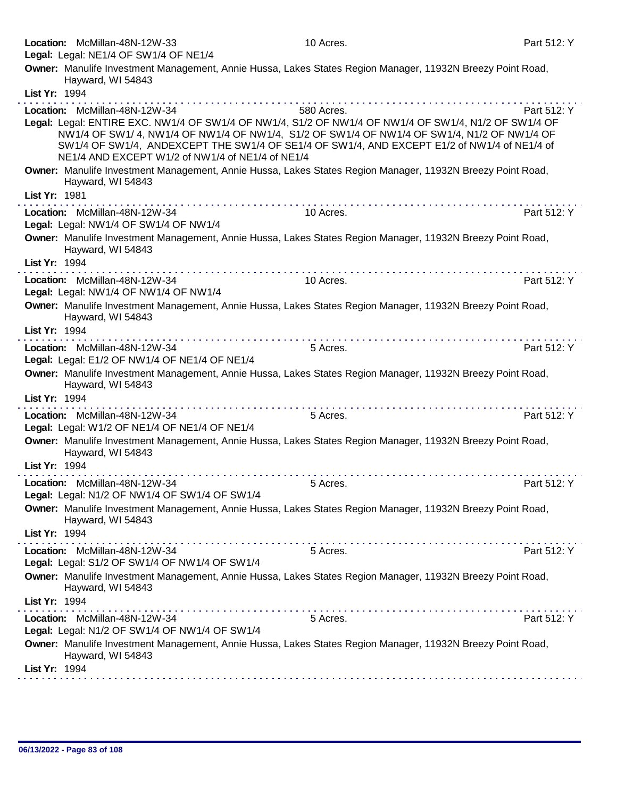|               | Location: McMillan-48N-12W-33<br>Legal: Legal: NE1/4 OF SW1/4 OF NE1/4                                                                                                                                                                                                                                                                                                                 | 10 Acres.  | Part 512: Y |
|---------------|----------------------------------------------------------------------------------------------------------------------------------------------------------------------------------------------------------------------------------------------------------------------------------------------------------------------------------------------------------------------------------------|------------|-------------|
|               | Owner: Manulife Investment Management, Annie Hussa, Lakes States Region Manager, 11932N Breezy Point Road,<br>Hayward, WI 54843                                                                                                                                                                                                                                                        |            |             |
| List Yr: 1994 |                                                                                                                                                                                                                                                                                                                                                                                        |            |             |
|               | Location: McMillan-48N-12W-34<br>Legal: Legal: ENTIRE EXC. NW1/4 OF SW1/4 OF NW1/4, S1/2 OF NW1/4 OF NW1/4 OF SW1/4, N1/2 OF SW1/4 OF<br>NW1/4 OF SW1/4, NW1/4 OF NW1/4 OF NW1/4, S1/2 OF SW1/4 OF NW1/4 OF SW1/4, N1/2 OF NW1/4 OF<br>SW1/4 OF SW1/4, ANDEXCEPT THE SW1/4 OF SE1/4 OF SW1/4, AND EXCEPT E1/2 of NW1/4 of NE1/4 of<br>NE1/4 AND EXCEPT W1/2 of NW1/4 of NE1/4 of NE1/4 | 580 Acres. | Part 512: Y |
|               | Owner: Manulife Investment Management, Annie Hussa, Lakes States Region Manager, 11932N Breezy Point Road,<br>Hayward, WI 54843                                                                                                                                                                                                                                                        |            |             |
| List Yr: 1981 |                                                                                                                                                                                                                                                                                                                                                                                        |            |             |
|               | Location: McMillan-48N-12W-34<br>Legal: Legal: NW1/4 OF SW1/4 OF NW1/4                                                                                                                                                                                                                                                                                                                 | 10 Acres.  | Part 512: Y |
|               | Owner: Manulife Investment Management, Annie Hussa, Lakes States Region Manager, 11932N Breezy Point Road,<br>Hayward, WI 54843                                                                                                                                                                                                                                                        |            |             |
| List Yr: 1994 |                                                                                                                                                                                                                                                                                                                                                                                        |            |             |
|               | Location: McMillan-48N-12W-34<br>Legal: Legal: NW1/4 OF NW1/4 OF NW1/4                                                                                                                                                                                                                                                                                                                 | 10 Acres.  | Part 512: Y |
|               | Owner: Manulife Investment Management, Annie Hussa, Lakes States Region Manager, 11932N Breezy Point Road,<br>Hayward, WI 54843                                                                                                                                                                                                                                                        |            |             |
| List Yr: 1994 |                                                                                                                                                                                                                                                                                                                                                                                        |            |             |
|               | Location: McMillan-48N-12W-34<br>Legal: Legal: E1/2 OF NW1/4 OF NE1/4 OF NE1/4                                                                                                                                                                                                                                                                                                         | 5 Acres.   | Part 512: Y |
|               | Owner: Manulife Investment Management, Annie Hussa, Lakes States Region Manager, 11932N Breezy Point Road,<br>Hayward, WI 54843                                                                                                                                                                                                                                                        |            |             |
| List Yr: 1994 |                                                                                                                                                                                                                                                                                                                                                                                        |            |             |
|               | Location: McMillan-48N-12W-34<br>Legal: Legal: W1/2 OF NE1/4 OF NE1/4 OF NE1/4                                                                                                                                                                                                                                                                                                         | 5 Acres.   | Part 512: Y |
|               | Owner: Manulife Investment Management, Annie Hussa, Lakes States Region Manager, 11932N Breezy Point Road,<br>Hayward, WI 54843                                                                                                                                                                                                                                                        |            |             |
| List Yr: 1994 |                                                                                                                                                                                                                                                                                                                                                                                        |            |             |
|               | Location: McMillan-48N-12W-34<br>Legal: Legal: N1/2 OF NW1/4 OF SW1/4 OF SW1/4                                                                                                                                                                                                                                                                                                         | 5 Acres.   | Part 512: Y |
|               | Owner: Manulife Investment Management, Annie Hussa, Lakes States Region Manager, 11932N Breezy Point Road,<br>Hayward, WI 54843                                                                                                                                                                                                                                                        |            |             |
| List Yr: 1994 |                                                                                                                                                                                                                                                                                                                                                                                        |            |             |
|               | Location: McMillan-48N-12W-34<br>Legal: Legal: S1/2 OF SW1/4 OF NW1/4 OF SW1/4                                                                                                                                                                                                                                                                                                         | 5 Acres.   | Part 512: Y |
|               | Owner: Manulife Investment Management, Annie Hussa, Lakes States Region Manager, 11932N Breezy Point Road,<br>Hayward, WI 54843                                                                                                                                                                                                                                                        |            |             |
| List Yr: 1994 |                                                                                                                                                                                                                                                                                                                                                                                        |            |             |
|               | Location: McMillan-48N-12W-34<br>Legal: Legal: N1/2 OF SW1/4 OF NW1/4 OF SW1/4                                                                                                                                                                                                                                                                                                         | 5 Acres.   | Part 512: Y |
|               | Owner: Manulife Investment Management, Annie Hussa, Lakes States Region Manager, 11932N Breezy Point Road,<br>Hayward, WI 54843                                                                                                                                                                                                                                                        |            |             |
| List Yr: 1994 |                                                                                                                                                                                                                                                                                                                                                                                        |            |             |
|               |                                                                                                                                                                                                                                                                                                                                                                                        |            |             |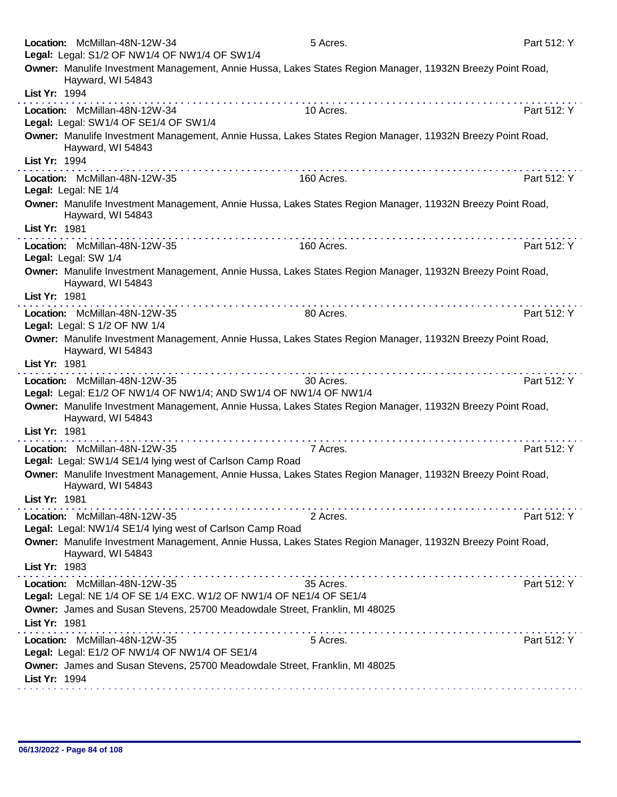| Location: McMillan-48N-12W-34<br>Legal: Legal: S1/2 OF NW1/4 OF NW1/4 OF SW1/4             | 5 Acres.                                                                                                                                                                                                                                                                                                                                                                                                                                                                                                    | Part 512: Y |
|--------------------------------------------------------------------------------------------|-------------------------------------------------------------------------------------------------------------------------------------------------------------------------------------------------------------------------------------------------------------------------------------------------------------------------------------------------------------------------------------------------------------------------------------------------------------------------------------------------------------|-------------|
| Hayward, WI 54843                                                                          | Owner: Manulife Investment Management, Annie Hussa, Lakes States Region Manager, 11932N Breezy Point Road,                                                                                                                                                                                                                                                                                                                                                                                                  |             |
| List Yr: 1994                                                                              |                                                                                                                                                                                                                                                                                                                                                                                                                                                                                                             |             |
| Location: McMillan-48N-12W-34<br>Legal: Legal: SW1/4 OF SE1/4 OF SW1/4                     | 10 Acres.                                                                                                                                                                                                                                                                                                                                                                                                                                                                                                   | Part 512: Y |
| Hayward, WI 54843<br>List Yr: 1994                                                         | Owner: Manulife Investment Management, Annie Hussa, Lakes States Region Manager, 11932N Breezy Point Road,                                                                                                                                                                                                                                                                                                                                                                                                  |             |
|                                                                                            |                                                                                                                                                                                                                                                                                                                                                                                                                                                                                                             |             |
| Location: McMillan-48N-12W-35<br>Legal: Legal: NE 1/4                                      | 160 Acres.                                                                                                                                                                                                                                                                                                                                                                                                                                                                                                  | Part 512: Y |
| Hayward, WI 54843<br>List Yr: 1981                                                         | Owner: Manulife Investment Management, Annie Hussa, Lakes States Region Manager, 11932N Breezy Point Road,                                                                                                                                                                                                                                                                                                                                                                                                  |             |
|                                                                                            |                                                                                                                                                                                                                                                                                                                                                                                                                                                                                                             |             |
| Location: McMillan-48N-12W-35<br>Legal: Legal: SW 1/4                                      | 160 Acres.                                                                                                                                                                                                                                                                                                                                                                                                                                                                                                  | Part 512: Y |
| Hayward, WI 54843                                                                          | Owner: Manulife Investment Management, Annie Hussa, Lakes States Region Manager, 11932N Breezy Point Road,                                                                                                                                                                                                                                                                                                                                                                                                  |             |
| List Yr: 1981                                                                              |                                                                                                                                                                                                                                                                                                                                                                                                                                                                                                             |             |
| Location: McMillan-48N-12W-35<br>Legal: Legal: S 1/2 OF NW 1/4                             | 80 Acres.                                                                                                                                                                                                                                                                                                                                                                                                                                                                                                   | Part 512: Y |
| Hayward, WI 54843<br>List Yr: 1981                                                         | Owner: Manulife Investment Management, Annie Hussa, Lakes States Region Manager, 11932N Breezy Point Road,                                                                                                                                                                                                                                                                                                                                                                                                  |             |
| Location: McMillan-48N-12W-35                                                              | .<br>30 Acres.                                                                                                                                                                                                                                                                                                                                                                                                                                                                                              | Part 512: Y |
|                                                                                            | Legal: Legal: E1/2 OF NW1/4 OF NW1/4; AND SW1/4 OF NW1/4 OF NW1/4                                                                                                                                                                                                                                                                                                                                                                                                                                           |             |
| Hayward, WI 54843                                                                          | Owner: Manulife Investment Management, Annie Hussa, Lakes States Region Manager, 11932N Breezy Point Road,                                                                                                                                                                                                                                                                                                                                                                                                  |             |
| List Yr: 1981                                                                              |                                                                                                                                                                                                                                                                                                                                                                                                                                                                                                             |             |
| Location: McMillan-48N-12W-35<br>Legal: Legal: SW1/4 SE1/4 lying west of Carlson Camp Road | 7 Acres.                                                                                                                                                                                                                                                                                                                                                                                                                                                                                                    | Part 512: Y |
| Hayward, WI 54843                                                                          | Owner: Manulife Investment Management, Annie Hussa, Lakes States Region Manager, 11932N Breezy Point Road,                                                                                                                                                                                                                                                                                                                                                                                                  |             |
| List Yr: 1981                                                                              |                                                                                                                                                                                                                                                                                                                                                                                                                                                                                                             |             |
| Location: McMillan-48N-12W-35<br>Legal: Legal: NW1/4 SE1/4 lying west of Carlson Camp Road | 2 Acres.                                                                                                                                                                                                                                                                                                                                                                                                                                                                                                    | Part 512: Y |
| Hayward, WI 54843                                                                          | Owner: Manulife Investment Management, Annie Hussa, Lakes States Region Manager, 11932N Breezy Point Road,                                                                                                                                                                                                                                                                                                                                                                                                  |             |
| List Yr: 1983                                                                              |                                                                                                                                                                                                                                                                                                                                                                                                                                                                                                             |             |
| Location: McMillan-48N-12W-35                                                              | $\mathbf{a}^{\prime} \cdot \mathbf{a}^{\prime} \cdot \mathbf{a}^{\prime} \cdot \mathbf{a}^{\prime} \cdot \mathbf{a}^{\prime} \cdot \mathbf{a}^{\prime} \cdot \mathbf{a}^{\prime} \cdot \mathbf{a}^{\prime} \cdot \mathbf{a}^{\prime} \cdot \mathbf{a}^{\prime} \cdot \mathbf{a}^{\prime} \cdot \mathbf{a}^{\prime} \cdot \mathbf{a}^{\prime} \cdot \mathbf{a}^{\prime} \cdot \mathbf{a}^{\prime} \cdot \mathbf{a}^{\prime} \cdot \mathbf{a}^{\prime} \cdot \mathbf{a}^{\prime} \cdot \mathbf{$<br>35 Acres. | Part 512: Y |
|                                                                                            | Legal: Legal: NE 1/4 OF SE 1/4 EXC. W1/2 OF NW1/4 OF NE1/4 OF SE1/4                                                                                                                                                                                                                                                                                                                                                                                                                                         |             |
|                                                                                            | Owner: James and Susan Stevens, 25700 Meadowdale Street, Franklin, MI 48025                                                                                                                                                                                                                                                                                                                                                                                                                                 |             |
| List Yr: 1981                                                                              |                                                                                                                                                                                                                                                                                                                                                                                                                                                                                                             |             |
| Location: McMillan-48N-12W-35                                                              | 5 Acres.                                                                                                                                                                                                                                                                                                                                                                                                                                                                                                    | Part 512: Y |
| Legal: Legal: E1/2 OF NW1/4 OF NW1/4 OF SE1/4                                              |                                                                                                                                                                                                                                                                                                                                                                                                                                                                                                             |             |
|                                                                                            | Owner: James and Susan Stevens, 25700 Meadowdale Street, Franklin, MI 48025                                                                                                                                                                                                                                                                                                                                                                                                                                 |             |
| List Yr: 1994                                                                              |                                                                                                                                                                                                                                                                                                                                                                                                                                                                                                             |             |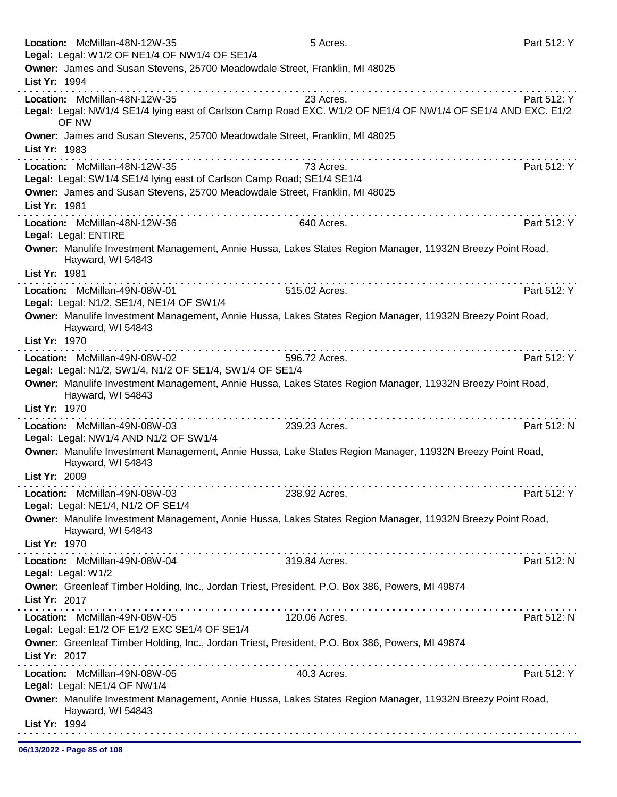Location: McMillan-48N-12W-35 **5 Acres.** Part 512: Y Legal: Legal: W1/2 OF NE1/4 OF NW1/4 OF SE1/4 Owner: James and Susan Stevens, 25700 Meadowdale Street, Franklin, MI 48025 List Yr: 1994 Location: McMillan-48N-12W-35 23 Acres. Part 512: Y Legal: Legal: NW1/4 SE1/4 lying east of Carlson Camp Road EXC. W1/2 OF NE1/4 OF NW1/4 OF SE1/4 AND EXC. E1/2 OF NW Owner: James and Susan Stevens, 25700 Meadowdale Street, Franklin, MI 48025 List Yr: 1983 Location: McMillan-48N-12W-35 73 Acres. Part 512: Y Legal: Legal: SW1/4 SE1/4 lying east of Carlson Camp Road; SE1/4 SE1/4 Owner: James and Susan Stevens, 25700 Meadowdale Street, Franklin, MI 48025 List Yr: 1981 Location: McMillan-48N-12W-36 640 Acres. Part 512: Y Legal: Legal: ENTIRE Owner: Manulife Investment Management, Annie Hussa, Lakes States Region Manager, 11932N Breezy Point Road, Hayward, WI 54843 List Yr: 1981 Location: McMillan-49N-08W-01 515.02 Acres. Part 512: Y Legal: Legal: N1/2, SE1/4, NE1/4 OF SW1/4 Owner: Manulife Investment Management, Annie Hussa, Lakes States Region Manager, 11932N Breezy Point Road, Hayward, WI 54843 List Yr: 1970 Location: McMillan-49N-08W-02 596.72 Acres. Part 512: Y Legal: Legal: N1/2, SW1/4, N1/2 OF SE1/4, SW1/4 OF SE1/4 Owner: Manulife Investment Management, Annie Hussa, Lakes States Region Manager, 11932N Breezy Point Road, Hayward, WI 54843 List Yr: 1970 Location: McMillan-49N-08W-03 239.23 Acres. 239.23 Acres. Legal: Legal: NW1/4 AND N1/2 OF SW1/4 Owner: Manulife Investment Management, Annie Hussa, Lake States Region Manager, 11932N Breezy Point Road, Hayward, WI 54843 List Yr: 2009 Location: McMillan-49N-08W-03 238.92 Acres. Part 512: Y Legal: Legal: NE1/4, N1/2 OF SE1/4 Owner: Manulife Investment Management, Annie Hussa, Lakes States Region Manager, 11932N Breezy Point Road, Hayward, WI 54843 List Yr: 1970 Location: McMillan-49N-08W-04 319.84 Acres. Part 512: N Legal: Legal: W1/2 Owner: Greenleaf Timber Holding, Inc., Jordan Triest, President, P.O. Box 386, Powers, MI 49874 List Yr: 2017 Location: McMillan-49N-08W-05 120.06 Acres. Part 512: N Legal: Legal: E1/2 OF E1/2 EXC SE1/4 OF SE1/4 Owner: Greenleaf Timber Holding, Inc., Jordan Triest, President, P.O. Box 386, Powers, MI 49874 List Yr: 2017 Location: McMillan-49N-08W-05 40.3 Acres. Part 512: Y Legal: Legal: NE1/4 OF NW1/4 Owner: Manulife Investment Management, Annie Hussa, Lakes States Region Manager, 11932N Breezy Point Road, Hayward, WI 54843 List Yr: 1994 

06/13/2022 - Page 85 of 108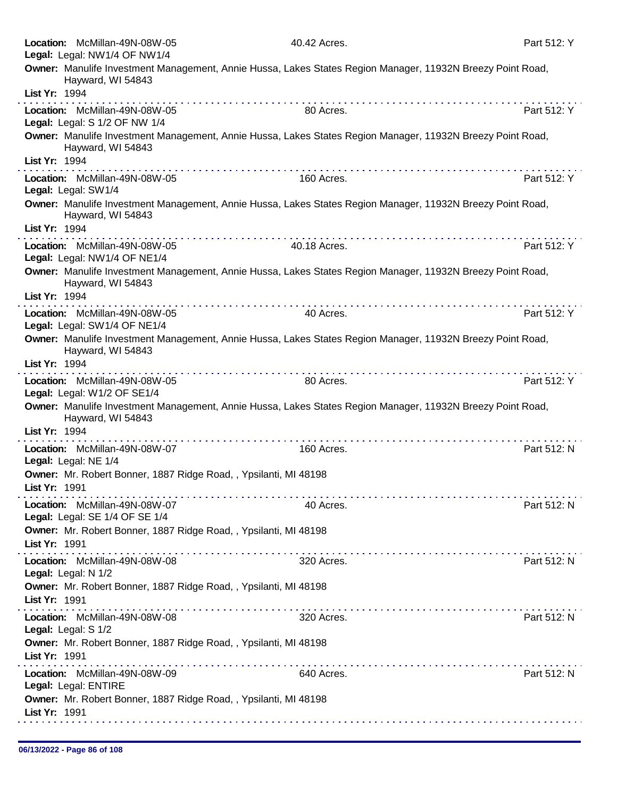|               | Location: McMillan-49N-08W-05<br>Legal: Legal: NW1/4 OF NW1/4    | 40.42 Acres.                                                                                                                            | Part 512: Y |
|---------------|------------------------------------------------------------------|-----------------------------------------------------------------------------------------------------------------------------------------|-------------|
|               |                                                                  | Owner: Manulife Investment Management, Annie Hussa, Lakes States Region Manager, 11932N Breezy Point Road,                              |             |
| List Yr: 1994 | Hayward, WI 54843                                                |                                                                                                                                         |             |
|               | Location: McMillan-49N-08W-05<br>Legal: Legal: S 1/2 OF NW 1/4   | <u> 2012 - 2023 - 2023 - 2023 - 2023 - 2023 - 2023 - 2024 - 2024 - 2024 - 2024 - 2024 - 2024 - 2024 - 2024 - 2024 - 20</u><br>80 Acres. | Part 512: Y |
|               | Hayward, WI 54843                                                | Owner: Manulife Investment Management, Annie Hussa, Lakes States Region Manager, 11932N Breezy Point Road,                              |             |
| List Yr: 1994 |                                                                  |                                                                                                                                         |             |
|               | Location: McMillan-49N-08W-05<br>Legal: Legal: SW1/4             | 160 Acres.                                                                                                                              | Part 512: Y |
|               | Hayward, WI 54843                                                | Owner: Manulife Investment Management, Annie Hussa, Lakes States Region Manager, 11932N Breezy Point Road,                              |             |
| List Yr: 1994 |                                                                  |                                                                                                                                         |             |
|               | Location: McMillan-49N-08W-05<br>Legal: Legal: NW1/4 OF NE1/4    | 40.18 Acres.                                                                                                                            | Part 512: Y |
| List Yr: 1994 | Hayward, WI 54843                                                | Owner: Manulife Investment Management, Annie Hussa, Lakes States Region Manager, 11932N Breezy Point Road,                              |             |
|               |                                                                  |                                                                                                                                         |             |
|               | Location: McMillan-49N-08W-05<br>Legal: Legal: SW1/4 OF NE1/4    | 40 Acres.                                                                                                                               | Part 512: Y |
| List Yr: 1994 | Hayward, WI 54843                                                | Owner: Manulife Investment Management, Annie Hussa, Lakes States Region Manager, 11932N Breezy Point Road,                              |             |
|               |                                                                  |                                                                                                                                         |             |
|               | Location: McMillan-49N-08W-05<br>Legal: Legal: W1/2 OF SE1/4     | 80 Acres.                                                                                                                               | Part 512: Y |
|               | Hayward, WI 54843                                                | Owner: Manulife Investment Management, Annie Hussa, Lakes States Region Manager, 11932N Breezy Point Road,                              |             |
| List Yr: 1994 |                                                                  |                                                                                                                                         |             |
|               | Location: McMillan-49N-08W-07<br>Legal: Legal: NE 1/4            | 160 Acres.                                                                                                                              | Part 512: N |
| List Yr: 1991 | Owner: Mr. Robert Bonner, 1887 Ridge Road, , Ypsilanti, MI 48198 |                                                                                                                                         |             |
|               | Location: McMillan-49N-08W-07<br>Legal: Legal: SE 1/4 OF SE 1/4  | 40 Acres.                                                                                                                               | Part 512: N |
| List Yr: 1991 | Owner: Mr. Robert Bonner, 1887 Ridge Road, , Ypsilanti, MI 48198 |                                                                                                                                         |             |
|               | Location: McMillan-49N-08W-08<br>Legal: Legal: N 1/2             | 320 Acres.                                                                                                                              | Part 512: N |
| List Yr: 1991 | Owner: Mr. Robert Bonner, 1887 Ridge Road, , Ypsilanti, MI 48198 |                                                                                                                                         |             |
|               | Location: McMillan-49N-08W-08<br>Legal: Legal: S 1/2             | 320 Acres.                                                                                                                              | Part 512: N |
| List Yr: 1991 | Owner: Mr. Robert Bonner, 1887 Ridge Road, , Ypsilanti, MI 48198 |                                                                                                                                         |             |
|               | Location: McMillan-49N-08W-09<br>Legal: Legal: ENTIRE            | 640 Acres.                                                                                                                              | Part 512: N |
| List Yr: 1991 | Owner: Mr. Robert Bonner, 1887 Ridge Road, , Ypsilanti, MI 48198 |                                                                                                                                         |             |
|               |                                                                  |                                                                                                                                         |             |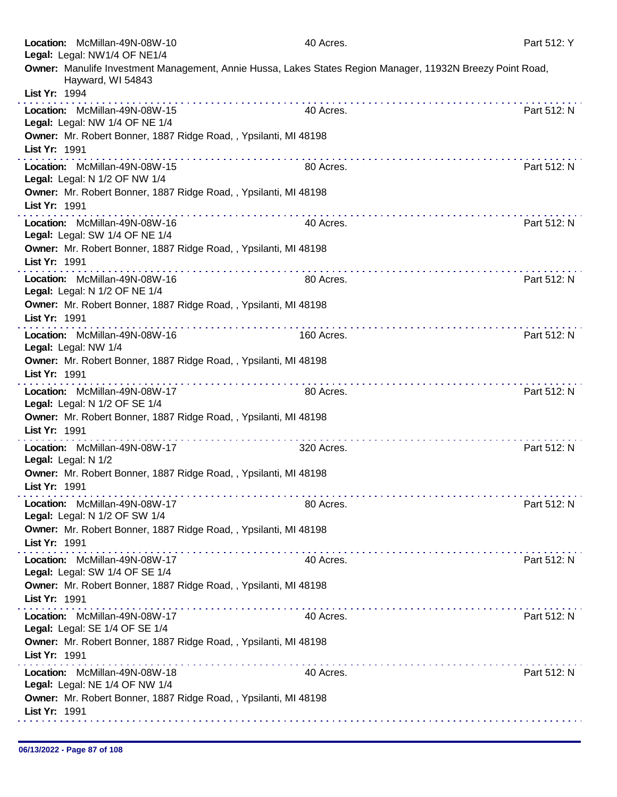| Location: McMillan-49N-08W-10<br>Legal: Legal: NW1/4 OF NE1/4   |                                                                  | 40 Acres.                                                                                                  | Part 512: Y |
|-----------------------------------------------------------------|------------------------------------------------------------------|------------------------------------------------------------------------------------------------------------|-------------|
|                                                                 |                                                                  | Owner: Manulife Investment Management, Annie Hussa, Lakes States Region Manager, 11932N Breezy Point Road, |             |
| Hayward, WI 54843<br>List Yr: 1994                              |                                                                  |                                                                                                            |             |
| Location: McMillan-49N-08W-15<br>Legal: Legal: NW 1/4 OF NE 1/4 |                                                                  | 40 Acres.                                                                                                  | Part 512: N |
|                                                                 | Owner: Mr. Robert Bonner, 1887 Ridge Road, , Ypsilanti, MI 48198 |                                                                                                            |             |
| List Yr: 1991                                                   | .                                                                |                                                                                                            |             |
| Location: McMillan-49N-08W-15<br>Legal: Legal: N 1/2 OF NW 1/4  |                                                                  | 80 Acres.                                                                                                  | Part 512: N |
| List Yr: 1991                                                   | Owner: Mr. Robert Bonner, 1887 Ridge Road, , Ypsilanti, MI 48198 |                                                                                                            |             |
| Location: McMillan-49N-08W-16<br>Legal: Legal: SW 1/4 OF NE 1/4 |                                                                  | 40 Acres.                                                                                                  | Part 512: N |
| List Yr: 1991                                                   | Owner: Mr. Robert Bonner, 1887 Ridge Road, , Ypsilanti, MI 48198 |                                                                                                            |             |
| Location: McMillan-49N-08W-16<br>Legal: Legal: N 1/2 OF NE 1/4  |                                                                  | 80 Acres.                                                                                                  | Part 512: N |
| List Yr: 1991                                                   | Owner: Mr. Robert Bonner, 1887 Ridge Road, , Ypsilanti, MI 48198 |                                                                                                            |             |
| Location: McMillan-49N-08W-16<br>Legal: Legal: NW 1/4           |                                                                  | 160 Acres.                                                                                                 | Part 512: N |
| List Yr: 1991                                                   | Owner: Mr. Robert Bonner, 1887 Ridge Road, , Ypsilanti, MI 48198 |                                                                                                            |             |
| Location: McMillan-49N-08W-17<br>Legal: Legal: N 1/2 OF SE 1/4  |                                                                  | 80 Acres.                                                                                                  | Part 512: N |
| List Yr: 1991                                                   | Owner: Mr. Robert Bonner, 1887 Ridge Road, , Ypsilanti, MI 48198 |                                                                                                            |             |
| Location: McMillan-49N-08W-17<br>Legal: Legal: N 1/2            | .                                                                | 320 Acres.                                                                                                 | Part 512: N |
| List Yr: 1991                                                   | Owner: Mr. Robert Bonner, 1887 Ridge Road, , Ypsilanti, MI 48198 |                                                                                                            |             |
| Location: McMillan-49N-08W-17<br>Legal: Legal: N 1/2 OF SW 1/4  |                                                                  | 80 Acres.                                                                                                  | Part 512: N |
| List Yr: 1991                                                   | Owner: Mr. Robert Bonner, 1887 Ridge Road, , Ypsilanti, MI 48198 |                                                                                                            |             |
| Location: McMillan-49N-08W-17<br>Legal: Legal: SW 1/4 OF SE 1/4 |                                                                  | 40 Acres.                                                                                                  | Part 512: N |
| List Yr: 1991                                                   | Owner: Mr. Robert Bonner, 1887 Ridge Road, , Ypsilanti, MI 48198 |                                                                                                            |             |
| Location: McMillan-49N-08W-17<br>Legal: Legal: SE 1/4 OF SE 1/4 |                                                                  | 40 Acres.                                                                                                  | Part 512: N |
| List Yr: 1991                                                   | Owner: Mr. Robert Bonner, 1887 Ridge Road, , Ypsilanti, MI 48198 |                                                                                                            |             |
| Location: McMillan-49N-08W-18<br>Legal: Legal: NE 1/4 OF NW 1/4 |                                                                  | 40 Acres.                                                                                                  | Part 512: N |
| List Yr: 1991                                                   | Owner: Mr. Robert Bonner, 1887 Ridge Road, , Ypsilanti, MI 48198 |                                                                                                            |             |
|                                                                 |                                                                  |                                                                                                            |             |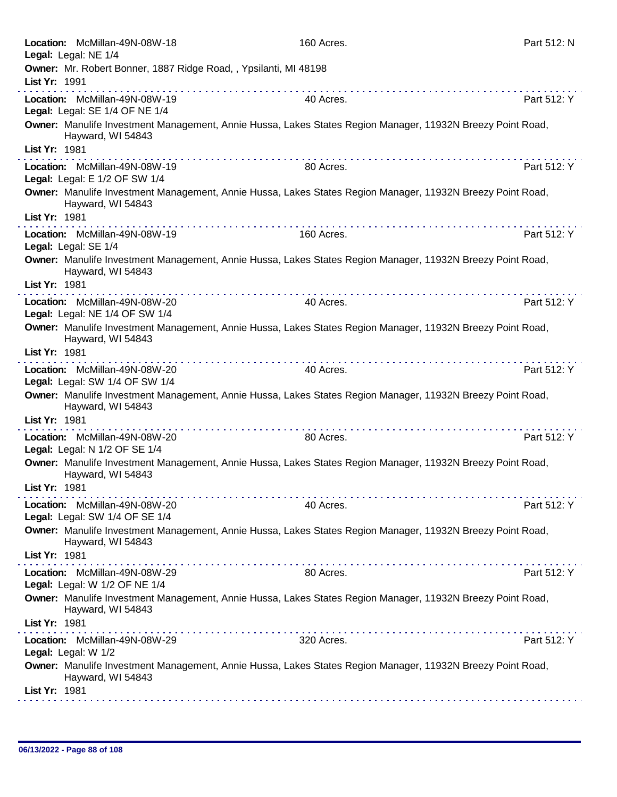|               | Location: McMillan-49N-08W-18<br>Legal: Legal: NE 1/4            | 160 Acres.                                                                                                                                                                                                                                                                                                                                                                                                                                                                  | Part 512: N |
|---------------|------------------------------------------------------------------|-----------------------------------------------------------------------------------------------------------------------------------------------------------------------------------------------------------------------------------------------------------------------------------------------------------------------------------------------------------------------------------------------------------------------------------------------------------------------------|-------------|
|               | Owner: Mr. Robert Bonner, 1887 Ridge Road, , Ypsilanti, MI 48198 |                                                                                                                                                                                                                                                                                                                                                                                                                                                                             |             |
| List Yr: 1991 |                                                                  |                                                                                                                                                                                                                                                                                                                                                                                                                                                                             |             |
|               | Location: McMillan-49N-08W-19<br>Legal: Legal: SE 1/4 OF NE 1/4  | 40 Acres.                                                                                                                                                                                                                                                                                                                                                                                                                                                                   | Part 512: Y |
|               | Hayward, WI 54843                                                | Owner: Manulife Investment Management, Annie Hussa, Lakes States Region Manager, 11932N Breezy Point Road,                                                                                                                                                                                                                                                                                                                                                                  |             |
| List Yr: 1981 |                                                                  |                                                                                                                                                                                                                                                                                                                                                                                                                                                                             |             |
|               | Location: McMillan-49N-08W-19<br>Legal: Legal: E 1/2 OF SW 1/4   | $\label{eq:2.1} \begin{array}{lllllllllllllllllllll} \mathbf{1}_{\mathbf{1}}&\mathbf{1}_{\mathbf{1}}&\mathbf{1}_{\mathbf{1}}&\mathbf{1}_{\mathbf{1}}&\mathbf{1}_{\mathbf{1}}&\mathbf{1}_{\mathbf{1}}&\mathbf{1}_{\mathbf{1}}&\mathbf{1}_{\mathbf{1}}&\mathbf{1}_{\mathbf{1}}&\mathbf{1}_{\mathbf{1}}&\mathbf{1}_{\mathbf{1}}&\mathbf{1}_{\mathbf{1}}&\mathbf{1}_{\mathbf{1}}&\mathbf{1}_{\mathbf{1}}&\mathbf{1}_{\mathbf{1}}$<br>80 Acres.                                  | Part 512: Y |
|               | Hayward, WI 54843                                                | Owner: Manulife Investment Management, Annie Hussa, Lakes States Region Manager, 11932N Breezy Point Road,                                                                                                                                                                                                                                                                                                                                                                  |             |
| List Yr: 1981 |                                                                  |                                                                                                                                                                                                                                                                                                                                                                                                                                                                             |             |
|               | Location: McMillan-49N-08W-19<br>Legal: Legal: SE 1/4            | 160 Acres.                                                                                                                                                                                                                                                                                                                                                                                                                                                                  | Part 512: Y |
|               | Hayward, WI 54843                                                | Owner: Manulife Investment Management, Annie Hussa, Lakes States Region Manager, 11932N Breezy Point Road,                                                                                                                                                                                                                                                                                                                                                                  |             |
| List Yr: 1981 |                                                                  |                                                                                                                                                                                                                                                                                                                                                                                                                                                                             |             |
|               | Location: McMillan-49N-08W-20<br>Legal: Legal: NE 1/4 OF SW 1/4  | 40 Acres.                                                                                                                                                                                                                                                                                                                                                                                                                                                                   | Part 512: Y |
|               | Hayward, WI 54843                                                | Owner: Manulife Investment Management, Annie Hussa, Lakes States Region Manager, 11932N Breezy Point Road,                                                                                                                                                                                                                                                                                                                                                                  |             |
| List Yr: 1981 |                                                                  |                                                                                                                                                                                                                                                                                                                                                                                                                                                                             |             |
|               | Location: McMillan-49N-08W-20<br>Legal: Legal: SW 1/4 OF SW 1/4  | 40 Acres.                                                                                                                                                                                                                                                                                                                                                                                                                                                                   | Part 512: Y |
|               | Hayward, WI 54843                                                | Owner: Manulife Investment Management, Annie Hussa, Lakes States Region Manager, 11932N Breezy Point Road,                                                                                                                                                                                                                                                                                                                                                                  |             |
| List Yr: 1981 |                                                                  |                                                                                                                                                                                                                                                                                                                                                                                                                                                                             |             |
|               | Location: McMillan-49N-08W-20<br>Legal: Legal: N 1/2 OF SE 1/4   | 80 Acres.                                                                                                                                                                                                                                                                                                                                                                                                                                                                   | Part 512: Y |
|               | Hayward, WI 54843                                                | Owner: Manulife Investment Management, Annie Hussa, Lakes States Region Manager, 11932N Breezy Point Road,                                                                                                                                                                                                                                                                                                                                                                  |             |
| List Yr: 1981 |                                                                  |                                                                                                                                                                                                                                                                                                                                                                                                                                                                             |             |
|               | Location: McMillan-49N-08W-20<br>Legal: Legal: SW 1/4 OF SE 1/4  | $\label{eq:reduced} \begin{split} \mathbf{u}^{\prime} & = \mathbf{u}^{\prime} + \mathbf{u}^{\prime} + \mathbf{u}^{\prime} + \mathbf{u}^{\prime} + \mathbf{u}^{\prime} + \mathbf{u}^{\prime} + \mathbf{u}^{\prime} + \mathbf{u}^{\prime} + \mathbf{u}^{\prime} + \mathbf{u}^{\prime} + \mathbf{u}^{\prime} + \mathbf{u}^{\prime} + \mathbf{u}^{\prime} + \mathbf{u}^{\prime} + \mathbf{u}^{\prime} + \mathbf{u}^{\prime} + \mathbf{u}^{\prime} + \mathbf{u}^{\$<br>40 Acres. | Part 512: Y |
|               | Hayward, WI 54843                                                | Owner: Manulife Investment Management, Annie Hussa, Lakes States Region Manager, 11932N Breezy Point Road,                                                                                                                                                                                                                                                                                                                                                                  |             |
| List Yr: 1981 |                                                                  |                                                                                                                                                                                                                                                                                                                                                                                                                                                                             |             |
|               | Location: McMillan-49N-08W-29<br>Legal: Legal: W 1/2 OF NE 1/4   | 80 Acres.                                                                                                                                                                                                                                                                                                                                                                                                                                                                   | Part 512: Y |
|               | Hayward, WI 54843                                                | Owner: Manulife Investment Management, Annie Hussa, Lakes States Region Manager, 11932N Breezy Point Road,                                                                                                                                                                                                                                                                                                                                                                  |             |
| List Yr: 1981 |                                                                  |                                                                                                                                                                                                                                                                                                                                                                                                                                                                             |             |
|               | Location: McMillan-49N-08W-29<br>Legal: Legal: W 1/2             | 320 Acres.                                                                                                                                                                                                                                                                                                                                                                                                                                                                  | Part 512: Y |
|               | Hayward, WI 54843                                                | Owner: Manulife Investment Management, Annie Hussa, Lakes States Region Manager, 11932N Breezy Point Road,                                                                                                                                                                                                                                                                                                                                                                  |             |
| List Yr: 1981 |                                                                  |                                                                                                                                                                                                                                                                                                                                                                                                                                                                             |             |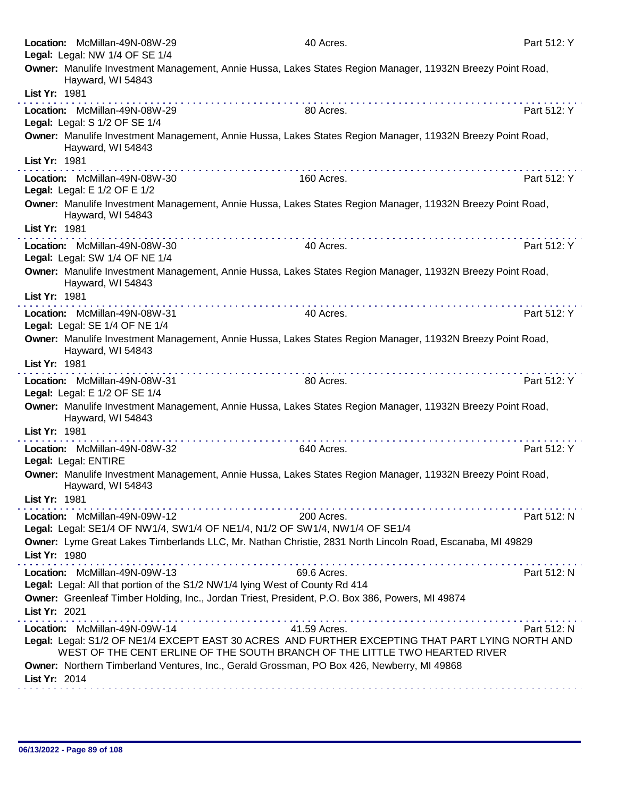|               | Location: McMillan-49N-08W-29<br>Legal: Legal: NW 1/4 OF SE 1/4                                               | 40 Acres.                                                                                                                                                                                                                                                                                                                                  | Part 512: Y |
|---------------|---------------------------------------------------------------------------------------------------------------|--------------------------------------------------------------------------------------------------------------------------------------------------------------------------------------------------------------------------------------------------------------------------------------------------------------------------------------------|-------------|
|               | Hayward, WI 54843                                                                                             | Owner: Manulife Investment Management, Annie Hussa, Lakes States Region Manager, 11932N Breezy Point Road,                                                                                                                                                                                                                                 |             |
| List Yr: 1981 |                                                                                                               |                                                                                                                                                                                                                                                                                                                                            |             |
|               | Location: McMillan-49N-08W-29<br>Legal: Legal: S 1/2 OF SE 1/4                                                | 80 Acres.                                                                                                                                                                                                                                                                                                                                  | Part 512: Y |
| List Yr: 1981 | Hayward, WI 54843                                                                                             | Owner: Manulife Investment Management, Annie Hussa, Lakes States Region Manager, 11932N Breezy Point Road,                                                                                                                                                                                                                                 |             |
|               | Location: McMillan-49N-08W-30<br>Legal: Legal: E 1/2 OF E 1/2                                                 | 160 Acres.                                                                                                                                                                                                                                                                                                                                 | Part 512: Y |
|               | Hayward, WI 54843                                                                                             | Owner: Manulife Investment Management, Annie Hussa, Lakes States Region Manager, 11932N Breezy Point Road,                                                                                                                                                                                                                                 |             |
| List Yr: 1981 |                                                                                                               |                                                                                                                                                                                                                                                                                                                                            |             |
|               | Location: McMillan-49N-08W-30<br>Legal: Legal: SW 1/4 OF NE 1/4                                               | 40 Acres.                                                                                                                                                                                                                                                                                                                                  | Part 512: Y |
|               | Hayward, WI 54843                                                                                             | Owner: Manulife Investment Management, Annie Hussa, Lakes States Region Manager, 11932N Breezy Point Road,                                                                                                                                                                                                                                 |             |
| List Yr: 1981 |                                                                                                               |                                                                                                                                                                                                                                                                                                                                            |             |
|               | Location: McMillan-49N-08W-31<br>Legal: Legal: SE 1/4 OF NE 1/4                                               | 40 Acres.                                                                                                                                                                                                                                                                                                                                  | Part 512: Y |
|               | Hayward, WI 54843                                                                                             | Owner: Manulife Investment Management, Annie Hussa, Lakes States Region Manager, 11932N Breezy Point Road,                                                                                                                                                                                                                                 |             |
| List Yr: 1981 |                                                                                                               |                                                                                                                                                                                                                                                                                                                                            |             |
|               | Location: McMillan-49N-08W-31<br>Legal: Legal: E 1/2 OF SE 1/4                                                | 80 Acres.                                                                                                                                                                                                                                                                                                                                  | Part 512: Y |
| List Yr: 1981 | Hayward, WI 54843                                                                                             | Owner: Manulife Investment Management, Annie Hussa, Lakes States Region Manager, 11932N Breezy Point Road,                                                                                                                                                                                                                                 |             |
|               | Location: McMillan-49N-08W-32<br>Legal: Legal: ENTIRE                                                         | 640 Acres.                                                                                                                                                                                                                                                                                                                                 | Part 512: Y |
|               | Hayward, WI 54843                                                                                             | Owner: Manulife Investment Management, Annie Hussa, Lakes States Region Manager, 11932N Breezy Point Road,                                                                                                                                                                                                                                 |             |
| List Yr: 1981 |                                                                                                               |                                                                                                                                                                                                                                                                                                                                            |             |
|               | Location: McMillan-49N-09W-12                                                                                 | 200 Acres.<br>Legal: Legal: SE1/4 OF NW1/4, SW1/4 OF NE1/4, N1/2 OF SW1/4, NW1/4 OF SE1/4                                                                                                                                                                                                                                                  | Part 512: N |
| List Yr: 1980 |                                                                                                               | Owner: Lyme Great Lakes Timberlands LLC, Mr. Nathan Christie, 2831 North Lincoln Road, Escanaba, MI 49829<br>a construction of the construction of the construction of the construction of the construction of the construction of the construction of the construction of the construction of the construction of the construction of the |             |
|               | Location: McMillan-49N-09W-13<br>Legal: Legal: All that portion of the S1/2 NW1/4 lying West of County Rd 414 | 69.6 Acres.                                                                                                                                                                                                                                                                                                                                | Part 512: N |
| List Yr: 2021 |                                                                                                               | Owner: Greenleaf Timber Holding, Inc., Jordan Triest, President, P.O. Box 386, Powers, MI 49874                                                                                                                                                                                                                                            |             |
|               | Location: McMillan-49N-09W-14                                                                                 | 41.59 Acres.                                                                                                                                                                                                                                                                                                                               | Part 512: N |
|               |                                                                                                               | Legal: Legal: S1/2 OF NE1/4 EXCEPT EAST 30 ACRES AND FURTHER EXCEPTING THAT PART LYING NORTH AND<br>WEST OF THE CENT ERLINE OF THE SOUTH BRANCH OF THE LITTLE TWO HEARTED RIVER                                                                                                                                                            |             |
| List Yr: 2014 |                                                                                                               | Owner: Northern Timberland Ventures, Inc., Gerald Grossman, PO Box 426, Newberry, MI 49868                                                                                                                                                                                                                                                 |             |
|               |                                                                                                               |                                                                                                                                                                                                                                                                                                                                            |             |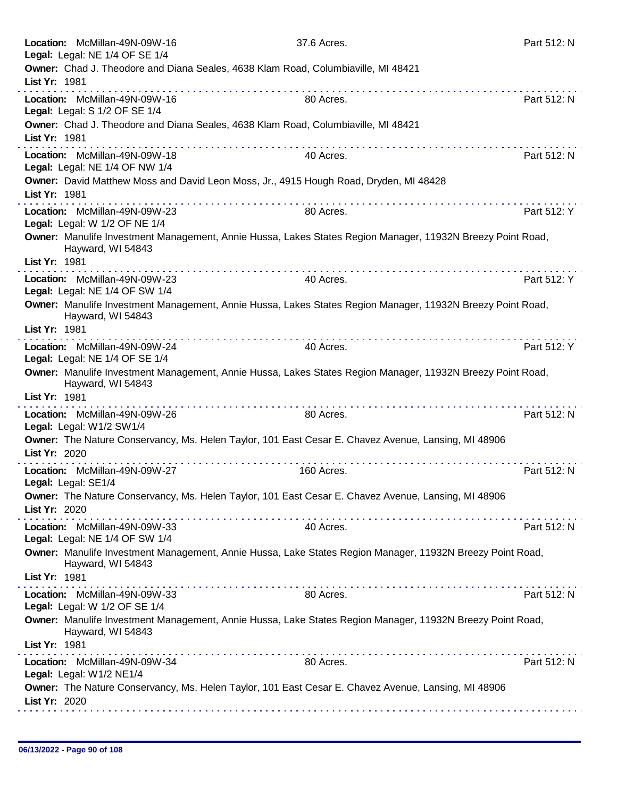|               | Location: McMillan-49N-09W-16<br>Legal: Legal: NE 1/4 OF SE 1/4                                                                             | 37.6 Acres. | Part 512: N |
|---------------|---------------------------------------------------------------------------------------------------------------------------------------------|-------------|-------------|
|               | Owner: Chad J. Theodore and Diana Seales, 4638 Klam Road, Columbiaville, MI 48421                                                           |             |             |
| List Yr: 1981 |                                                                                                                                             |             |             |
|               | Location: McMillan-49N-09W-16<br>Legal: Legal: S 1/2 OF SE 1/4                                                                              | 80 Acres.   | Part 512: N |
| List Yr: 1981 | Owner: Chad J. Theodore and Diana Seales, 4638 Klam Road, Columbiaville, MI 48421                                                           |             |             |
|               | .<br>Location: McMillan-49N-09W-18                                                                                                          |             |             |
|               | Legal: Legal: NE 1/4 OF NW 1/4                                                                                                              | 40 Acres.   | Part 512: N |
| List Yr: 1981 | Owner: David Matthew Moss and David Leon Moss, Jr., 4915 Hough Road, Dryden, MI 48428                                                       |             |             |
|               |                                                                                                                                             |             |             |
|               | Location: McMillan-49N-09W-23<br>Legal: Legal: W 1/2 OF NE 1/4                                                                              | 80 Acres.   | Part 512: Y |
|               | Owner: Manulife Investment Management, Annie Hussa, Lakes States Region Manager, 11932N Breezy Point Road,<br>Hayward, WI 54843             |             |             |
| List Yr: 1981 |                                                                                                                                             |             |             |
|               | Location: McMillan-49N-09W-23<br>Legal: Legal: NE 1/4 OF SW 1/4                                                                             | 40 Acres.   | Part 512: Y |
|               | Owner: Manulife Investment Management, Annie Hussa, Lakes States Region Manager, 11932N Breezy Point Road,<br>Hayward, WI 54843             |             |             |
| List Yr: 1981 |                                                                                                                                             |             |             |
|               | Location: McMillan-49N-09W-24                                                                                                               | 40 Acres.   | Part 512: Y |
|               | Legal: Legal: NE 1/4 OF SE 1/4                                                                                                              |             |             |
|               | Owner: Manulife Investment Management, Annie Hussa, Lakes States Region Manager, 11932N Breezy Point Road,<br>Hayward, WI 54843             |             |             |
| List Yr: 1981 | .                                                                                                                                           |             |             |
|               | Location: McMillan-49N-09W-26<br>Legal: Legal: W1/2 SW1/4                                                                                   | 80 Acres.   | Part 512: N |
|               | Owner: The Nature Conservancy, Ms. Helen Taylor, 101 East Cesar E. Chavez Avenue, Lansing, MI 48906                                         |             |             |
| List Yr: 2020 |                                                                                                                                             |             |             |
|               | Location: McMillan-49N-09W-27                                                                                                               | 160 Acres.  | Part 512: N |
|               | Legal: Legal: SE1/4                                                                                                                         |             |             |
|               | Owner: The Nature Conservancy, Ms. Helen Taylor, 101 East Cesar E. Chavez Avenue, Lansing, MI 48906                                         |             |             |
| List Yr: 2020 |                                                                                                                                             |             |             |
|               | Location: McMillan-49N-09W-33                                                                                                               | 40 Acres.   | Part 512: N |
|               | Legal: Legal: NE 1/4 OF SW 1/4<br>Owner: Manulife Investment Management, Annie Hussa, Lake States Region Manager, 11932N Breezy Point Road, |             |             |
| List Yr: 1981 | Hayward, WI 54843                                                                                                                           |             |             |
|               |                                                                                                                                             |             |             |
|               | Location: McMillan-49N-09W-33<br>Legal: Legal: W 1/2 OF SE 1/4                                                                              | 80 Acres.   | Part 512: N |
|               | Owner: Manulife Investment Management, Annie Hussa, Lake States Region Manager, 11932N Breezy Point Road,<br>Hayward, WI 54843              |             |             |
| List Yr: 1981 |                                                                                                                                             |             |             |
|               | Location: McMillan-49N-09W-34<br>Legal: Legal: W1/2 NE1/4                                                                                   | 80 Acres.   | Part 512: N |
|               | Owner: The Nature Conservancy, Ms. Helen Taylor, 101 East Cesar E. Chavez Avenue, Lansing, MI 48906                                         |             |             |
| List Yr: 2020 |                                                                                                                                             |             |             |
|               |                                                                                                                                             |             |             |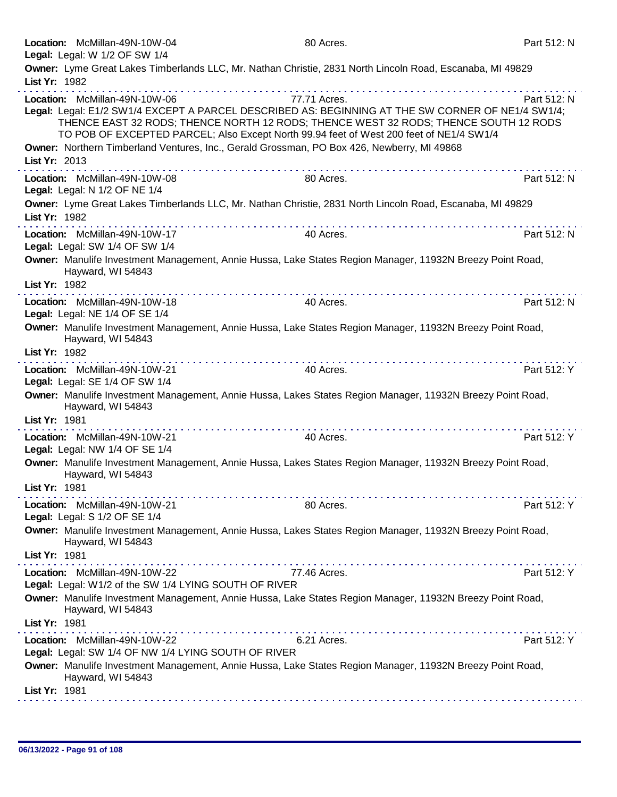|               | Location: McMillan-49N-10W-04<br>Legal: Legal: W 1/2 OF SW 1/4                         | 80 Acres.                                                                                                                                                                                                                                                                                            | Part 512: N |
|---------------|----------------------------------------------------------------------------------------|------------------------------------------------------------------------------------------------------------------------------------------------------------------------------------------------------------------------------------------------------------------------------------------------------|-------------|
| List Yr: 1982 |                                                                                        | Owner: Lyme Great Lakes Timberlands LLC, Mr. Nathan Christie, 2831 North Lincoln Road, Escanaba, MI 49829                                                                                                                                                                                            |             |
|               | Location: McMillan-49N-10W-06                                                          | 77.71 Acres.<br>Legal: Legal: E1/2 SW1/4 EXCEPT A PARCEL DESCRIBED AS: BEGINNING AT THE SW CORNER OF NE1/4 SW1/4;<br>THENCE EAST 32 RODS; THENCE NORTH 12 RODS; THENCE WEST 32 RODS; THENCE SOUTH 12 RODS<br>TO POB OF EXCEPTED PARCEL; Also Except North 99.94 feet of West 200 feet of NE1/4 SW1/4 | Part 512: N |
| List Yr: 2013 |                                                                                        | Owner: Northern Timberland Ventures, Inc., Gerald Grossman, PO Box 426, Newberry, MI 49868                                                                                                                                                                                                           |             |
|               | Location: McMillan-49N-10W-08<br>Legal: Legal: N 1/2 OF NE 1/4                         | .<br>80 Acres.                                                                                                                                                                                                                                                                                       | Part 512: N |
| List Yr: 1982 |                                                                                        | Owner: Lyme Great Lakes Timberlands LLC, Mr. Nathan Christie, 2831 North Lincoln Road, Escanaba, MI 49829                                                                                                                                                                                            |             |
|               | Location: McMillan-49N-10W-17<br>Legal: Legal: SW 1/4 OF SW 1/4                        | 40 Acres.                                                                                                                                                                                                                                                                                            | Part 512: N |
| List Yr: 1982 | Hayward, WI 54843                                                                      | Owner: Manulife Investment Management, Annie Hussa, Lake States Region Manager, 11932N Breezy Point Road,                                                                                                                                                                                            |             |
|               | Location: McMillan-49N-10W-18<br>Legal: Legal: NE 1/4 OF SE 1/4                        | 40 Acres.                                                                                                                                                                                                                                                                                            | Part 512: N |
|               | Hayward, WI 54843                                                                      | Owner: Manulife Investment Management, Annie Hussa, Lake States Region Manager, 11932N Breezy Point Road,                                                                                                                                                                                            |             |
| List Yr: 1982 |                                                                                        |                                                                                                                                                                                                                                                                                                      |             |
|               | Location: McMillan-49N-10W-21                                                          | 40 Acres.                                                                                                                                                                                                                                                                                            | Part 512: Y |
|               | Legal: Legal: SE 1/4 OF SW 1/4<br>Hayward, WI 54843                                    | Owner: Manulife Investment Management, Annie Hussa, Lakes States Region Manager, 11932N Breezy Point Road,                                                                                                                                                                                           |             |
| List Yr: 1981 |                                                                                        |                                                                                                                                                                                                                                                                                                      |             |
|               | Location: McMillan-49N-10W-21<br>Legal: Legal: NW 1/4 OF SE 1/4                        | 40 Acres.                                                                                                                                                                                                                                                                                            | Part 512: Y |
| List Yr: 1981 | Hayward, WI 54843                                                                      | Owner: Manulife Investment Management, Annie Hussa, Lakes States Region Manager, 11932N Breezy Point Road,                                                                                                                                                                                           |             |
|               | Location: McMillan-49N-10W-21<br>Legal: Legal: S 1/2 OF SE 1/4                         | 80 Acres.                                                                                                                                                                                                                                                                                            | Part 512: Y |
|               | Hayward, WI 54843                                                                      | Owner: Manulife Investment Management, Annie Hussa, Lakes States Region Manager, 11932N Breezy Point Road,                                                                                                                                                                                           |             |
| List Yr: 1981 |                                                                                        |                                                                                                                                                                                                                                                                                                      |             |
|               | Location: McMillan-49N-10W-22<br>Legal: Legal: W1/2 of the SW 1/4 LYING SOUTH OF RIVER | 77.46 Acres.                                                                                                                                                                                                                                                                                         | Part 512: Y |
| List Yr: 1981 | Hayward, WI 54843                                                                      | Owner: Manulife Investment Management, Annie Hussa, Lake States Region Manager, 11932N Breezy Point Road,                                                                                                                                                                                            |             |
|               | Location: McMillan-49N-10W-22                                                          | 6.21 Acres.                                                                                                                                                                                                                                                                                          | Part 512: Y |
|               | Legal: Legal: SW 1/4 OF NW 1/4 LYING SOUTH OF RIVER                                    |                                                                                                                                                                                                                                                                                                      |             |
|               | Hayward, WI 54843                                                                      | Owner: Manulife Investment Management, Annie Hussa, Lake States Region Manager, 11932N Breezy Point Road,                                                                                                                                                                                            |             |
| List Yr: 1981 |                                                                                        |                                                                                                                                                                                                                                                                                                      |             |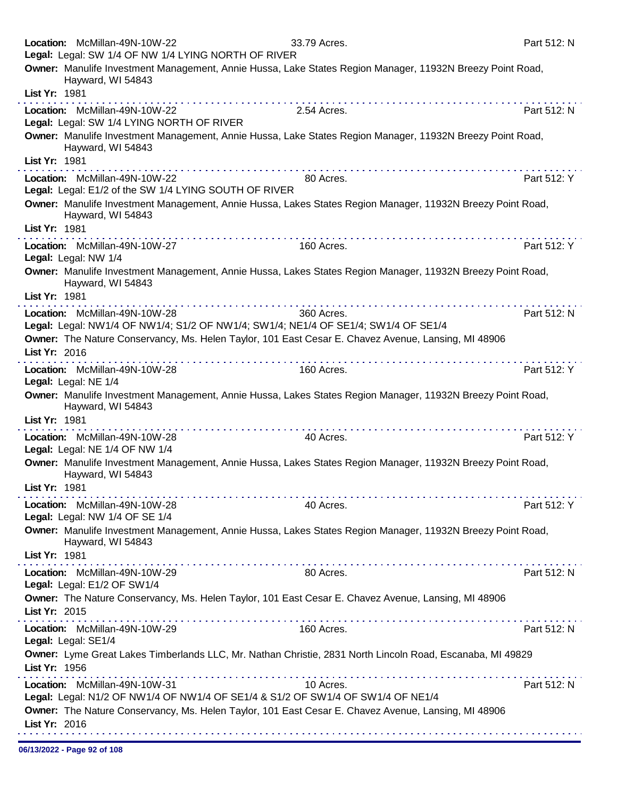|               | Location: McMillan-49N-10W-22<br>Legal: Legal: SW 1/4 OF NW 1/4 LYING NORTH OF RIVER                                | 33.79 Acres.                                                                                               | Part 512: N |
|---------------|---------------------------------------------------------------------------------------------------------------------|------------------------------------------------------------------------------------------------------------|-------------|
|               |                                                                                                                     | Owner: Manulife Investment Management, Annie Hussa, Lake States Region Manager, 11932N Breezy Point Road,  |             |
|               | Hayward, WI 54843                                                                                                   |                                                                                                            |             |
| List Yr: 1981 |                                                                                                                     |                                                                                                            |             |
|               | Location: McMillan-49N-10W-22<br>Legal: Legal: SW 1/4 LYING NORTH OF RIVER                                          | 2.54 Acres.                                                                                                | Part 512: N |
|               | Hayward, WI 54843                                                                                                   | Owner: Manulife Investment Management, Annie Hussa, Lake States Region Manager, 11932N Breezy Point Road,  |             |
| List Yr: 1981 |                                                                                                                     |                                                                                                            |             |
|               | Location: McMillan-49N-10W-22<br>Legal: Legal: E1/2 of the SW 1/4 LYING SOUTH OF RIVER                              | 80 Acres.                                                                                                  | Part 512: Y |
|               |                                                                                                                     | Owner: Manulife Investment Management, Annie Hussa, Lakes States Region Manager, 11932N Breezy Point Road, |             |
|               | Hayward, WI 54843                                                                                                   |                                                                                                            |             |
| List Yr: 1981 |                                                                                                                     |                                                                                                            |             |
|               | Location: McMillan-49N-10W-27                                                                                       | 160 Acres.                                                                                                 | Part 512: Y |
|               | Legal: Legal: NW 1/4                                                                                                |                                                                                                            |             |
|               | Hayward, WI 54843                                                                                                   | Owner: Manulife Investment Management, Annie Hussa, Lakes States Region Manager, 11932N Breezy Point Road, |             |
| List Yr: 1981 |                                                                                                                     |                                                                                                            |             |
|               | Location: McMillan-49N-10W-28<br>Legal: Legal: NW1/4 OF NW1/4; S1/2 OF NW1/4; SW1/4; NE1/4 OF SE1/4; SW1/4 OF SE1/4 | 360 Acres.                                                                                                 | Part 512: N |
|               | Owner: The Nature Conservancy, Ms. Helen Taylor, 101 East Cesar E. Chavez Avenue, Lansing, MI 48906                 |                                                                                                            |             |
| List Yr: 2016 |                                                                                                                     |                                                                                                            |             |
|               | Location: McMillan-49N-10W-28<br>Legal: Legal: NE 1/4                                                               | 160 Acres.                                                                                                 | Part 512: Y |
|               | Hayward, WI 54843                                                                                                   | Owner: Manulife Investment Management, Annie Hussa, Lakes States Region Manager, 11932N Breezy Point Road, |             |
| List Yr: 1981 | . <b>.</b>                                                                                                          |                                                                                                            |             |
|               | Location: McMillan-49N-10W-28<br>Legal: Legal: NE 1/4 OF NW 1/4                                                     | 40 Acres.                                                                                                  | Part 512: Y |
|               | Hayward, WI 54843                                                                                                   | Owner: Manulife Investment Management, Annie Hussa, Lakes States Region Manager, 11932N Breezy Point Road, |             |
| List Yr: 1981 |                                                                                                                     |                                                                                                            |             |
|               | Location: McMillan-49N-10W-28<br>Legal: Legal: NW 1/4 OF SE 1/4                                                     | 40 Acres.                                                                                                  | Part 512: Y |
|               | Hayward, WI 54843                                                                                                   | Owner: Manulife Investment Management, Annie Hussa, Lakes States Region Manager, 11932N Breezy Point Road, |             |
| List Yr: 1981 |                                                                                                                     |                                                                                                            |             |
|               | Location: McMillan-49N-10W-29<br>Legal: Legal: E1/2 OF SW1/4                                                        | 80 Acres.                                                                                                  | Part 512: N |
|               | Owner: The Nature Conservancy, Ms. Helen Taylor, 101 East Cesar E. Chavez Avenue, Lansing, MI 48906                 |                                                                                                            |             |
| List Yr: 2015 |                                                                                                                     |                                                                                                            |             |
|               | Location: McMillan-49N-10W-29<br>Legal: Legal: SE1/4                                                                | 160 Acres.                                                                                                 | Part 512: N |
|               |                                                                                                                     | Owner: Lyme Great Lakes Timberlands LLC, Mr. Nathan Christie, 2831 North Lincoln Road, Escanaba, MI 49829  |             |
| List Yr: 1956 |                                                                                                                     |                                                                                                            |             |
|               | Location: McMillan-49N-10W-31                                                                                       | 10 Acres.                                                                                                  | Part 512: N |
|               | Legal: Legal: N1/2 OF NW1/4 OF NW1/4 OF SE1/4 & S1/2 OF SW1/4 OF SW1/4 OF NE1/4                                     |                                                                                                            |             |
| List Yr: 2016 | Owner: The Nature Conservancy, Ms. Helen Taylor, 101 East Cesar E. Chavez Avenue, Lansing, MI 48906                 |                                                                                                            |             |
|               |                                                                                                                     |                                                                                                            |             |

06/13/2022 - Page 92 of 108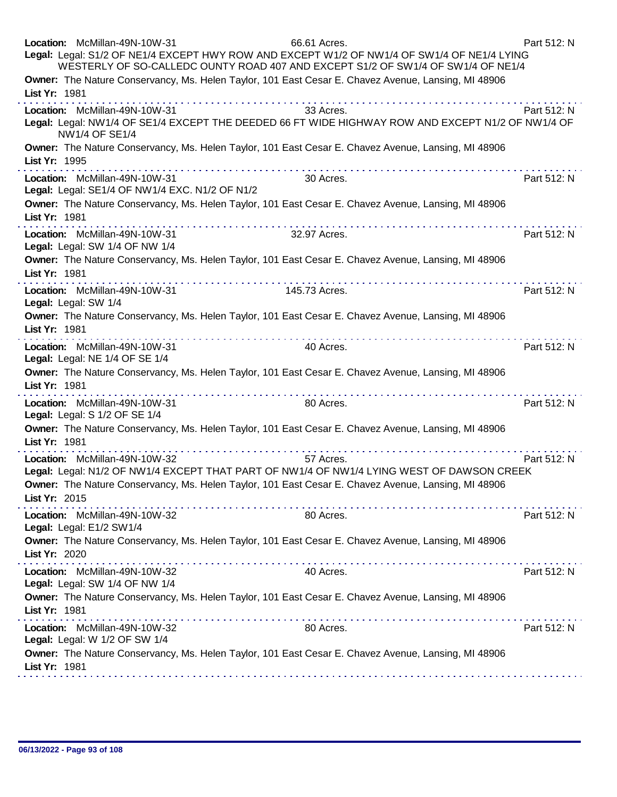| Location: McMillan-49N-10W-31<br>66.61 Acres.<br>Legal: Legal: S1/2 OF NE1/4 EXCEPT HWY ROW AND EXCEPT W1/2 OF NW1/4 OF SW1/4 OF NE1/4 LYING<br>WESTERLY OF SO-CALLEDC OUNTY ROAD 407 AND EXCEPT S1/2 OF SW1/4 OF SW1/4 OF NE1/4 | Part 512: N |
|----------------------------------------------------------------------------------------------------------------------------------------------------------------------------------------------------------------------------------|-------------|
| Owner: The Nature Conservancy, Ms. Helen Taylor, 101 East Cesar E. Chavez Avenue, Lansing, MI 48906<br>List Yr: 1981                                                                                                             |             |
| Location: McMillan-49N-10W-31<br>33 Acres.<br>Legal: Legal: NW1/4 OF SE1/4 EXCEPT THE DEEDED 66 FT WIDE HIGHWAY ROW AND EXCEPT N1/2 OF NW1/4 OF<br><b>NW1/4 OF SE1/4</b>                                                         | Part 512: N |
| Owner: The Nature Conservancy, Ms. Helen Taylor, 101 East Cesar E. Chavez Avenue, Lansing, MI 48906<br>List Yr: 1995                                                                                                             |             |
| Location: McMillan-49N-10W-31<br>30 Acres.<br>Legal: Legal: SE1/4 OF NW1/4 EXC. N1/2 OF N1/2                                                                                                                                     | Part 512: N |
| Owner: The Nature Conservancy, Ms. Helen Taylor, 101 East Cesar E. Chavez Avenue, Lansing, MI 48906<br>List Yr: 1981<br>. <b>.</b>                                                                                               |             |
| Location: McMillan-49N-10W-31<br>32.97 Acres.<br>Legal: Legal: SW 1/4 OF NW 1/4                                                                                                                                                  | Part 512: N |
| Owner: The Nature Conservancy, Ms. Helen Taylor, 101 East Cesar E. Chavez Avenue, Lansing, MI 48906<br>List Yr: 1981                                                                                                             |             |
| Location: McMillan-49N-10W-31<br>145.73 Acres.<br>Legal: Legal: SW 1/4                                                                                                                                                           | Part 512: N |
| Owner: The Nature Conservancy, Ms. Helen Taylor, 101 East Cesar E. Chavez Avenue, Lansing, MI 48906<br>List Yr: 1981                                                                                                             |             |
| Location: McMillan-49N-10W-31<br>40 Acres.<br>Legal: Legal: NE 1/4 OF SE 1/4                                                                                                                                                     | Part 512: N |
| Owner: The Nature Conservancy, Ms. Helen Taylor, 101 East Cesar E. Chavez Avenue, Lansing, MI 48906<br>List Yr: 1981                                                                                                             |             |
| Location: McMillan-49N-10W-31<br>80 Acres.<br>Legal: Legal: S 1/2 OF SE 1/4                                                                                                                                                      | Part 512: N |
| Owner: The Nature Conservancy, Ms. Helen Taylor, 101 East Cesar E. Chavez Avenue, Lansing, MI 48906<br>List Yr: 1981                                                                                                             |             |
| Location: McMillan-49N-10W-32<br>57 Acres.<br>Legal: Legal: N1/2 OF NW1/4 EXCEPT THAT PART OF NW1/4 OF NW1/4 LYING WEST OF DAWSON CREEK                                                                                          | Part 512: N |
| Owner: The Nature Conservancy, Ms. Helen Taylor, 101 East Cesar E. Chavez Avenue, Lansing, MI 48906<br>List Yr: 2015                                                                                                             |             |
| Location: McMillan-49N-10W-32<br>80 Acres.<br>Legal: Legal: E1/2 SW1/4                                                                                                                                                           | Part 512: N |
| Owner: The Nature Conservancy, Ms. Helen Taylor, 101 East Cesar E. Chavez Avenue, Lansing, MI 48906<br>List Yr: 2020                                                                                                             |             |
| Location: McMillan-49N-10W-32<br>40 Acres.<br>Legal: Legal: SW 1/4 OF NW 1/4                                                                                                                                                     | Part 512: N |
| Owner: The Nature Conservancy, Ms. Helen Taylor, 101 East Cesar E. Chavez Avenue, Lansing, MI 48906<br>List Yr: 1981                                                                                                             |             |
| Location: McMillan-49N-10W-32<br>80 Acres.<br>Legal: Legal: W 1/2 OF SW 1/4                                                                                                                                                      | Part 512: N |
| Owner: The Nature Conservancy, Ms. Helen Taylor, 101 East Cesar E. Chavez Avenue, Lansing, MI 48906<br>List Yr: 1981                                                                                                             |             |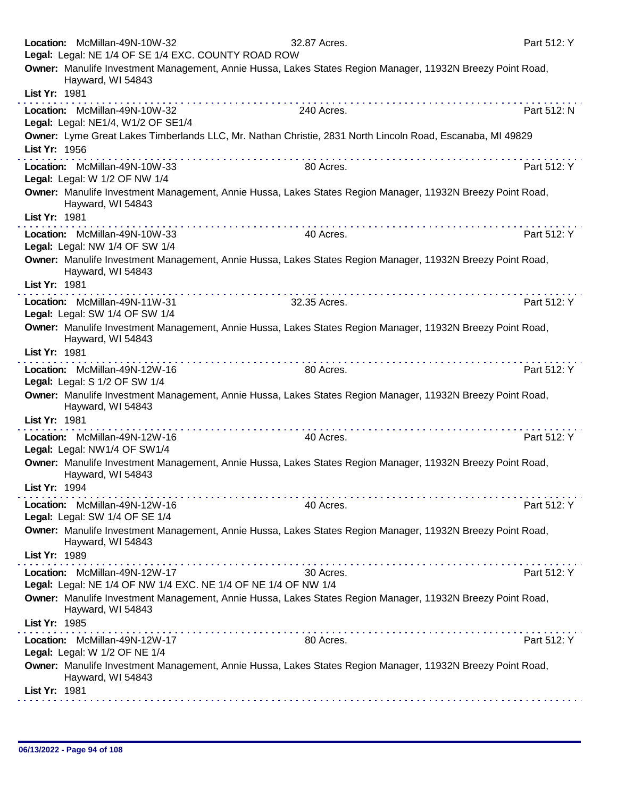|               | Location: McMillan-49N-10W-32<br>Legal: Legal: NE 1/4 OF SE 1/4 EXC. COUNTY ROAD ROW            | 32.87 Acres.                                                                                                                                                                                                                   | Part 512: Y |
|---------------|-------------------------------------------------------------------------------------------------|--------------------------------------------------------------------------------------------------------------------------------------------------------------------------------------------------------------------------------|-------------|
|               | Hayward, WI 54843                                                                               | Owner: Manulife Investment Management, Annie Hussa, Lakes States Region Manager, 11932N Breezy Point Road,                                                                                                                     |             |
| List Yr: 1981 |                                                                                                 |                                                                                                                                                                                                                                |             |
|               | Location: McMillan-49N-10W-32<br>Legal: Legal: NE1/4, W1/2 OF SE1/4                             | 240 Acres.                                                                                                                                                                                                                     | Part 512: N |
| List Yr: 1956 |                                                                                                 | Owner: Lyme Great Lakes Timberlands LLC, Mr. Nathan Christie, 2831 North Lincoln Road, Escanaba, MI 49829                                                                                                                      |             |
|               | Location: McMillan-49N-10W-33<br>Legal: Legal: W 1/2 OF NW 1/4                                  | 80 Acres.                                                                                                                                                                                                                      | Part 512: Y |
|               | Hayward, WI 54843                                                                               | Owner: Manulife Investment Management, Annie Hussa, Lakes States Region Manager, 11932N Breezy Point Road,                                                                                                                     |             |
| List Yr: 1981 |                                                                                                 | the contract of the contract of the contract of the contract of the contract of the contract of the contract of the contract of the contract of the contract of the contract of the contract of the contract of the contract o |             |
|               | Location: McMillan-49N-10W-33<br>Legal: Legal: NW 1/4 OF SW 1/4                                 | 40 Acres.                                                                                                                                                                                                                      | Part 512: Y |
|               | Hayward, WI 54843                                                                               | Owner: Manulife Investment Management, Annie Hussa, Lakes States Region Manager, 11932N Breezy Point Road,                                                                                                                     |             |
| List Yr: 1981 |                                                                                                 |                                                                                                                                                                                                                                |             |
|               | Location: McMillan-49N-11W-31<br>Legal: Legal: SW 1/4 OF SW 1/4                                 | 32.35 Acres.                                                                                                                                                                                                                   | Part 512: Y |
|               | Hayward, WI 54843                                                                               | Owner: Manulife Investment Management, Annie Hussa, Lakes States Region Manager, 11932N Breezy Point Road,                                                                                                                     |             |
| List Yr: 1981 |                                                                                                 |                                                                                                                                                                                                                                |             |
|               | Location: McMillan-49N-12W-16<br>Legal: Legal: S 1/2 OF SW 1/4                                  | 80 Acres.                                                                                                                                                                                                                      | Part 512: Y |
|               | Hayward, WI 54843                                                                               | Owner: Manulife Investment Management, Annie Hussa, Lakes States Region Manager, 11932N Breezy Point Road,                                                                                                                     |             |
| List Yr: 1981 |                                                                                                 |                                                                                                                                                                                                                                |             |
|               | Location: McMillan-49N-12W-16<br>Legal: Legal: NW1/4 OF SW1/4                                   | 40 Acres.                                                                                                                                                                                                                      | Part 512: Y |
|               | Hayward, WI 54843                                                                               | Owner: Manulife Investment Management, Annie Hussa, Lakes States Region Manager, 11932N Breezy Point Road,                                                                                                                     |             |
| List Yr: 1994 |                                                                                                 |                                                                                                                                                                                                                                |             |
|               | Location: McMillan-49N-12W-16<br>Legal: Legal: SW 1/4 OF SE 1/4                                 | 40 Acres.                                                                                                                                                                                                                      | Part 512: Y |
|               | Hayward, WI 54843                                                                               | Owner: Manulife Investment Management, Annie Hussa, Lakes States Region Manager, 11932N Breezy Point Road,                                                                                                                     |             |
| List Yr: 1989 |                                                                                                 |                                                                                                                                                                                                                                |             |
|               | Location: McMillan-49N-12W-17<br>Legal: Legal: NE 1/4 OF NW 1/4 EXC. NE 1/4 OF NE 1/4 OF NW 1/4 | 30 Acres.                                                                                                                                                                                                                      | Part 512: Y |
|               | Hayward, WI 54843                                                                               | Owner: Manulife Investment Management, Annie Hussa, Lakes States Region Manager, 11932N Breezy Point Road,                                                                                                                     |             |
| List Yr: 1985 |                                                                                                 |                                                                                                                                                                                                                                |             |
|               | Location: McMillan-49N-12W-17<br>Legal: Legal: W 1/2 OF NE 1/4                                  | 80 Acres.                                                                                                                                                                                                                      | Part 512: Y |
|               | Hayward, WI 54843                                                                               | Owner: Manulife Investment Management, Annie Hussa, Lakes States Region Manager, 11932N Breezy Point Road,                                                                                                                     |             |
| List Yr: 1981 |                                                                                                 |                                                                                                                                                                                                                                |             |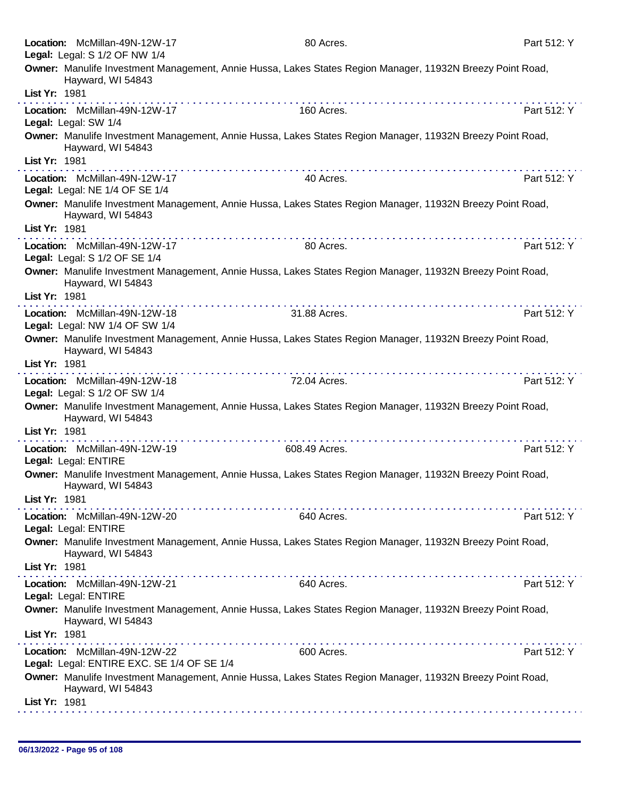| Location: McMillan-49N-12W-17                                               | 80 Acres.                                                                                                  | Part 512: Y |
|-----------------------------------------------------------------------------|------------------------------------------------------------------------------------------------------------|-------------|
| Legal: Legal: S 1/2 OF NW 1/4                                               |                                                                                                            |             |
| Hayward, WI 54843                                                           | Owner: Manulife Investment Management, Annie Hussa, Lakes States Region Manager, 11932N Breezy Point Road, |             |
| List Yr: 1981                                                               |                                                                                                            |             |
| Location: McMillan-49N-12W-17<br>Legal: Legal: SW 1/4                       | 160 Acres.                                                                                                 | Part 512: Y |
| Hayward, WI 54843                                                           | Owner: Manulife Investment Management, Annie Hussa, Lakes States Region Manager, 11932N Breezy Point Road, |             |
| List Yr: 1981                                                               |                                                                                                            |             |
| Location: McMillan-49N-12W-17<br>Legal: Legal: NE 1/4 OF SE 1/4             | 40 Acres.                                                                                                  | Part 512: Y |
| Hayward, WI 54843                                                           | Owner: Manulife Investment Management, Annie Hussa, Lakes States Region Manager, 11932N Breezy Point Road, |             |
| List Yr: 1981                                                               |                                                                                                            |             |
| Location: McMillan-49N-12W-17<br>Legal: Legal: S 1/2 OF SE 1/4              | 80 Acres.                                                                                                  | Part 512: Y |
| Hayward, WI 54843<br>List Yr: 1981                                          | Owner: Manulife Investment Management, Annie Hussa, Lakes States Region Manager, 11932N Breezy Point Road, |             |
|                                                                             | .                                                                                                          |             |
| Location: McMillan-49N-12W-18<br>Legal: Legal: NW 1/4 OF SW 1/4             | 31.88 Acres.                                                                                               | Part 512: Y |
| Hayward, WI 54843                                                           | Owner: Manulife Investment Management, Annie Hussa, Lakes States Region Manager, 11932N Breezy Point Road, |             |
| List Yr: 1981                                                               |                                                                                                            |             |
| Location: McMillan-49N-12W-18<br>Legal: Legal: S 1/2 OF SW 1/4              | 72.04 Acres.                                                                                               | Part 512: Y |
| Hayward, WI 54843                                                           | Owner: Manulife Investment Management, Annie Hussa, Lakes States Region Manager, 11932N Breezy Point Road, |             |
| List Yr: 1981                                                               |                                                                                                            |             |
| Location: McMillan-49N-12W-19<br>Legal: Legal: ENTIRE                       | 608.49 Acres.                                                                                              | Part 512: Y |
| Hayward, WI 54843                                                           | Owner: Manulife Investment Management, Annie Hussa, Lakes States Region Manager, 11932N Breezy Point Road, |             |
| List Yr: 1981                                                               |                                                                                                            |             |
| Location: McMillan-49N-12W-20<br>Legal: Legal: ENTIRE                       | 640 Acres.                                                                                                 | Part 512: Y |
| Hayward, WI 54843                                                           | Owner: Manulife Investment Management, Annie Hussa, Lakes States Region Manager, 11932N Breezy Point Road, |             |
| List Yr: 1981                                                               |                                                                                                            |             |
| Location: McMillan-49N-12W-21<br>Legal: Legal: ENTIRE                       | 640 Acres.                                                                                                 | Part 512: Y |
| Hayward, WI 54843                                                           | Owner: Manulife Investment Management, Annie Hussa, Lakes States Region Manager, 11932N Breezy Point Road, |             |
| List Yr: 1981                                                               |                                                                                                            |             |
| Location: McMillan-49N-12W-22<br>Legal: Legal: ENTIRE EXC. SE 1/4 OF SE 1/4 | 600 Acres.                                                                                                 | Part 512: Y |
| Hayward, WI 54843                                                           | Owner: Manulife Investment Management, Annie Hussa, Lakes States Region Manager, 11932N Breezy Point Road, |             |
| List Yr: 1981                                                               |                                                                                                            |             |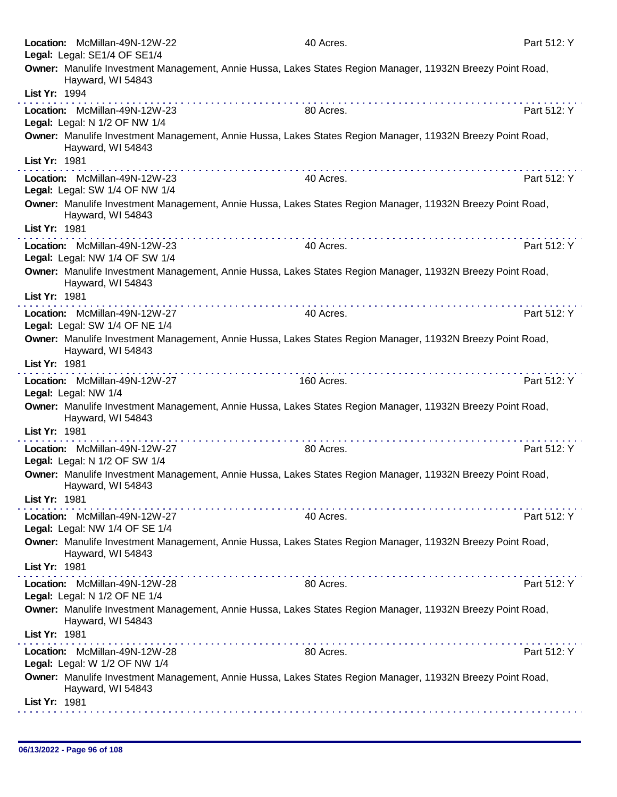|               | Location: McMillan-49N-12W-22<br>Legal: Legal: SE1/4 OF SE1/4   | 40 Acres.                                                                                                  | Part 512: Y |
|---------------|-----------------------------------------------------------------|------------------------------------------------------------------------------------------------------------|-------------|
|               |                                                                 | Owner: Manulife Investment Management, Annie Hussa, Lakes States Region Manager, 11932N Breezy Point Road, |             |
|               | Hayward, WI 54843                                               |                                                                                                            |             |
| List Yr: 1994 |                                                                 |                                                                                                            |             |
|               | Location: McMillan-49N-12W-23<br>Legal: Legal: N 1/2 OF NW 1/4  | 80 Acres.                                                                                                  | Part 512: Y |
|               | Hayward, WI 54843                                               | Owner: Manulife Investment Management, Annie Hussa, Lakes States Region Manager, 11932N Breezy Point Road, |             |
| List Yr: 1981 |                                                                 |                                                                                                            |             |
|               | Location: McMillan-49N-12W-23<br>Legal: Legal: SW 1/4 OF NW 1/4 | 40 Acres.                                                                                                  | Part 512: Y |
|               | Hayward, WI 54843                                               | Owner: Manulife Investment Management, Annie Hussa, Lakes States Region Manager, 11932N Breezy Point Road, |             |
| List Yr: 1981 |                                                                 |                                                                                                            |             |
|               | Location: McMillan-49N-12W-23<br>Legal: Legal: NW 1/4 OF SW 1/4 | 40 Acres.                                                                                                  | Part 512: Y |
|               | Hayward, WI 54843                                               | Owner: Manulife Investment Management, Annie Hussa, Lakes States Region Manager, 11932N Breezy Point Road, |             |
| List Yr: 1981 |                                                                 |                                                                                                            |             |
|               | Location: McMillan-49N-12W-27                                   | 40 Acres.                                                                                                  | Part 512: Y |
|               | Legal: Legal: SW 1/4 OF NE 1/4                                  | Owner: Manulife Investment Management, Annie Hussa, Lakes States Region Manager, 11932N Breezy Point Road, |             |
| List Yr: 1981 | Hayward, WI 54843                                               |                                                                                                            |             |
|               | Location: McMillan-49N-12W-27                                   | 160 Acres.                                                                                                 | Part 512: Y |
|               | Legal: Legal: NW 1/4                                            |                                                                                                            |             |
|               | Hayward, WI 54843                                               | Owner: Manulife Investment Management, Annie Hussa, Lakes States Region Manager, 11932N Breezy Point Road, |             |
| List Yr: 1981 |                                                                 |                                                                                                            |             |
|               | Location: McMillan-49N-12W-27<br>Legal: Legal: N 1/2 OF SW 1/4  | 80 Acres.                                                                                                  | Part 512: Y |
|               | Hayward, WI 54843                                               | Owner: Manulife Investment Management, Annie Hussa, Lakes States Region Manager, 11932N Breezy Point Road, |             |
| List Yr: 1981 |                                                                 |                                                                                                            |             |
|               | Location: McMillan-49N-12W-27<br>Legal: Legal: NW 1/4 OF SE 1/4 | 40 Acres.                                                                                                  | Part 512: Y |
|               | Hayward, WI 54843                                               | Owner: Manulife Investment Management, Annie Hussa, Lakes States Region Manager, 11932N Breezy Point Road, |             |
| List Yr: 1981 |                                                                 |                                                                                                            |             |
|               | Location: McMillan-49N-12W-28<br>Legal: Legal: N 1/2 OF NE 1/4  | 80 Acres.                                                                                                  | Part 512: Y |
|               | Hayward, WI 54843                                               | Owner: Manulife Investment Management, Annie Hussa, Lakes States Region Manager, 11932N Breezy Point Road, |             |
| List Yr: 1981 |                                                                 |                                                                                                            |             |
|               | Location: McMillan-49N-12W-28<br>Legal: Legal: W 1/2 OF NW 1/4  | 80 Acres.                                                                                                  | Part 512: Y |
|               | Hayward, WI 54843                                               | Owner: Manulife Investment Management, Annie Hussa, Lakes States Region Manager, 11932N Breezy Point Road, |             |
| List Yr: 1981 |                                                                 |                                                                                                            |             |
|               |                                                                 |                                                                                                            |             |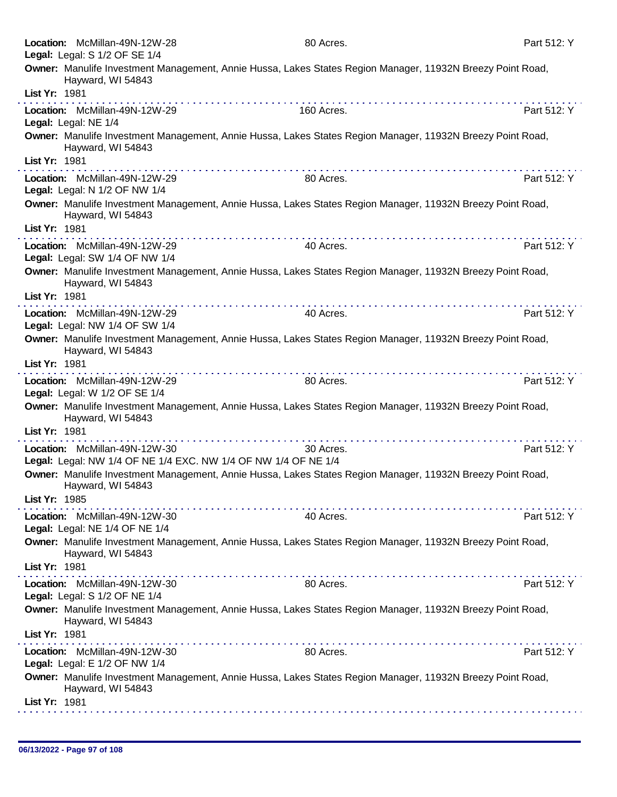|               | Location: McMillan-49N-12W-28                                                                   | 80 Acres.                                                                                                  | Part 512: Y |
|---------------|-------------------------------------------------------------------------------------------------|------------------------------------------------------------------------------------------------------------|-------------|
|               | Legal: Legal: S 1/2 OF SE 1/4                                                                   | Owner: Manulife Investment Management, Annie Hussa, Lakes States Region Manager, 11932N Breezy Point Road, |             |
| List Yr: 1981 | Hayward, WI 54843                                                                               |                                                                                                            |             |
|               | Location: McMillan-49N-12W-29                                                                   | 160 Acres.                                                                                                 | Part 512: Y |
|               | Legal: Legal: NE 1/4                                                                            |                                                                                                            |             |
|               | Hayward, WI 54843                                                                               | Owner: Manulife Investment Management, Annie Hussa, Lakes States Region Manager, 11932N Breezy Point Road, |             |
| List Yr: 1981 |                                                                                                 |                                                                                                            |             |
|               | Location: McMillan-49N-12W-29<br>Legal: Legal: N 1/2 OF NW 1/4                                  | 80 Acres.                                                                                                  | Part 512: Y |
|               | Hayward, WI 54843                                                                               | Owner: Manulife Investment Management, Annie Hussa, Lakes States Region Manager, 11932N Breezy Point Road, |             |
| List Yr: 1981 |                                                                                                 |                                                                                                            |             |
|               | Location: McMillan-49N-12W-29<br>Legal: Legal: SW 1/4 OF NW 1/4                                 | 40 Acres.                                                                                                  | Part 512: Y |
|               | Hayward, WI 54843                                                                               | Owner: Manulife Investment Management, Annie Hussa, Lakes States Region Manager, 11932N Breezy Point Road, |             |
| List Yr: 1981 |                                                                                                 |                                                                                                            |             |
|               | Location: McMillan-49N-12W-29                                                                   | 40 Acres.                                                                                                  | Part 512: Y |
|               | Legal: Legal: NW 1/4 OF SW 1/4                                                                  |                                                                                                            |             |
|               | Hayward, WI 54843                                                                               | Owner: Manulife Investment Management, Annie Hussa, Lakes States Region Manager, 11932N Breezy Point Road, |             |
| List Yr: 1981 |                                                                                                 |                                                                                                            |             |
|               | Location: McMillan-49N-12W-29<br>Legal: Legal: W 1/2 OF SE 1/4                                  | 80 Acres.                                                                                                  | Part 512: Y |
|               | Hayward, WI 54843                                                                               | Owner: Manulife Investment Management, Annie Hussa, Lakes States Region Manager, 11932N Breezy Point Road, |             |
| List Yr: 1981 |                                                                                                 |                                                                                                            |             |
|               | Location: McMillan-49N-12W-30<br>Legal: Legal: NW 1/4 OF NE 1/4 EXC. NW 1/4 OF NW 1/4 OF NE 1/4 | 30 Acres.                                                                                                  | Part 512: Y |
|               | Hayward, WI 54843                                                                               | Owner: Manulife Investment Management, Annie Hussa, Lakes States Region Manager, 11932N Breezy Point Road, |             |
| List Yr: 1985 |                                                                                                 |                                                                                                            |             |
|               | Location: McMillan-49N-12W-30<br>Legal: Legal: NE 1/4 OF NE 1/4                                 | 40 Acres.                                                                                                  | Part 512: Y |
|               |                                                                                                 | Owner: Manulife Investment Management, Annie Hussa, Lakes States Region Manager, 11932N Breezy Point Road, |             |
|               | Hayward, WI 54843                                                                               |                                                                                                            |             |
| List Yr: 1981 |                                                                                                 |                                                                                                            |             |
|               | Location: McMillan-49N-12W-30<br>Legal: Legal: S 1/2 OF NE 1/4                                  | 80 Acres.                                                                                                  | Part 512: Y |
|               | Hayward, WI 54843                                                                               | Owner: Manulife Investment Management, Annie Hussa, Lakes States Region Manager, 11932N Breezy Point Road, |             |
| List Yr: 1981 |                                                                                                 |                                                                                                            |             |
|               | Location: McMillan-49N-12W-30<br>Legal: Legal: E 1/2 OF NW 1/4                                  | 80 Acres.                                                                                                  | Part 512: Y |
|               | Hayward, WI 54843                                                                               | Owner: Manulife Investment Management, Annie Hussa, Lakes States Region Manager, 11932N Breezy Point Road, |             |
| List Yr: 1981 |                                                                                                 |                                                                                                            |             |
|               |                                                                                                 |                                                                                                            |             |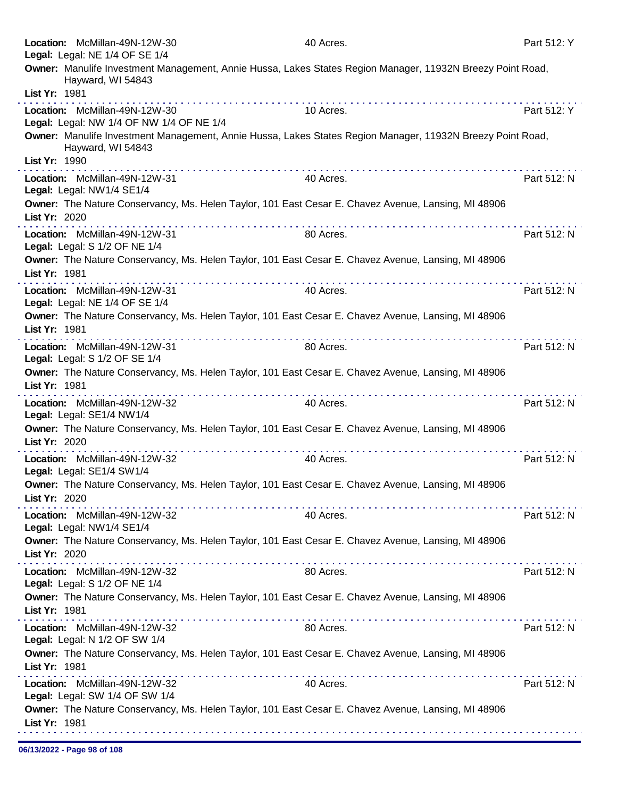|               | Location: McMillan-49N-12W-30<br>Legal: Legal: NE 1/4 OF SE 1/4           |                                   | 40 Acres.                                                                                                  | Part 512: Y |
|---------------|---------------------------------------------------------------------------|-----------------------------------|------------------------------------------------------------------------------------------------------------|-------------|
|               | Hayward, WI 54843                                                         |                                   | Owner: Manulife Investment Management, Annie Hussa, Lakes States Region Manager, 11932N Breezy Point Road, |             |
| List Yr: 1981 |                                                                           |                                   |                                                                                                            |             |
|               | Location: McMillan-49N-12W-30<br>Legal: Legal: NW 1/4 OF NW 1/4 OF NE 1/4 |                                   | 10 Acres.                                                                                                  | Part 512: Y |
| List Yr: 1990 | Hayward, WI 54843                                                         |                                   | Owner: Manulife Investment Management, Annie Hussa, Lakes States Region Manager, 11932N Breezy Point Road, |             |
|               | Location: McMillan-49N-12W-31<br>Legal: Legal: NW1/4 SE1/4                | the second contract of the second | 40 Acres.                                                                                                  | Part 512: N |
| List Yr: 2020 |                                                                           |                                   | Owner: The Nature Conservancy, Ms. Helen Taylor, 101 East Cesar E. Chavez Avenue, Lansing, MI 48906        |             |
|               | Location: McMillan-49N-12W-31<br>Legal: Legal: S 1/2 OF NE 1/4            |                                   | 80 Acres.                                                                                                  | Part 512: N |
| List Yr: 1981 |                                                                           |                                   | Owner: The Nature Conservancy, Ms. Helen Taylor, 101 East Cesar E. Chavez Avenue, Lansing, MI 48906        |             |
|               | Location: McMillan-49N-12W-31<br>Legal: Legal: NE 1/4 OF SE 1/4           |                                   | 40 Acres.                                                                                                  | Part 512: N |
| List Yr: 1981 |                                                                           | <u>.</u>                          | Owner: The Nature Conservancy, Ms. Helen Taylor, 101 East Cesar E. Chavez Avenue, Lansing, MI 48906        |             |
|               | Location: McMillan-49N-12W-31<br>Legal: Legal: S 1/2 OF SE 1/4            |                                   | 80 Acres.                                                                                                  | Part 512: N |
| List Yr: 1981 |                                                                           |                                   | Owner: The Nature Conservancy, Ms. Helen Taylor, 101 East Cesar E. Chavez Avenue, Lansing, MI 48906        |             |
|               | Location: McMillan-49N-12W-32<br>Legal: Legal: SE1/4 NW1/4                |                                   | 40 Acres.                                                                                                  | Part 512: N |
| List Yr: 2020 |                                                                           |                                   | Owner: The Nature Conservancy, Ms. Helen Taylor, 101 East Cesar E. Chavez Avenue, Lansing, MI 48906        |             |
|               | Location: McMillan-49N-12W-32<br>Legal: Legal: SE1/4 SW1/4                |                                   | 40 Acres.                                                                                                  | Part 512: N |
| List Yr: 2020 |                                                                           |                                   | Owner: The Nature Conservancy, Ms. Helen Taylor, 101 East Cesar E. Chavez Avenue, Lansing, MI 48906        |             |
|               | Location: McMillan-49N-12W-32<br>Legal: Legal: NW1/4 SE1/4                |                                   | 40 Acres.                                                                                                  | Part 512: N |
| List Yr: 2020 |                                                                           |                                   | Owner: The Nature Conservancy, Ms. Helen Taylor, 101 East Cesar E. Chavez Avenue, Lansing, MI 48906        |             |
|               | Location: McMillan-49N-12W-32<br>Legal: Legal: S 1/2 OF NE 1/4            |                                   | 80 Acres.                                                                                                  | Part 512: N |
| List Yr: 1981 |                                                                           |                                   | Owner: The Nature Conservancy, Ms. Helen Taylor, 101 East Cesar E. Chavez Avenue, Lansing, MI 48906        |             |
|               | Location: McMillan-49N-12W-32<br>Legal: Legal: N 1/2 OF SW 1/4            |                                   | 80 Acres.                                                                                                  | Part 512: N |
| List Yr: 1981 |                                                                           |                                   | Owner: The Nature Conservancy, Ms. Helen Taylor, 101 East Cesar E. Chavez Avenue, Lansing, MI 48906        |             |
|               | Location: McMillan-49N-12W-32<br>Legal: Legal: SW 1/4 OF SW 1/4           |                                   | 40 Acres.                                                                                                  | Part 512: N |
| List Yr: 1981 |                                                                           |                                   | Owner: The Nature Conservancy, Ms. Helen Taylor, 101 East Cesar E. Chavez Avenue, Lansing, MI 48906        |             |
|               |                                                                           |                                   |                                                                                                            |             |

06/13/2022 - Page 98 of 108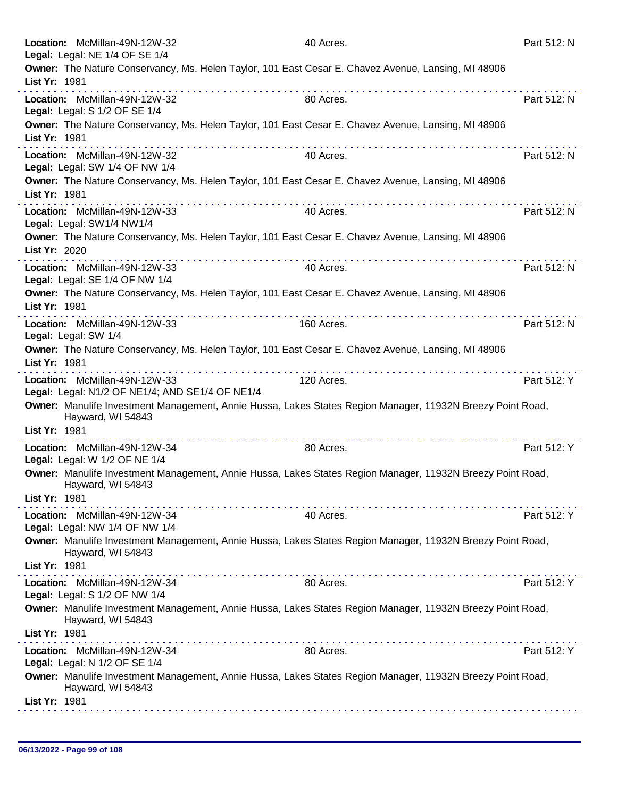| Location: McMillan-49N-12W-32<br>Legal: Legal: NE 1/4 OF SE 1/4                                                                 | 40 Acres.  | Part 512: N |
|---------------------------------------------------------------------------------------------------------------------------------|------------|-------------|
| Owner: The Nature Conservancy, Ms. Helen Taylor, 101 East Cesar E. Chavez Avenue, Lansing, MI 48906                             |            |             |
| List Yr: 1981                                                                                                                   |            |             |
| Location: McMillan-49N-12W-32<br>Legal: Legal: S 1/2 OF SE 1/4                                                                  | 80 Acres.  | Part 512: N |
| Owner: The Nature Conservancy, Ms. Helen Taylor, 101 East Cesar E. Chavez Avenue, Lansing, MI 48906<br>List Yr: 1981            |            |             |
| Location: McMillan-49N-12W-32<br>Legal: Legal: SW 1/4 OF NW 1/4                                                                 | 40 Acres.  | Part 512: N |
| Owner: The Nature Conservancy, Ms. Helen Taylor, 101 East Cesar E. Chavez Avenue, Lansing, MI 48906<br>List Yr: 1981            |            |             |
| Location: McMillan-49N-12W-33<br>Legal: Legal: SW1/4 NW1/4                                                                      | 40 Acres.  | Part 512: N |
| Owner: The Nature Conservancy, Ms. Helen Taylor, 101 East Cesar E. Chavez Avenue, Lansing, MI 48906<br>List Yr: 2020            |            |             |
| Location: McMillan-49N-12W-33<br>Legal: Legal: SE 1/4 OF NW 1/4                                                                 | 40 Acres.  | Part 512: N |
| Owner: The Nature Conservancy, Ms. Helen Taylor, 101 East Cesar E. Chavez Avenue, Lansing, MI 48906<br>List Yr: 1981            |            |             |
| Location: McMillan-49N-12W-33<br>Legal: Legal: SW 1/4                                                                           | 160 Acres. | Part 512: N |
| Owner: The Nature Conservancy, Ms. Helen Taylor, 101 East Cesar E. Chavez Avenue, Lansing, MI 48906<br>List Yr: 1981            |            |             |
| .<br>Location: McMillan-49N-12W-33<br>Legal: Legal: N1/2 OF NE1/4; AND SE1/4 OF NE1/4                                           | 120 Acres. | Part 512: Y |
| Owner: Manulife Investment Management, Annie Hussa, Lakes States Region Manager, 11932N Breezy Point Road,<br>Hayward, WI 54843 |            |             |
| List Yr: 1981                                                                                                                   |            |             |
| Location: McMillan-49N-12W-34<br>Legal: Legal: W 1/2 OF NE 1/4                                                                  | 80 Acres.  | Part 512: Y |
| Owner: Manulife Investment Management, Annie Hussa, Lakes States Region Manager, 11932N Breezy Point Road,<br>Hayward, WI 54843 |            |             |
| List Yr: 1981                                                                                                                   |            |             |
| Location: McMillan-49N-12W-34<br>Legal: Legal: NW 1/4 OF NW 1/4                                                                 | 40 Acres.  | Part 512: Y |
| Owner: Manulife Investment Management, Annie Hussa, Lakes States Region Manager, 11932N Breezy Point Road,<br>Hayward, WI 54843 |            |             |
| List Yr: 1981                                                                                                                   |            |             |
| Location: McMillan-49N-12W-34<br>Legal: Legal: S 1/2 OF NW 1/4                                                                  | 80 Acres.  | Part 512: Y |
| Owner: Manulife Investment Management, Annie Hussa, Lakes States Region Manager, 11932N Breezy Point Road,<br>Hayward, WI 54843 |            |             |
| List Yr: 1981                                                                                                                   |            |             |
| Location: McMillan-49N-12W-34<br>Legal: Legal: N 1/2 OF SE 1/4                                                                  | 80 Acres.  | Part 512: Y |
| Owner: Manulife Investment Management, Annie Hussa, Lakes States Region Manager, 11932N Breezy Point Road,<br>Hayward, WI 54843 |            |             |
| List Yr: 1981                                                                                                                   |            |             |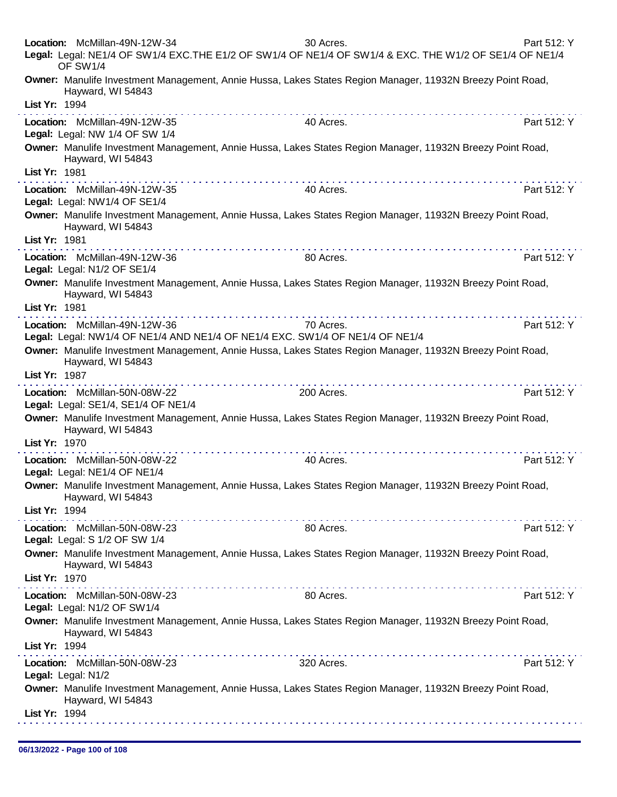|               | Location: McMillan-49N-12W-34<br>Legal: Legal: NE1/4 OF SW1/4 EXC.THE E1/2 OF SW1/4 OF NE1/4 OF SW1/4 & EXC. THE W1/2 OF SE1/4 OF NE1/4<br>OF SW1/4                                                                                                            | 30 Acres.                                                                                                                                                                                                                                  | Part 512: Y |
|---------------|----------------------------------------------------------------------------------------------------------------------------------------------------------------------------------------------------------------------------------------------------------------|--------------------------------------------------------------------------------------------------------------------------------------------------------------------------------------------------------------------------------------------|-------------|
|               | Owner: Manulife Investment Management, Annie Hussa, Lakes States Region Manager, 11932N Breezy Point Road,<br>Hayward, WI 54843                                                                                                                                |                                                                                                                                                                                                                                            |             |
| List Yr: 1994 |                                                                                                                                                                                                                                                                |                                                                                                                                                                                                                                            |             |
|               | Location: McMillan-49N-12W-35<br>Legal: Legal: NW 1/4 OF SW 1/4                                                                                                                                                                                                | 40 Acres.                                                                                                                                                                                                                                  | Part 512: Y |
| List Yr: 1981 | Owner: Manulife Investment Management, Annie Hussa, Lakes States Region Manager, 11932N Breezy Point Road,<br>Hayward, WI 54843                                                                                                                                |                                                                                                                                                                                                                                            |             |
|               | a construction of the construction of the construction of the construction of the construction of the construction of the construction of the construction of the construction of the construction of the construction of the<br>Location: McMillan-49N-12W-35 | a construction of the construction of the construction of the construction of the construction of the construction of the construction of the construction of the construction of the construction of the construction of the<br>40 Acres. | Part 512: Y |
|               | Legal: Legal: NW1/4 OF SE1/4                                                                                                                                                                                                                                   |                                                                                                                                                                                                                                            |             |
|               | Owner: Manulife Investment Management, Annie Hussa, Lakes States Region Manager, 11932N Breezy Point Road,<br>Hayward, WI 54843                                                                                                                                |                                                                                                                                                                                                                                            |             |
| List Yr: 1981 |                                                                                                                                                                                                                                                                |                                                                                                                                                                                                                                            |             |
|               | Location: McMillan-49N-12W-36<br>Legal: Legal: N1/2 OF SE1/4                                                                                                                                                                                                   | 80 Acres.                                                                                                                                                                                                                                  | Part 512: Y |
| List Yr: 1981 | Owner: Manulife Investment Management, Annie Hussa, Lakes States Region Manager, 11932N Breezy Point Road,<br>Hayward, WI 54843                                                                                                                                |                                                                                                                                                                                                                                            |             |
|               |                                                                                                                                                                                                                                                                | 70 Acres.                                                                                                                                                                                                                                  | Part 512: Y |
|               | Location: McMillan-49N-12W-36<br>Legal: Legal: NW1/4 OF NE1/4 AND NE1/4 OF NE1/4 EXC. SW1/4 OF NE1/4 OF NE1/4                                                                                                                                                  |                                                                                                                                                                                                                                            |             |
|               | Owner: Manulife Investment Management, Annie Hussa, Lakes States Region Manager, 11932N Breezy Point Road,<br>Hayward, WI 54843                                                                                                                                |                                                                                                                                                                                                                                            |             |
| List Yr: 1987 | . <b>.</b>                                                                                                                                                                                                                                                     |                                                                                                                                                                                                                                            |             |
|               | Location: McMillan-50N-08W-22<br>Legal: Legal: SE1/4, SE1/4 OF NE1/4                                                                                                                                                                                           | 200 Acres.                                                                                                                                                                                                                                 | Part 512: Y |
|               | Owner: Manulife Investment Management, Annie Hussa, Lakes States Region Manager, 11932N Breezy Point Road,<br>Hayward, WI 54843                                                                                                                                |                                                                                                                                                                                                                                            |             |
| List Yr: 1970 |                                                                                                                                                                                                                                                                |                                                                                                                                                                                                                                            |             |
|               | Location: McMillan-50N-08W-22<br>Legal: Legal: NE1/4 OF NE1/4                                                                                                                                                                                                  | 40 Acres.                                                                                                                                                                                                                                  | Part 512: Y |
|               | Owner: Manulife Investment Management, Annie Hussa, Lakes States Region Manager, 11932N Breezy Point Road<br>Hayward, WI 54843                                                                                                                                 |                                                                                                                                                                                                                                            |             |
| List Yr: 1994 |                                                                                                                                                                                                                                                                |                                                                                                                                                                                                                                            |             |
|               | Location: McMillan-50N-08W-23<br>Legal: Legal: S 1/2 OF SW 1/4                                                                                                                                                                                                 | 80 Acres.                                                                                                                                                                                                                                  | Part 512: Y |
|               | Owner: Manulife Investment Management, Annie Hussa, Lakes States Region Manager, 11932N Breezy Point Road,<br>Hayward, WI 54843                                                                                                                                |                                                                                                                                                                                                                                            |             |
| List Yr: 1970 |                                                                                                                                                                                                                                                                |                                                                                                                                                                                                                                            |             |
|               | Location: McMillan-50N-08W-23                                                                                                                                                                                                                                  | 80 Acres.                                                                                                                                                                                                                                  | Part 512: Y |
|               | Legal: Legal: N1/2 OF SW1/4                                                                                                                                                                                                                                    |                                                                                                                                                                                                                                            |             |
|               | Owner: Manulife Investment Management, Annie Hussa, Lakes States Region Manager, 11932N Breezy Point Road,<br>Hayward, WI 54843                                                                                                                                |                                                                                                                                                                                                                                            |             |
| List Yr: 1994 |                                                                                                                                                                                                                                                                |                                                                                                                                                                                                                                            |             |
|               | Location: McMillan-50N-08W-23                                                                                                                                                                                                                                  | 320 Acres.                                                                                                                                                                                                                                 | Part 512: Y |
|               | Legal: Legal: N1/2                                                                                                                                                                                                                                             |                                                                                                                                                                                                                                            |             |
|               | Owner: Manulife Investment Management, Annie Hussa, Lakes States Region Manager, 11932N Breezy Point Road,<br>Hayward, WI 54843                                                                                                                                |                                                                                                                                                                                                                                            |             |
| List Yr: 1994 |                                                                                                                                                                                                                                                                |                                                                                                                                                                                                                                            |             |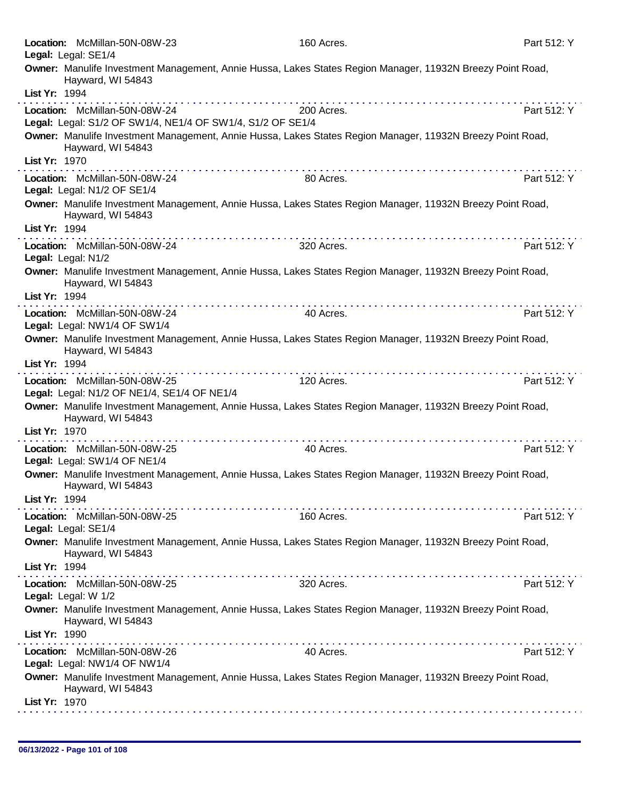| Legal: Legal: SE1/4          | Location: McMillan-50N-08W-23                                                               | 160 Acres.                                                                                                 | Part 512: Y |
|------------------------------|---------------------------------------------------------------------------------------------|------------------------------------------------------------------------------------------------------------|-------------|
|                              | Hayward, WI 54843                                                                           | Owner: Manulife Investment Management, Annie Hussa, Lakes States Region Manager, 11932N Breezy Point Road, |             |
| List Yr: 1994                |                                                                                             |                                                                                                            |             |
|                              | Location: McMillan-50N-08W-24<br>Legal: Legal: S1/2 OF SW1/4, NE1/4 OF SW1/4, S1/2 OF SE1/4 | 200 Acres.                                                                                                 | Part 512: Y |
|                              | Hayward, WI 54843                                                                           | Owner: Manulife Investment Management, Annie Hussa, Lakes States Region Manager, 11932N Breezy Point Road, |             |
| List Yr: 1970                |                                                                                             |                                                                                                            |             |
| Legal: Legal: N1/2 OF SE1/4  | Location: McMillan-50N-08W-24                                                               | 80 Acres.                                                                                                  | Part 512: Y |
|                              | Hayward, WI 54843                                                                           | Owner: Manulife Investment Management, Annie Hussa, Lakes States Region Manager, 11932N Breezy Point Road, |             |
| List Yr: 1994                |                                                                                             |                                                                                                            |             |
| Legal: Legal: N1/2           | Location: McMillan-50N-08W-24                                                               | 320 Acres.                                                                                                 | Part 512: Y |
|                              | Hayward, WI 54843                                                                           | Owner: Manulife Investment Management, Annie Hussa, Lakes States Region Manager, 11932N Breezy Point Road, |             |
| List Yr: 1994                |                                                                                             |                                                                                                            |             |
|                              | Location: McMillan-50N-08W-24                                                               | 40 Acres.                                                                                                  | Part 512: Y |
| Legal: Legal: NW1/4 OF SW1/4 |                                                                                             |                                                                                                            |             |
|                              | Hayward, WI 54843                                                                           | Owner: Manulife Investment Management, Annie Hussa, Lakes States Region Manager, 11932N Breezy Point Road, |             |
| List Yr: 1994                |                                                                                             |                                                                                                            |             |
|                              | Location: McMillan-50N-08W-25<br>Legal: Legal: N1/2 OF NE1/4, SE1/4 OF NE1/4                | 120 Acres.                                                                                                 | Part 512: Y |
|                              | Hayward, WI 54843                                                                           | Owner: Manulife Investment Management, Annie Hussa, Lakes States Region Manager, 11932N Breezy Point Road, |             |
| List Yr: 1970                |                                                                                             |                                                                                                            |             |
| Legal: Legal: SW1/4 OF NE1/4 | Location: McMillan-50N-08W-25                                                               | 40 Acres.                                                                                                  | Part 512: Y |
|                              | Hayward, WI 54843                                                                           | Owner: Manulife Investment Management, Annie Hussa, Lakes States Region Manager, 11932N Breezy Point Road, |             |
| List Yr: 1994                |                                                                                             |                                                                                                            |             |
| Legal: Legal: SE1/4          | Location: McMillan-50N-08W-25                                                               | 160 Acres.                                                                                                 | Part 512: Y |
|                              | Hayward, WI 54843                                                                           | Owner: Manulife Investment Management, Annie Hussa, Lakes States Region Manager, 11932N Breezy Point Road, |             |
| List Yr: 1994                |                                                                                             |                                                                                                            |             |
| Legal: Legal: W 1/2          | Location: McMillan-50N-08W-25                                                               | 320 Acres.                                                                                                 | Part 512: Y |
|                              | Hayward, WI 54843                                                                           | Owner: Manulife Investment Management, Annie Hussa, Lakes States Region Manager, 11932N Breezy Point Road, |             |
| List Yr: 1990                |                                                                                             |                                                                                                            |             |
| Legal: Legal: NW1/4 OF NW1/4 | Location: McMillan-50N-08W-26                                                               | 40 Acres.                                                                                                  | Part 512: Y |
|                              | Hayward, WI 54843                                                                           | Owner: Manulife Investment Management, Annie Hussa, Lakes States Region Manager, 11932N Breezy Point Road, |             |
| List Yr: 1970                |                                                                                             |                                                                                                            |             |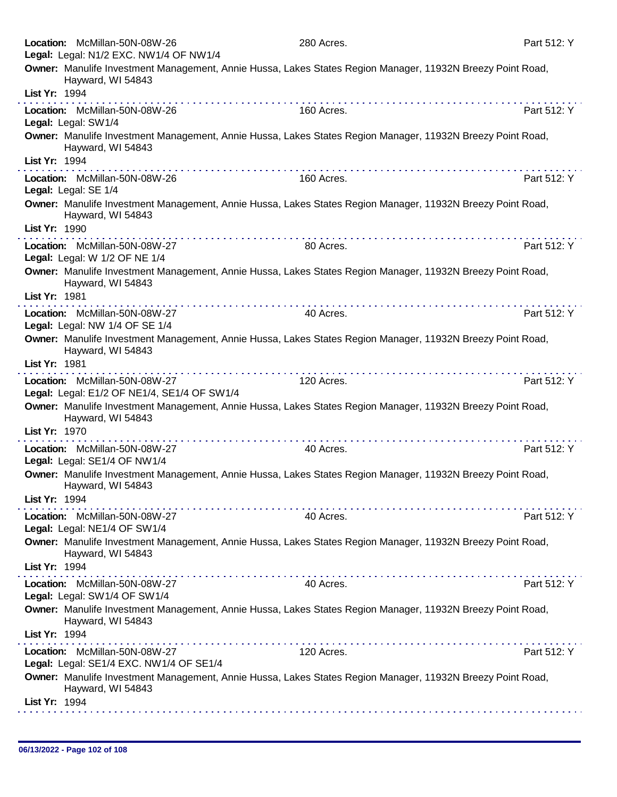| Location: McMillan-50N-08W-26<br>Legal: Legal: N1/2 EXC. NW1/4 OF NW1/4      | 280 Acres.                                                                                                 | Part 512: Y |
|------------------------------------------------------------------------------|------------------------------------------------------------------------------------------------------------|-------------|
| Hayward, WI 54843                                                            | Owner: Manulife Investment Management, Annie Hussa, Lakes States Region Manager, 11932N Breezy Point Road, |             |
| List Yr: 1994                                                                |                                                                                                            |             |
| Location: McMillan-50N-08W-26<br>Legal: Legal: SW1/4                         | 160 Acres.                                                                                                 | Part 512: Y |
| Hayward, WI 54843                                                            | Owner: Manulife Investment Management, Annie Hussa, Lakes States Region Manager, 11932N Breezy Point Road, |             |
| List Yr: 1994                                                                |                                                                                                            |             |
| Location: McMillan-50N-08W-26<br>Legal: Legal: SE 1/4                        | 160 Acres.                                                                                                 | Part 512: Y |
| Hayward, WI 54843                                                            | Owner: Manulife Investment Management, Annie Hussa, Lakes States Region Manager, 11932N Breezy Point Road, |             |
| List Yr: 1990                                                                |                                                                                                            |             |
| Location: McMillan-50N-08W-27<br>Legal: Legal: W 1/2 OF NE 1/4               | 80 Acres.                                                                                                  | Part 512: Y |
| Hayward, WI 54843<br>List Yr: 1981                                           | Owner: Manulife Investment Management, Annie Hussa, Lakes States Region Manager, 11932N Breezy Point Road, |             |
| Location: McMillan-50N-08W-27                                                | 40 Acres.                                                                                                  | Part 512: Y |
| Legal: Legal: NW 1/4 OF SE 1/4                                               |                                                                                                            |             |
| Hayward, WI 54843                                                            | Owner: Manulife Investment Management, Annie Hussa, Lakes States Region Manager, 11932N Breezy Point Road, |             |
| List Yr: 1981                                                                | a provincia de la caractería de la caractería                                                              |             |
| Location: McMillan-50N-08W-27<br>Legal: Legal: E1/2 OF NE1/4, SE1/4 OF SW1/4 | 120 Acres.                                                                                                 | Part 512: Y |
| Hayward, WI 54843                                                            | Owner: Manulife Investment Management, Annie Hussa, Lakes States Region Manager, 11932N Breezy Point Road, |             |
| List Yr: 1970                                                                |                                                                                                            |             |
| Location: McMillan-50N-08W-27<br>Legal: Legal: SE1/4 OF NW1/4                | 40 Acres.                                                                                                  | Part 512: Y |
| Hayward, WI 54843<br>List Yr: 1994                                           | Owner: Manulife Investment Management, Annie Hussa, Lakes States Region Manager, 11932N Breezy Point Road, |             |
| Location: McMillan-50N-08W-27                                                | 40 Acres.                                                                                                  | Part 512: Y |
| Legal: Legal: NE1/4 OF SW1/4                                                 |                                                                                                            |             |
| Hayward, WI 54843                                                            | Owner: Manulife Investment Management, Annie Hussa, Lakes States Region Manager, 11932N Breezy Point Road, |             |
| List Yr: 1994                                                                | .                                                                                                          |             |
| Location: McMillan-50N-08W-27<br>Legal: Legal: SW1/4 OF SW1/4                | 40 Acres.                                                                                                  | Part 512: Y |
| Hayward, WI 54843                                                            | Owner: Manulife Investment Management, Annie Hussa, Lakes States Region Manager, 11932N Breezy Point Road, |             |
| List Yr: 1994                                                                |                                                                                                            |             |
| Location: McMillan-50N-08W-27<br>Legal: Legal: SE1/4 EXC. NW1/4 OF SE1/4     | 120 Acres.                                                                                                 | Part 512: Y |
| Hayward, WI 54843                                                            | Owner: Manulife Investment Management, Annie Hussa, Lakes States Region Manager, 11932N Breezy Point Road, |             |
| List Yr: 1994                                                                |                                                                                                            |             |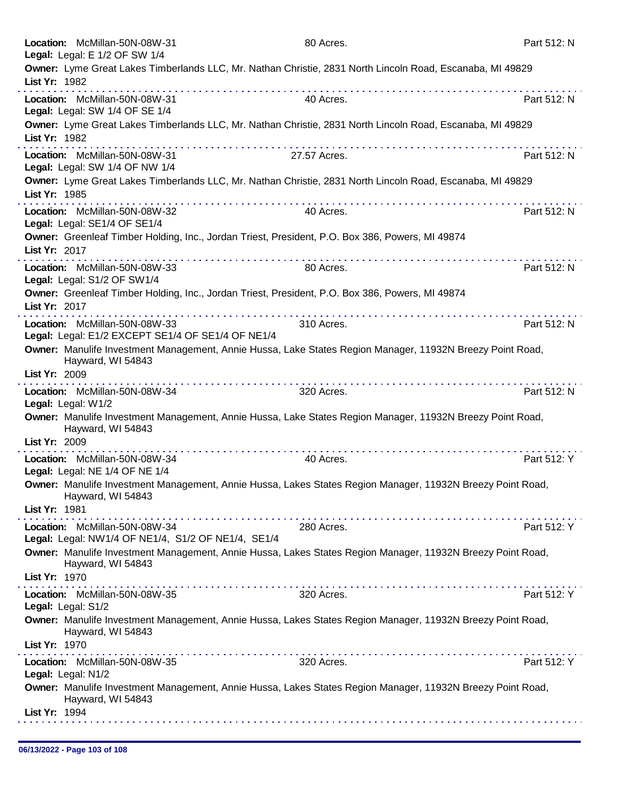|               | Location: McMillan-50N-08W-31<br>Legal: Legal: E 1/2 OF SW 1/4                      | 80 Acres.                                                                                                                                                                                                                     | Part 512: N |
|---------------|-------------------------------------------------------------------------------------|-------------------------------------------------------------------------------------------------------------------------------------------------------------------------------------------------------------------------------|-------------|
|               | List Yr: 1982                                                                       | Owner: Lyme Great Lakes Timberlands LLC, Mr. Nathan Christie, 2831 North Lincoln Road, Escanaba, MI 49829                                                                                                                     |             |
|               | Location: McMillan-50N-08W-31<br>Legal: Legal: SW 1/4 OF SE 1/4                     | 40 Acres.                                                                                                                                                                                                                     | Part 512: N |
|               | List Yr: 1982                                                                       | Owner: Lyme Great Lakes Timberlands LLC, Mr. Nathan Christie, 2831 North Lincoln Road, Escanaba, MI 49829                                                                                                                     |             |
|               | Location: McMillan-50N-08W-31<br>Legal: Legal: SW 1/4 OF NW 1/4                     | 27.57 Acres.                                                                                                                                                                                                                  | Part 512: N |
|               | List Yr: 1985                                                                       | Owner: Lyme Great Lakes Timberlands LLC, Mr. Nathan Christie, 2831 North Lincoln Road, Escanaba, MI 49829                                                                                                                     |             |
|               | Location: McMillan-50N-08W-32<br>Legal: Legal: SE1/4 OF SE1/4                       | 40 Acres.                                                                                                                                                                                                                     | Part 512: N |
|               | List Yr: 2017                                                                       | Owner: Greenleaf Timber Holding, Inc., Jordan Triest, President, P.O. Box 386, Powers, MI 49874                                                                                                                               |             |
|               | Location: McMillan-50N-08W-33<br>Legal: Legal: S1/2 OF SW1/4                        | 80 Acres.                                                                                                                                                                                                                     | Part 512: N |
|               | List Yr: 2017                                                                       | Owner: Greenleaf Timber Holding, Inc., Jordan Triest, President, P.O. Box 386, Powers, MI 49874                                                                                                                               |             |
|               | Location: McMillan-50N-08W-33<br>Legal: Legal: E1/2 EXCEPT SE1/4 OF SE1/4 OF NE1/4  | 310 Acres.                                                                                                                                                                                                                    | Part 512: N |
|               | Hayward, WI 54843                                                                   | Owner: Manulife Investment Management, Annie Hussa, Lake States Region Manager, 11932N Breezy Point Road,                                                                                                                     |             |
|               | List Yr: 2009                                                                       | a construction of the construction of the construction of the construction of the construction of the construction of the construction of the construction of the construction of the construction of the construction of the |             |
|               | Location: McMillan-50N-08W-34<br>Legal: Legal: W1/2                                 | 320 Acres.                                                                                                                                                                                                                    | Part 512: N |
|               | Hayward, WI 54843<br>List Yr: 2009                                                  | Owner: Manulife Investment Management, Annie Hussa, Lake States Region Manager, 11932N Breezy Point Road,                                                                                                                     |             |
|               | Location: McMillan-50N-08W-34                                                       | 40 Acres.                                                                                                                                                                                                                     | Part 512: Y |
|               | Legal: Legal: NE 1/4 OF NE 1/4<br>Hayward, WI 54843                                 | Owner: Manulife Investment Management, Annie Hussa, Lakes States Region Manager, 11932N Breezy Point Road,                                                                                                                    |             |
| List Yr: 1981 |                                                                                     |                                                                                                                                                                                                                               |             |
|               | Location: McMillan-50N-08W-34<br>Legal: Legal: NW1/4 OF NE1/4, S1/2 OF NE1/4, SE1/4 | 280 Acres.                                                                                                                                                                                                                    | Part 512: Y |
|               | Hayward, WI 54843                                                                   | Owner: Manulife Investment Management, Annie Hussa, Lakes States Region Manager, 11932N Breezy Point Road,                                                                                                                    |             |
|               | List Yr: 1970                                                                       |                                                                                                                                                                                                                               |             |
|               | Location: McMillan-50N-08W-35<br>Legal: Legal: S1/2                                 | 320 Acres.                                                                                                                                                                                                                    | Part 512: Y |
|               | Hayward, WI 54843                                                                   | Owner: Manulife Investment Management, Annie Hussa, Lakes States Region Manager, 11932N Breezy Point Road,                                                                                                                    |             |
|               | List Yr: 1970                                                                       |                                                                                                                                                                                                                               |             |
|               | Location: McMillan-50N-08W-35<br>Legal: Legal: N1/2                                 | 320 Acres.                                                                                                                                                                                                                    | Part 512: Y |
|               | Hayward, WI 54843                                                                   | Owner: Manulife Investment Management, Annie Hussa, Lakes States Region Manager, 11932N Breezy Point Road,                                                                                                                    |             |
|               | List Yr: 1994                                                                       |                                                                                                                                                                                                                               |             |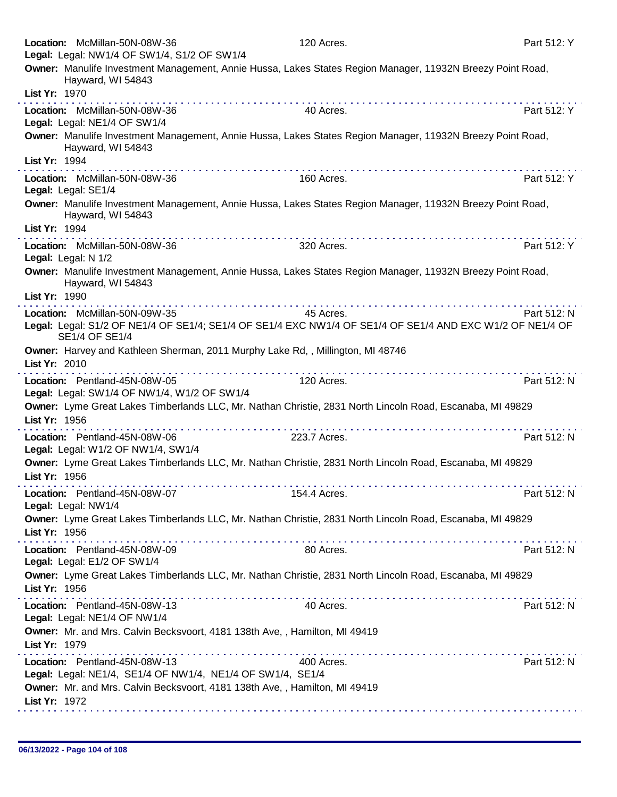| Legal: Legal: NW1/4 OF SW1/4, S1/2 OF SW1/4                                                  |                                                                                                            |             |
|----------------------------------------------------------------------------------------------|------------------------------------------------------------------------------------------------------------|-------------|
| Hayward, WI 54843<br>List Yr: 1970                                                           | Owner: Manulife Investment Management, Annie Hussa, Lakes States Region Manager, 11932N Breezy Point Road, |             |
|                                                                                              |                                                                                                            |             |
| Location: McMillan-50N-08W-36<br>Legal: Legal: NE1/4 OF SW1/4                                | 40 Acres.                                                                                                  | Part 512: Y |
| Hayward, WI 54843                                                                            | Owner: Manulife Investment Management, Annie Hussa, Lakes States Region Manager, 11932N Breezy Point Road, |             |
| List Yr: 1994                                                                                |                                                                                                            |             |
| Location: McMillan-50N-08W-36<br>Legal: Legal: SE1/4                                         | 160 Acres.                                                                                                 | Part 512: Y |
| Hayward, WI 54843                                                                            | Owner: Manulife Investment Management, Annie Hussa, Lakes States Region Manager, 11932N Breezy Point Road, |             |
| List Yr: 1994                                                                                |                                                                                                            |             |
| Location: McMillan-50N-08W-36<br>Legal: Legal: N 1/2                                         | 320 Acres.                                                                                                 | Part 512: Y |
| Hayward, WI 54843                                                                            | Owner: Manulife Investment Management, Annie Hussa, Lakes States Region Manager, 11932N Breezy Point Road, |             |
| List Yr: 1990                                                                                |                                                                                                            |             |
| Location: McMillan-50N-09W-35                                                                | 45 Acres.                                                                                                  | Part 512: N |
| SE1/4 OF SE1/4                                                                               | Legal: Legal: S1/2 OF NE1/4 OF SE1/4; SE1/4 OF SE1/4 EXC NW1/4 OF SE1/4 OF SE1/4 AND EXC W1/2 OF NE1/4 OF  |             |
| List Yr: 2010                                                                                | Owner: Harvey and Kathleen Sherman, 2011 Murphy Lake Rd,, Millington, MI 48746<br><u>.</u>                 |             |
| Location: Pentland-45N-08W-05<br>Legal: Legal: SW1/4 OF NW1/4, W1/2 OF SW1/4                 | 120 Acres.                                                                                                 | Part 512: N |
| List Yr: 1956                                                                                | Owner: Lyme Great Lakes Timberlands LLC, Mr. Nathan Christie, 2831 North Lincoln Road, Escanaba, MI 49829  |             |
| Location: Pentland-45N-08W-06<br>Legal: Legal: W1/2 OF NW1/4, SW1/4                          | .<br>223.7 Acres.                                                                                          | Part 512: N |
| List Yr: 1956                                                                                | Owner: Lyme Great Lakes Timberlands LLC, Mr. Nathan Christie, 2831 North Lincoln Road, Escanaba, MI 49829  |             |
| Location: Pentland-45N-08W-07<br>Legal: Legal: NW1/4                                         | 154.4 Acres.                                                                                               | Part 512: N |
| List Yr: 1956                                                                                | Owner: Lyme Great Lakes Timberlands LLC, Mr. Nathan Christie, 2831 North Lincoln Road, Escanaba, MI 49829  |             |
| Location: Pentland-45N-08W-09                                                                | 80 Acres.                                                                                                  | Part 512: N |
| Legal: Legal: E1/2 OF SW1/4<br>List Yr: 1956                                                 | Owner: Lyme Great Lakes Timberlands LLC, Mr. Nathan Christie, 2831 North Lincoln Road, Escanaba, MI 49829  |             |
|                                                                                              |                                                                                                            |             |
| Location: Pentland-45N-08W-13<br>Legal: Legal: NE1/4 OF NW1/4                                | 40 Acres.                                                                                                  | Part 512: N |
| Owner: Mr. and Mrs. Calvin Becksvoort, 4181 138th Ave, , Hamilton, MI 49419<br>List Yr: 1979 |                                                                                                            |             |
| Location: Pentland-45N-08W-13<br>Legal: Legal: NE1/4, SE1/4 OF NW1/4, NE1/4 OF SW1/4, SE1/4  | 400 Acres.                                                                                                 | Part 512: N |
| Owner: Mr. and Mrs. Calvin Becksvoort, 4181 138th Ave, , Hamilton, MI 49419                  |                                                                                                            |             |
| List Yr: 1972                                                                                |                                                                                                            |             |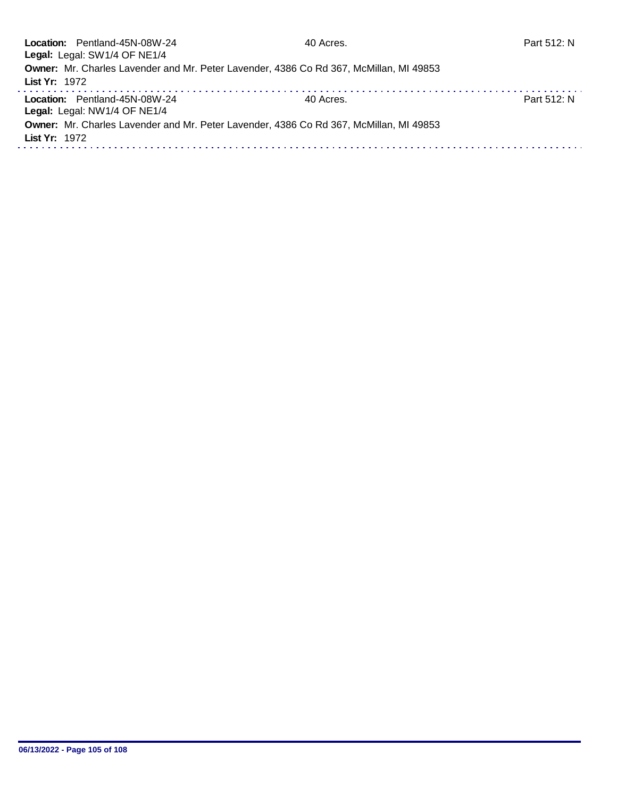|               | Location: Pentland-45N-08W-24                                                          | 40 Acres. | Part 512: N |
|---------------|----------------------------------------------------------------------------------------|-----------|-------------|
|               | Legal: Legal: SW1/4 OF NE1/4                                                           |           |             |
|               | Owner: Mr. Charles Lavender and Mr. Peter Lavender, 4386 Co Rd 367, McMillan, MI 49853 |           |             |
| List Yr: 1972 |                                                                                        |           |             |
|               | Location: Pentland-45N-08W-24                                                          | 40 Acres. | Part 512: N |
|               | Legal: Legal: NW1/4 OF NE1/4                                                           |           |             |
|               | Owner: Mr. Charles Lavender and Mr. Peter Lavender, 4386 Co Rd 367, McMillan, MI 49853 |           |             |
| List Yr: 1972 |                                                                                        |           |             |
|               |                                                                                        |           |             |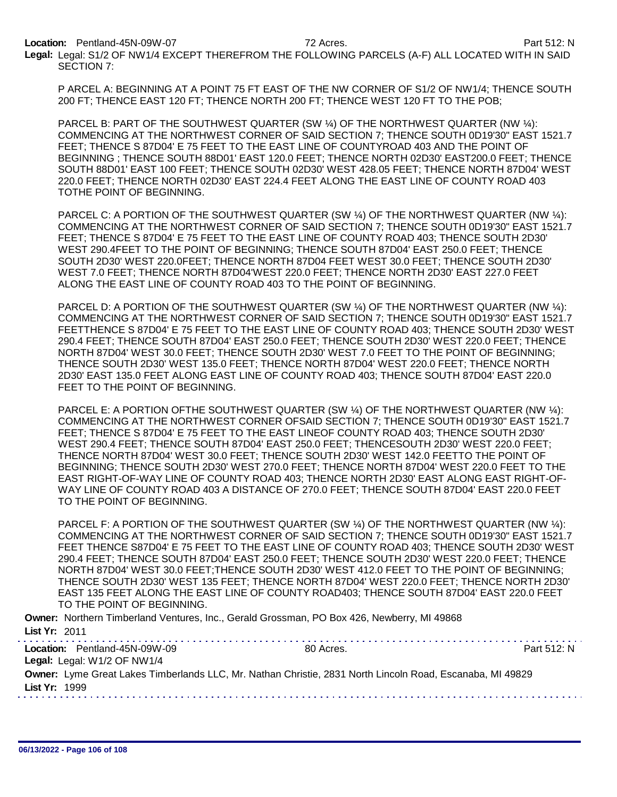Location: Pentland-45N-09W-07 72 Acres. Part 512: N

Legal: Legal: S1/2 OF NW1/4 EXCEPT THEREFROM THE FOLLOWING PARCELS (A-F) ALL LOCATED WITH IN SAID SECTION 7:

P ARCEL A: BEGINNING AT A POINT 75 FT EAST OF THE NW CORNER OF S1/2 OF NW1/4; THENCE SOUTH 200 FT; THENCE EAST 120 FT; THENCE NORTH 200 FT; THENCE WEST 120 FT TO THE POB;

PARCEL B: PART OF THE SOUTHWEST QUARTER (SW ¼) OF THE NORTHWEST QUARTER (NW ¼): COMMENCING AT THE NORTHWEST CORNER OF SAID SECTION 7; THENCE SOUTH 0D19'30" EAST 1521.7 FEET; THENCE S 87D04' E 75 FEET TO THE EAST LINE OF COUNTYROAD 403 AND THE POINT OF BEGINNING ; THENCE SOUTH 88D01' EAST 120.0 FEET; THENCE NORTH 02D30' EAST200.0 FEET; THENCE SOUTH 88D01' EAST 100 FEET; THENCE SOUTH 02D30' WEST 428.05 FEET; THENCE NORTH 87D04' WEST 220.0 FEET; THENCE NORTH 02D30' EAST 224.4 FEET ALONG THE EAST LINE OF COUNTY ROAD 403 TOTHE POINT OF BEGINNING.

PARCEL C: A PORTION OF THE SOUTHWEST QUARTER (SW ¼) OF THE NORTHWEST QUARTER (NW ¼): COMMENCING AT THE NORTHWEST CORNER OF SAID SECTION 7; THENCE SOUTH 0D19'30" EAST 1521.7 FEET; THENCE S 87D04' E 75 FEET TO THE EAST LINE OF COUNTY ROAD 403; THENCE SOUTH 2D30' WEST 290.4FEET TO THE POINT OF BEGINNING; THENCE SOUTH 87D04' EAST 250.0 FEET; THENCE SOUTH 2D30' WEST 220.0FEET; THENCE NORTH 87D04 FEET WEST 30.0 FEET; THENCE SOUTH 2D30' WEST 7.0 FEET; THENCE NORTH 87D04'WEST 220.0 FEET; THENCE NORTH 2D30' EAST 227.0 FEET ALONG THE EAST LINE OF COUNTY ROAD 403 TO THE POINT OF BEGINNING.

PARCEL D: A PORTION OF THE SOUTHWEST QUARTER (SW ¼) OF THE NORTHWEST QUARTER (NW ¼): COMMENCING AT THE NORTHWEST CORNER OF SAID SECTION 7; THENCE SOUTH 0D19'30" EAST 1521.7 FEETTHENCE S 87D04' E 75 FEET TO THE EAST LINE OF COUNTY ROAD 403; THENCE SOUTH 2D30' WEST 290.4 FEET; THENCE SOUTH 87D04' EAST 250.0 FEET; THENCE SOUTH 2D30' WEST 220.0 FEET; THENCE NORTH 87D04' WEST 30.0 FEET; THENCE SOUTH 2D30' WEST 7.0 FEET TO THE POINT OF BEGINNING; THENCE SOUTH 2D30' WEST 135.0 FEET; THENCE NORTH 87D04' WEST 220.0 FEET; THENCE NORTH 2D30' EAST 135.0 FEET ALONG EAST LINE OF COUNTY ROAD 403; THENCE SOUTH 87D04' EAST 220.0 FEET TO THE POINT OF BEGINNING.

PARCEL E: A PORTION OFTHE SOUTHWEST QUARTER (SW ¼) OF THE NORTHWEST QUARTER (NW ¼): COMMENCING AT THE NORTHWEST CORNER OFSAID SECTION 7; THENCE SOUTH 0D19'30" EAST 1521.7 FEET; THENCE S 87D04' E 75 FEET TO THE EAST LINEOF COUNTY ROAD 403; THENCE SOUTH 2D30' WEST 290.4 FEET; THENCE SOUTH 87D04' EAST 250.0 FEET; THENCESOUTH 2D30' WEST 220.0 FEET; THENCE NORTH 87D04' WEST 30.0 FEET; THENCE SOUTH 2D30' WEST 142.0 FEETTO THE POINT OF BEGINNING; THENCE SOUTH 2D30' WEST 270.0 FEET; THENCE NORTH 87D04' WEST 220.0 FEET TO THE EAST RIGHT-OF-WAY LINE OF COUNTY ROAD 403; THENCE NORTH 2D30' EAST ALONG EAST RIGHT-OF-WAY LINE OF COUNTY ROAD 403 A DISTANCE OF 270.0 FEET; THENCE SOUTH 87D04' EAST 220.0 FEET TO THE POINT OF BEGINNING.

PARCEL F: A PORTION OF THE SOUTHWEST QUARTER (SW ¼) OF THE NORTHWEST QUARTER (NW ¼): COMMENCING AT THE NORTHWEST CORNER OF SAID SECTION 7; THENCE SOUTH 0D19'30" EAST 1521.7 FEET THENCE S87D04' E 75 FEET TO THE EAST LINE OF COUNTY ROAD 403; THENCE SOUTH 2D30' WEST 290.4 FEET; THENCE SOUTH 87D04' EAST 250.0 FEET; THENCE SOUTH 2D30' WEST 220.0 FEET; THENCE NORTH 87D04' WEST 30.0 FEET;THENCE SOUTH 2D30' WEST 412.0 FEET TO THE POINT OF BEGINNING; THENCE SOUTH 2D30' WEST 135 FEET; THENCE NORTH 87D04' WEST 220.0 FEET; THENCE NORTH 2D30' EAST 135 FEET ALONG THE EAST LINE OF COUNTY ROAD403; THENCE SOUTH 87D04' EAST 220.0 FEET TO THE POINT OF BEGINNING.

Owner: Northern Timberland Ventures, Inc., Gerald Grossman, PO Box 426, Newberry, MI 49868 List Yr: 2011

|               | Location: Pentland-45N-09W-09 | 80 Acres.                                                                                                 | Part 512: N |
|---------------|-------------------------------|-----------------------------------------------------------------------------------------------------------|-------------|
|               | Legal: Legal: W1/2 OF NW1/4   |                                                                                                           |             |
|               |                               | Owner: Lyme Great Lakes Timberlands LLC, Mr. Nathan Christie, 2831 North Lincoln Road, Escanaba, MI 49829 |             |
| List Yr: 1999 |                               |                                                                                                           |             |
|               |                               |                                                                                                           |             |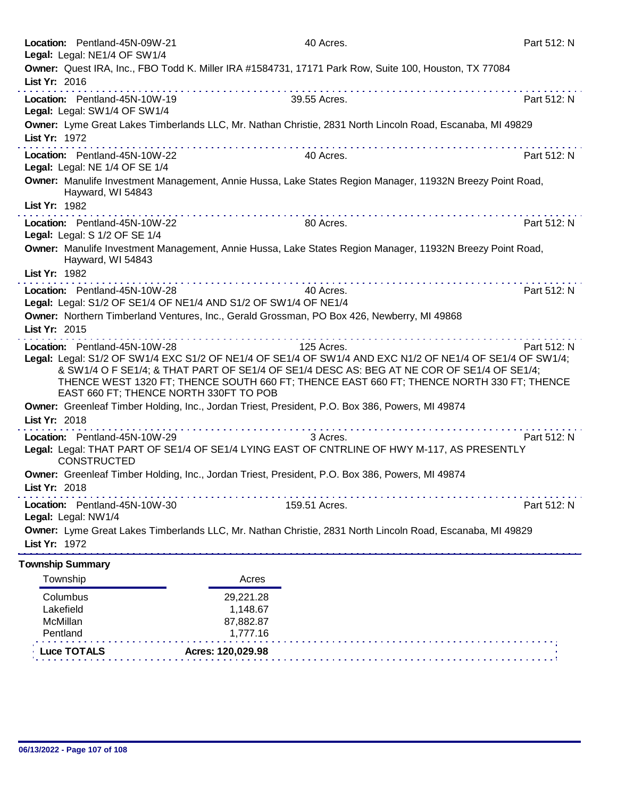|                                   | Location: Pentland-45N-09W-21<br>Legal: Legal: NE1/4 OF SW1/4                                                                                                         |                                                                                                                                                                                                                                                                                                  | 40 Acres.     | Part 512: N                                                                                                                                                                                                          |
|-----------------------------------|-----------------------------------------------------------------------------------------------------------------------------------------------------------------------|--------------------------------------------------------------------------------------------------------------------------------------------------------------------------------------------------------------------------------------------------------------------------------------------------|---------------|----------------------------------------------------------------------------------------------------------------------------------------------------------------------------------------------------------------------|
|                                   | Owner: Quest IRA, Inc., FBO Todd K. Miller IRA #1584731, 17171 Park Row, Suite 100, Houston, TX 77084                                                                 |                                                                                                                                                                                                                                                                                                  |               |                                                                                                                                                                                                                      |
| List Yr: 2016                     |                                                                                                                                                                       |                                                                                                                                                                                                                                                                                                  |               |                                                                                                                                                                                                                      |
|                                   | Location: Pentland-45N-10W-19<br>Legal: Legal: SW1/4 OF SW1/4                                                                                                         |                                                                                                                                                                                                                                                                                                  | 39.55 Acres.  | Part 512: N                                                                                                                                                                                                          |
| List Yr: 1972                     | Owner: Lyme Great Lakes Timberlands LLC, Mr. Nathan Christie, 2831 North Lincoln Road, Escanaba, MI 49829                                                             |                                                                                                                                                                                                                                                                                                  |               |                                                                                                                                                                                                                      |
|                                   | Location: Pentland-45N-10W-22<br>Legal: Legal: NE 1/4 OF SE 1/4                                                                                                       |                                                                                                                                                                                                                                                                                                  | 40 Acres.     | Part 512: N                                                                                                                                                                                                          |
| List Yr: 1982                     | Owner: Manulife Investment Management, Annie Hussa, Lake States Region Manager, 11932N Breezy Point Road,<br>Hayward, WI 54843                                        |                                                                                                                                                                                                                                                                                                  |               |                                                                                                                                                                                                                      |
|                                   | Location: Pentland-45N-10W-22<br>Legal: Legal: S 1/2 OF SE 1/4                                                                                                        |                                                                                                                                                                                                                                                                                                  | 80 Acres.     | Part 512: N                                                                                                                                                                                                          |
|                                   | Owner: Manulife Investment Management, Annie Hussa, Lake States Region Manager, 11932N Breezy Point Road,<br>Hayward, WI 54843                                        |                                                                                                                                                                                                                                                                                                  |               |                                                                                                                                                                                                                      |
| List Yr: 1982                     |                                                                                                                                                                       |                                                                                                                                                                                                                                                                                                  |               |                                                                                                                                                                                                                      |
|                                   | Location: Pentland-45N-10W-28<br>Legal: Legal: S1/2 OF SE1/4 OF NE1/4 AND S1/2 OF SW1/4 OF NE1/4                                                                      |                                                                                                                                                                                                                                                                                                  | 40 Acres.     | Part 512: N                                                                                                                                                                                                          |
|                                   | Owner: Northern Timberland Ventures, Inc., Gerald Grossman, PO Box 426, Newberry, MI 49868                                                                            |                                                                                                                                                                                                                                                                                                  |               |                                                                                                                                                                                                                      |
| List Yr: 2015                     |                                                                                                                                                                       |                                                                                                                                                                                                                                                                                                  |               |                                                                                                                                                                                                                      |
|                                   | Location: Pentland-45N-10W-28<br>& SW1/4 O F SE1/4; & THAT PART OF SE1/4 OF SE1/4 DESC AS: BEG AT NE COR OF SE1/4 OF SE1/4;<br>EAST 660 FT; THENCE NORTH 330FT TO POB | $\label{eq:reduced} \begin{split} \mathbf{u}^{\prime} & = \mathbf{u}^{\prime} + \mathbf{u}^{\prime} + \mathbf{u}^{\prime} + \mathbf{u}^{\prime} + \mathbf{u}^{\prime} + \mathbf{u}^{\prime} + \mathbf{u}^{\prime} + \mathbf{u}^{\prime} + \mathbf{u}^{\prime} + \mathbf{u}^{\prime} \end{split}$ | 125 Acres.    | Part 512: N<br>Legal: Legal: S1/2 OF SW1/4 EXC S1/2 OF NE1/4 OF SE1/4 OF SW1/4 AND EXC N1/2 OF NE1/4 OF SE1/4 OF SW1/4;<br>THENCE WEST 1320 FT; THENCE SOUTH 660 FT; THENCE EAST 660 FT; THENCE NORTH 330 FT; THENCE |
| List Yr: 2018                     | Owner: Greenleaf Timber Holding, Inc., Jordan Triest, President, P.O. Box 386, Powers, MI 49874                                                                       |                                                                                                                                                                                                                                                                                                  |               |                                                                                                                                                                                                                      |
|                                   | Location: Pentland-45N-10W-29<br>Legal: Legal: THAT PART OF SE1/4 OF SE1/4 LYING EAST OF CNTRLINE OF HWY M-117, AS PRESENTLY<br><b>CONSTRUCTED</b>                    |                                                                                                                                                                                                                                                                                                  | 3 Acres.      | Part 512: N                                                                                                                                                                                                          |
| List Yr: 2018                     | Owner: Greenleaf Timber Holding, Inc., Jordan Triest, President, P.O. Box 386, Powers, MI 49874                                                                       |                                                                                                                                                                                                                                                                                                  |               |                                                                                                                                                                                                                      |
|                                   | Location: Pentland-45N-10W-30<br>Legal: Legal: NW1/4                                                                                                                  |                                                                                                                                                                                                                                                                                                  | 159.51 Acres. | Part 512: N                                                                                                                                                                                                          |
| List Yr: 1972                     | Owner: Lyme Great Lakes Timberlands LLC, Mr. Nathan Christie, 2831 North Lincoln Road, Escanaba, MI 49829                                                             |                                                                                                                                                                                                                                                                                                  |               |                                                                                                                                                                                                                      |
| <b>Township Summary</b>           |                                                                                                                                                                       |                                                                                                                                                                                                                                                                                                  |               |                                                                                                                                                                                                                      |
| Township                          |                                                                                                                                                                       | Acres                                                                                                                                                                                                                                                                                            |               |                                                                                                                                                                                                                      |
| Columbus<br>Lakefield<br>McMillan |                                                                                                                                                                       | 29,221.28<br>1,148.67<br>87,882.87                                                                                                                                                                                                                                                               |               |                                                                                                                                                                                                                      |

| → Luce TOTALS | Acres: 120.029.98 |  |
|---------------|-------------------|--|
|               |                   |  |